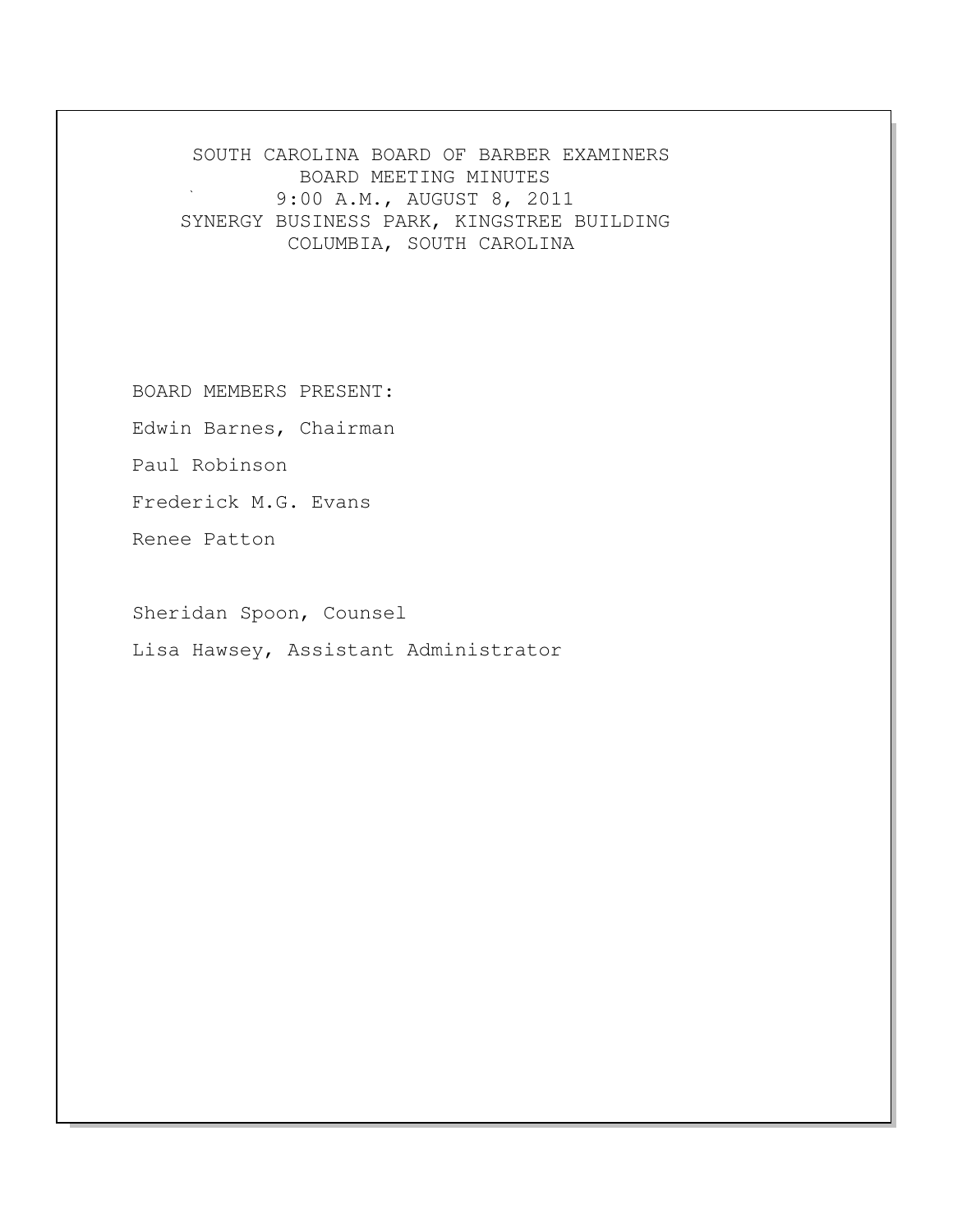SOUTH CAROLINA BOARD OF BARBER EXAMINERS BOARD MEETING MINUTES 9:00 A.M., AUGUST 8, 2011 SYNERGY BUSINESS PARK, KINGSTREE BUILDING COLUMBIA, SOUTH CAROLINA

BOARD MEMBERS PRESENT:

Edwin Barnes, Chairman

Paul Robinson

Frederick M.G. Evans

Renee Patton

Sheridan Spoon, Counsel

Lisa Hawsey, Assistant Administrator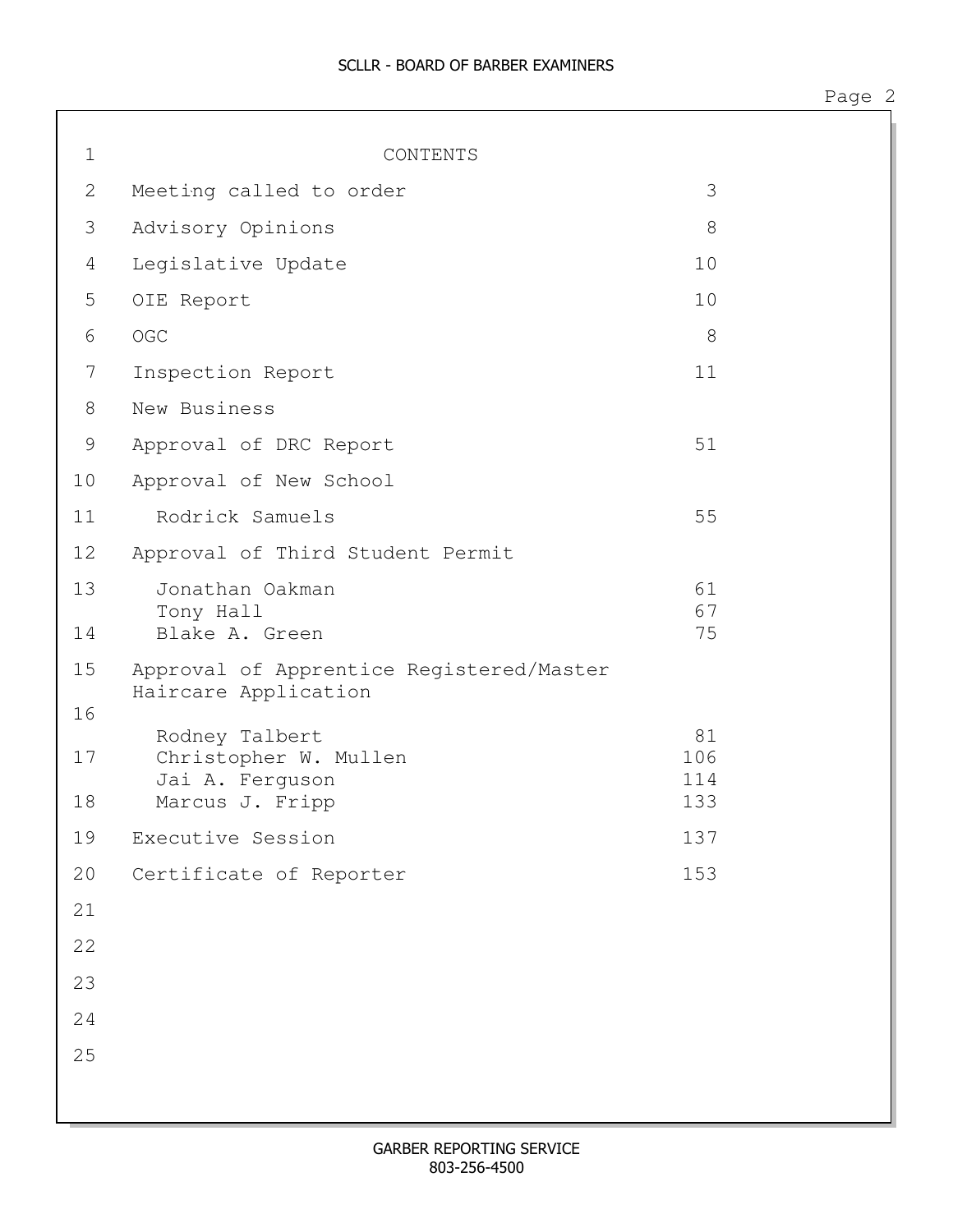| $\mathbf 1$    | CONTENTS                                                                      |                         |  |
|----------------|-------------------------------------------------------------------------------|-------------------------|--|
| 2              | Meeting called to order                                                       | 3                       |  |
| 3              | Advisory Opinions                                                             | 8                       |  |
| $\overline{4}$ | Legislative Update                                                            | 10                      |  |
|                |                                                                               |                         |  |
| 5              | OIE Report                                                                    | 10                      |  |
| $\epsilon$     | OGC                                                                           | 8                       |  |
| 7              | Inspection Report                                                             | 11                      |  |
| $8\,$          | New Business                                                                  |                         |  |
| 9              | Approval of DRC Report                                                        | 51                      |  |
| 10             | Approval of New School                                                        |                         |  |
| 11             | Rodrick Samuels                                                               | 55                      |  |
| 12             | Approval of Third Student Permit                                              |                         |  |
| 13<br>14       | Jonathan Oakman<br>Tony Hall<br>Blake A. Green                                | 61<br>67<br>75          |  |
| 15<br>16       | Approval of Apprentice Registered/Master<br>Haircare Application              |                         |  |
| 17<br>18       | Rodney Talbert<br>Christopher W. Mullen<br>Jai A. Ferguson<br>Marcus J. Fripp | 81<br>106<br>114<br>133 |  |
| 19             | Executive Session                                                             | 137                     |  |
| 20             | Certificate of Reporter                                                       | 153                     |  |
| 21             |                                                                               |                         |  |
| 22             |                                                                               |                         |  |
| 23             |                                                                               |                         |  |
| 24             |                                                                               |                         |  |
| 25             |                                                                               |                         |  |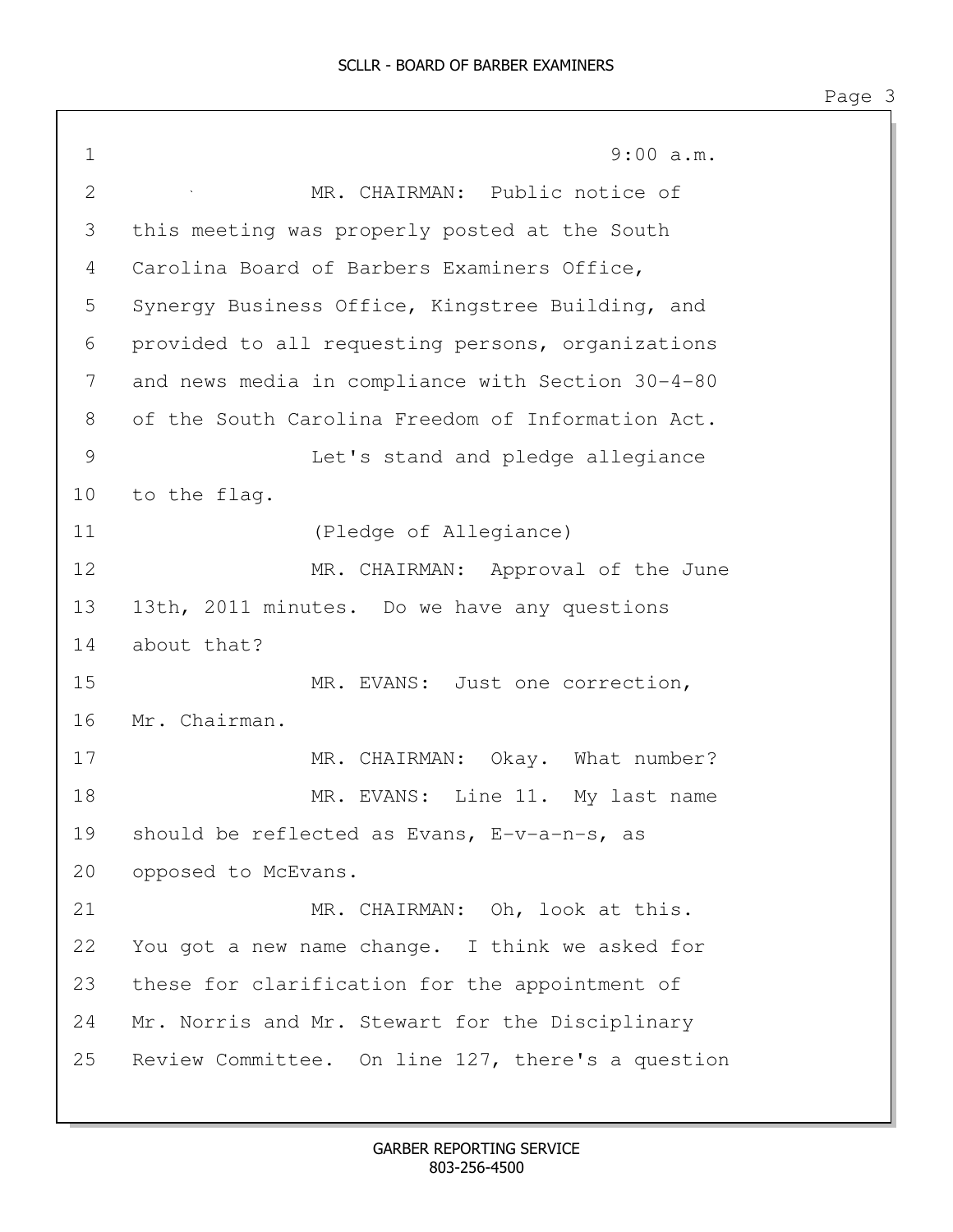1 9:00 a.m. 2 MR. CHAIRMAN: Public notice of 3 this meeting was properly posted at the South 4 Carolina Board of Barbers Examiners Office, 5 Synergy Business Office, Kingstree Building, and 6 provided to all requesting persons, organizations 7 and news media in compliance with Section 30-4-80 8 of the South Carolina Freedom of Information Act. 9 Let's stand and pledge allegiance 10 to the flag. 11 (Pledge of Allegiance) 12 MR. CHAIRMAN: Approval of the June 13 13th, 2011 minutes. Do we have any questions 14 about that? 15 MR. EVANS: Just one correction, 16 Mr. Chairman. 17 MR. CHAIRMAN: Okay. What number? 18 MR. EVANS: Line 11. My last name 19 should be reflected as Evans, E-v-a-n-s, as 20 opposed to McEvans. 21 MR. CHAIRMAN: Oh, look at this. 22 You got a new name change. I think we asked for 23 these for clarification for the appointment of 24 Mr. Norris and Mr. Stewart for the Disciplinary 25 Review Committee. On line 127, there's a question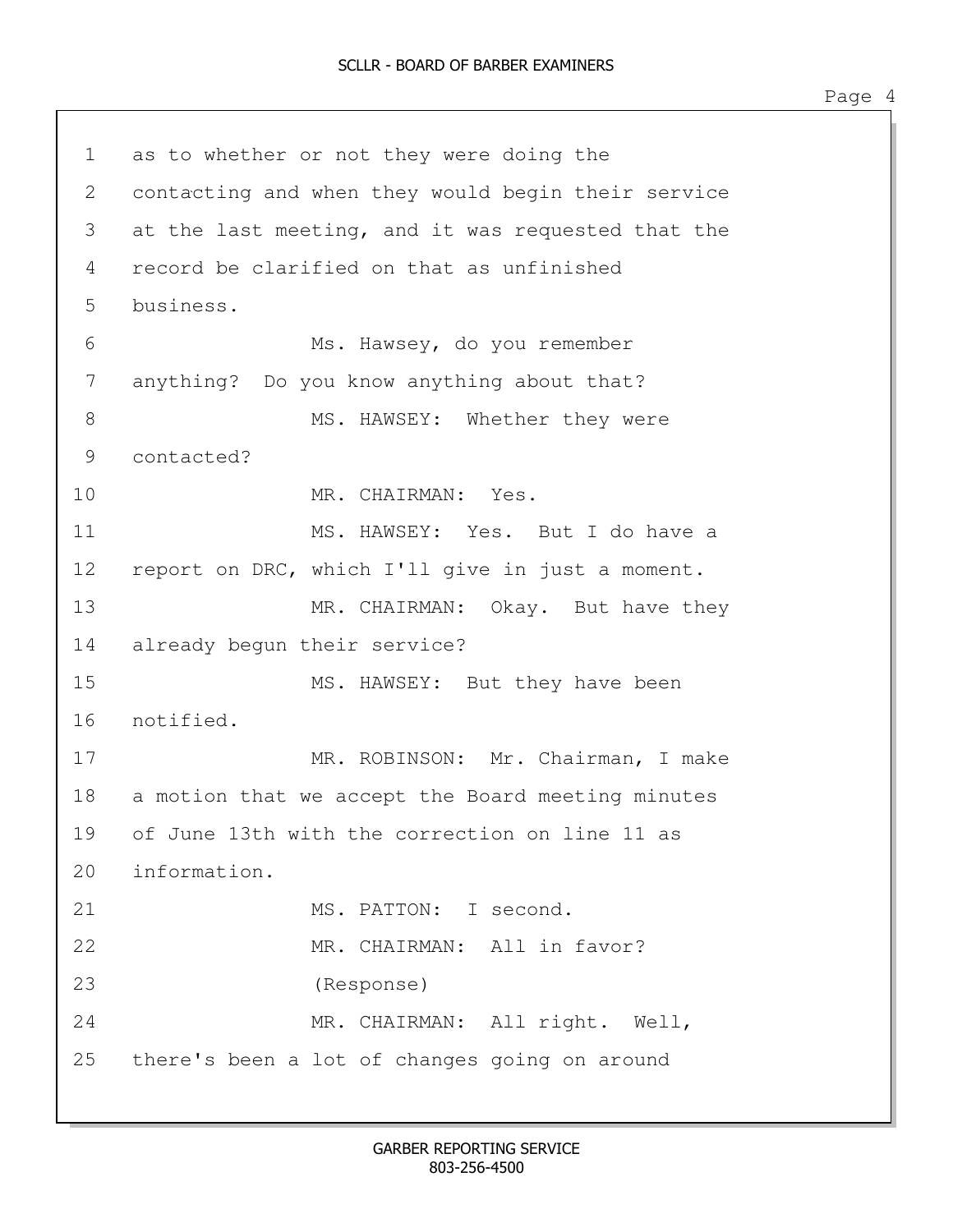1 as to whether or not they were doing the 2 contacting and when they would begin their service 3 at the last meeting, and it was requested that the 4 record be clarified on that as unfinished 5 business. 6 Ms. Hawsey, do you remember 7 anything? Do you know anything about that? 8 MS. HAWSEY: Whether they were 9 contacted? 10 MR. CHAIRMAN: Yes. 11 MS. HAWSEY: Yes. But I do have a 12 report on DRC, which I'll give in just a moment. 13 MR. CHAIRMAN: Okay. But have they 14 already begun their service? 15 MS. HAWSEY: But they have been 16 notified. 17 MR. ROBINSON: Mr. Chairman, I make 18 a motion that we accept the Board meeting minutes 19 of June 13th with the correction on line 11 as 20 information. 21 MS. PATTON: I second. 22 MR. CHAIRMAN: All in favor? 23 (Response) 24 MR. CHAIRMAN: All right. Well, 25 there's been a lot of changes going on around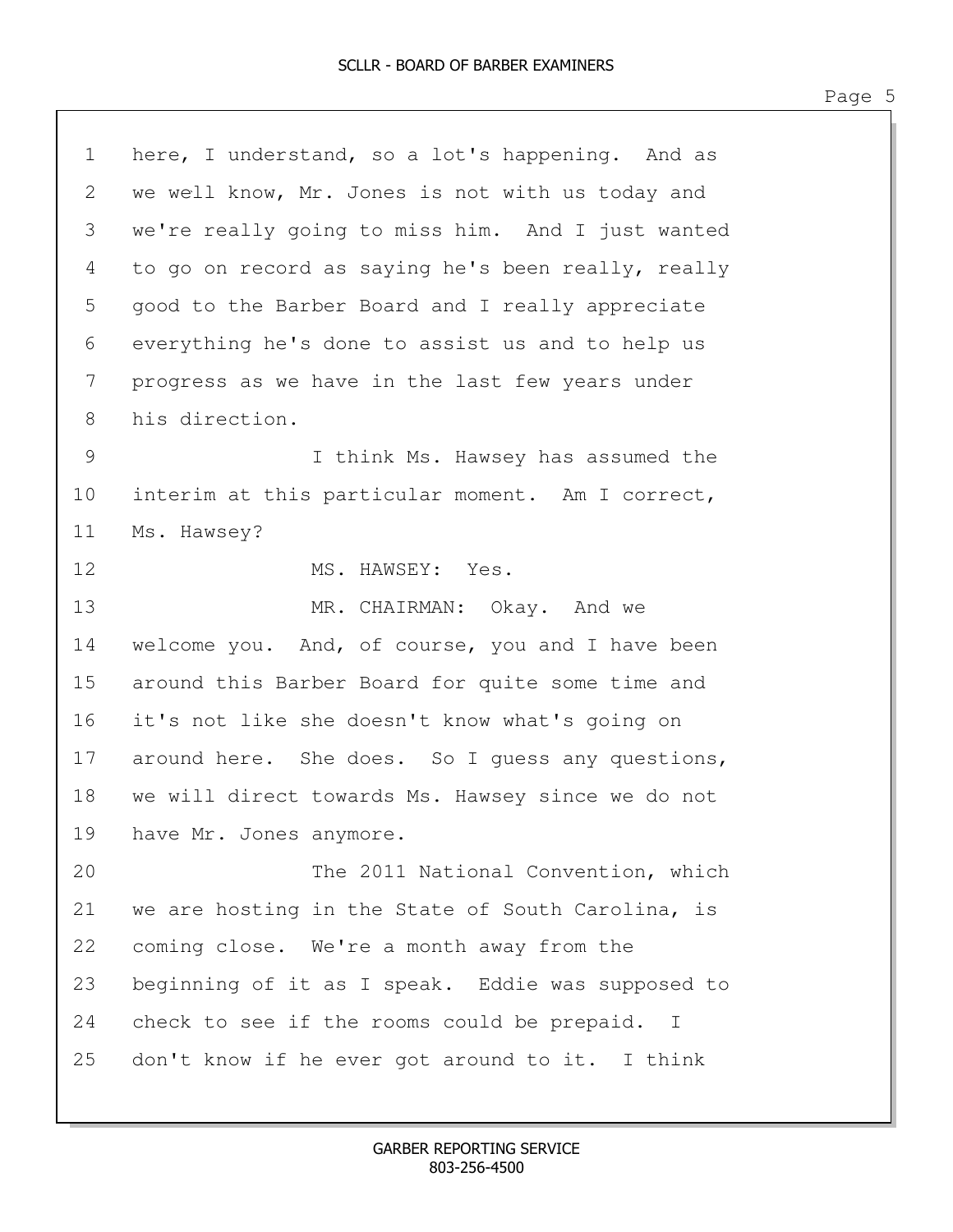| 1  | here, I understand, so a lot's happening. And as   |
|----|----------------------------------------------------|
| 2  | we well know, Mr. Jones is not with us today and   |
| 3  | we're really going to miss him. And I just wanted  |
| 4  | to go on record as saying he's been really, really |
| 5  | good to the Barber Board and I really appreciate   |
| 6  | everything he's done to assist us and to help us   |
| 7  | progress as we have in the last few years under    |
| 8  | his direction.                                     |
| 9  | I think Ms. Hawsey has assumed the                 |
| 10 | interim at this particular moment. Am I correct,   |
| 11 | Ms. Hawsey?                                        |
| 12 | MS. HAWSEY: Yes.                                   |
| 13 | MR. CHAIRMAN: Okay. And we                         |
| 14 | welcome you. And, of course, you and I have been   |
| 15 | around this Barber Board for quite some time and   |
| 16 | it's not like she doesn't know what's going on     |
| 17 | around here. She does. So I guess any questions,   |
| 18 | we will direct towards Ms. Hawsey since we do not  |
| 19 | have Mr. Jones anymore.                            |
| 20 | The 2011 National Convention, which                |
| 21 | we are hosting in the State of South Carolina, is  |
| 22 | coming close. We're a month away from the          |
| 23 | beginning of it as I speak. Eddie was supposed to  |
| 24 | check to see if the rooms could be prepaid. I      |
| 25 | don't know if he ever got around to it. I think    |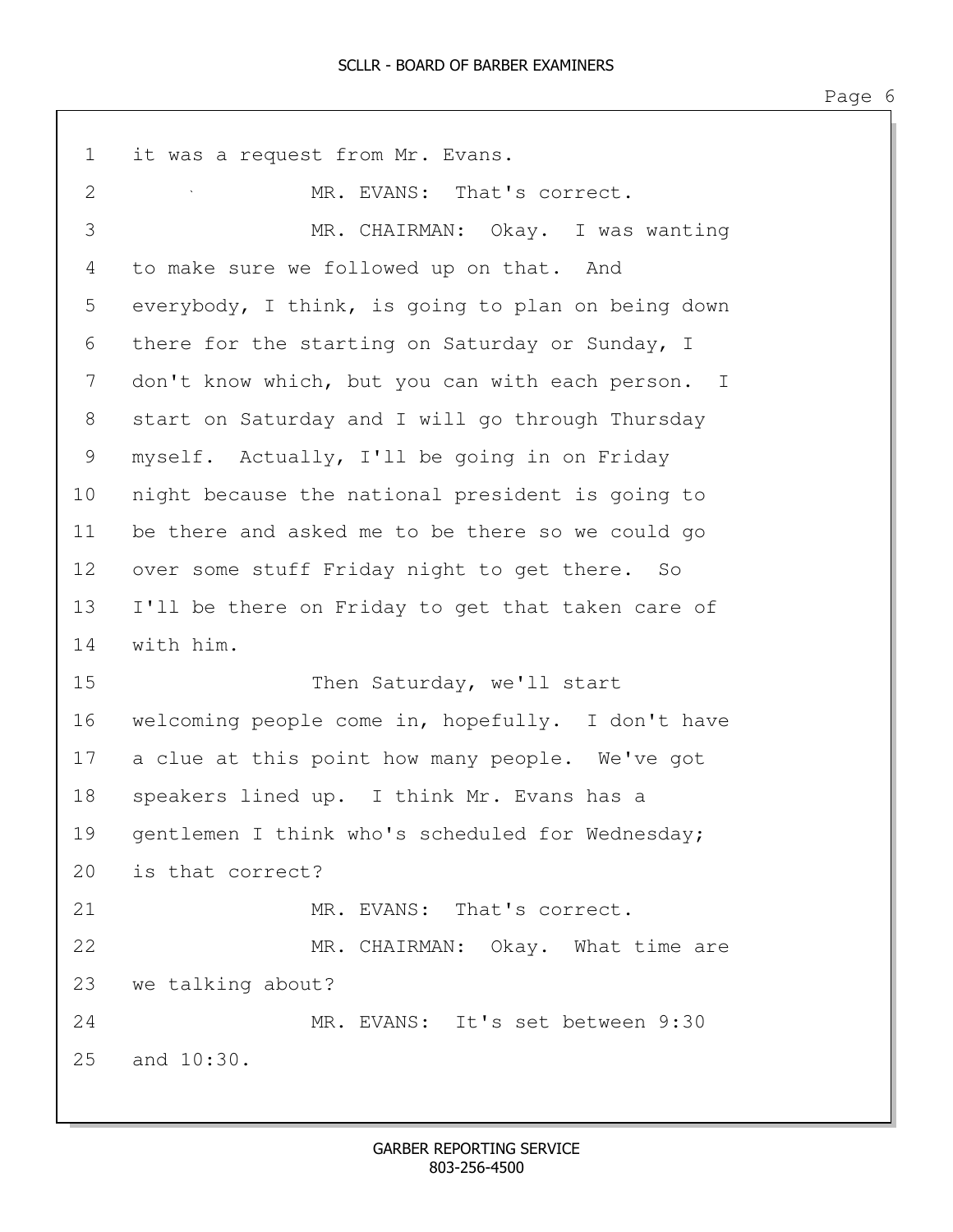1 it was a request from Mr. Evans. 2 MR. EVANS: That's correct. 3 MR. CHAIRMAN: Okay. I was wanting 4 to make sure we followed up on that. And 5 everybody, I think, is going to plan on being down 6 there for the starting on Saturday or Sunday, I 7 don't know which, but you can with each person. I 8 start on Saturday and I will go through Thursday 9 myself. Actually, I'll be going in on Friday 10 night because the national president is going to 11 be there and asked me to be there so we could go 12 over some stuff Friday night to get there. So 13 I'll be there on Friday to get that taken care of 14 with him. 15 Then Saturday, we'll start 16 welcoming people come in, hopefully. I don't have 17 a clue at this point how many people. We've got 18 speakers lined up. I think Mr. Evans has a 19 gentlemen I think who's scheduled for Wednesday; 20 is that correct? 21 MR. EVANS: That's correct. 22 MR. CHAIRMAN: Okay. What time are 23 we talking about? 24 MR. EVANS: It's set between 9:30 25 and 10:30.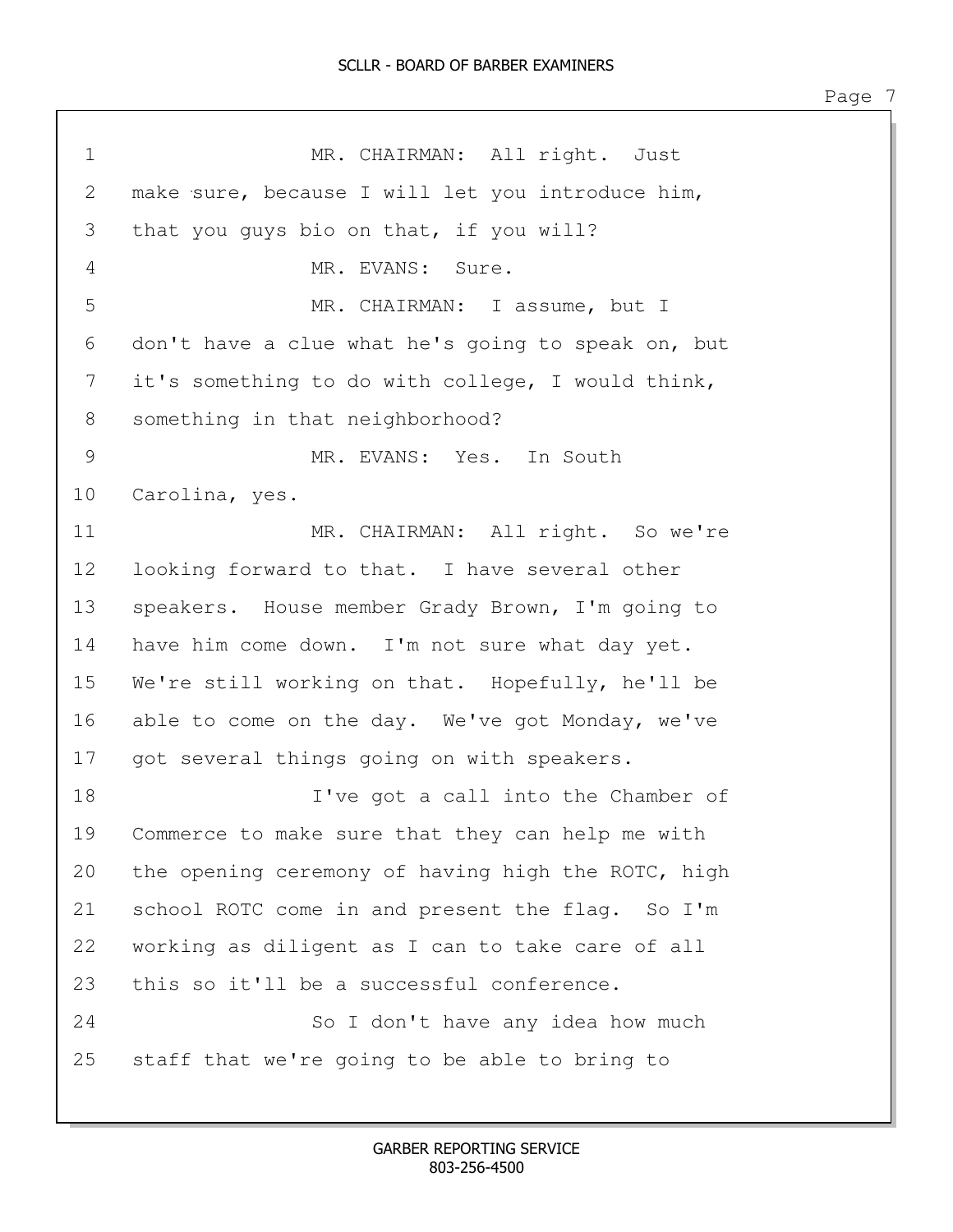1 MR. CHAIRMAN: All right. Just 2 make sure, because I will let you introduce him, 3 that you guys bio on that, if you will? 4 MR. EVANS: Sure. 5 MR. CHAIRMAN: I assume, but I 6 don't have a clue what he's going to speak on, but 7 it's something to do with college, I would think, 8 something in that neighborhood? 9 MR. EVANS: Yes. In South 10 Carolina, yes. 11 MR. CHAIRMAN: All right. So we're 12 looking forward to that. I have several other 13 speakers. House member Grady Brown, I'm going to 14 have him come down. I'm not sure what day yet. 15 We're still working on that. Hopefully, he'll be 16 able to come on the day. We've got Monday, we've 17 got several things going on with speakers. 18 I've got a call into the Chamber of 19 Commerce to make sure that they can help me with 20 the opening ceremony of having high the ROTC, high 21 school ROTC come in and present the flag. So I'm 22 working as diligent as I can to take care of all 23 this so it'll be a successful conference. 24 So I don't have any idea how much 25 staff that we're going to be able to bring to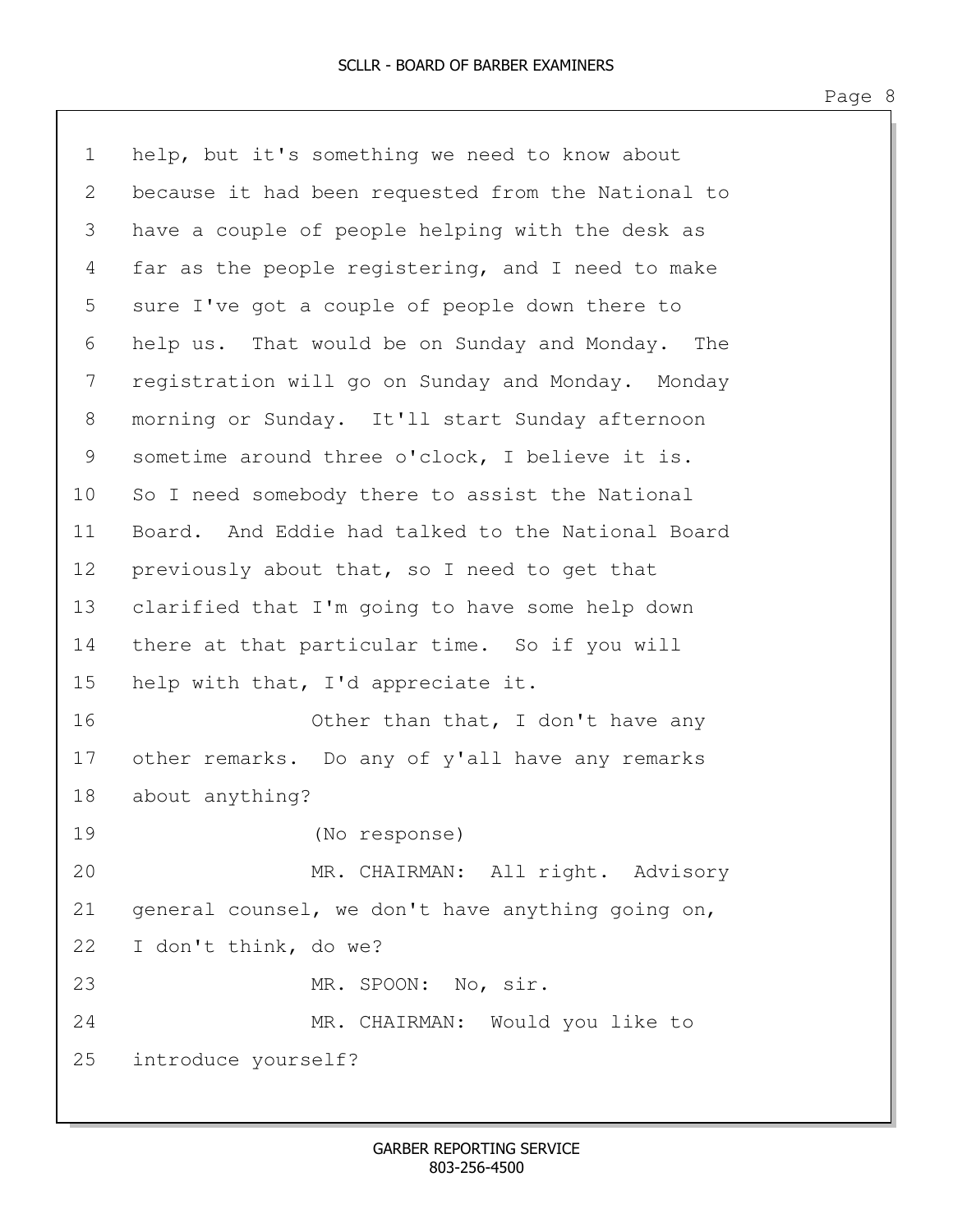1 help, but it's something we need to know about 2 because it had been requested from the National to 3 have a couple of people helping with the desk as 4 far as the people registering, and I need to make 5 sure I've got a couple of people down there to 6 help us. That would be on Sunday and Monday. The 7 registration will go on Sunday and Monday. Monday 8 morning or Sunday. It'll start Sunday afternoon 9 sometime around three o'clock, I believe it is. 10 So I need somebody there to assist the National 11 Board. And Eddie had talked to the National Board 12 previously about that, so I need to get that 13 clarified that I'm going to have some help down 14 there at that particular time. So if you will 15 help with that, I'd appreciate it. 16 Other than that, I don't have any 17 other remarks. Do any of y'all have any remarks 18 about anything? 19 (No response) 20 MR. CHAIRMAN: All right. Advisory 21 general counsel, we don't have anything going on, 22 I don't think, do we? 23 MR. SPOON: No, sir. 24 MR. CHAIRMAN: Would you like to 25 introduce yourself?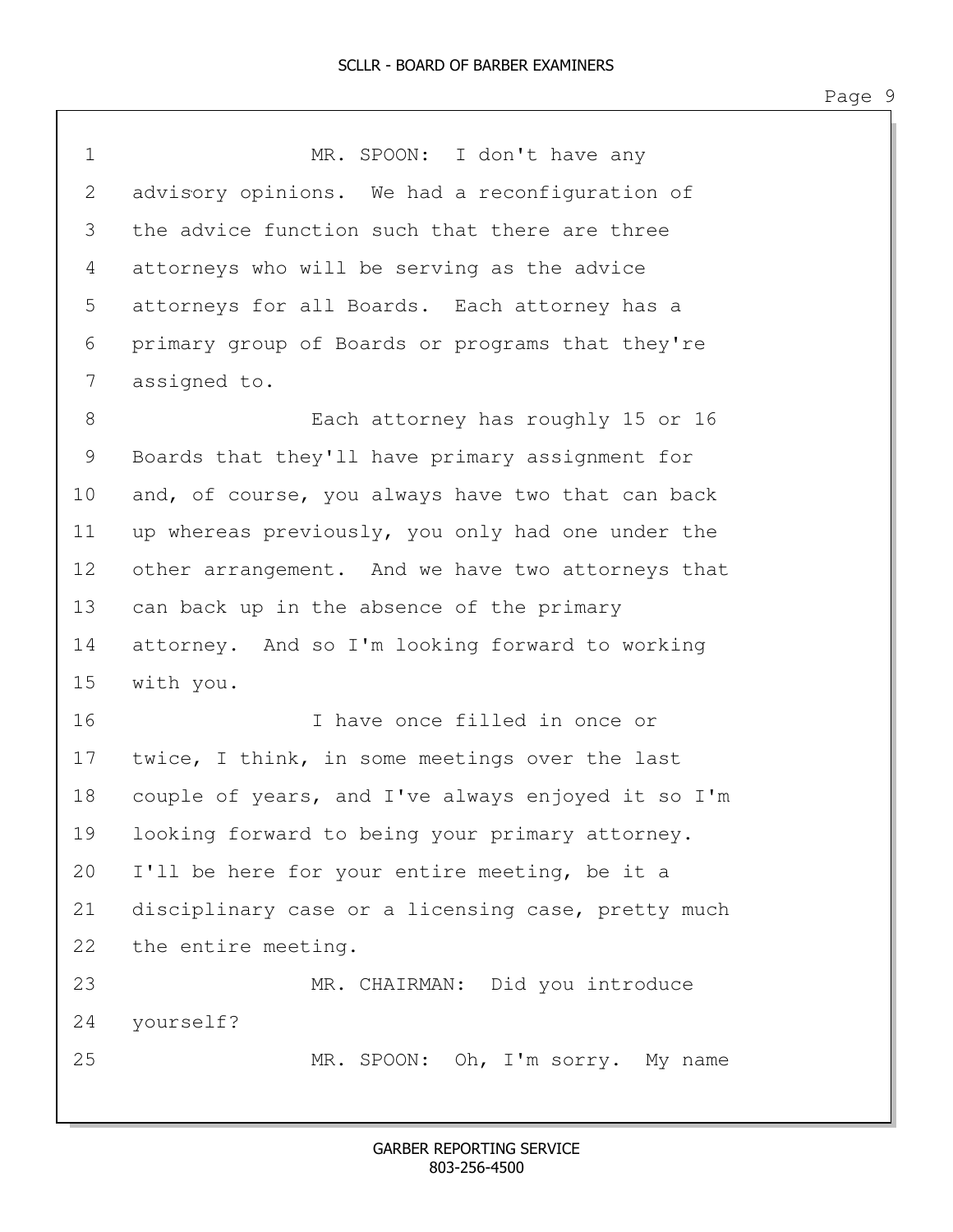1 MR. SPOON: I don't have any 2 advisory opinions. We had a reconfiguration of 3 the advice function such that there are three 4 attorneys who will be serving as the advice 5 attorneys for all Boards. Each attorney has a 6 primary group of Boards or programs that they're 7 assigned to. 8 Each attorney has roughly 15 or 16 9 Boards that they'll have primary assignment for 10 and, of course, you always have two that can back 11 up whereas previously, you only had one under the 12 other arrangement. And we have two attorneys that 13 can back up in the absence of the primary 14 attorney. And so I'm looking forward to working 15 with you. 16 I have once filled in once or 17 twice, I think, in some meetings over the last 18 couple of years, and I've always enjoyed it so I'm 19 looking forward to being your primary attorney. 20 I'll be here for your entire meeting, be it a 21 disciplinary case or a licensing case, pretty much 22 the entire meeting. 23 MR. CHAIRMAN: Did you introduce 24 yourself? 25 MR. SPOON: Oh, I'm sorry. My name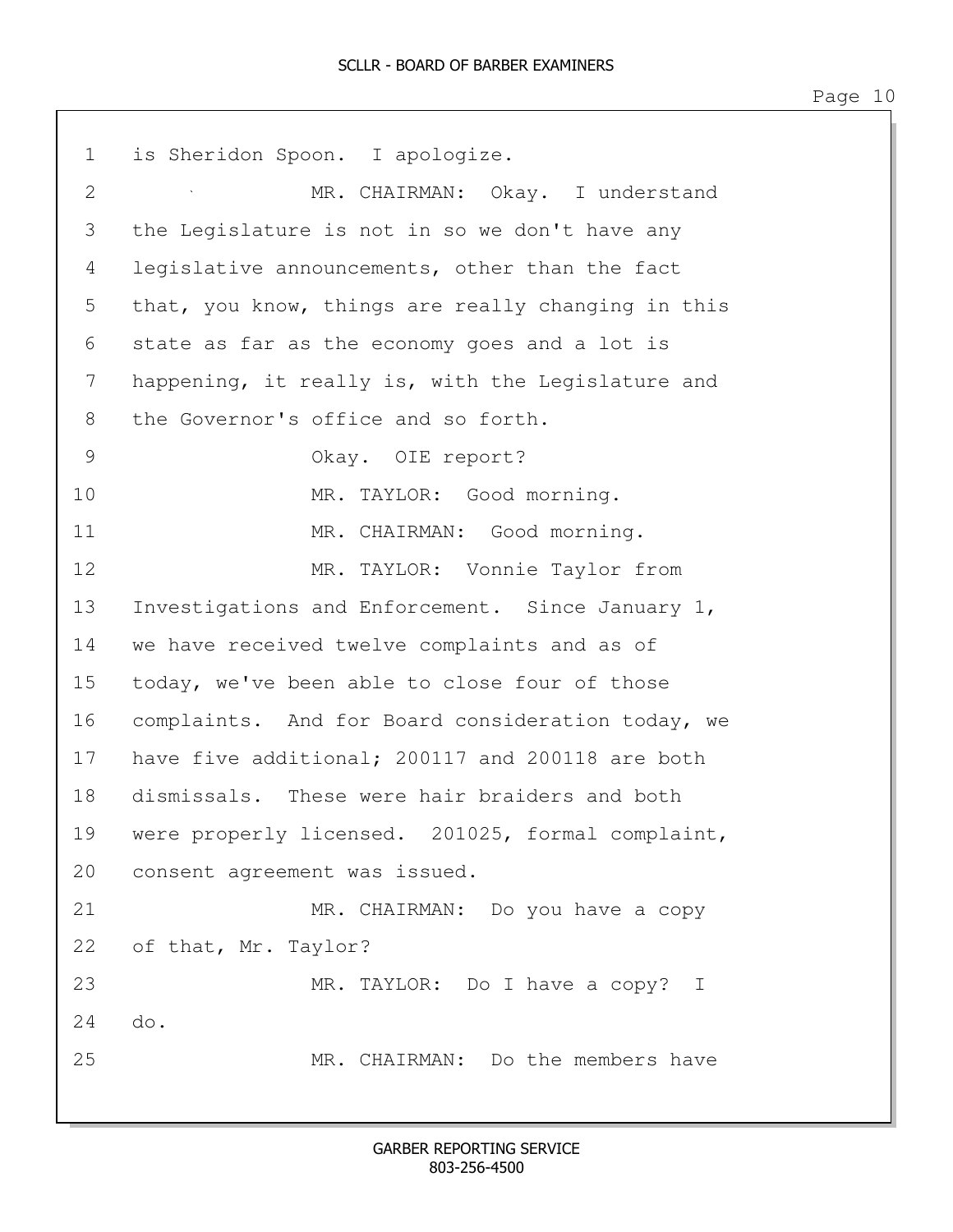| $\mathbf 1$    | is Sheridon Spoon. I apologize.                    |
|----------------|----------------------------------------------------|
| $\overline{2}$ | MR. CHAIRMAN: Okay. I understand                   |
| 3              | the Legislature is not in so we don't have any     |
| 4              | legislative announcements, other than the fact     |
| 5              | that, you know, things are really changing in this |
| 6              | state as far as the economy goes and a lot is      |
| 7              | happening, it really is, with the Legislature and  |
| 8              | the Governor's office and so forth.                |
| 9              | Okay. OIE report?                                  |
| 10             | MR. TAYLOR: Good morning.                          |
| 11             | MR. CHAIRMAN: Good morning.                        |
| 12             | MR. TAYLOR: Vonnie Taylor from                     |
| 13             | Investigations and Enforcement. Since January 1,   |
| 14             | we have received twelve complaints and as of       |
| 15             | today, we've been able to close four of those      |
| 16             | complaints. And for Board consideration today, we  |
| 17             | have five additional; 200117 and 200118 are both   |
| 18             | dismissals. These were hair braiders and both      |
| 19             | were properly licensed. 201025, formal complaint,  |
| 20             | consent agreement was issued.                      |
| 21             | MR. CHAIRMAN: Do you have a copy                   |
| 22             | of that, Mr. Taylor?                               |
| 23             | MR. TAYLOR: Do I have a copy? I                    |
| 24             | do.                                                |
| 25             | MR. CHAIRMAN: Do the members have                  |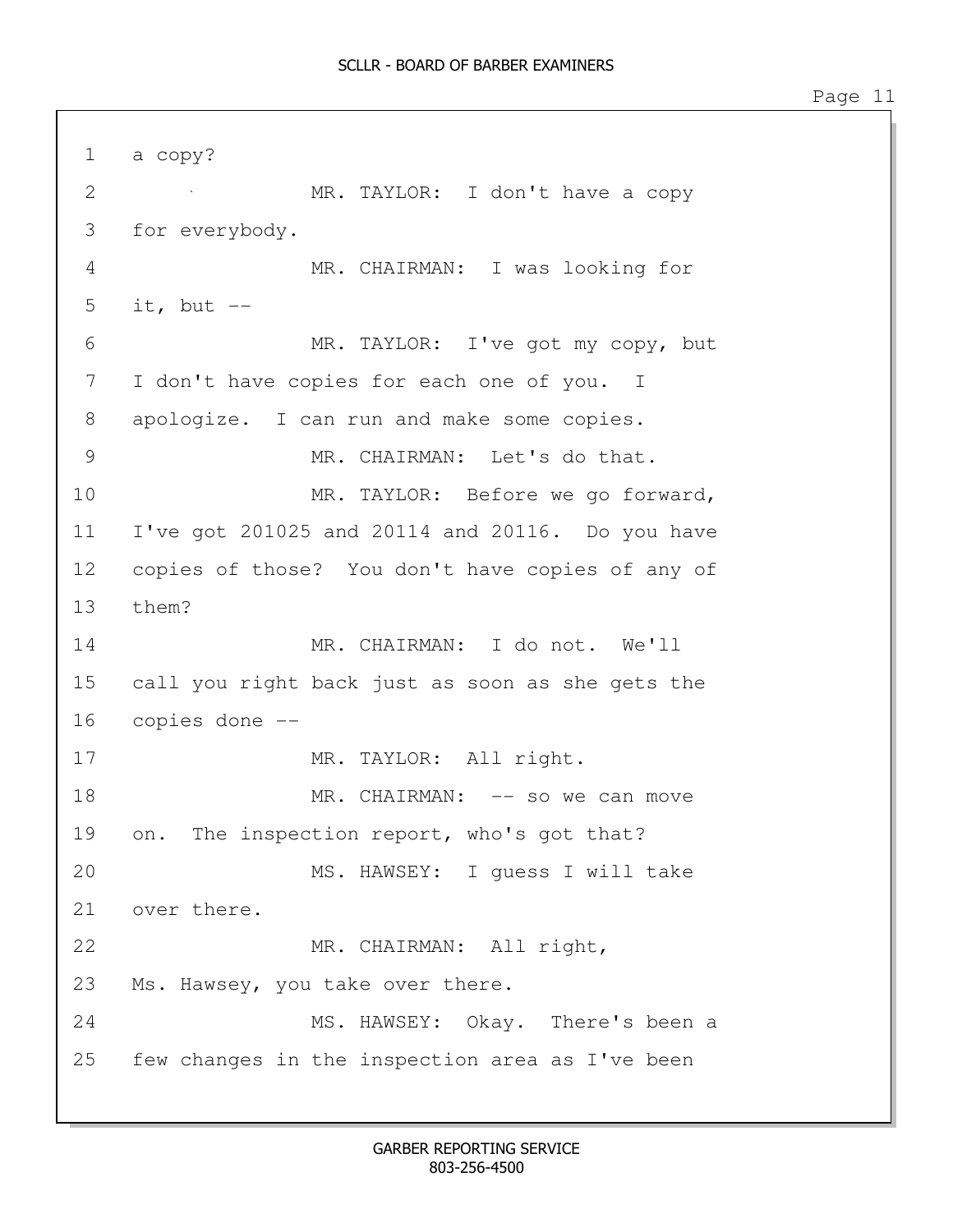1 a copy? 2 MR. TAYLOR: I don't have a copy 3 for everybody. 4 MR. CHAIRMAN: I was looking for 5 it, but  $--$ 6 MR. TAYLOR: I've got my copy, but 7 I don't have copies for each one of you. I 8 apologize. I can run and make some copies. 9 MR. CHAIRMAN: Let's do that. 10 MR. TAYLOR: Before we go forward, 11 I've got 201025 and 20114 and 20116. Do you have 12 copies of those? You don't have copies of any of 13 them? 14 MR. CHAIRMAN: I do not. We'll 15 call you right back just as soon as she gets the 16 copies done -- 17 MR. TAYLOR: All right. 18 MR. CHAIRMAN: -- so we can move 19 on. The inspection report, who's got that? 20 MS. HAWSEY: I guess I will take 21 over there. 22 MR. CHAIRMAN: All right, 23 Ms. Hawsey, you take over there. 24 MS. HAWSEY: Okay. There's been a 25 few changes in the inspection area as I've been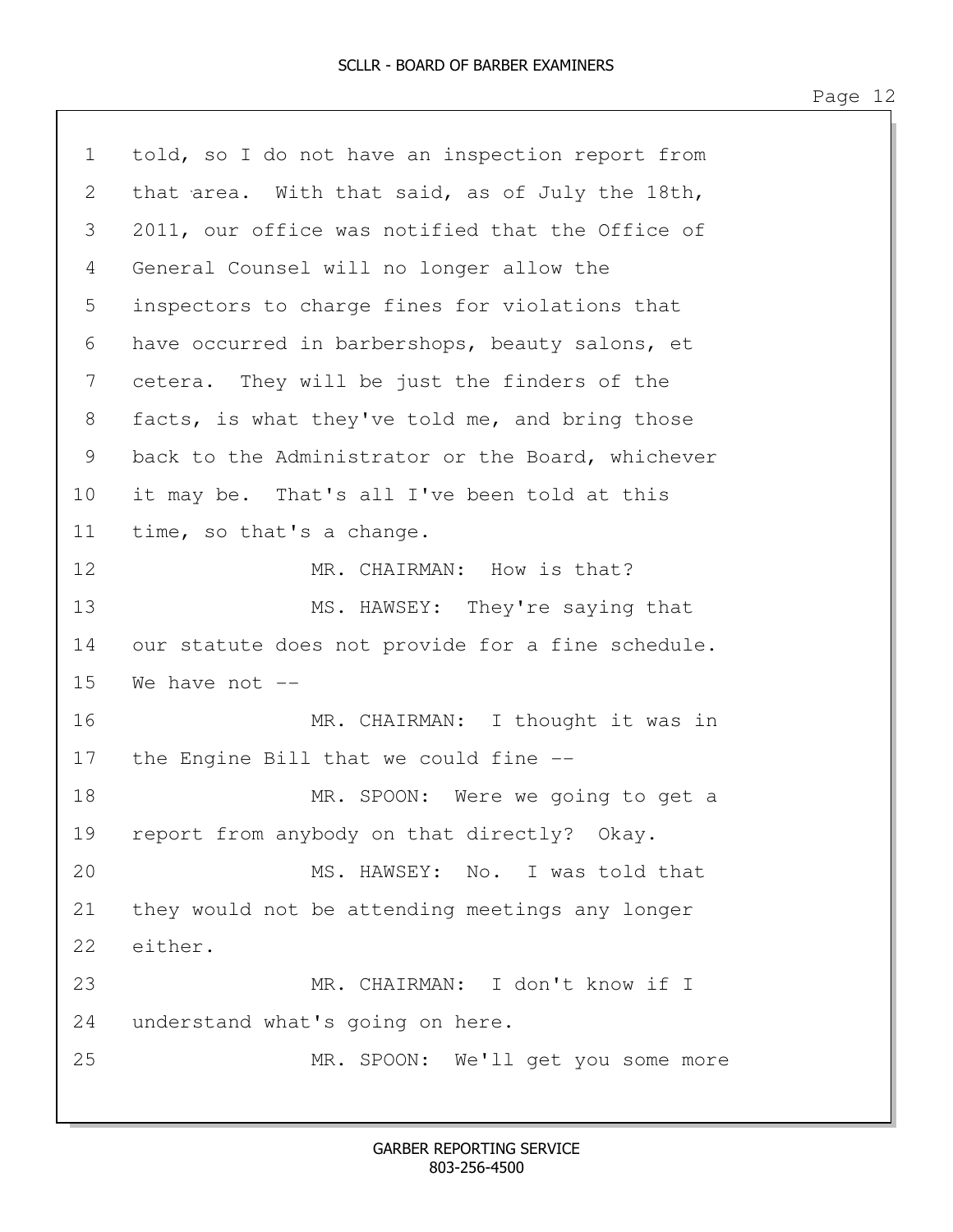1 told, so I do not have an inspection report from 2 that area. With that said, as of July the 18th, 3 2011, our office was notified that the Office of 4 General Counsel will no longer allow the 5 inspectors to charge fines for violations that 6 have occurred in barbershops, beauty salons, et 7 cetera. They will be just the finders of the 8 facts, is what they've told me, and bring those 9 back to the Administrator or the Board, whichever 10 it may be. That's all I've been told at this 11 time, so that's a change. 12 MR. CHAIRMAN: How is that? 13 MS. HAWSEY: They're saying that 14 our statute does not provide for a fine schedule.  $15$  We have not  $-$ 16 MR. CHAIRMAN: I thought it was in 17 the Engine Bill that we could fine -- 18 MR. SPOON: Were we going to get a 19 report from anybody on that directly? Okay. 20 MS. HAWSEY: No. I was told that 21 they would not be attending meetings any longer 22 either. 23 MR. CHAIRMAN: I don't know if I 24 understand what's going on here. 25 MR. SPOON: We'll get you some more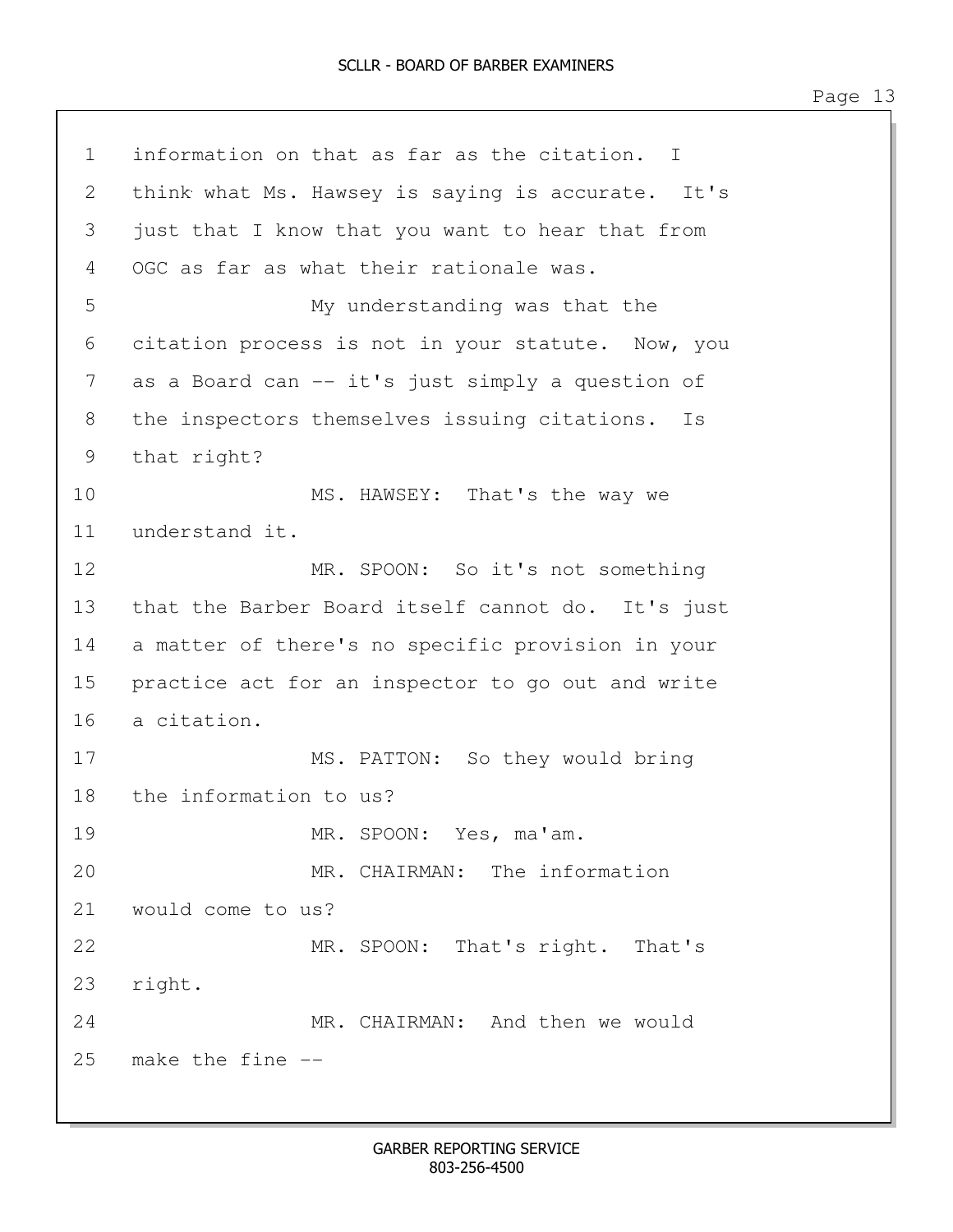1 information on that as far as the citation. I 2 think what Ms. Hawsey is saying is accurate. It's 3 just that I know that you want to hear that from 4 OGC as far as what their rationale was. 5 My understanding was that the 6 citation process is not in your statute. Now, you 7 as a Board can -- it's just simply a question of 8 the inspectors themselves issuing citations. Is 9 that right? 10 MS. HAWSEY: That's the way we 11 understand it. 12 MR. SPOON: So it's not something 13 that the Barber Board itself cannot do. It's just 14 a matter of there's no specific provision in your 15 practice act for an inspector to go out and write 16 a citation. 17 MS. PATTON: So they would bring 18 the information to us? 19 MR. SPOON: Yes, ma'am. 20 MR. CHAIRMAN: The information 21 would come to us? 22 MR. SPOON: That's right. That's 23 right. 24 MR. CHAIRMAN: And then we would 25 make the fine --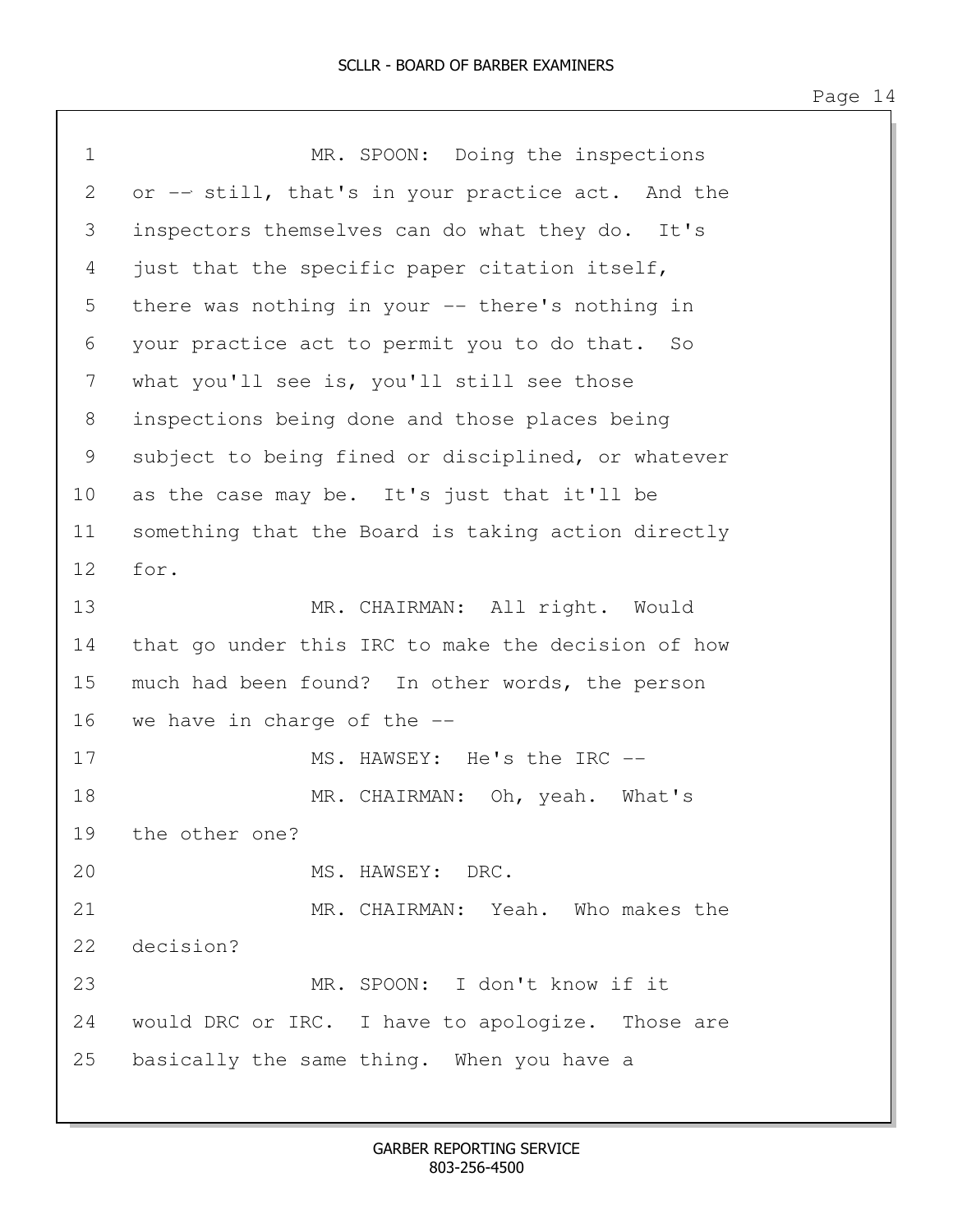| $\mathbf 1$       | MR. SPOON: Doing the inspections                   |
|-------------------|----------------------------------------------------|
| 2                 | or -- still, that's in your practice act. And the  |
| 3                 | inspectors themselves can do what they do.<br>It's |
| 4                 | just that the specific paper citation itself,      |
| 5                 | there was nothing in your -- there's nothing in    |
| 6                 | your practice act to permit you to do that. So     |
| 7                 | what you'll see is, you'll still see those         |
| 8                 | inspections being done and those places being      |
| 9                 | subject to being fined or disciplined, or whatever |
| 10                | as the case may be. It's just that it'll be        |
| 11                | something that the Board is taking action directly |
| $12 \overline{ }$ | for.                                               |
| 13                | MR. CHAIRMAN: All right. Would                     |
| 14                | that go under this IRC to make the decision of how |
| 15                | much had been found? In other words, the person    |
| 16                | we have in charge of the $-$ -                     |
| 17                | MS. HAWSEY: He's the IRC --                        |
| 18                | MR. CHAIRMAN: Oh, yeah. What's                     |
| 19                | the other one?                                     |
| 20                | MS. HAWSEY: DRC.                                   |
| 21                | MR. CHAIRMAN: Yeah. Who makes the                  |
| 22                | decision?                                          |
| 23                | MR. SPOON: I don't know if it                      |
| 24                | would DRC or IRC. I have to apologize. Those are   |
| 25                | basically the same thing. When you have a          |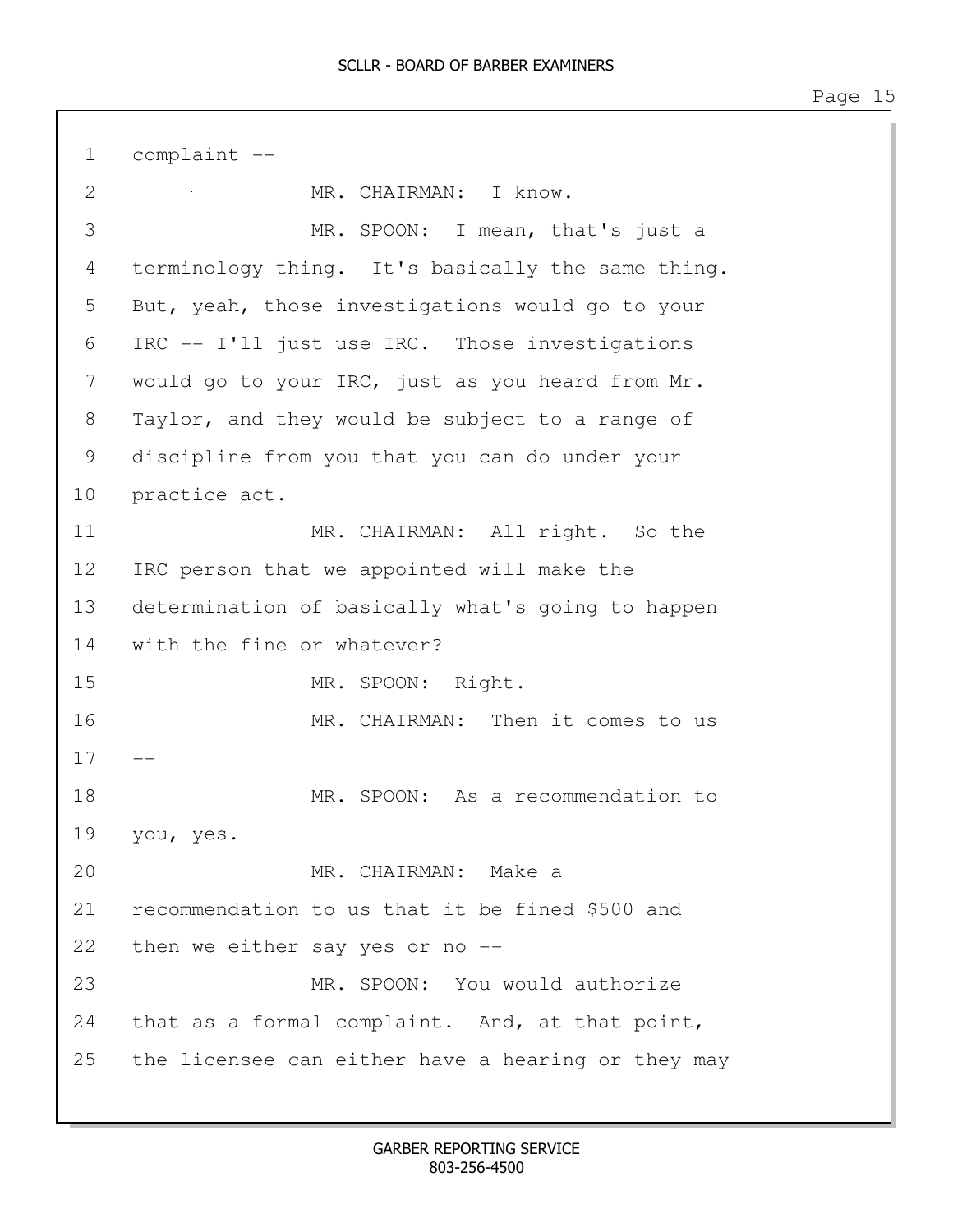1 complaint -- 2 MR. CHAIRMAN: I know. 3 MR. SPOON: I mean, that's just a 4 terminology thing. It's basically the same thing. 5 But, yeah, those investigations would go to your 6 IRC -- I'll just use IRC. Those investigations 7 would go to your IRC, just as you heard from Mr. 8 Taylor, and they would be subject to a range of 9 discipline from you that you can do under your 10 practice act. 11 MR. CHAIRMAN: All right. So the 12 IRC person that we appointed will make the 13 determination of basically what's going to happen 14 with the fine or whatever? 15 MR. SPOON: Right. 16 MR. CHAIRMAN: Then it comes to us  $17$ 18 MR. SPOON: As a recommendation to 19 you, yes. 20 MR. CHAIRMAN: Make a 21 recommendation to us that it be fined \$500 and 22 then we either say yes or no -- 23 MR. SPOON: You would authorize 24 that as a formal complaint. And, at that point, 25 the licensee can either have a hearing or they may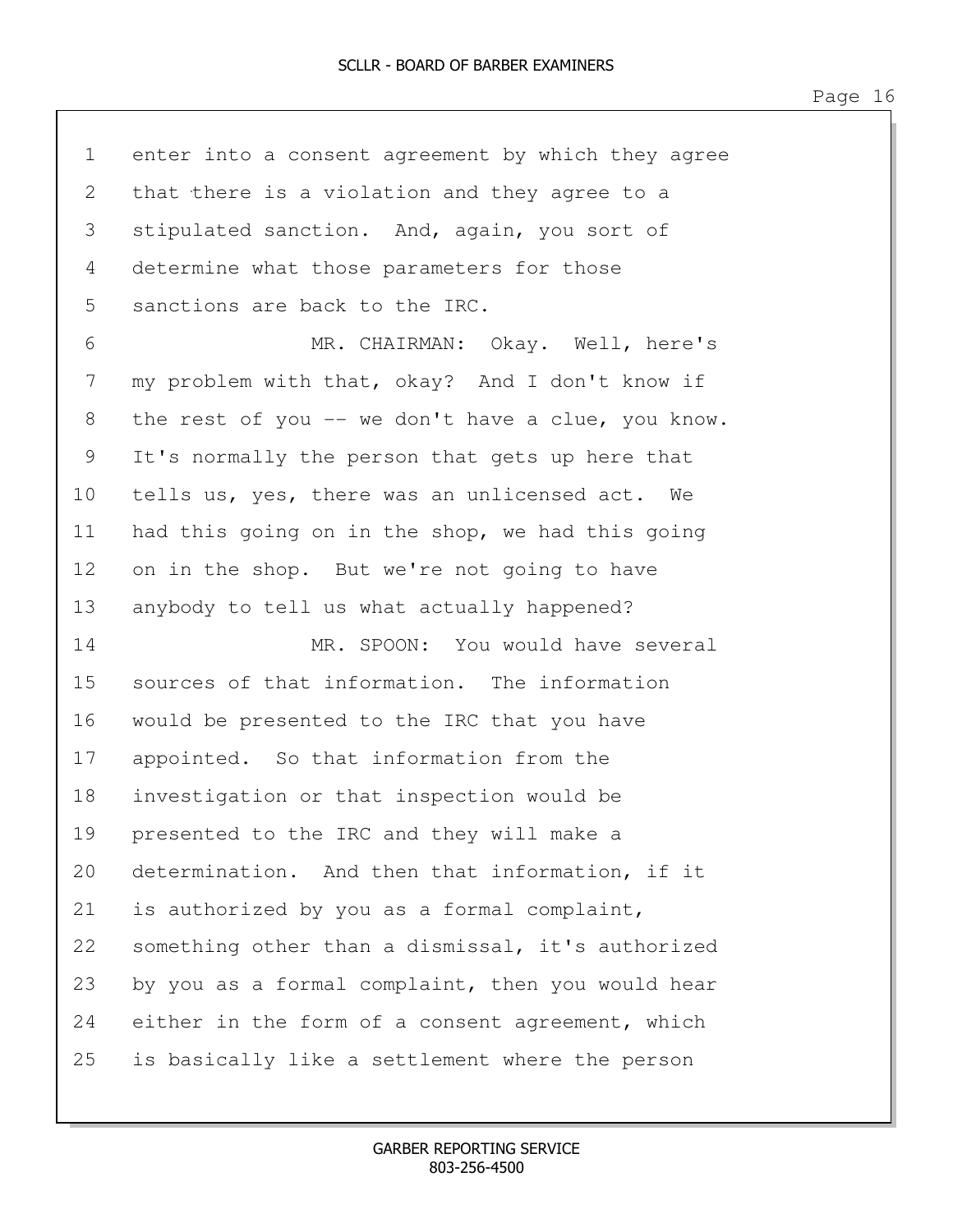| $\mathbf 1$ | enter into a consent agreement by which they agree |
|-------------|----------------------------------------------------|
| 2           | that there is a violation and they agree to a      |
| 3           | stipulated sanction. And, again, you sort of       |
| 4           | determine what those parameters for those          |
| 5           | sanctions are back to the IRC.                     |
| 6           | MR. CHAIRMAN: Okay. Well, here's                   |
| 7           | my problem with that, okay? And I don't know if    |
| 8           | the rest of you -- we don't have a clue, you know. |
| 9           | It's normally the person that gets up here that    |
| 10          | tells us, yes, there was an unlicensed act. We     |
| 11          | had this going on in the shop, we had this going   |
| 12          | on in the shop. But we're not going to have        |
| 13          | anybody to tell us what actually happened?         |
| 14          | MR. SPOON: You would have several                  |
| 15          | sources of that information. The information       |
| 16          | would be presented to the IRC that you have        |
| 17          | appointed. So that information from the            |
| 18          | investigation or that inspection would be          |
| 19          | presented to the IRC and they will make a          |
| 20          | determination. And then that information, if it    |
| 21          | is authorized by you as a formal complaint,        |
| 22          | something other than a dismissal, it's authorized  |
| 23          | by you as a formal complaint, then you would hear  |
| 24          | either in the form of a consent agreement, which   |
| 25          | is basically like a settlement where the person    |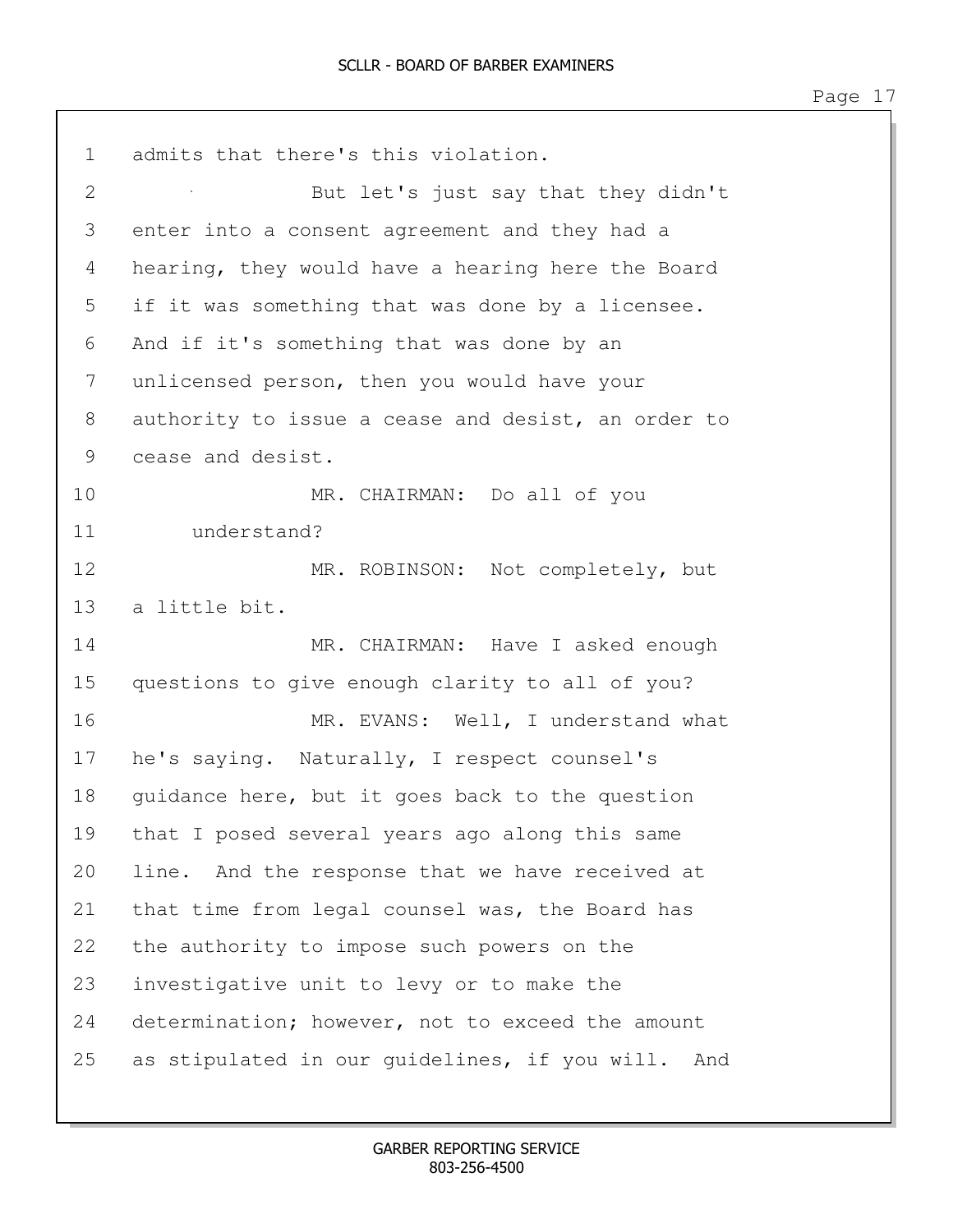1 admits that there's this violation. 2 But let's just say that they didn't 3 enter into a consent agreement and they had a 4 hearing, they would have a hearing here the Board 5 if it was something that was done by a licensee. 6 And if it's something that was done by an 7 unlicensed person, then you would have your 8 authority to issue a cease and desist, an order to 9 cease and desist. 10 MR. CHAIRMAN: Do all of you 11 understand? 12 MR. ROBINSON: Not completely, but 13 a little bit. 14 MR. CHAIRMAN: Have I asked enough 15 questions to give enough clarity to all of you? 16 MR. EVANS: Well, I understand what 17 he's saying. Naturally, I respect counsel's 18 guidance here, but it goes back to the question 19 that I posed several years ago along this same 20 line. And the response that we have received at 21 that time from legal counsel was, the Board has 22 the authority to impose such powers on the 23 investigative unit to levy or to make the 24 determination; however, not to exceed the amount 25 as stipulated in our guidelines, if you will. And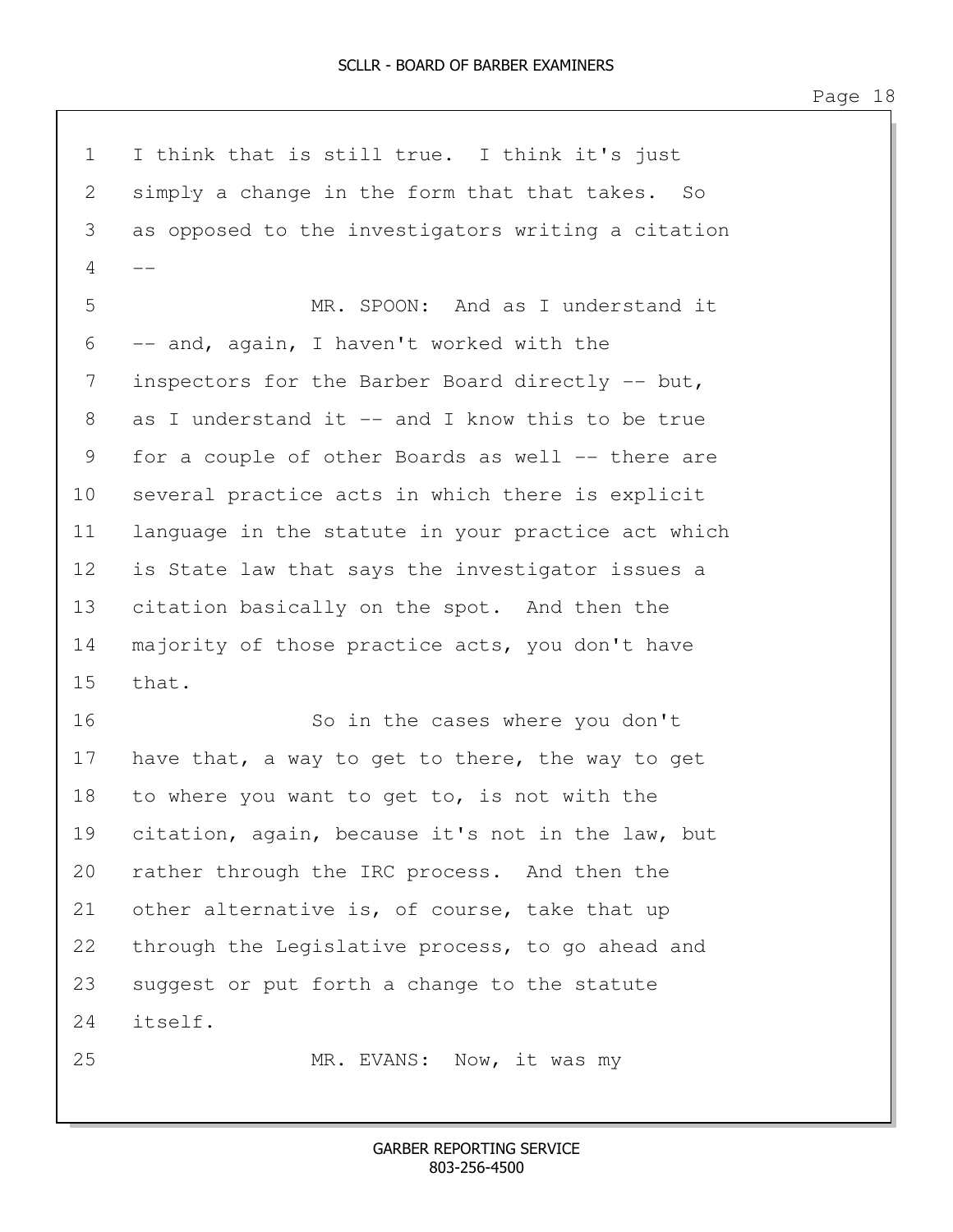1 I think that is still true. I think it's just 2 simply a change in the form that that takes. So 3 as opposed to the investigators writing a citation  $\overline{4}$ 5 MR. SPOON: And as I understand it 6 -- and, again, I haven't worked with the 7 inspectors for the Barber Board directly -- but, 8 as I understand it -- and I know this to be true 9 for a couple of other Boards as well -- there are 10 several practice acts in which there is explicit 11 language in the statute in your practice act which 12 is State law that says the investigator issues a 13 citation basically on the spot. And then the 14 majority of those practice acts, you don't have 15 that. 16 So in the cases where you don't 17 have that, a way to get to there, the way to get 18 to where you want to get to, is not with the 19 citation, again, because it's not in the law, but 20 rather through the IRC process. And then the 21 other alternative is, of course, take that up 22 through the Legislative process, to go ahead and 23 suggest or put forth a change to the statute 24 itself. 25 MR. EVANS: Now, it was my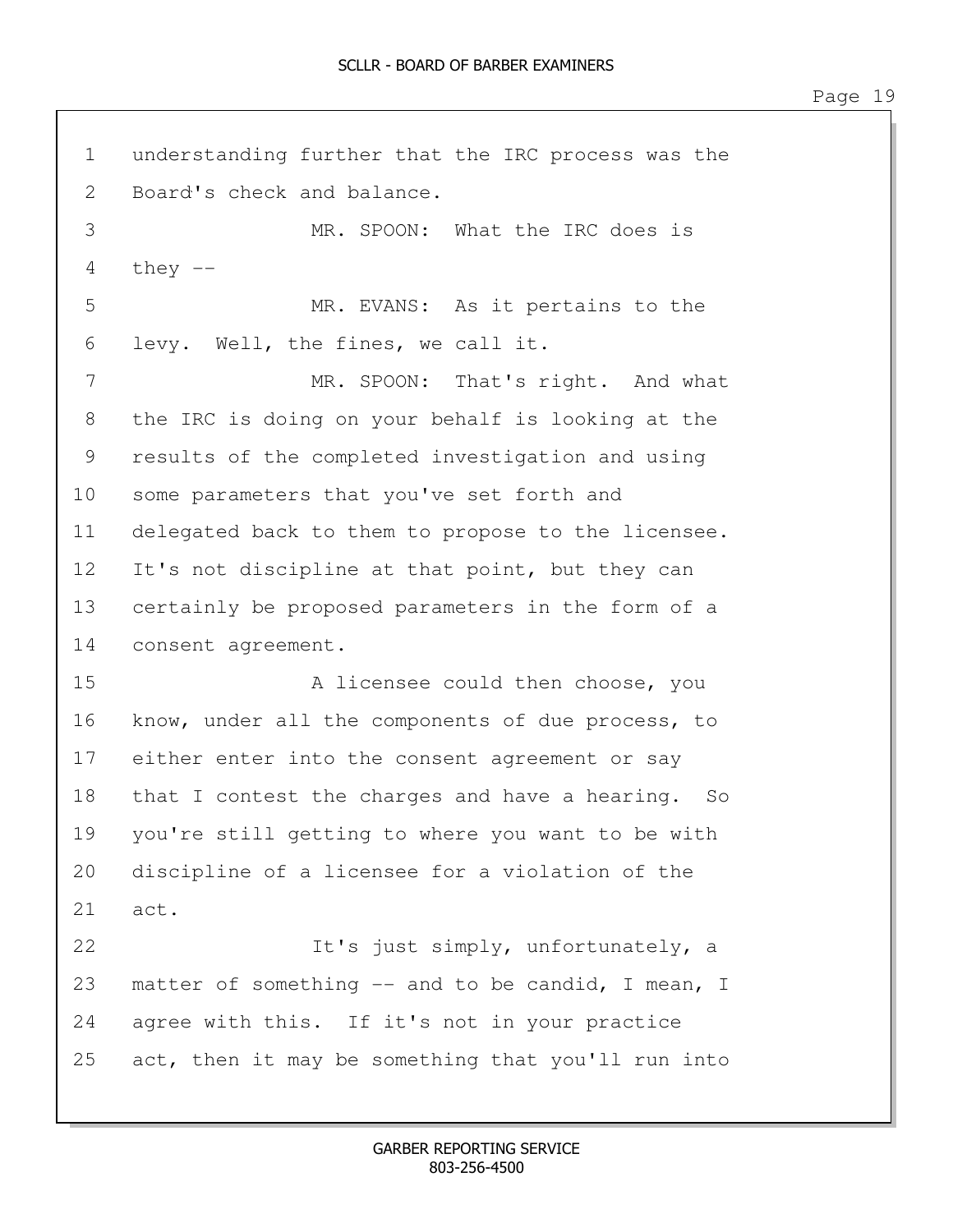1 understanding further that the IRC process was the 2 Board's check and balance. 3 MR. SPOON: What the IRC does is  $4$  they  $-$ 5 MR. EVANS: As it pertains to the 6 levy. Well, the fines, we call it. 7 MR. SPOON: That's right. And what 8 the IRC is doing on your behalf is looking at the 9 results of the completed investigation and using 10 some parameters that you've set forth and 11 delegated back to them to propose to the licensee. 12 It's not discipline at that point, but they can 13 certainly be proposed parameters in the form of a 14 consent agreement. 15 A licensee could then choose, you 16 know, under all the components of due process, to 17 either enter into the consent agreement or say 18 that I contest the charges and have a hearing. So 19 you're still getting to where you want to be with 20 discipline of a licensee for a violation of the 21 act. 22 It's just simply, unfortunately, a 23 matter of something -- and to be candid, I mean, I 24 agree with this. If it's not in your practice 25 act, then it may be something that you'll run into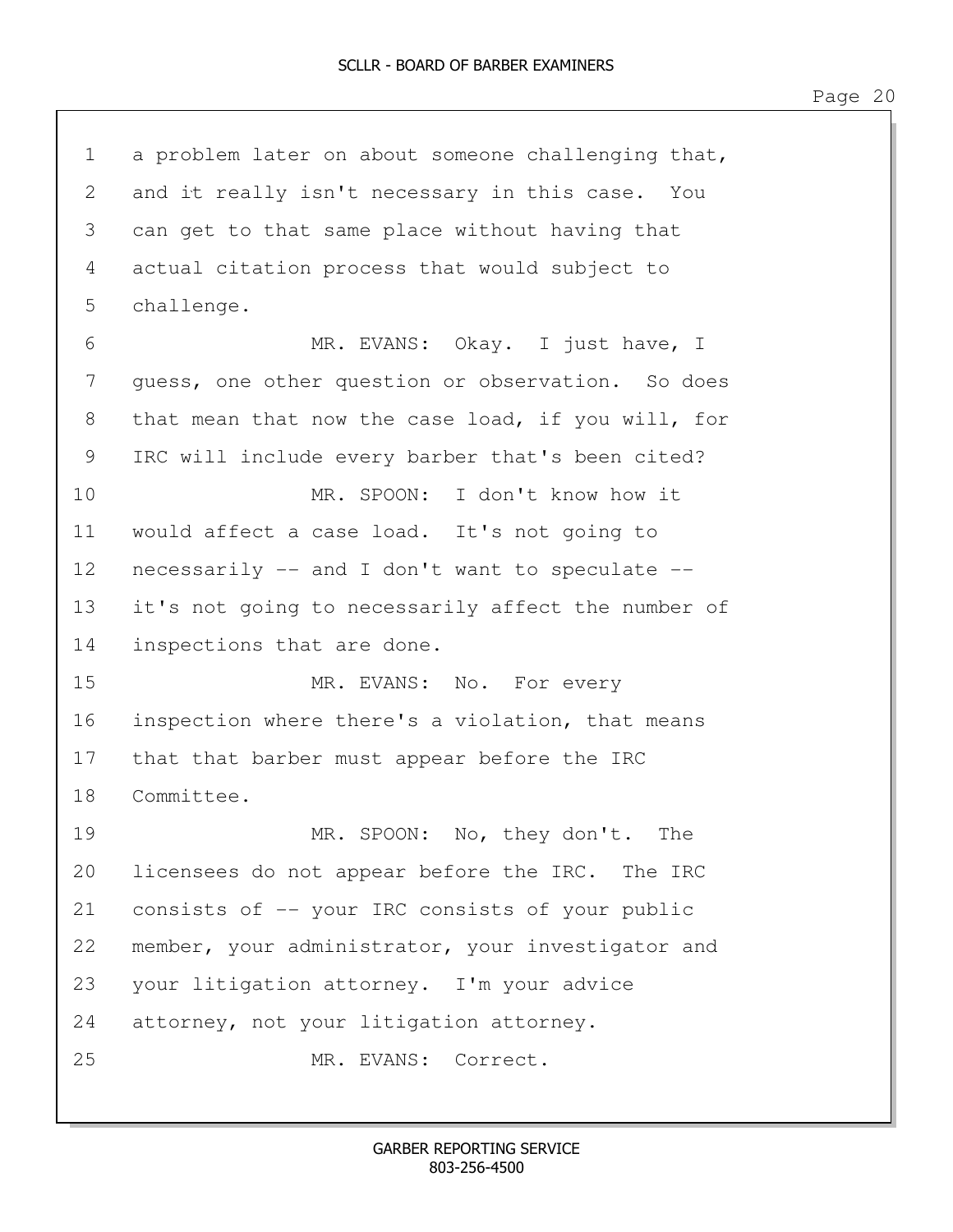1 a problem later on about someone challenging that, 2 and it really isn't necessary in this case. You 3 can get to that same place without having that 4 actual citation process that would subject to 5 challenge. 6 MR. EVANS: Okay. I just have, I 7 guess, one other question or observation. So does 8 that mean that now the case load, if you will, for 9 IRC will include every barber that's been cited? 10 MR. SPOON: I don't know how it 11 would affect a case load. It's not going to 12 necessarily -- and I don't want to speculate -- 13 it's not going to necessarily affect the number of 14 inspections that are done. 15 MR. EVANS: No. For every 16 inspection where there's a violation, that means 17 that that barber must appear before the IRC 18 Committee. 19 MR. SPOON: No, they don't. The 20 licensees do not appear before the IRC. The IRC 21 consists of -- your IRC consists of your public 22 member, your administrator, your investigator and 23 your litigation attorney. I'm your advice 24 attorney, not your litigation attorney. 25 MR. EVANS: Correct.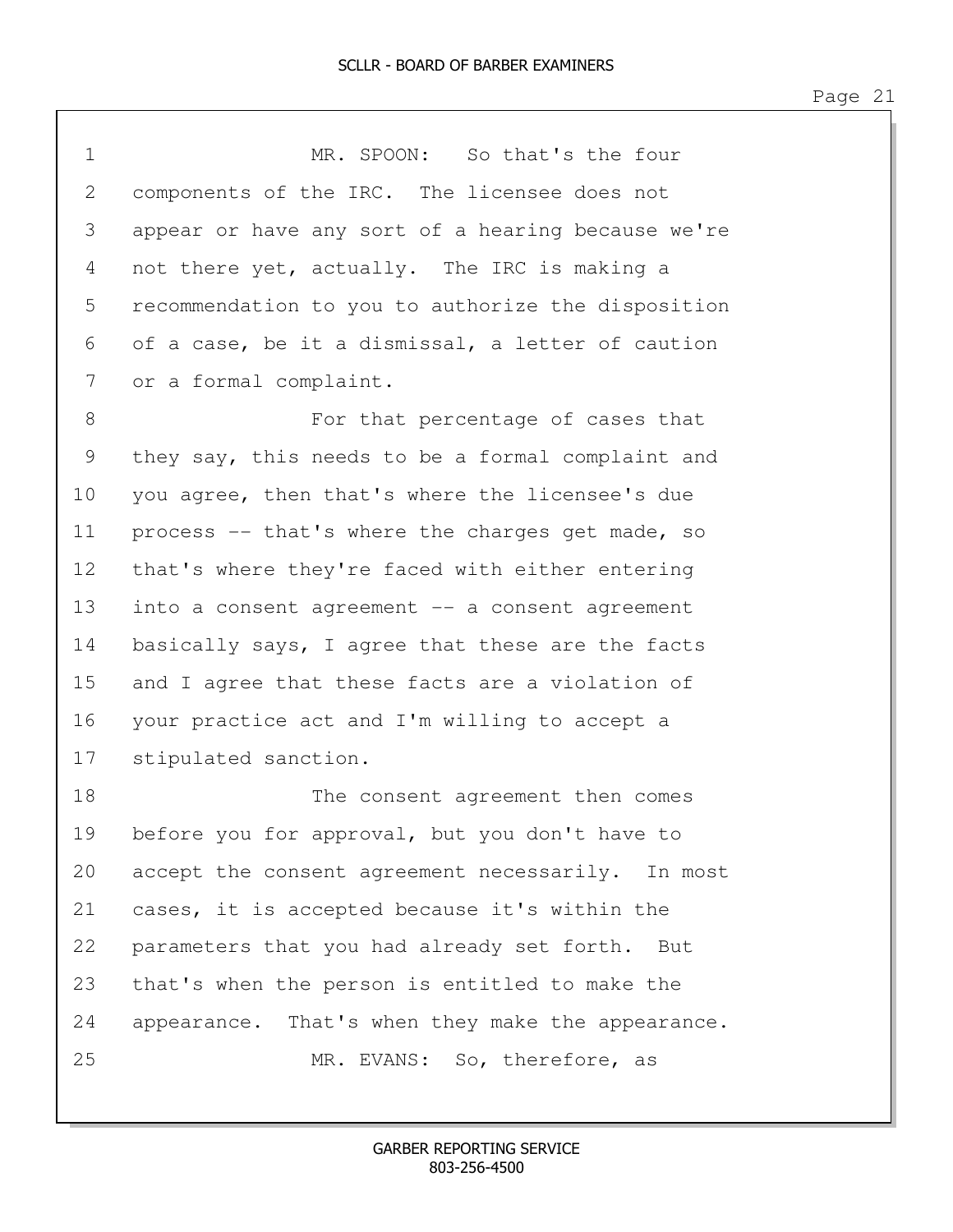| $\mathbf 1$ | MR. SPOON: So that's the four                      |
|-------------|----------------------------------------------------|
| 2           | components of the IRC. The licensee does not       |
| 3           | appear or have any sort of a hearing because we're |
| 4           | not there yet, actually. The IRC is making a       |
| 5           | recommendation to you to authorize the disposition |
| 6           | of a case, be it a dismissal, a letter of caution  |
| 7           | or a formal complaint.                             |
| 8           | For that percentage of cases that                  |
| 9           | they say, this needs to be a formal complaint and  |
| 10          | you agree, then that's where the licensee's due    |
| 11          | process -- that's where the charges get made, so   |
| 12          | that's where they're faced with either entering    |
| 13          | into a consent agreement -- a consent agreement    |
| 14          | basically says, I agree that these are the facts   |
| 15          | and I agree that these facts are a violation of    |
| 16          | your practice act and I'm willing to accept a      |
| 17          | stipulated sanction.                               |
| 18          | The consent agreement then comes                   |
| 19          | before you for approval, but you don't have to     |
| 20          | accept the consent agreement necessarily. In most  |
| 21          | cases, it is accepted because it's within the      |
| 22          | parameters that you had already set forth.<br>But  |
| 23          | that's when the person is entitled to make the     |
| 24          | appearance. That's when they make the appearance.  |
| 25          | MR. EVANS: So, therefore, as                       |
|             |                                                    |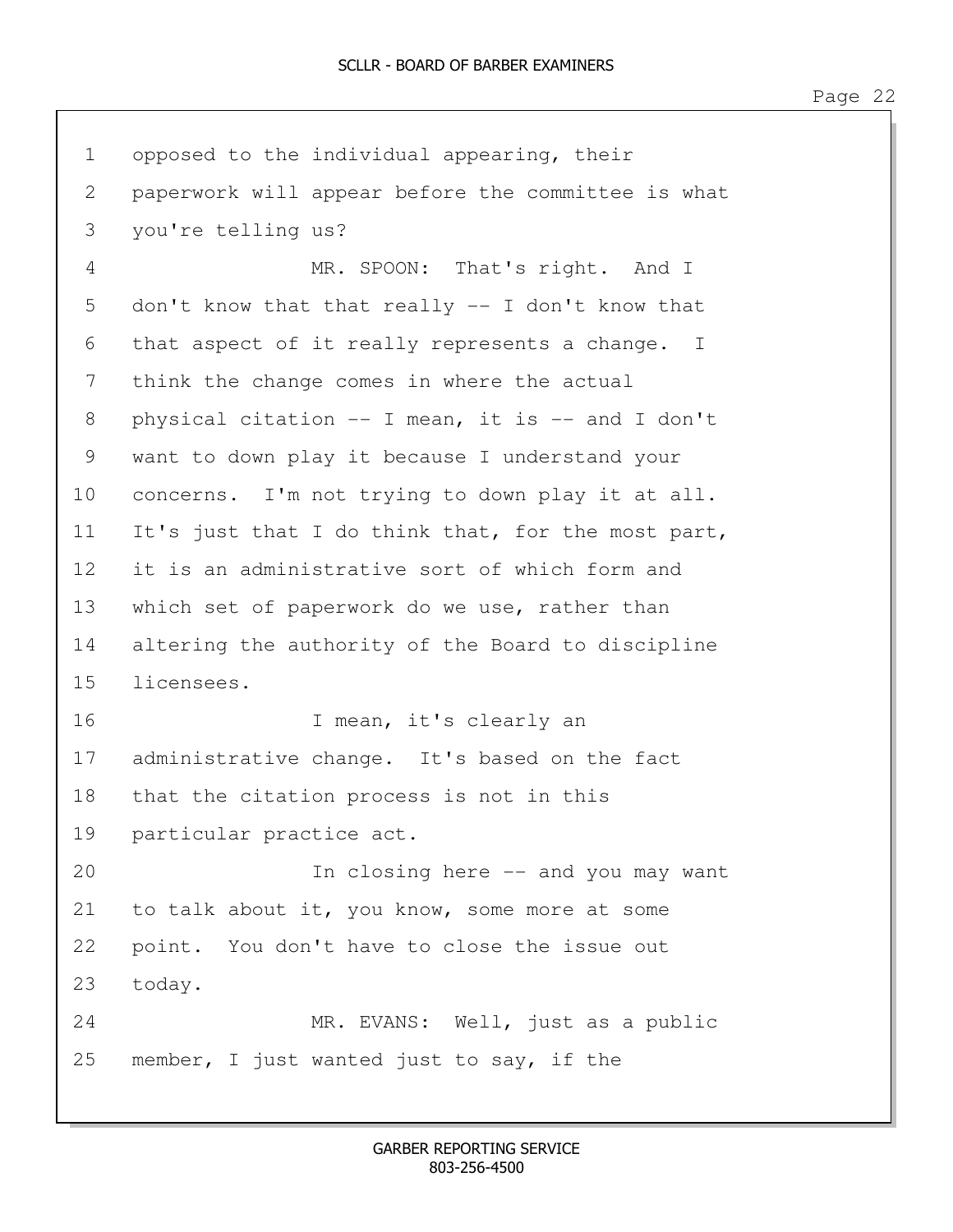| $\mathbf 1$     | opposed to the individual appearing, their         |
|-----------------|----------------------------------------------------|
| 2               | paperwork will appear before the committee is what |
| 3               | you're telling us?                                 |
| 4               | MR. SPOON: That's right. And I                     |
| 5               | don't know that that really -- I don't know that   |
| 6               | that aspect of it really represents a change. I    |
| 7               | think the change comes in where the actual         |
| 8               | physical citation -- I mean, it is -- and I don't  |
| 9               | want to down play it because I understand your     |
| 10              | concerns. I'm not trying to down play it at all.   |
| 11              | It's just that I do think that, for the most part, |
| 12 <sup>°</sup> | it is an administrative sort of which form and     |
| 13              | which set of paperwork do we use, rather than      |
| 14              | altering the authority of the Board to discipline  |
| 15              | licensees.                                         |
| 16              | I mean, it's clearly an                            |
| 17              | administrative change. It's based on the fact      |
| 18              | that the citation process is not in this           |
| 19              | particular practice act.                           |
| 20              | In closing here -- and you may want                |
| 21              | to talk about it, you know, some more at some      |
| 22              | point. You don't have to close the issue out       |
| 23              | today.                                             |
| 24              | MR. EVANS: Well, just as a public                  |
| 25              | member, I just wanted just to say, if the          |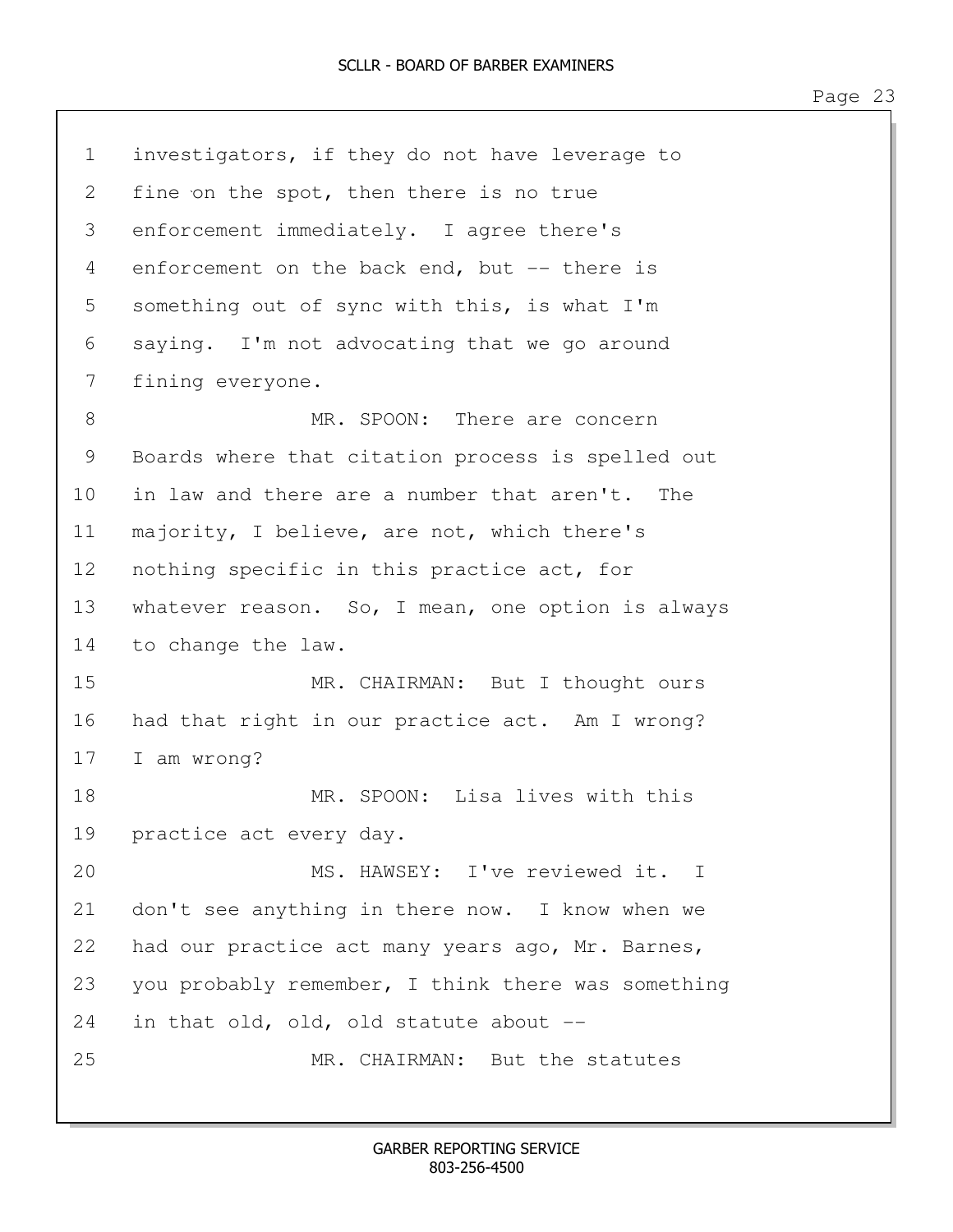| $\mathbf 1$ | investigators, if they do not have leverage to     |
|-------------|----------------------------------------------------|
| 2           | fine on the spot, then there is no true            |
| 3           | enforcement immediately. I agree there's           |
| 4           | enforcement on the back end, but -- there is       |
| 5           | something out of sync with this, is what I'm       |
| 6           | saying. I'm not advocating that we go around       |
| 7           | fining everyone.                                   |
| 8           | MR. SPOON: There are concern                       |
| 9           | Boards where that citation process is spelled out  |
| 10          | in law and there are a number that aren't.<br>The  |
| 11          | majority, I believe, are not, which there's        |
| 12          | nothing specific in this practice act, for         |
| 13          | whatever reason. So, I mean, one option is always  |
| 14          | to change the law.                                 |
| 15          | MR. CHAIRMAN: But I thought ours                   |
| 16          | had that right in our practice act. Am I wrong?    |
| 17          | I am wrong?                                        |
| 18          | MR. SPOON: Lisa lives with this                    |
| 19          | practice act every day.                            |
| 20          | MS. HAWSEY: I've reviewed it. I                    |
| 21          | don't see anything in there now. I know when we    |
| 22          | had our practice act many years ago, Mr. Barnes,   |
| 23          | you probably remember, I think there was something |
| 24          | in that old, old, old statute about --             |
| 25          | MR. CHAIRMAN: But the statutes                     |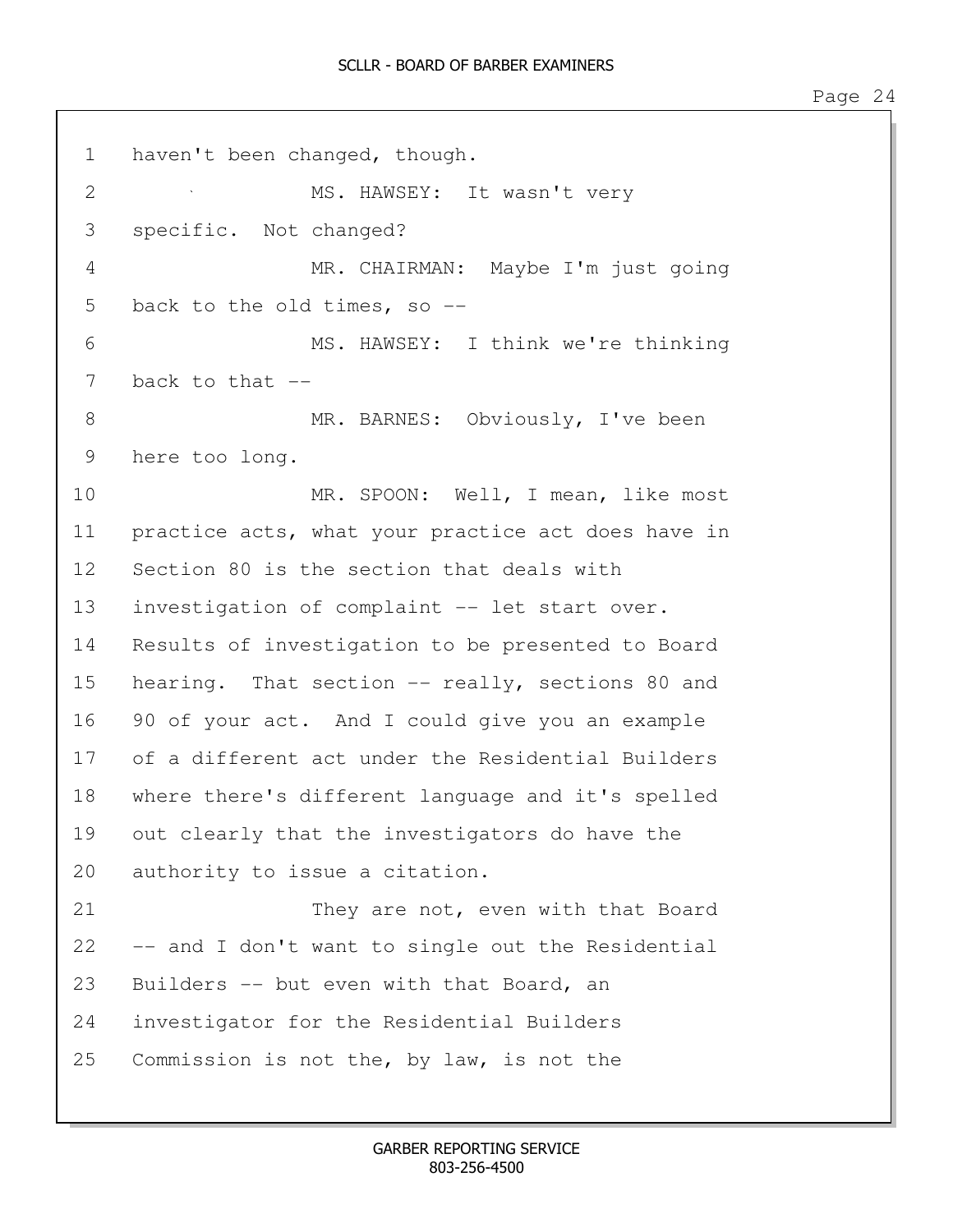1 haven't been changed, though. 2 MS. HAWSEY: It wasn't very 3 specific. Not changed? 4 MR. CHAIRMAN: Maybe I'm just going 5 back to the old times, so --6 MS. HAWSEY: I think we're thinking 7 back to that --8 MR. BARNES: Obviously, I've been 9 here too long. 10 MR. SPOON: Well, I mean, like most 11 practice acts, what your practice act does have in 12 Section 80 is the section that deals with 13 investigation of complaint -- let start over. 14 Results of investigation to be presented to Board 15 hearing. That section -- really, sections 80 and 16 90 of your act. And I could give you an example 17 of a different act under the Residential Builders 18 where there's different language and it's spelled 19 out clearly that the investigators do have the 20 authority to issue a citation. 21 They are not, even with that Board 22 -- and I don't want to single out the Residential 23 Builders -- but even with that Board, an 24 investigator for the Residential Builders 25 Commission is not the, by law, is not the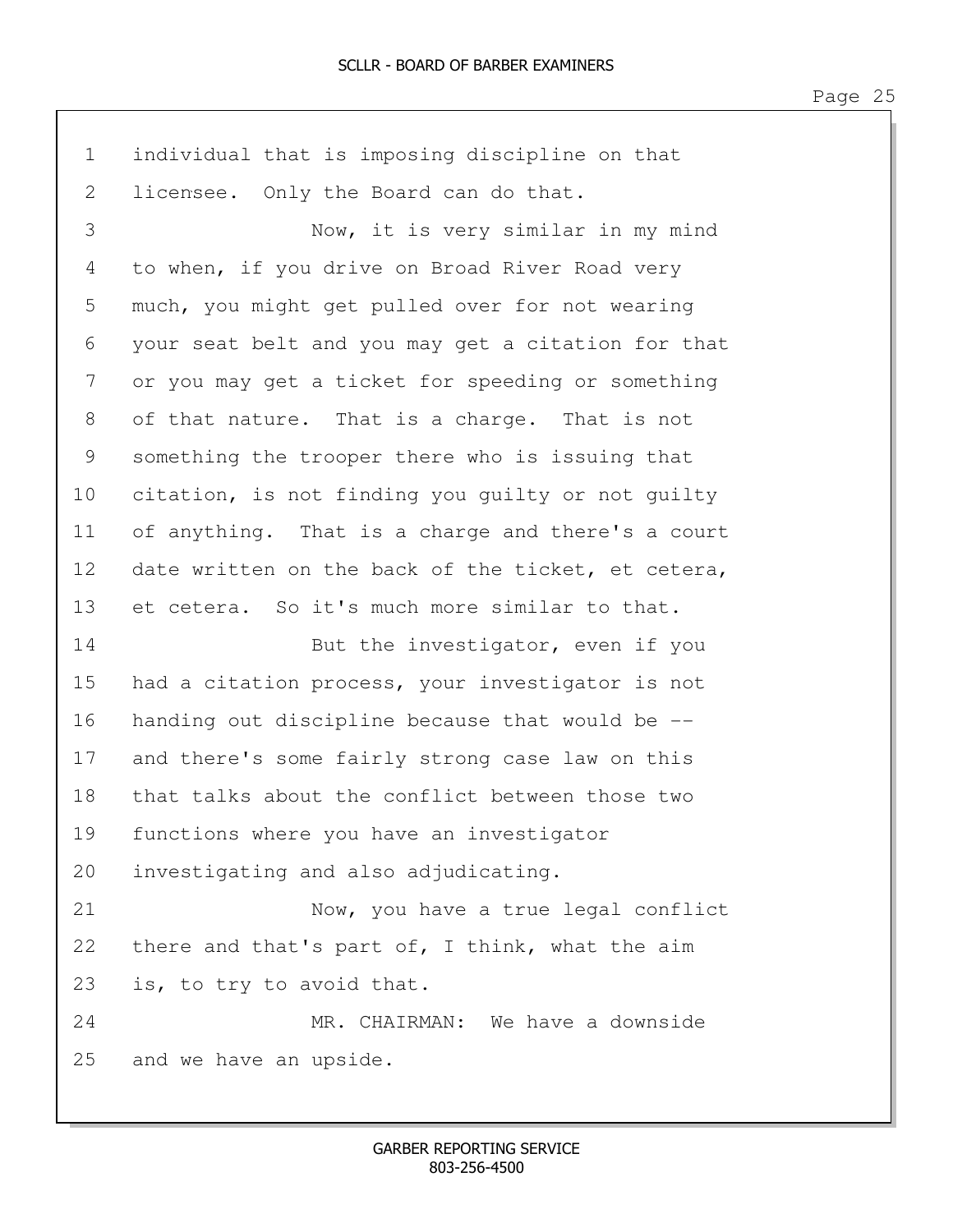| $\mathbf 1$ | individual that is imposing discipline on that     |
|-------------|----------------------------------------------------|
| 2           | licensee. Only the Board can do that.              |
| 3           | Now, it is very similar in my mind                 |
| 4           | to when, if you drive on Broad River Road very     |
| 5           | much, you might get pulled over for not wearing    |
| 6           | your seat belt and you may get a citation for that |
| 7           | or you may get a ticket for speeding or something  |
| 8           | of that nature. That is a charge. That is not      |
| 9           | something the trooper there who is issuing that    |
| 10          | citation, is not finding you guilty or not guilty  |
| 11          | of anything. That is a charge and there's a court  |
| 12          | date written on the back of the ticket, et cetera, |
| 13          | et cetera. So it's much more similar to that.      |
| 14          | But the investigator, even if you                  |
| 15          | had a citation process, your investigator is not   |
| 16          | handing out discipline because that would be --    |
| 17          | and there's some fairly strong case law on this    |
| 18          | that talks about the conflict between those two    |
| 19          | functions where you have an investigator           |
| 20          | investigating and also adjudicating.               |
| 21          | Now, you have a true legal conflict                |
| 22          | there and that's part of, I think, what the aim    |
| 23          | is, to try to avoid that.                          |
| 24          | MR. CHAIRMAN: We have a downside                   |
| 25          | and we have an upside.                             |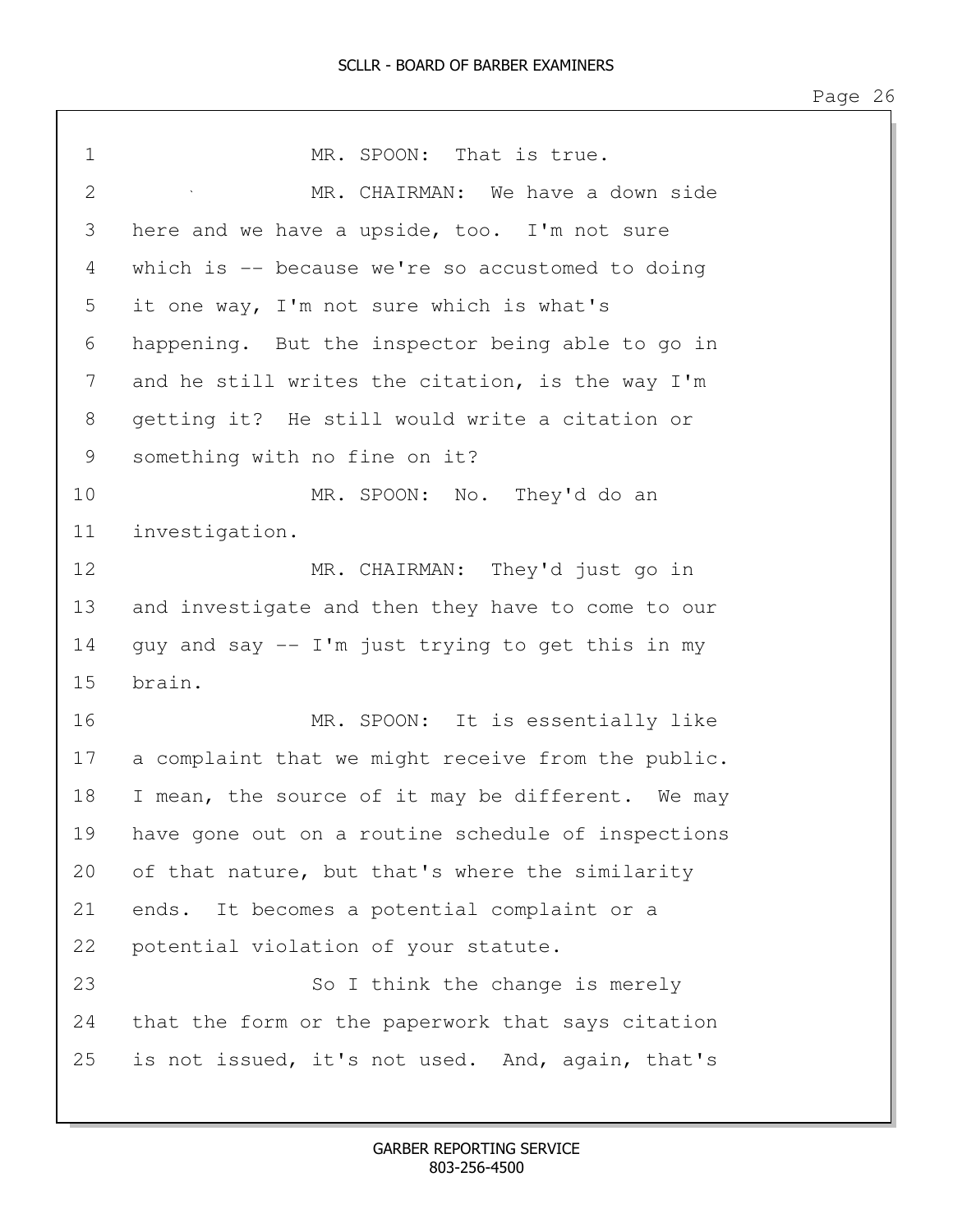1 MR. SPOON: That is true. 2 MR. CHAIRMAN: We have a down side 3 here and we have a upside, too. I'm not sure 4 which is -- because we're so accustomed to doing 5 it one way, I'm not sure which is what's 6 happening. But the inspector being able to go in 7 and he still writes the citation, is the way I'm 8 getting it? He still would write a citation or 9 something with no fine on it? 10 MR. SPOON: No. They'd do an 11 investigation. 12 MR. CHAIRMAN: They'd just go in 13 and investigate and then they have to come to our 14 guy and say -- I'm just trying to get this in my 15 brain. 16 MR. SPOON: It is essentially like 17 a complaint that we might receive from the public. 18 I mean, the source of it may be different. We may 19 have gone out on a routine schedule of inspections 20 of that nature, but that's where the similarity 21 ends. It becomes a potential complaint or a 22 potential violation of your statute. 23 So I think the change is merely 24 that the form or the paperwork that says citation 25 is not issued, it's not used. And, again, that's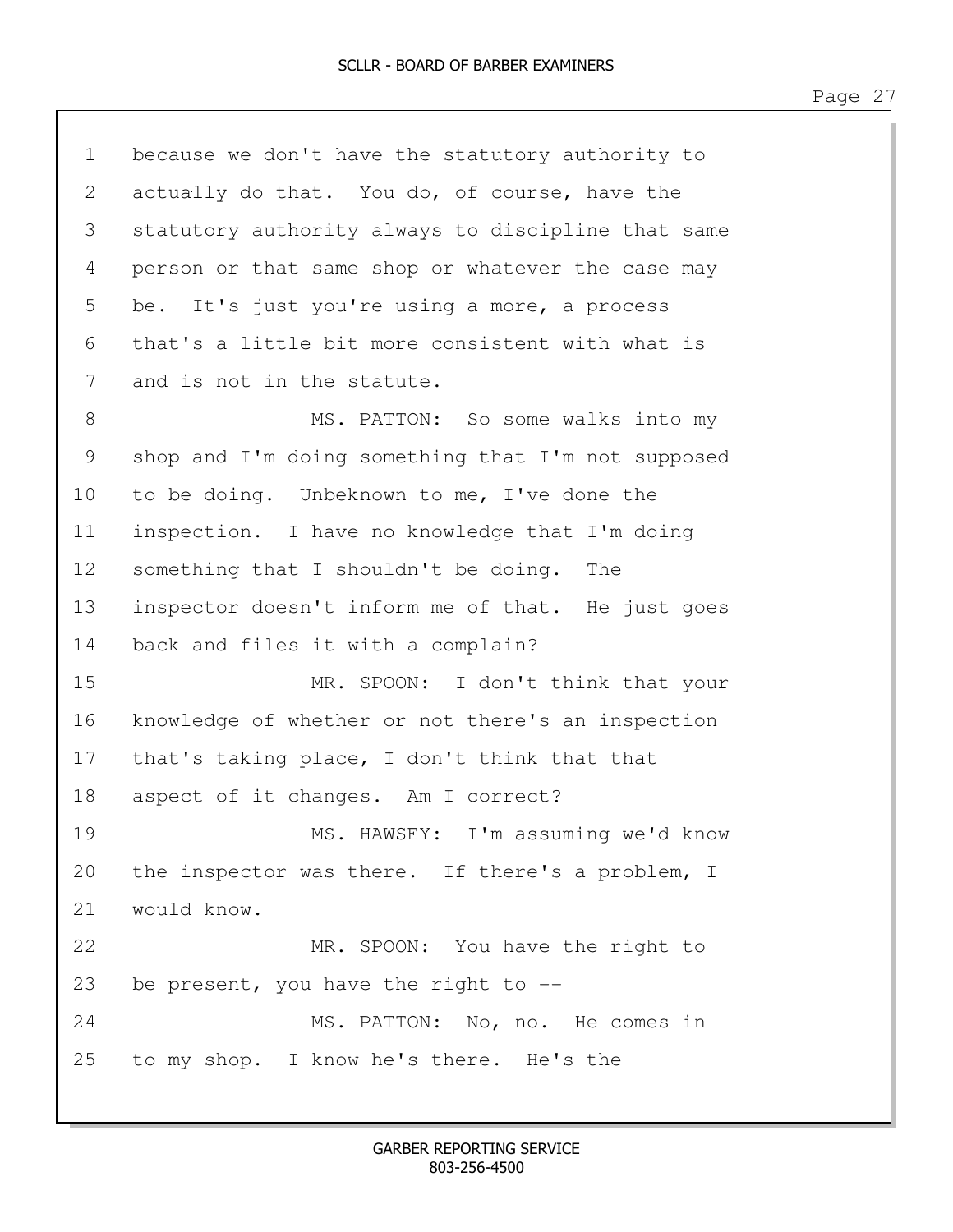| $\mathbf 1$ | because we don't have the statutory authority to   |
|-------------|----------------------------------------------------|
| 2           | actually do that. You do, of course, have the      |
| 3           | statutory authority always to discipline that same |
| 4           | person or that same shop or whatever the case may  |
| 5           | be. It's just you're using a more, a process       |
| 6           | that's a little bit more consistent with what is   |
| 7           | and is not in the statute.                         |
| 8           | MS. PATTON: So some walks into my                  |
| 9           | shop and I'm doing something that I'm not supposed |
| 10          | to be doing. Unbeknown to me, I've done the        |
| 11          | inspection. I have no knowledge that I'm doing     |
| 12          | something that I shouldn't be doing. The           |
| 13          | inspector doesn't inform me of that. He just goes  |
| 14          | back and files it with a complain?                 |
| 15          | MR. SPOON: I don't think that your                 |
| 16          | knowledge of whether or not there's an inspection  |
| 17          | that's taking place, I don't think that that       |
| 18          | aspect of it changes. Am I correct?                |
| 19          | MS. HAWSEY: I'm assuming we'd know                 |
| 20          | the inspector was there. If there's a problem, I   |
| 21          | would know.                                        |
| 22          | MR. SPOON: You have the right to                   |
| 23          | be present, you have the right to $-$ -            |
| 24          | MS. PATTON: No, no. He comes in                    |
| 25          | to my shop. I know he's there. He's the            |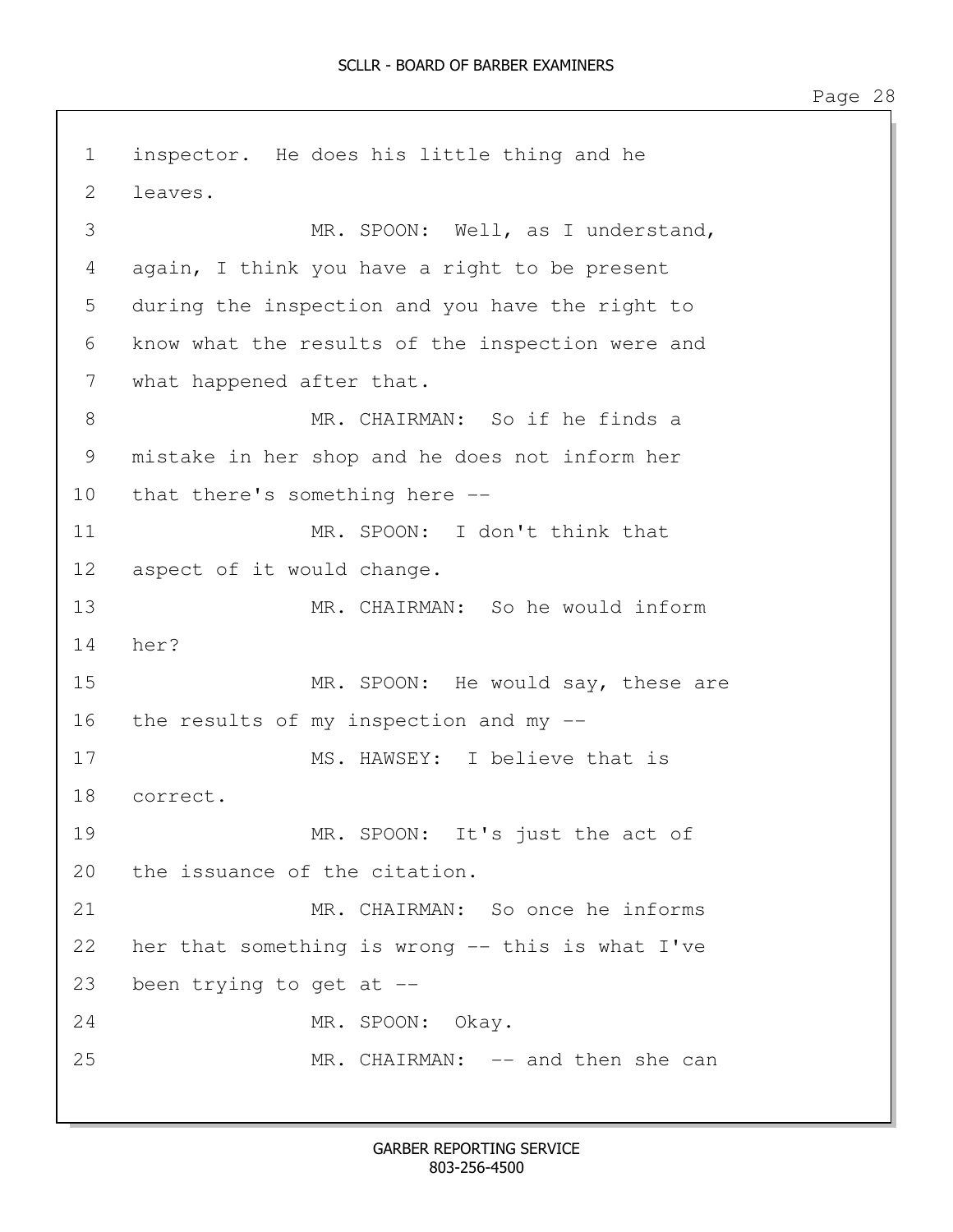1 inspector. He does his little thing and he 2 leaves. 3 MR. SPOON: Well, as I understand, 4 again, I think you have a right to be present 5 during the inspection and you have the right to 6 know what the results of the inspection were and 7 what happened after that. 8 MR. CHAIRMAN: So if he finds a 9 mistake in her shop and he does not inform her 10 that there's something here -- 11 MR. SPOON: I don't think that 12 aspect of it would change. 13 MR. CHAIRMAN: So he would inform 14 her? 15 MR. SPOON: He would say, these are 16 the results of my inspection and my -- 17 MS. HAWSEY: I believe that is 18 correct. 19 MR. SPOON: It's just the act of 20 the issuance of the citation. 21 MR. CHAIRMAN: So once he informs 22 her that something is wrong -- this is what I've 23 been trying to get at -- 24 MR. SPOON: Okay. 25 MR. CHAIRMAN: -- and then she can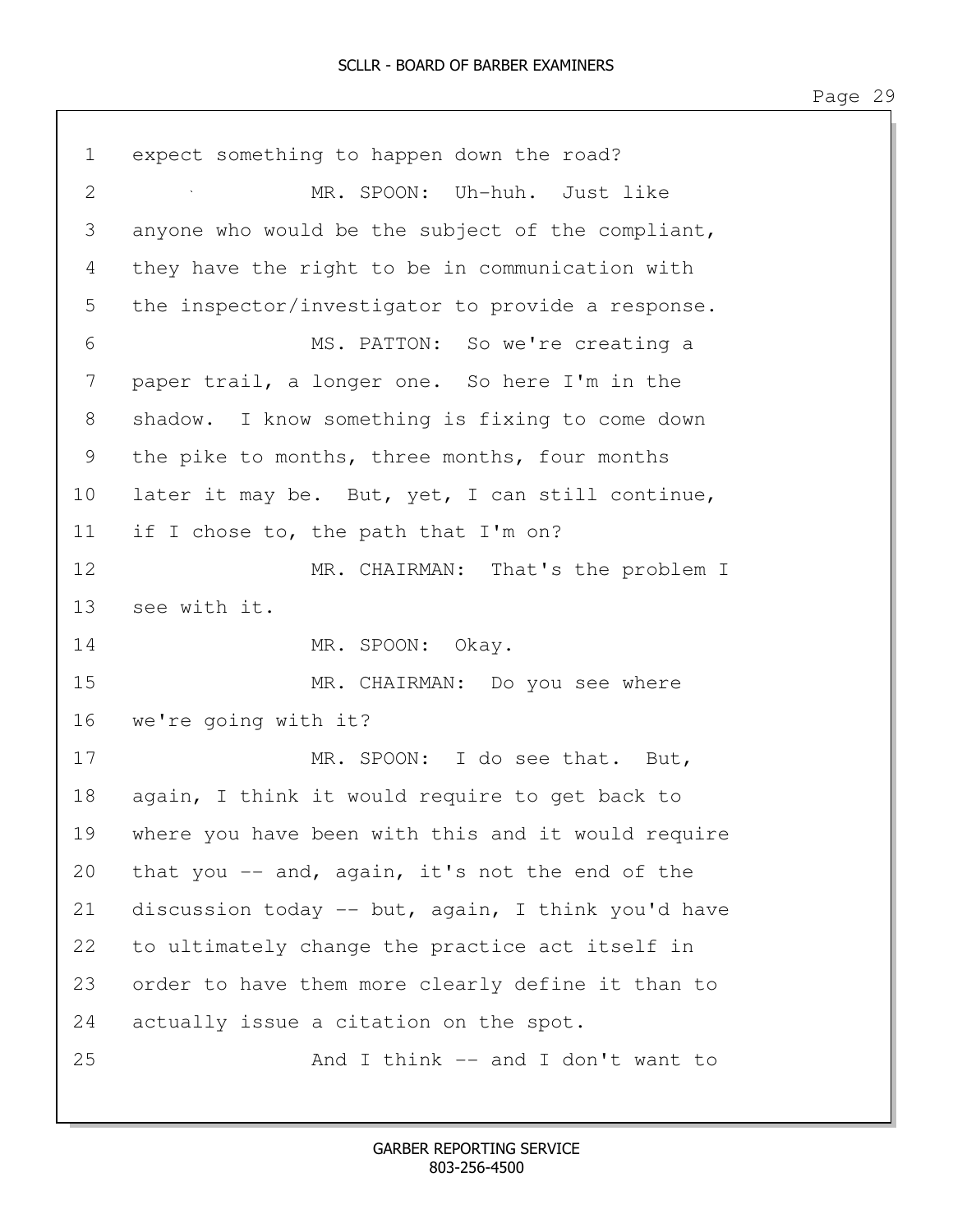| $\mathbf 1$                                               | expect something to happen down the road?          |
|-----------------------------------------------------------|----------------------------------------------------|
| $\mathbf{2}$                                              | MR. SPOON: Uh-huh. Just like                       |
| 3                                                         | anyone who would be the subject of the compliant,  |
| 4                                                         | they have the right to be in communication with    |
| 5                                                         | the inspector/investigator to provide a response.  |
| 6                                                         | MS. PATTON: So we're creating a                    |
| 7                                                         | paper trail, a longer one. So here I'm in the      |
| $8\,$                                                     | shadow. I know something is fixing to come down    |
| $\mathcal{G}% _{M_{1},M_{2}}^{\alpha,\beta}(\mathcal{A})$ | the pike to months, three months, four months      |
| 10                                                        | later it may be. But, yet, I can still continue,   |
| 11                                                        | if I chose to, the path that I'm on?               |
| 12                                                        | MR. CHAIRMAN: That's the problem I                 |
| 13                                                        | see with it.                                       |
| 14                                                        | MR. SPOON: Okay.                                   |
| 15                                                        | MR. CHAIRMAN: Do you see where                     |
| 16                                                        | we're going with it?                               |
| 17                                                        | MR. SPOON: I do see that. But,                     |
| 18                                                        | again, I think it would require to get back to     |
| 19                                                        | where you have been with this and it would require |
| 20                                                        | that you $-$ and, again, it's not the end of the   |
| 21                                                        | discussion today -- but, again, I think you'd have |
| 22                                                        | to ultimately change the practice act itself in    |
| 23                                                        | order to have them more clearly define it than to  |
| 24                                                        | actually issue a citation on the spot.             |
| 25                                                        | And I think -- and I don't want to                 |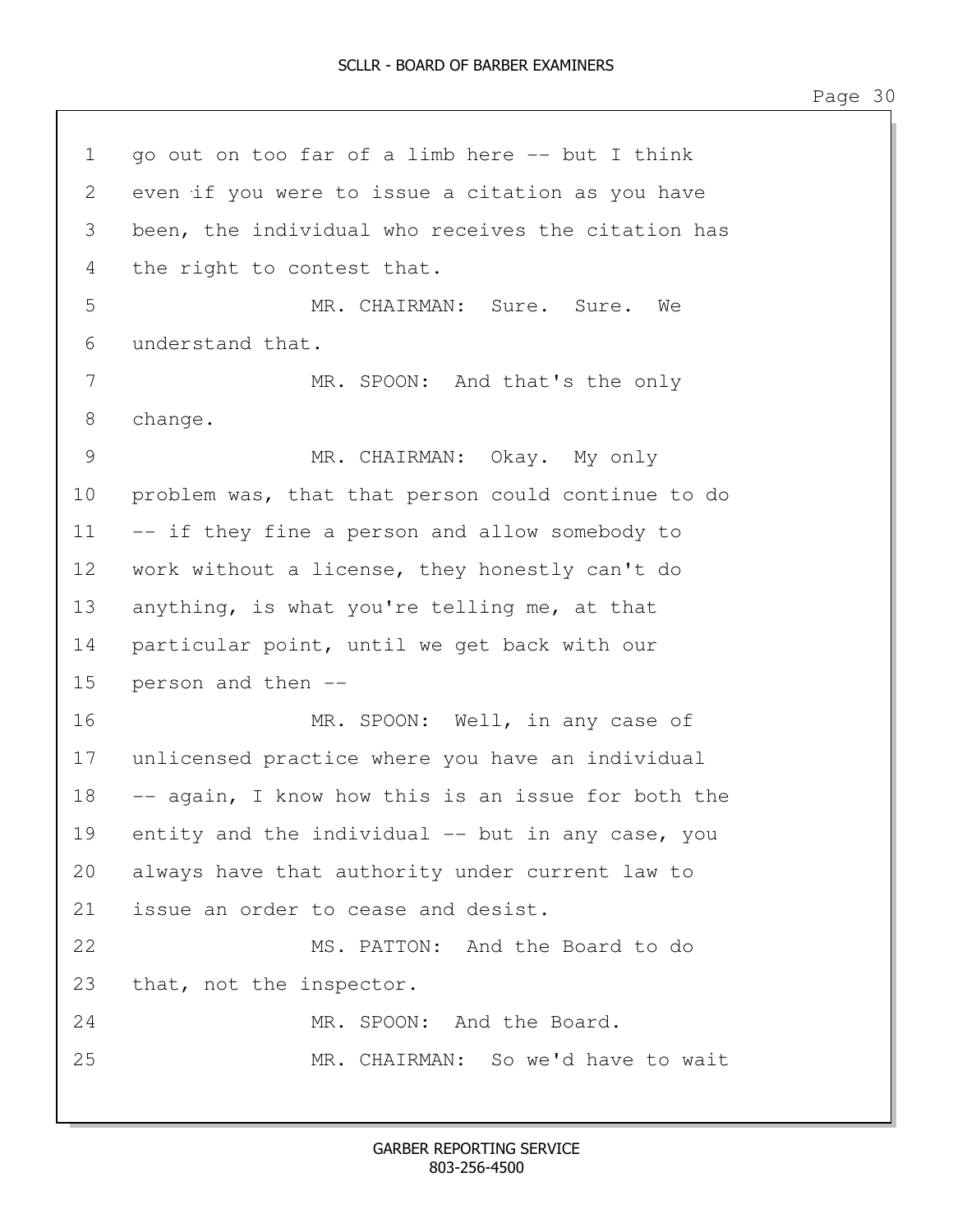1 go out on too far of a limb here -- but I think 2 even if you were to issue a citation as you have 3 been, the individual who receives the citation has 4 the right to contest that. 5 MR. CHAIRMAN: Sure. Sure. We 6 understand that. 7 MR. SPOON: And that's the only 8 change. 9 MR. CHAIRMAN: Okay. My only 10 problem was, that that person could continue to do 11 -- if they fine a person and allow somebody to 12 work without a license, they honestly can't do 13 anything, is what you're telling me, at that 14 particular point, until we get back with our 15 person and then -- 16 MR. SPOON: Well, in any case of 17 unlicensed practice where you have an individual 18 -- again, I know how this is an issue for both the 19 entity and the individual -- but in any case, you 20 always have that authority under current law to 21 issue an order to cease and desist. 22 MS. PATTON: And the Board to do 23 that, not the inspector. 24 MR. SPOON: And the Board. 25 MR. CHAIRMAN: So we'd have to wait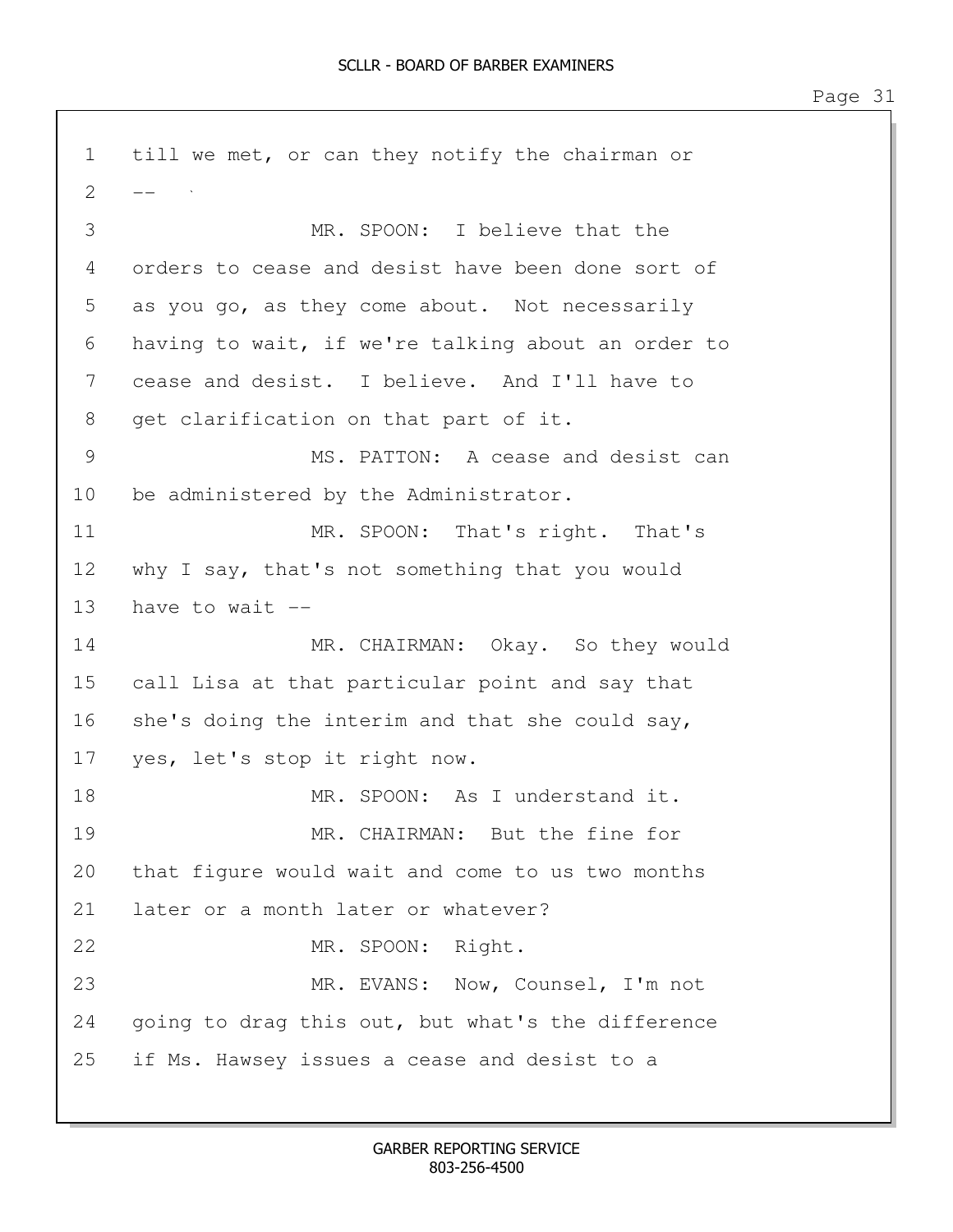1 till we met, or can they notify the chairman or  $2 - -$ 3 MR. SPOON: I believe that the 4 orders to cease and desist have been done sort of 5 as you go, as they come about. Not necessarily 6 having to wait, if we're talking about an order to 7 cease and desist. I believe. And I'll have to 8 get clarification on that part of it. 9 MS. PATTON: A cease and desist can 10 be administered by the Administrator. 11 MR. SPOON: That's right. That's 12 why I say, that's not something that you would 13 have to wait -- 14 MR. CHAIRMAN: Okay. So they would 15 call Lisa at that particular point and say that 16 she's doing the interim and that she could say, 17 yes, let's stop it right now. 18 MR. SPOON: As I understand it. 19 MR. CHAIRMAN: But the fine for 20 that figure would wait and come to us two months 21 later or a month later or whatever? 22 MR. SPOON: Right. 23 MR. EVANS: Now, Counsel, I'm not 24 going to drag this out, but what's the difference 25 if Ms. Hawsey issues a cease and desist to a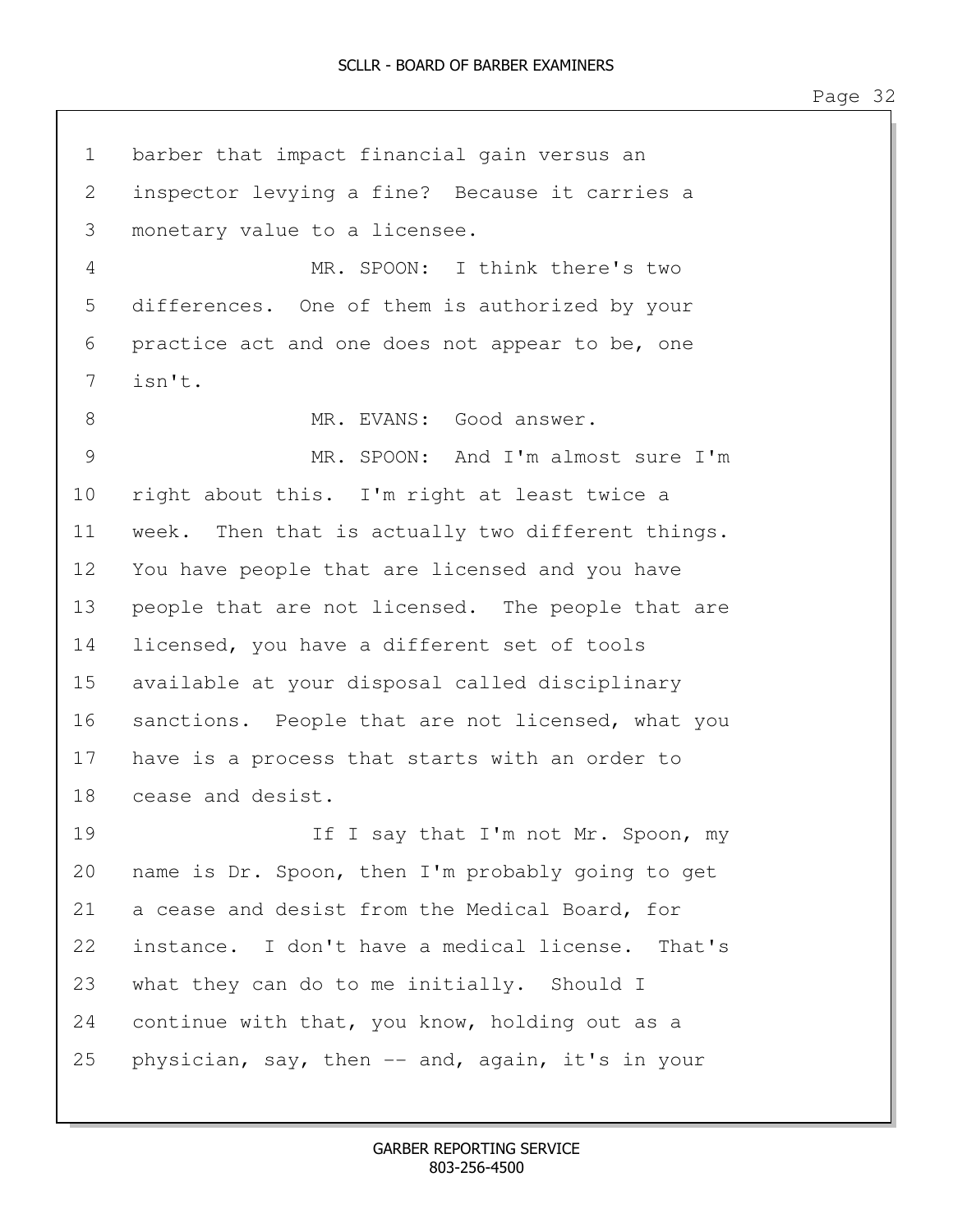1 barber that impact financial gain versus an 2 inspector levying a fine? Because it carries a 3 monetary value to a licensee. 4 MR. SPOON: I think there's two 5 differences. One of them is authorized by your 6 practice act and one does not appear to be, one 7 isn't. 8 MR. EVANS: Good answer. 9 MR. SPOON: And I'm almost sure I'm 10 right about this. I'm right at least twice a 11 week. Then that is actually two different things. 12 You have people that are licensed and you have 13 people that are not licensed. The people that are 14 licensed, you have a different set of tools 15 available at your disposal called disciplinary 16 sanctions. People that are not licensed, what you 17 have is a process that starts with an order to 18 cease and desist. 19 **If I say that I'm not Mr. Spoon, my** 20 name is Dr. Spoon, then I'm probably going to get 21 a cease and desist from the Medical Board, for 22 instance. I don't have a medical license. That's 23 what they can do to me initially. Should I 24 continue with that, you know, holding out as a 25 physician, say, then -- and, again, it's in your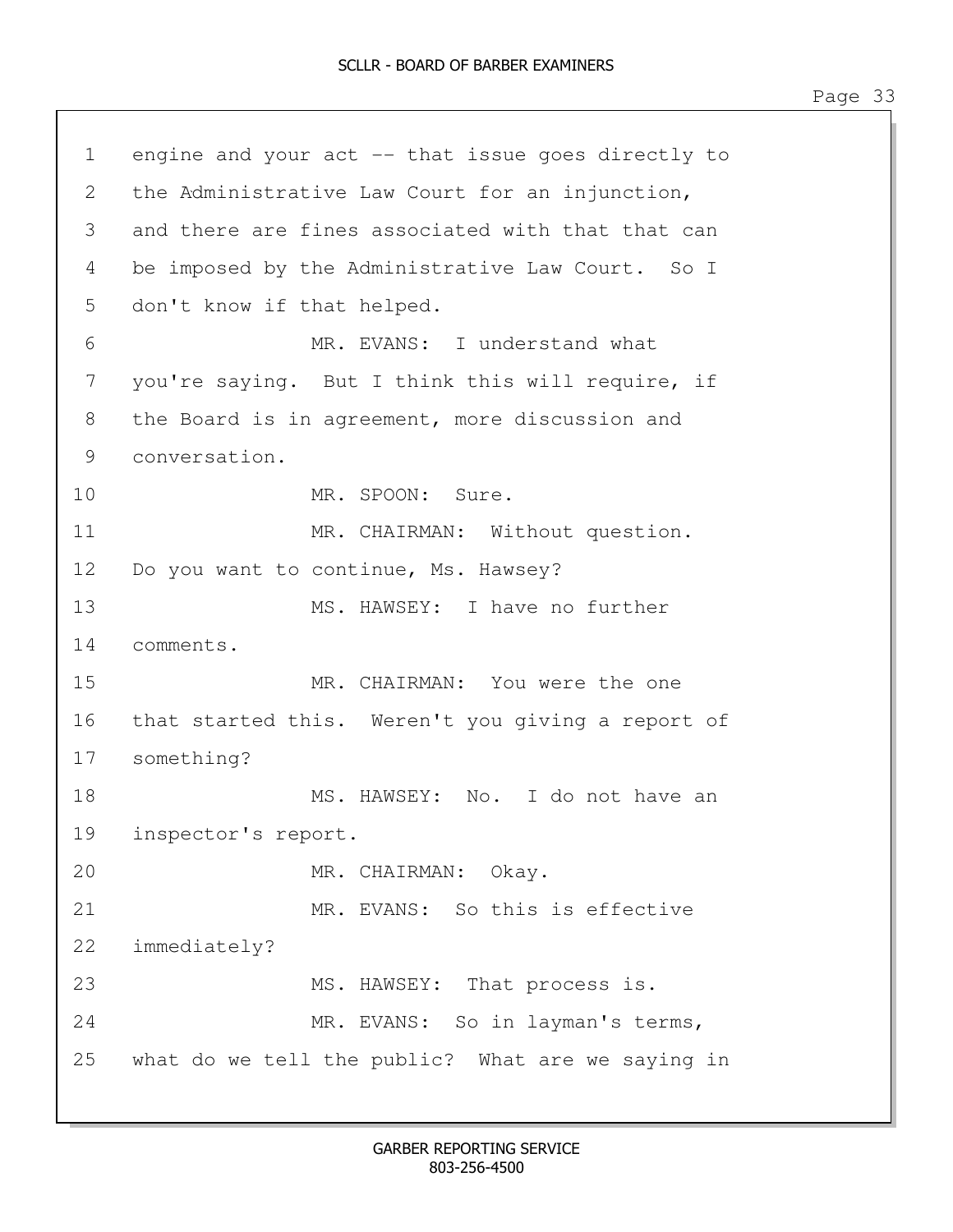1 engine and your act -- that issue goes directly to 2 the Administrative Law Court for an injunction, 3 and there are fines associated with that that can 4 be imposed by the Administrative Law Court. So I 5 don't know if that helped. 6 MR. EVANS: I understand what 7 you're saying. But I think this will require, if 8 the Board is in agreement, more discussion and 9 conversation. 10 MR. SPOON: Sure. 11 MR. CHAIRMAN: Without question. 12 Do you want to continue, Ms. Hawsey? 13 MS. HAWSEY: I have no further 14 comments. 15 MR. CHAIRMAN: You were the one 16 that started this. Weren't you giving a report of 17 something? 18 MS. HAWSEY: No. I do not have an 19 inspector's report. 20 MR. CHAIRMAN: Okay. 21 MR. EVANS: So this is effective 22 immediately? 23 MS. HAWSEY: That process is. 24 MR. EVANS: So in layman's terms, 25 what do we tell the public? What are we saying in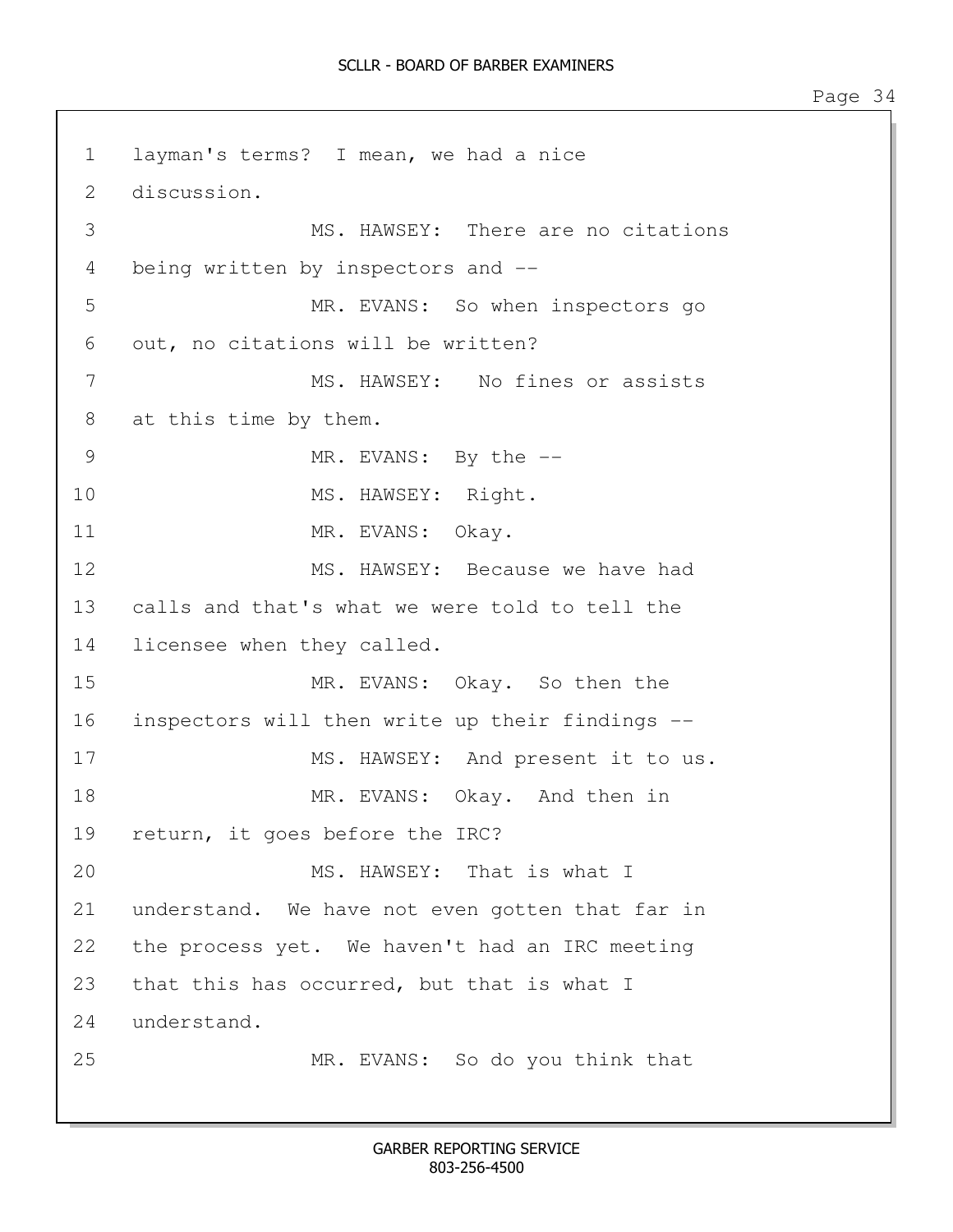1 layman's terms? I mean, we had a nice 2 discussion. 3 MS. HAWSEY: There are no citations 4 being written by inspectors and -- 5 MR. EVANS: So when inspectors go 6 out, no citations will be written? 7 MS. HAWSEY: No fines or assists 8 at this time by them. 9 MR. EVANS: By the  $-$ 10 MS. HAWSEY: Right. 11 MR. EVANS: Okay. 12 MS. HAWSEY: Because we have had 13 calls and that's what we were told to tell the 14 licensee when they called. 15 MR. EVANS: Okay. So then the 16 inspectors will then write up their findings -- 17 MS. HAWSEY: And present it to us. 18 MR. EVANS: Okay. And then in 19 return, it goes before the IRC? 20 MS. HAWSEY: That is what I 21 understand. We have not even gotten that far in 22 the process yet. We haven't had an IRC meeting 23 that this has occurred, but that is what I 24 understand. 25 MR. EVANS: So do you think that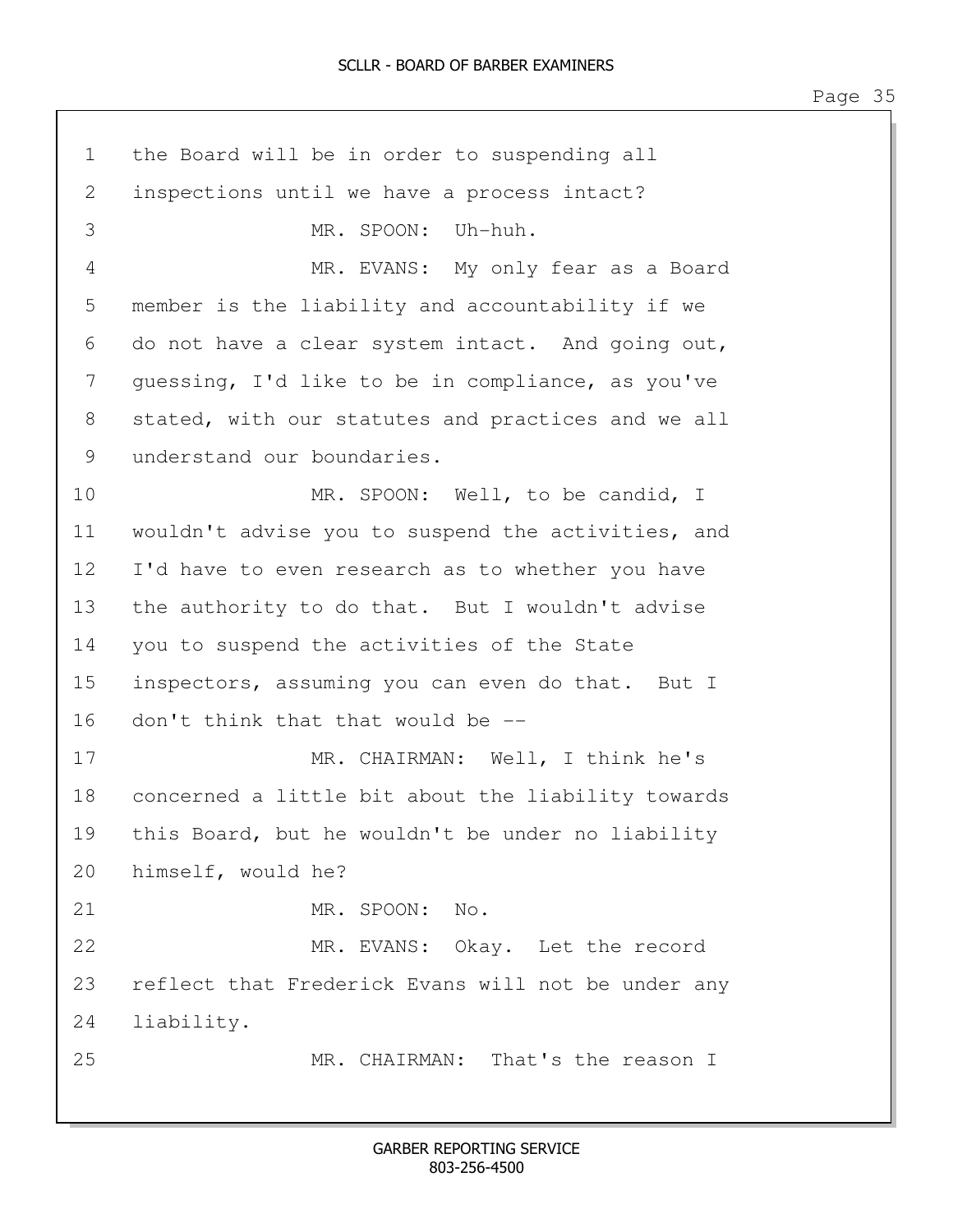| $\mathbf{1}$    | the Board will be in order to suspending all       |
|-----------------|----------------------------------------------------|
| 2               | inspections until we have a process intact?        |
| 3               | MR. SPOON: Uh-huh.                                 |
| 4               | MR. EVANS: My only fear as a Board                 |
| 5               | member is the liability and accountability if we   |
| 6               | do not have a clear system intact. And going out,  |
| 7               | quessing, I'd like to be in compliance, as you've  |
| 8               | stated, with our statutes and practices and we all |
| 9               | understand our boundaries.                         |
| 10              | MR. SPOON: Well, to be candid, I                   |
| 11              | wouldn't advise you to suspend the activities, and |
| 12 <sup>°</sup> | I'd have to even research as to whether you have   |
| 13              | the authority to do that. But I wouldn't advise    |
| 14              | you to suspend the activities of the State         |
| 15              | inspectors, assuming you can even do that. But I   |
| 16              | don't think that that would be --                  |
| 17              | MR. CHAIRMAN: Well, I think he's                   |
| 18              | concerned a little bit about the liability towards |
| 19              | this Board, but he wouldn't be under no liability  |
| 20              | himself, would he?                                 |
| 21              | MR. SPOON: No.                                     |
| 22              | MR. EVANS: Okay. Let the record                    |
| 23              | reflect that Frederick Evans will not be under any |
| 24              | liability.                                         |
| 25              | MR. CHAIRMAN: That's the reason I                  |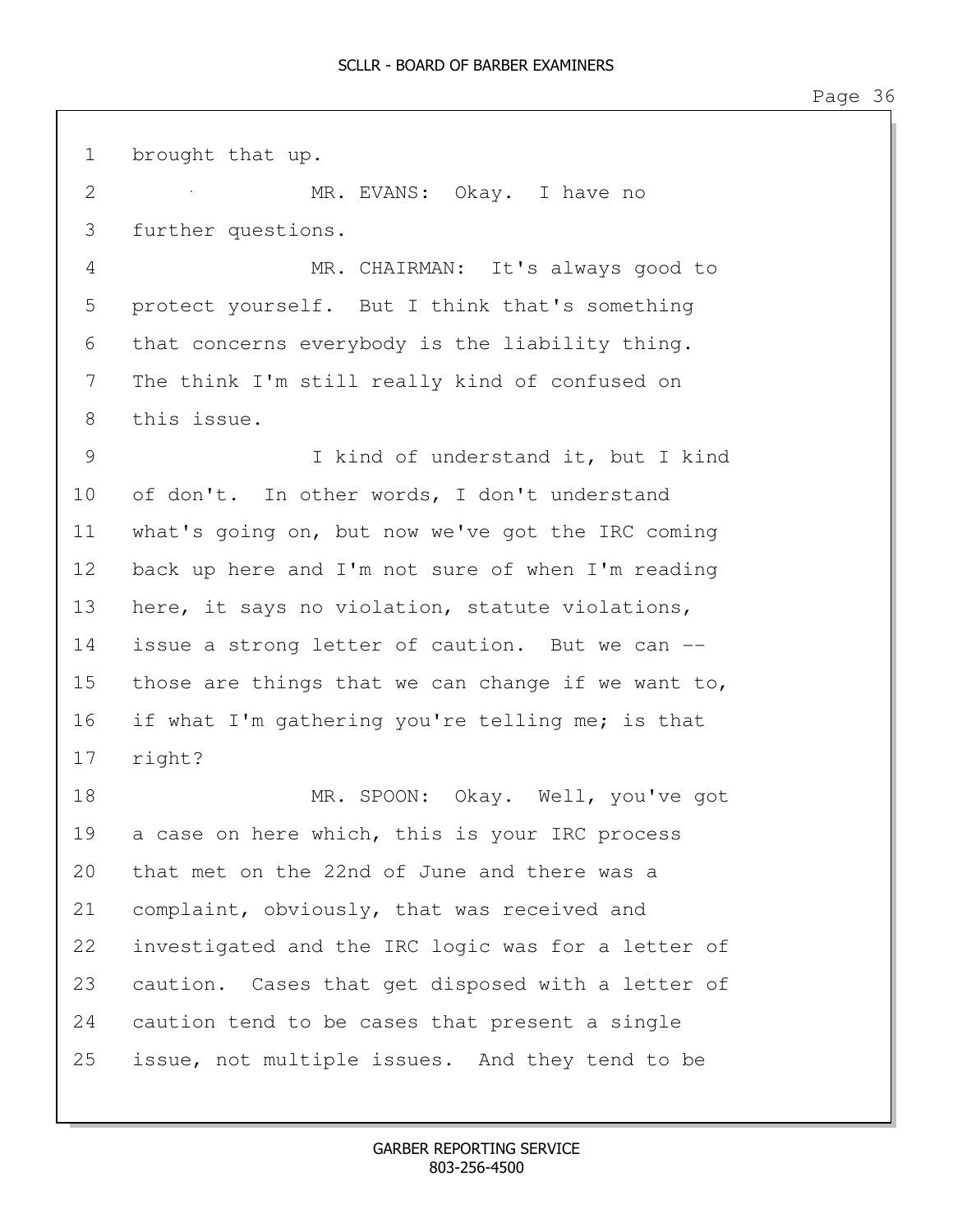1 brought that up. 2 MR. EVANS: Okay. I have no 3 further questions. 4 MR. CHAIRMAN: It's always good to 5 protect yourself. But I think that's something 6 that concerns everybody is the liability thing. 7 The think I'm still really kind of confused on 8 this issue. 9 I kind of understand it, but I kind 10 of don't. In other words, I don't understand 11 what's going on, but now we've got the IRC coming 12 back up here and I'm not sure of when I'm reading 13 here, it says no violation, statute violations, 14 issue a strong letter of caution. But we can --15 those are things that we can change if we want to, 16 if what I'm gathering you're telling me; is that 17 right? 18 MR. SPOON: Okay. Well, you've got 19 a case on here which, this is your IRC process 20 that met on the 22nd of June and there was a 21 complaint, obviously, that was received and 22 investigated and the IRC logic was for a letter of 23 caution. Cases that get disposed with a letter of 24 caution tend to be cases that present a single 25 issue, not multiple issues. And they tend to be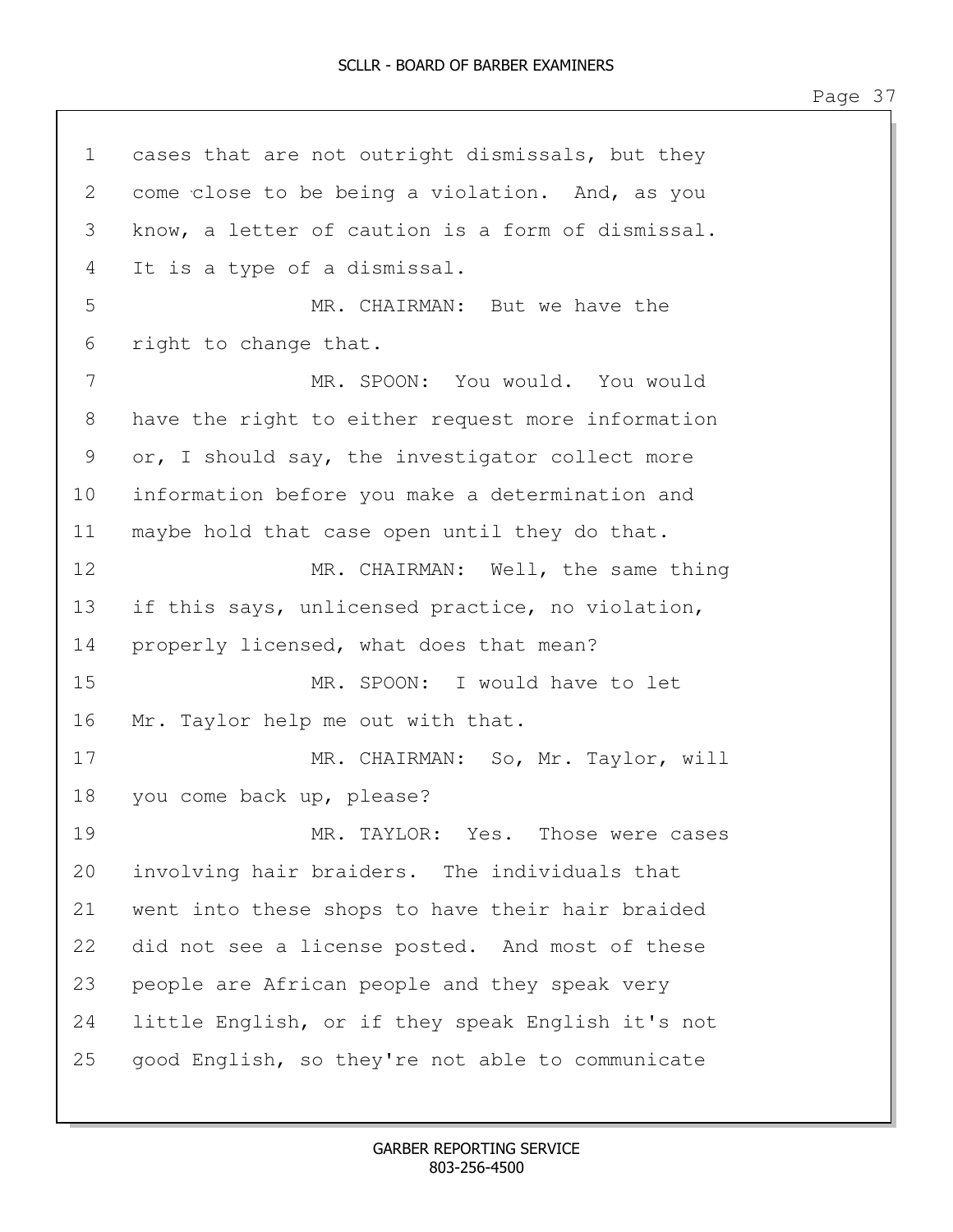1 cases that are not outright dismissals, but they 2 come close to be being a violation. And, as you 3 know, a letter of caution is a form of dismissal. 4 It is a type of a dismissal. 5 MR. CHAIRMAN: But we have the 6 right to change that. 7 MR. SPOON: You would. You would 8 have the right to either request more information 9 or, I should say, the investigator collect more 10 information before you make a determination and 11 maybe hold that case open until they do that. 12 MR. CHAIRMAN: Well, the same thing 13 if this says, unlicensed practice, no violation, 14 properly licensed, what does that mean? 15 MR. SPOON: I would have to let 16 Mr. Taylor help me out with that. 17 MR. CHAIRMAN: So, Mr. Taylor, will 18 you come back up, please? 19 MR. TAYLOR: Yes. Those were cases 20 involving hair braiders. The individuals that 21 went into these shops to have their hair braided 22 did not see a license posted. And most of these 23 people are African people and they speak very 24 little English, or if they speak English it's not 25 good English, so they're not able to communicate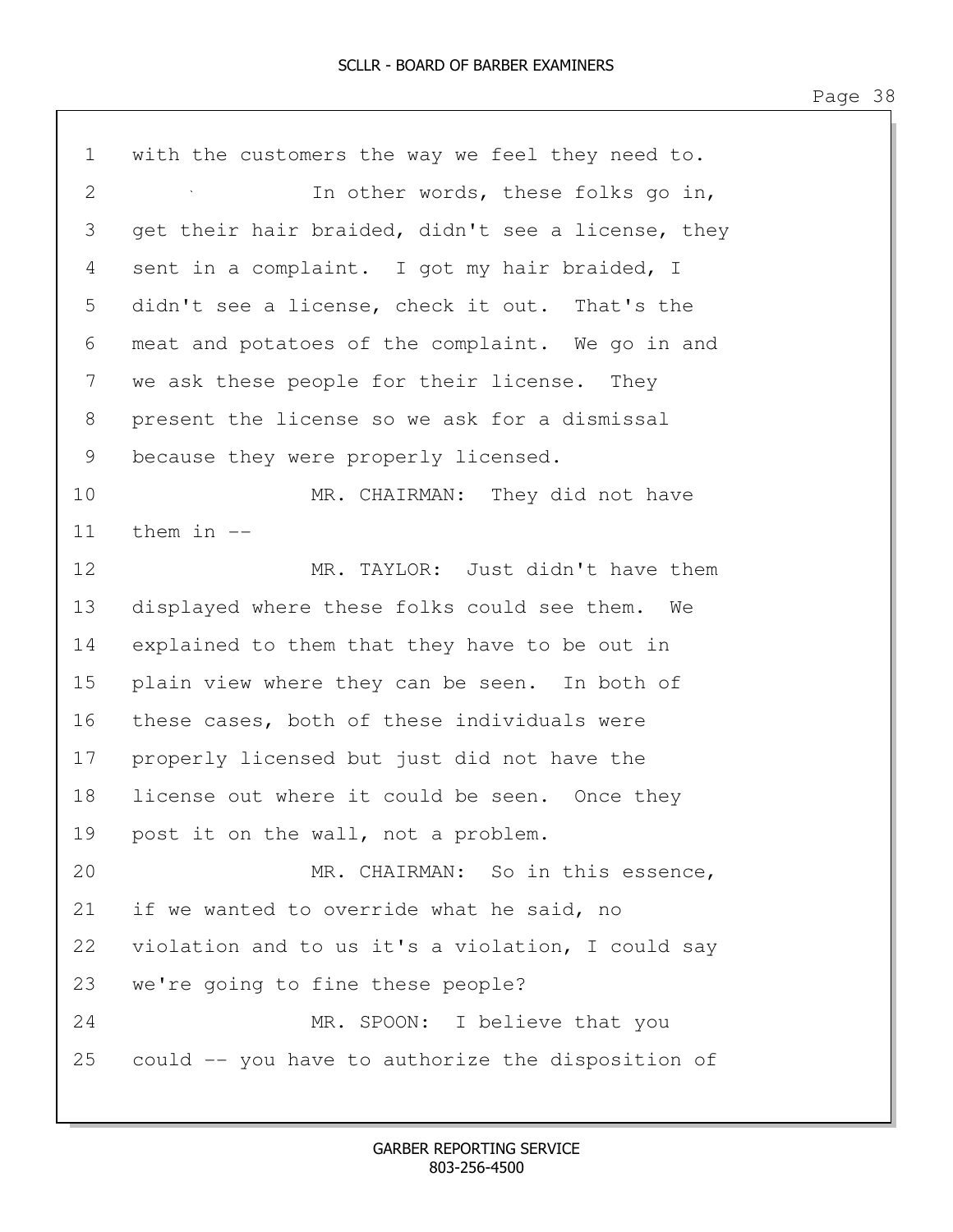| $\mathbf 1$ | with the customers the way we feel they need to.   |
|-------------|----------------------------------------------------|
| 2           | In other words, these folks go in,                 |
| 3           | get their hair braided, didn't see a license, they |
| 4           | sent in a complaint. I got my hair braided, I      |
| 5           | didn't see a license, check it out. That's the     |
| 6           | meat and potatoes of the complaint. We go in and   |
| 7           | we ask these people for their license. They        |
| 8           | present the license so we ask for a dismissal      |
| 9           | because they were properly licensed.               |
| 10          | MR. CHAIRMAN: They did not have                    |
| 11          | them in $-$                                        |
| 12          | MR. TAYLOR: Just didn't have them                  |
| 13          | displayed where these folks could see them. We     |
| 14          | explained to them that they have to be out in      |
| 15          | plain view where they can be seen. In both of      |
| 16          | these cases, both of these individuals were        |
| 17          | properly licensed but just did not have the        |
| 18          | license out where it could be seen. Once they      |
| 19          | post it on the wall, not a problem.                |
| 20          | MR. CHAIRMAN: So in this essence,                  |
| 21          | if we wanted to override what he said, no          |
| 22          | violation and to us it's a violation, I could say  |
| 23          | we're going to fine these people?                  |
| 24          | MR. SPOON: I believe that you                      |
| 25          | could -- you have to authorize the disposition of  |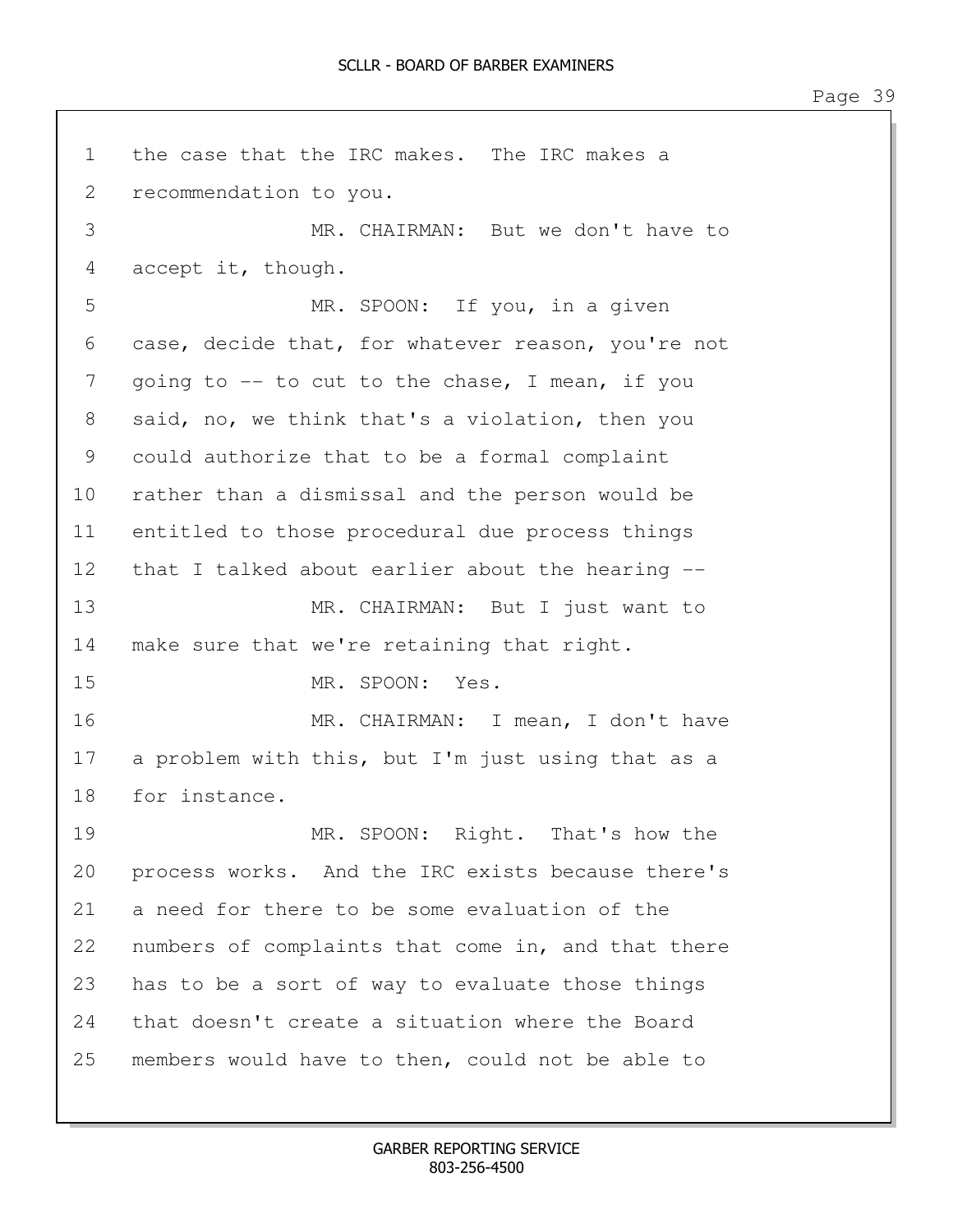1 the case that the IRC makes. The IRC makes a 2 recommendation to you. 3 MR. CHAIRMAN: But we don't have to 4 accept it, though. 5 MR. SPOON: If you, in a given 6 case, decide that, for whatever reason, you're not 7 going to -- to cut to the chase, I mean, if you 8 said, no, we think that's a violation, then you 9 could authorize that to be a formal complaint 10 rather than a dismissal and the person would be 11 entitled to those procedural due process things 12 that I talked about earlier about the hearing -- 13 MR. CHAIRMAN: But I just want to 14 make sure that we're retaining that right. 15 MR. SPOON: Yes. 16 MR. CHAIRMAN: I mean, I don't have 17 a problem with this, but I'm just using that as a 18 for instance. 19 MR. SPOON: Right. That's how the 20 process works. And the IRC exists because there's 21 a need for there to be some evaluation of the 22 numbers of complaints that come in, and that there 23 has to be a sort of way to evaluate those things 24 that doesn't create a situation where the Board 25 members would have to then, could not be able to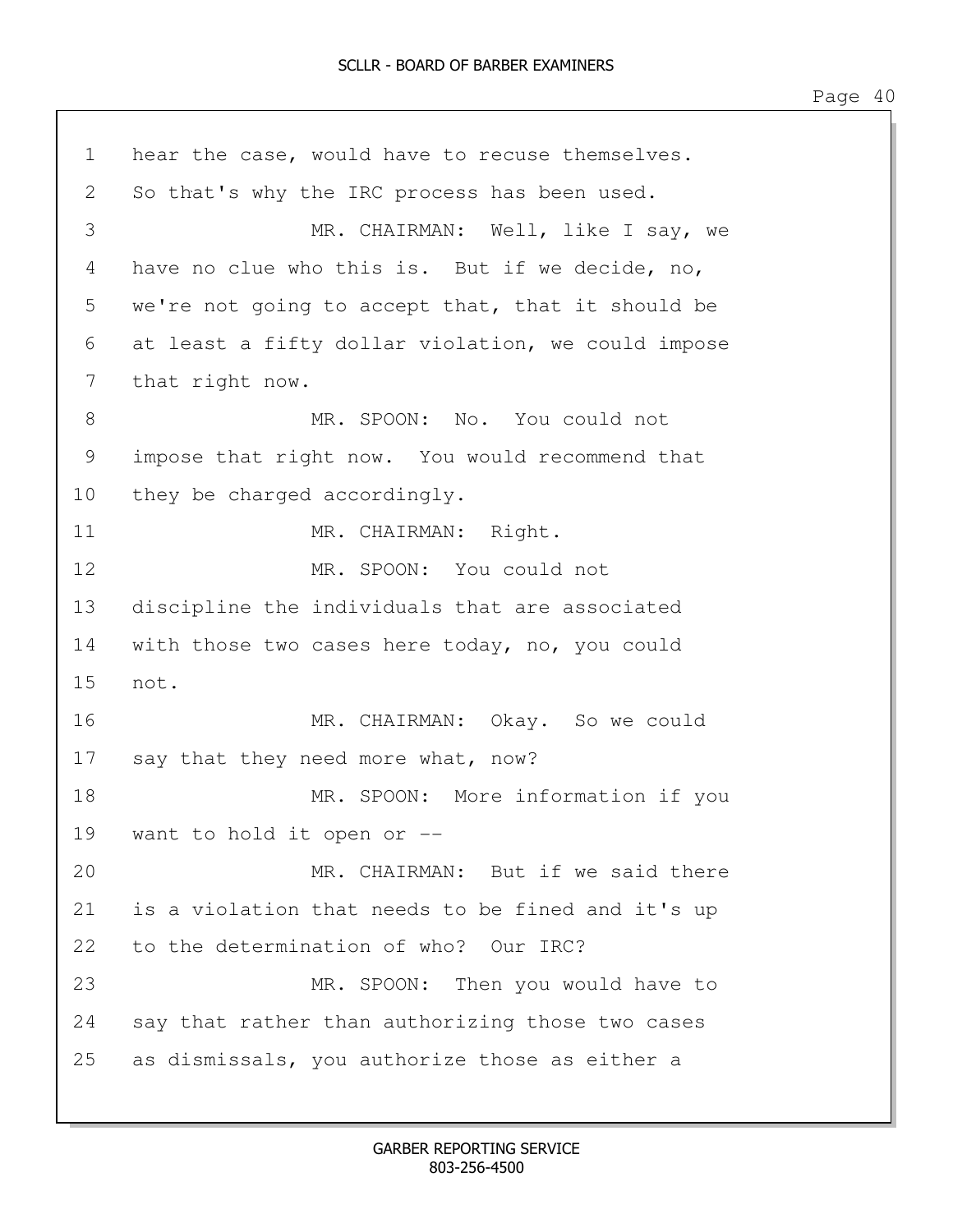1 hear the case, would have to recuse themselves. 2 So that's why the IRC process has been used. 3 MR. CHAIRMAN: Well, like I say, we 4 have no clue who this is. But if we decide, no, 5 we're not going to accept that, that it should be 6 at least a fifty dollar violation, we could impose 7 that right now. 8 MR. SPOON: No. You could not 9 impose that right now. You would recommend that 10 they be charged accordingly. 11 MR. CHAIRMAN: Right. 12 MR. SPOON: You could not 13 discipline the individuals that are associated 14 with those two cases here today, no, you could 15 not. 16 MR. CHAIRMAN: Okay. So we could 17 say that they need more what, now? 18 MR. SPOON: More information if you 19 want to hold it open or -- 20 MR. CHAIRMAN: But if we said there 21 is a violation that needs to be fined and it's up 22 to the determination of who? Our IRC? 23 MR. SPOON: Then you would have to 24 say that rather than authorizing those two cases 25 as dismissals, you authorize those as either a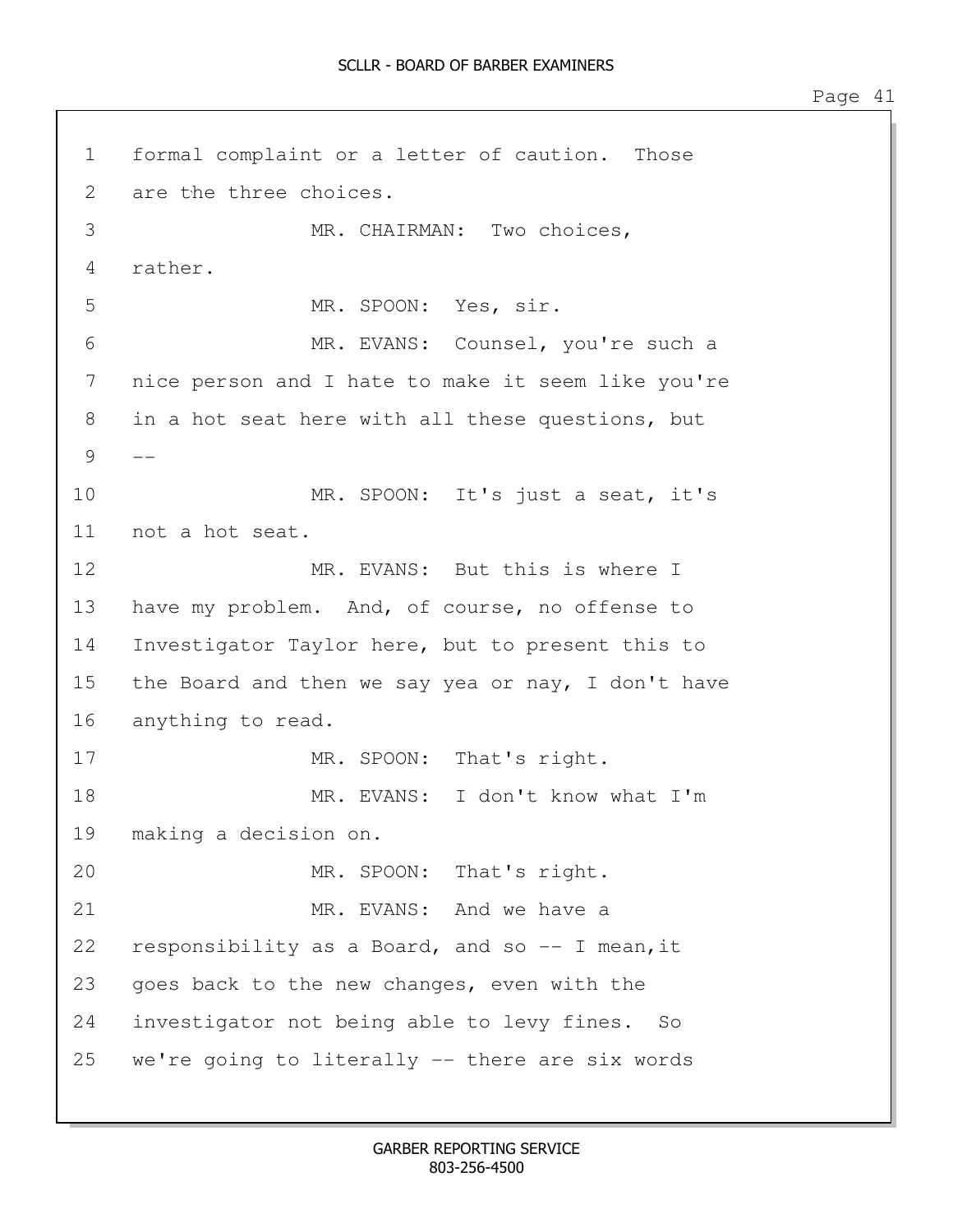1 formal complaint or a letter of caution. Those 2 are the three choices. 3 MR. CHAIRMAN: Two choices, 4 rather. 5 MR. SPOON: Yes, sir. 6 MR. EVANS: Counsel, you're such a 7 nice person and I hate to make it seem like you're 8 in a hot seat here with all these questions, but  $9 - -$ 10 MR. SPOON: It's just a seat, it's 11 not a hot seat. 12 MR. EVANS: But this is where I 13 have my problem. And, of course, no offense to 14 Investigator Taylor here, but to present this to 15 the Board and then we say yea or nay, I don't have 16 anything to read. 17 MR. SPOON: That's right. 18 MR. EVANS: I don't know what I'm 19 making a decision on. 20 MR. SPOON: That's right. 21 MR. EVANS: And we have a 22 responsibility as a Board, and so -- I mean,it 23 goes back to the new changes, even with the 24 investigator not being able to levy fines. So 25 we're going to literally -- there are six words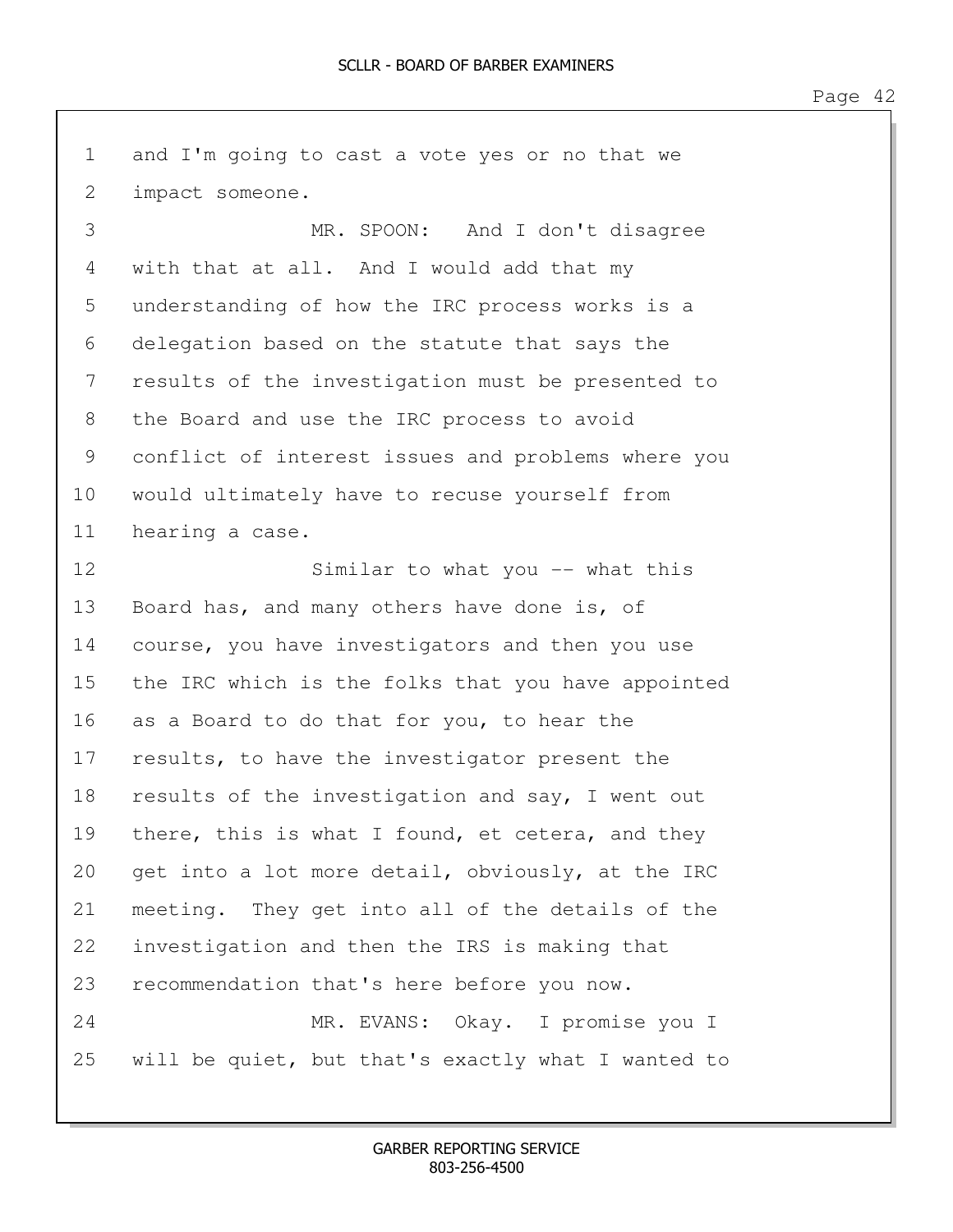1 and I'm going to cast a vote yes or no that we 2 impact someone. 3 MR. SPOON: And I don't disagree 4 with that at all. And I would add that my 5 understanding of how the IRC process works is a 6 delegation based on the statute that says the 7 results of the investigation must be presented to 8 the Board and use the IRC process to avoid 9 conflict of interest issues and problems where you 10 would ultimately have to recuse yourself from 11 hearing a case. 12 Similar to what you -- what this 13 Board has, and many others have done is, of 14 course, you have investigators and then you use 15 the IRC which is the folks that you have appointed 16 as a Board to do that for you, to hear the 17 results, to have the investigator present the 18 results of the investigation and say, I went out 19 there, this is what I found, et cetera, and they 20 get into a lot more detail, obviously, at the IRC 21 meeting. They get into all of the details of the 22 investigation and then the IRS is making that 23 recommendation that's here before you now. 24 MR. EVANS: Okay. I promise you I 25 will be quiet, but that's exactly what I wanted to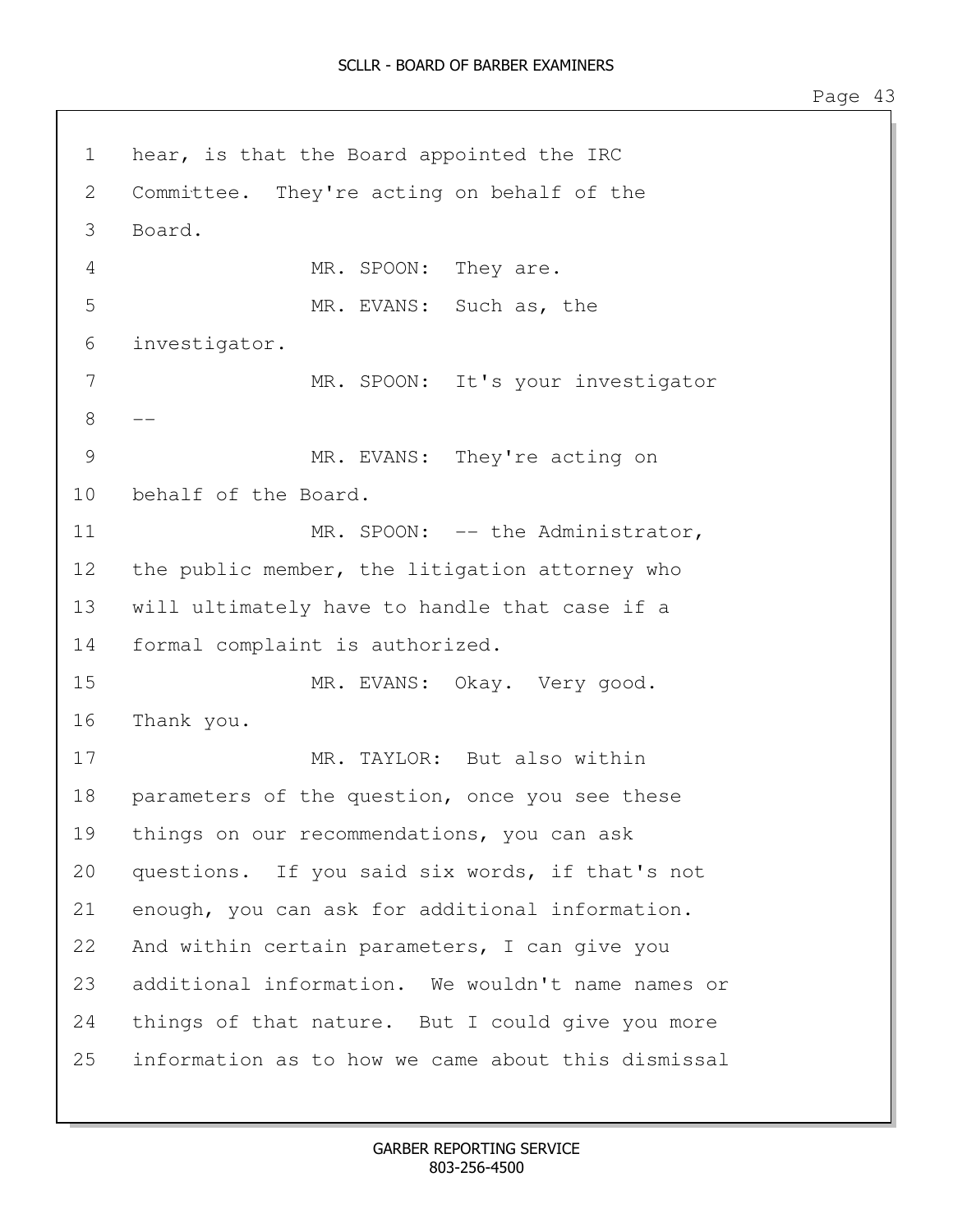1 hear, is that the Board appointed the IRC 2 Committee. They're acting on behalf of the 3 Board. 4 MR. SPOON: They are. 5 MR. EVANS: Such as, the 6 investigator. 7 MR. SPOON: It's your investigator 8 9 MR. EVANS: They're acting on 10 behalf of the Board. 11 MR. SPOON: -- the Administrator, 12 the public member, the litigation attorney who 13 will ultimately have to handle that case if a 14 formal complaint is authorized. 15 MR. EVANS: Okay. Very good. 16 Thank you. 17 MR. TAYLOR: But also within 18 parameters of the question, once you see these 19 things on our recommendations, you can ask 20 questions. If you said six words, if that's not 21 enough, you can ask for additional information. 22 And within certain parameters, I can give you 23 additional information. We wouldn't name names or 24 things of that nature. But I could give you more 25 information as to how we came about this dismissal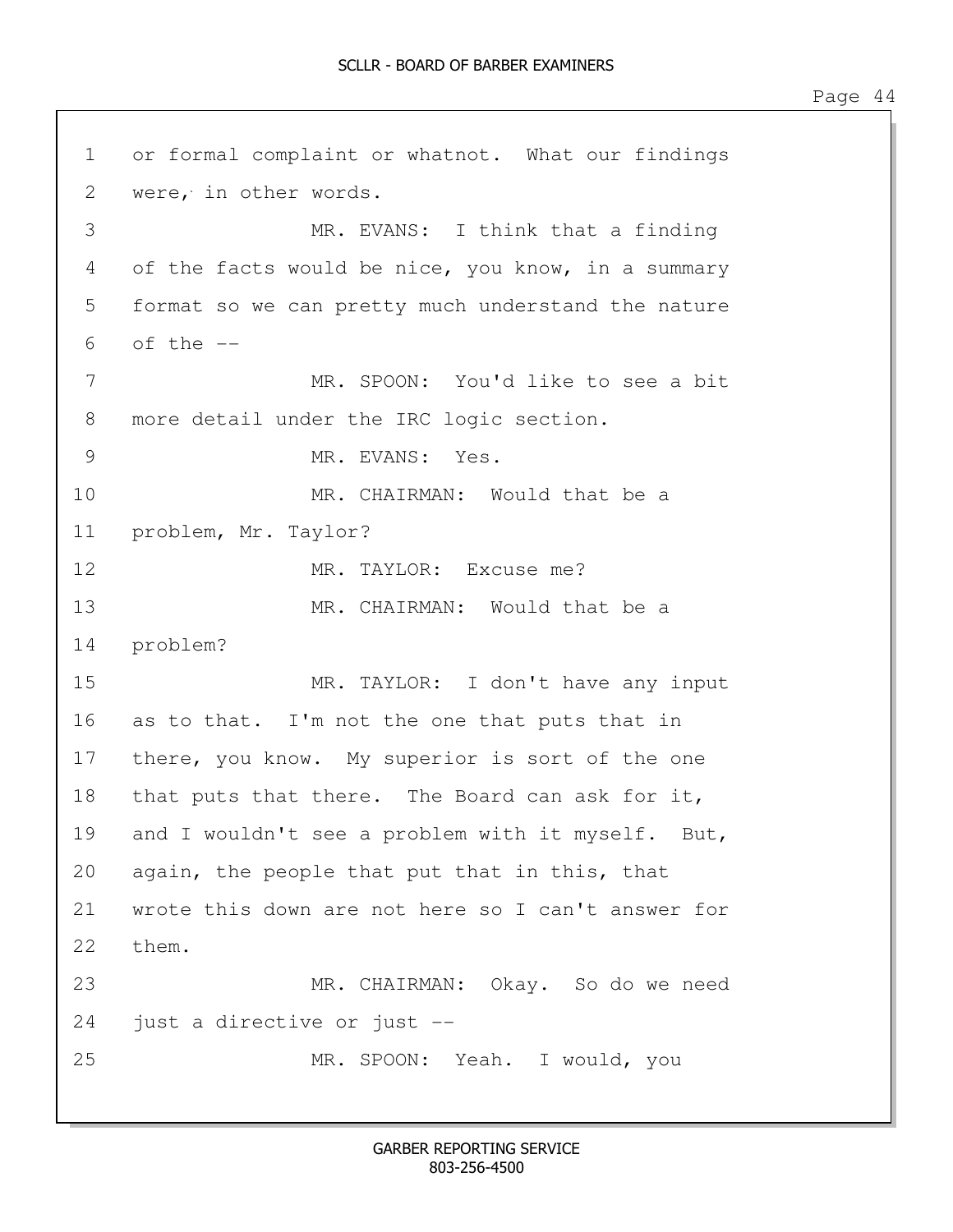1 or formal complaint or whatnot. What our findings 2 were, in other words. 3 MR. EVANS: I think that a finding 4 of the facts would be nice, you know, in a summary 5 format so we can pretty much understand the nature  $6$  of the  $-$ 7 MR. SPOON: You'd like to see a bit 8 more detail under the IRC logic section. 9 MR. EVANS: Yes. 10 MR. CHAIRMAN: Would that be a 11 problem, Mr. Taylor? 12 MR. TAYLOR: Excuse me? 13 MR. CHAIRMAN: Would that be a 14 problem? 15 MR. TAYLOR: I don't have any input 16 as to that. I'm not the one that puts that in 17 there, you know. My superior is sort of the one 18 that puts that there. The Board can ask for it, 19 and I wouldn't see a problem with it myself. But, 20 again, the people that put that in this, that 21 wrote this down are not here so I can't answer for 22 them. 23 MR. CHAIRMAN: Okay. So do we need 24 just a directive or just -- 25 MR. SPOON: Yeah. I would, you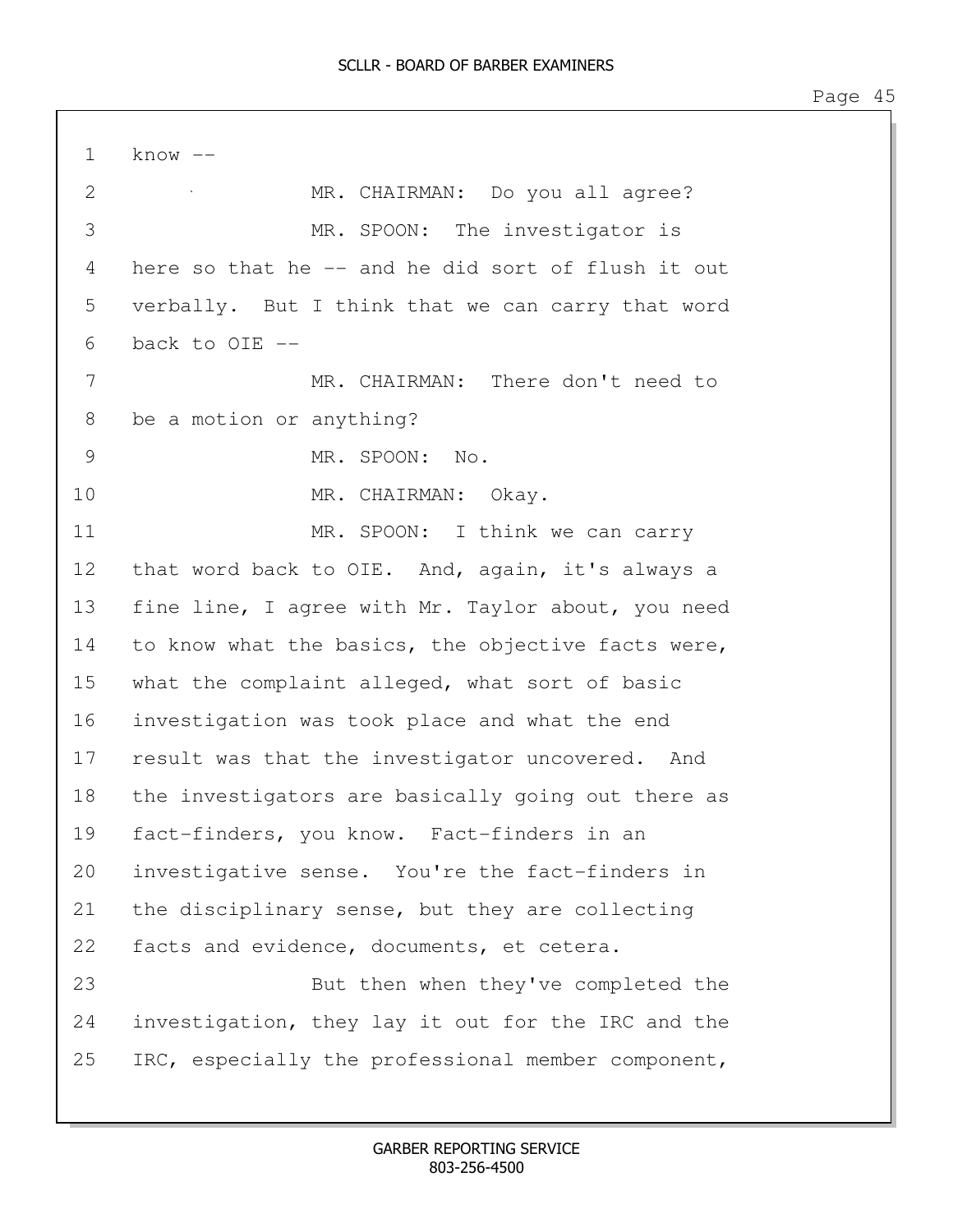| $\cup$ |  |
|--------|--|
|        |  |

 $1$  know  $-$ 2 MR. CHAIRMAN: Do you all agree? 3 MR. SPOON: The investigator is 4 here so that he -- and he did sort of flush it out 5 verbally. But I think that we can carry that word 6 back to OIE -- 7 MR. CHAIRMAN: There don't need to 8 be a motion or anything? 9 MR. SPOON: No. 10 MR. CHAIRMAN: Okay. 11 MR. SPOON: I think we can carry 12 that word back to OIE. And, again, it's always a 13 fine line, I agree with Mr. Taylor about, you need 14 to know what the basics, the objective facts were, 15 what the complaint alleged, what sort of basic 16 investigation was took place and what the end 17 result was that the investigator uncovered. And 18 the investigators are basically going out there as 19 fact-finders, you know. Fact-finders in an 20 investigative sense. You're the fact-finders in 21 the disciplinary sense, but they are collecting 22 facts and evidence, documents, et cetera. 23 But then when they've completed the 24 investigation, they lay it out for the IRC and the 25 IRC, especially the professional member component,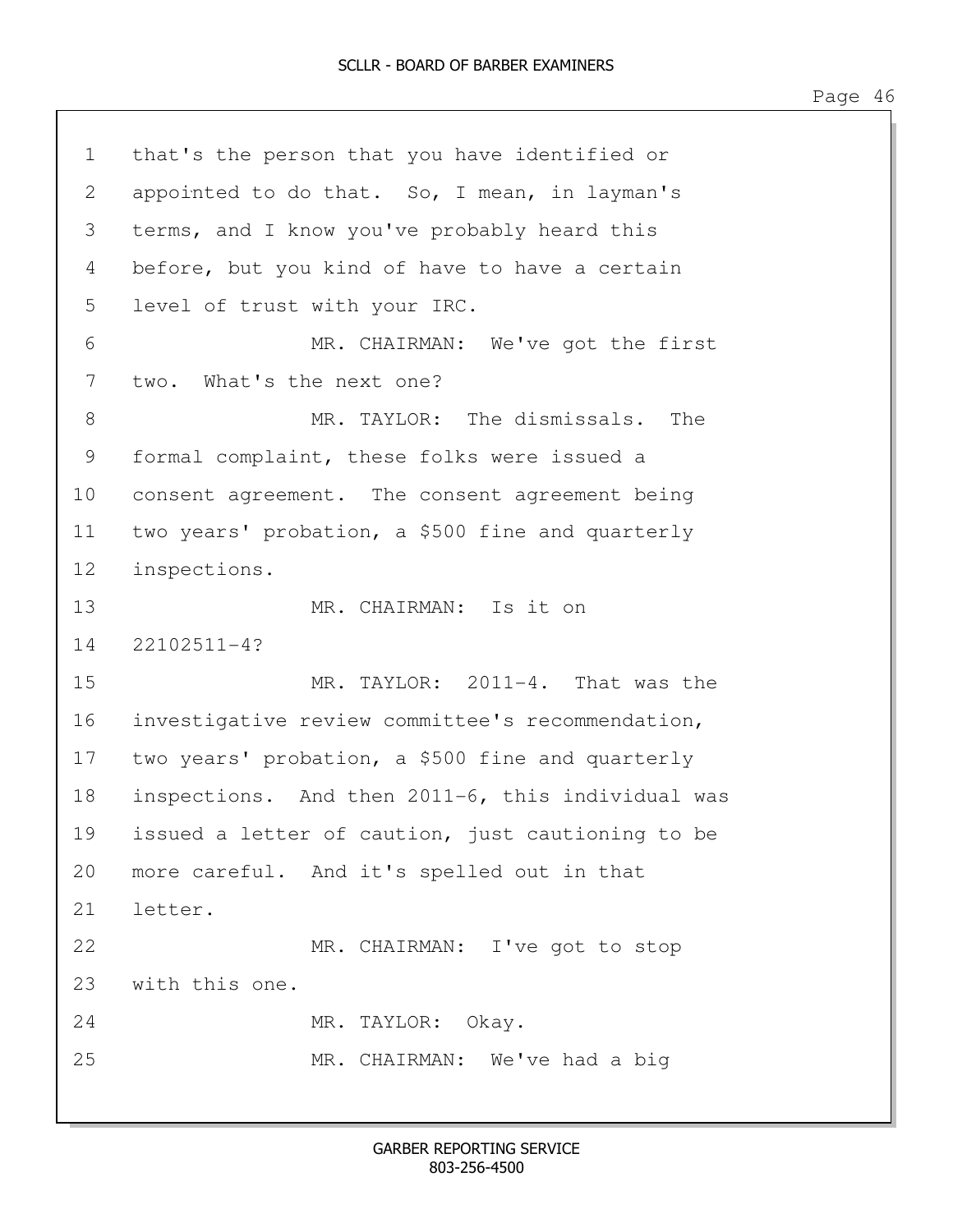1 that's the person that you have identified or 2 appointed to do that. So, I mean, in layman's 3 terms, and I know you've probably heard this 4 before, but you kind of have to have a certain 5 level of trust with your IRC. 6 MR. CHAIRMAN: We've got the first 7 two. What's the next one? 8 MR. TAYLOR: The dismissals. The 9 formal complaint, these folks were issued a 10 consent agreement. The consent agreement being 11 two years' probation, a \$500 fine and quarterly 12 inspections. 13 MR. CHAIRMAN: Is it on 14 22102511-4? 15 MR. TAYLOR: 2011-4. That was the 16 investigative review committee's recommendation, 17 two years' probation, a \$500 fine and quarterly 18 inspections. And then 2011-6, this individual was 19 issued a letter of caution, just cautioning to be 20 more careful. And it's spelled out in that 21 letter. 22 MR. CHAIRMAN: I've got to stop 23 with this one. 24 MR. TAYLOR: Okay. 25 MR. CHAIRMAN: We've had a big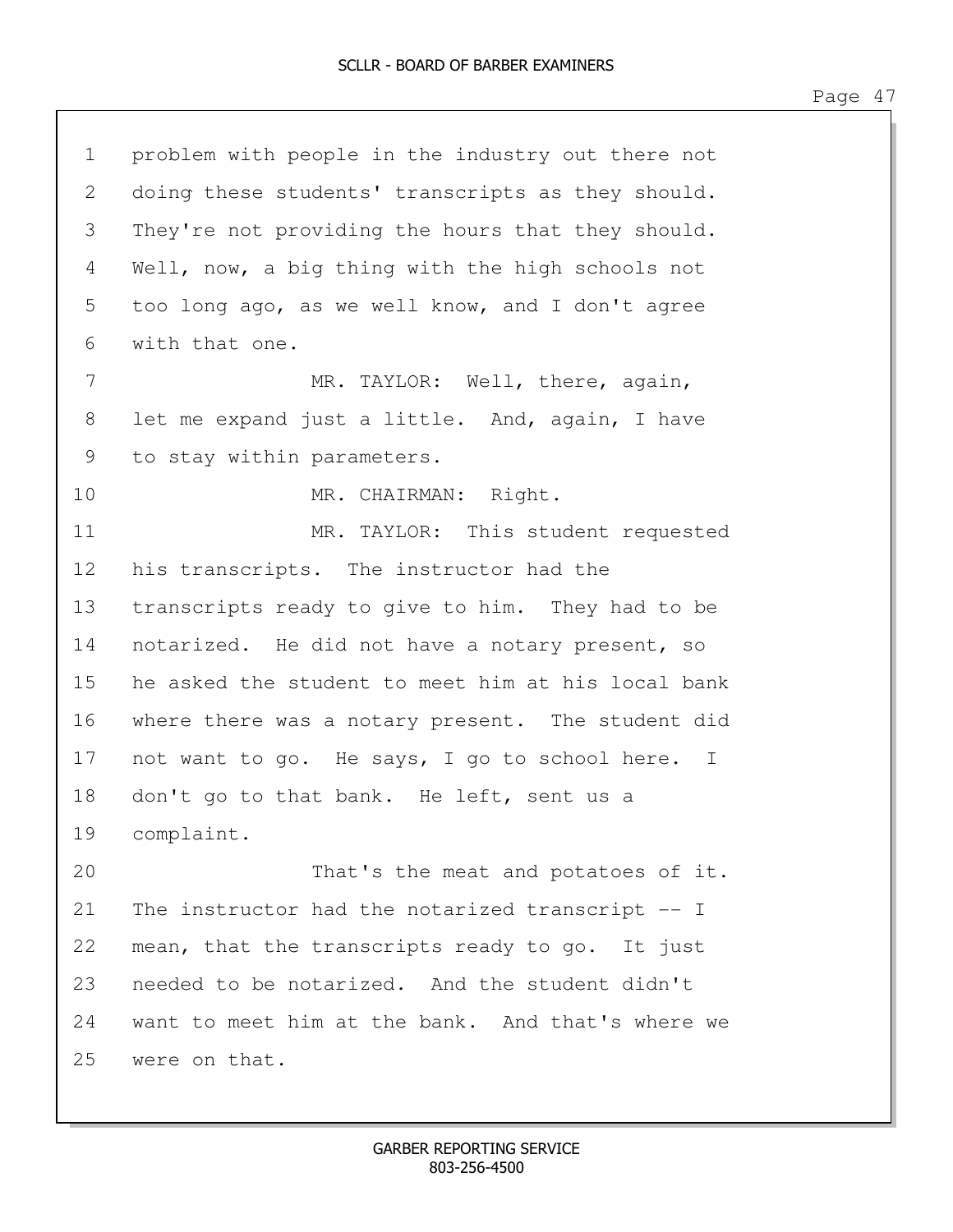| $\mathbf 1$ | problem with people in the industry out there not  |
|-------------|----------------------------------------------------|
| 2           | doing these students' transcripts as they should.  |
| 3           | They're not providing the hours that they should.  |
| 4           | Well, now, a big thing with the high schools not   |
| 5           | too long ago, as we well know, and I don't agree   |
| 6           | with that one.                                     |
| 7           | MR. TAYLOR: Well, there, again,                    |
| 8           | let me expand just a little. And, again, I have    |
| 9           | to stay within parameters.                         |
| 10          | MR. CHAIRMAN: Right.                               |
| 11          | MR. TAYLOR: This student requested                 |
| 12          | his transcripts. The instructor had the            |
| 13          | transcripts ready to give to him. They had to be   |
| 14          | notarized. He did not have a notary present, so    |
| 15          | he asked the student to meet him at his local bank |
| 16          | where there was a notary present. The student did  |
| 17          | not want to go. He says, I go to school here. I    |
| 18          | don't go to that bank. He left, sent us a          |
| 19          | complaint.                                         |
| 20          | That's the meat and potatoes of it.                |
| 21          | The instructor had the notarized transcript -- I   |
| 22          | mean, that the transcripts ready to go. It just    |
| 23          | needed to be notarized. And the student didn't     |
| 24          | want to meet him at the bank. And that's where we  |
| 25          | were on that.                                      |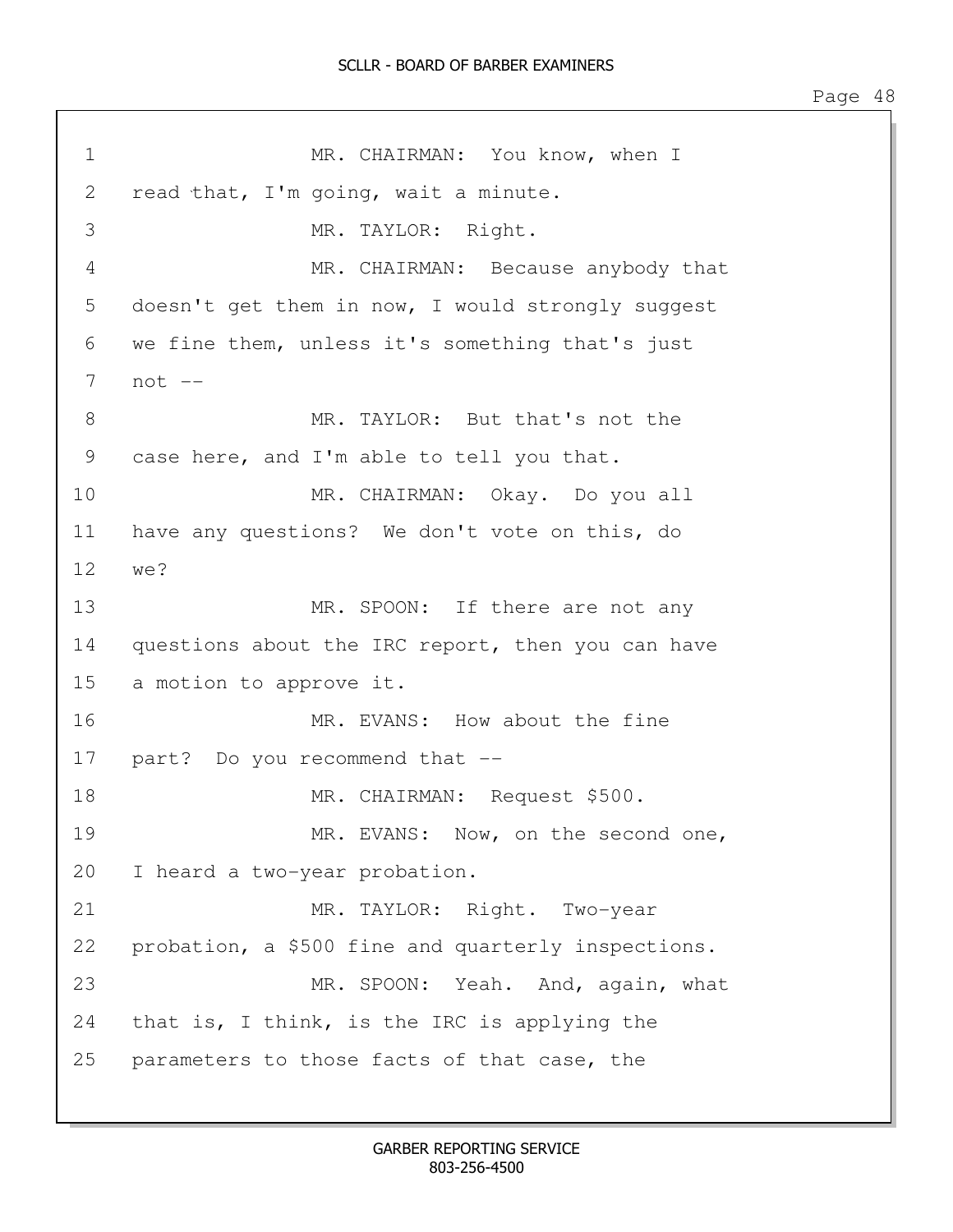1 MR. CHAIRMAN: You know, when I 2 read that, I'm going, wait a minute. 3 MR. TAYLOR: Right. 4 MR. CHAIRMAN: Because anybody that 5 doesn't get them in now, I would strongly suggest 6 we fine them, unless it's something that's just 7 not -- 8 MR. TAYLOR: But that's not the 9 case here, and I'm able to tell you that. 10 MR. CHAIRMAN: Okay. Do you all 11 have any questions? We don't vote on this, do 12 we? 13 MR. SPOON: If there are not any 14 questions about the IRC report, then you can have 15 a motion to approve it. 16 MR. EVANS: How about the fine 17 part? Do you recommend that -- 18 MR. CHAIRMAN: Request \$500. 19 MR. EVANS: Now, on the second one, 20 I heard a two-year probation. 21 MR. TAYLOR: Right. Two-year 22 probation, a \$500 fine and quarterly inspections. 23 MR. SPOON: Yeah. And, again, what 24 that is, I think, is the IRC is applying the 25 parameters to those facts of that case, the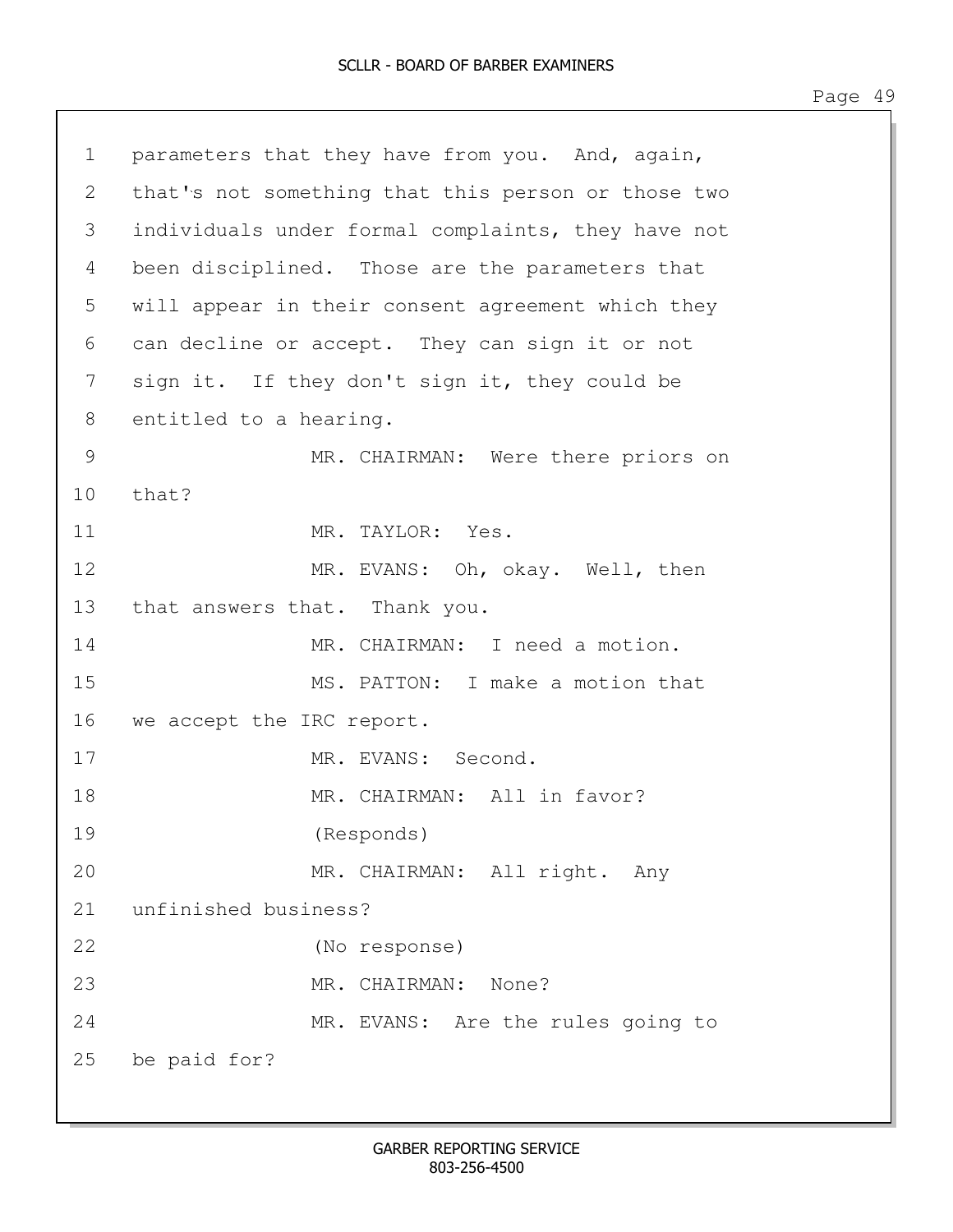| $1 -$ | parameters that they have from you. And, again,    |
|-------|----------------------------------------------------|
| 2     | that's not something that this person or those two |
| 3     | individuals under formal complaints, they have not |
| 4     | been disciplined. Those are the parameters that    |
| 5     | will appear in their consent agreement which they  |
| 6     | can decline or accept. They can sign it or not     |
| 7     | sign it. If they don't sign it, they could be      |
| 8     | entitled to a hearing.                             |
| 9     | MR. CHAIRMAN: Were there priors on                 |
| 10    | that?                                              |
| 11    | MR. TAYLOR: Yes.                                   |
| 12    | MR. EVANS: Oh, okay. Well, then                    |
| 13    | that answers that. Thank you.                      |
| 14    | MR. CHAIRMAN: I need a motion.                     |
| 15    | MS. PATTON: I make a motion that                   |
| 16    | we accept the IRC report.                          |
| 17    | MR. EVANS: Second.                                 |
| 18    | MR. CHAIRMAN: All in favor?                        |
| 19    | (Responds)                                         |
| 20    | MR. CHAIRMAN: All right. Any                       |
| 21    | unfinished business?                               |
| 22    | (No response)                                      |
| 23    | MR. CHAIRMAN: None?                                |
| 24    | MR. EVANS: Are the rules going to                  |
| 25    | be paid for?                                       |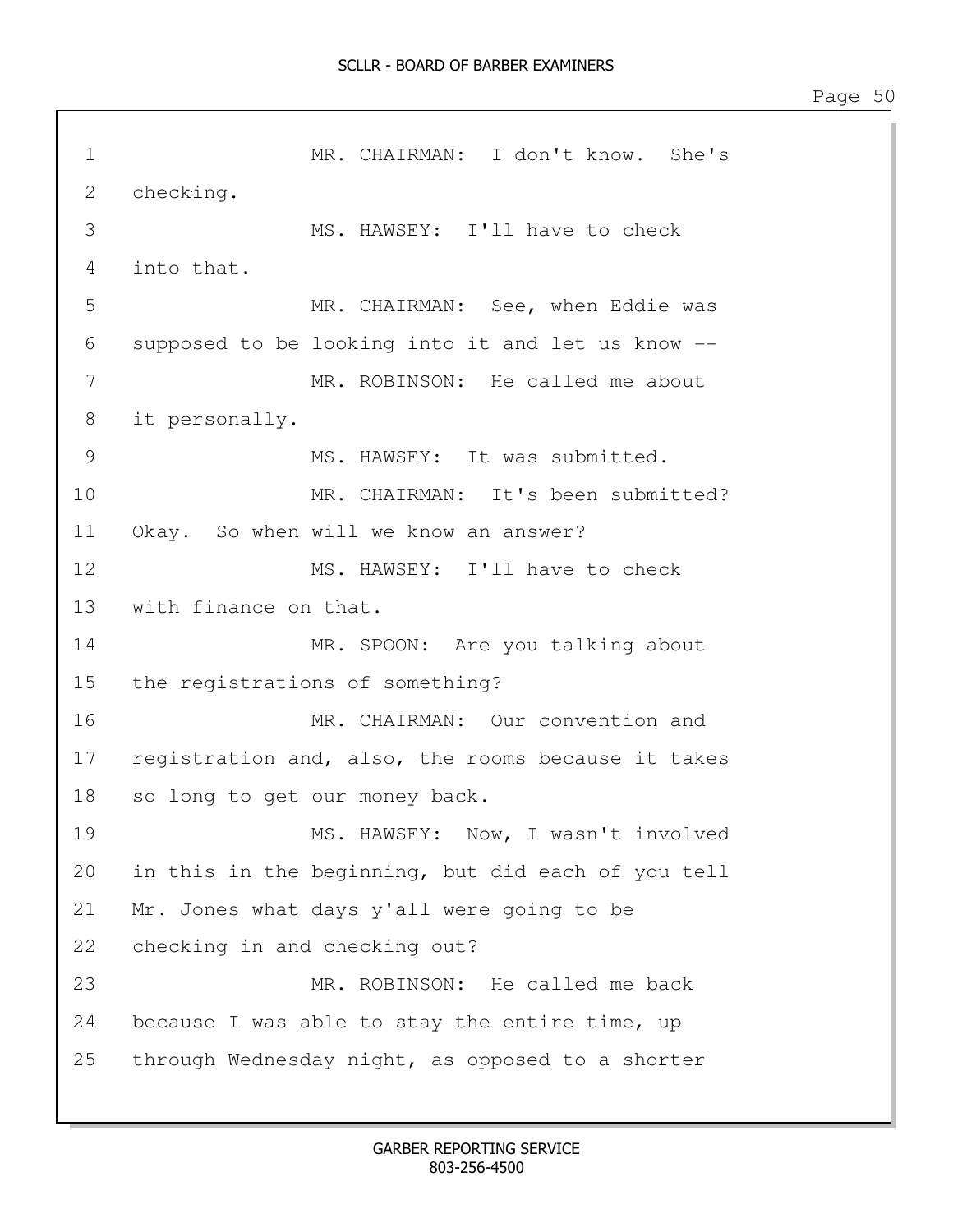1 MR. CHAIRMAN: I don't know. She's 2 checking. 3 MS. HAWSEY: I'll have to check 4 into that. 5 MR. CHAIRMAN: See, when Eddie was 6 supposed to be looking into it and let us know -- 7 MR. ROBINSON: He called me about 8 it personally. 9 MS. HAWSEY: It was submitted. 10 MR. CHAIRMAN: It's been submitted? 11 Okay. So when will we know an answer? 12 MS. HAWSEY: I'll have to check 13 with finance on that. 14 MR. SPOON: Are you talking about 15 the registrations of something? 16 MR. CHAIRMAN: Our convention and 17 registration and, also, the rooms because it takes 18 so long to get our money back. 19 MS. HAWSEY: Now, I wasn't involved 20 in this in the beginning, but did each of you tell 21 Mr. Jones what days y'all were going to be 22 checking in and checking out? 23 MR. ROBINSON: He called me back 24 because I was able to stay the entire time, up 25 through Wednesday night, as opposed to a shorter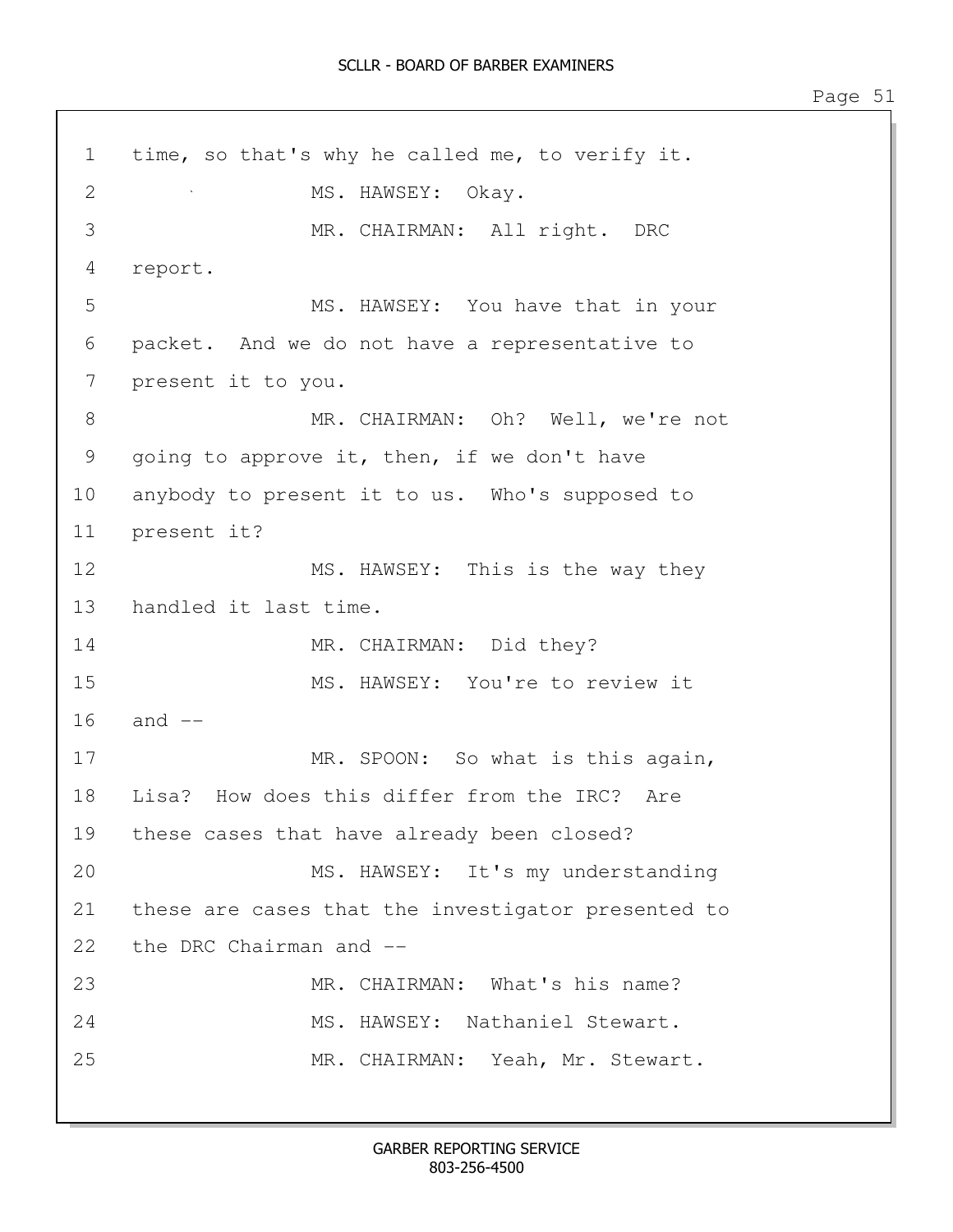1 time, so that's why he called me, to verify it. 2 MS. HAWSEY: Okay. 3 MR. CHAIRMAN: All right. DRC 4 report. 5 MS. HAWSEY: You have that in your 6 packet. And we do not have a representative to 7 present it to you. 8 MR. CHAIRMAN: Oh? Well, we're not 9 going to approve it, then, if we don't have 10 anybody to present it to us. Who's supposed to 11 present it? 12 MS. HAWSEY: This is the way they 13 handled it last time. 14 MR. CHAIRMAN: Did they? 15 MS. HAWSEY: You're to review it 16 and -- 17 MR. SPOON: So what is this again, 18 Lisa? How does this differ from the IRC? Are 19 these cases that have already been closed? 20 MS. HAWSEY: It's my understanding 21 these are cases that the investigator presented to 22 the DRC Chairman and -- 23 MR. CHAIRMAN: What's his name? 24 MS. HAWSEY: Nathaniel Stewart. 25 MR. CHAIRMAN: Yeah, Mr. Stewart.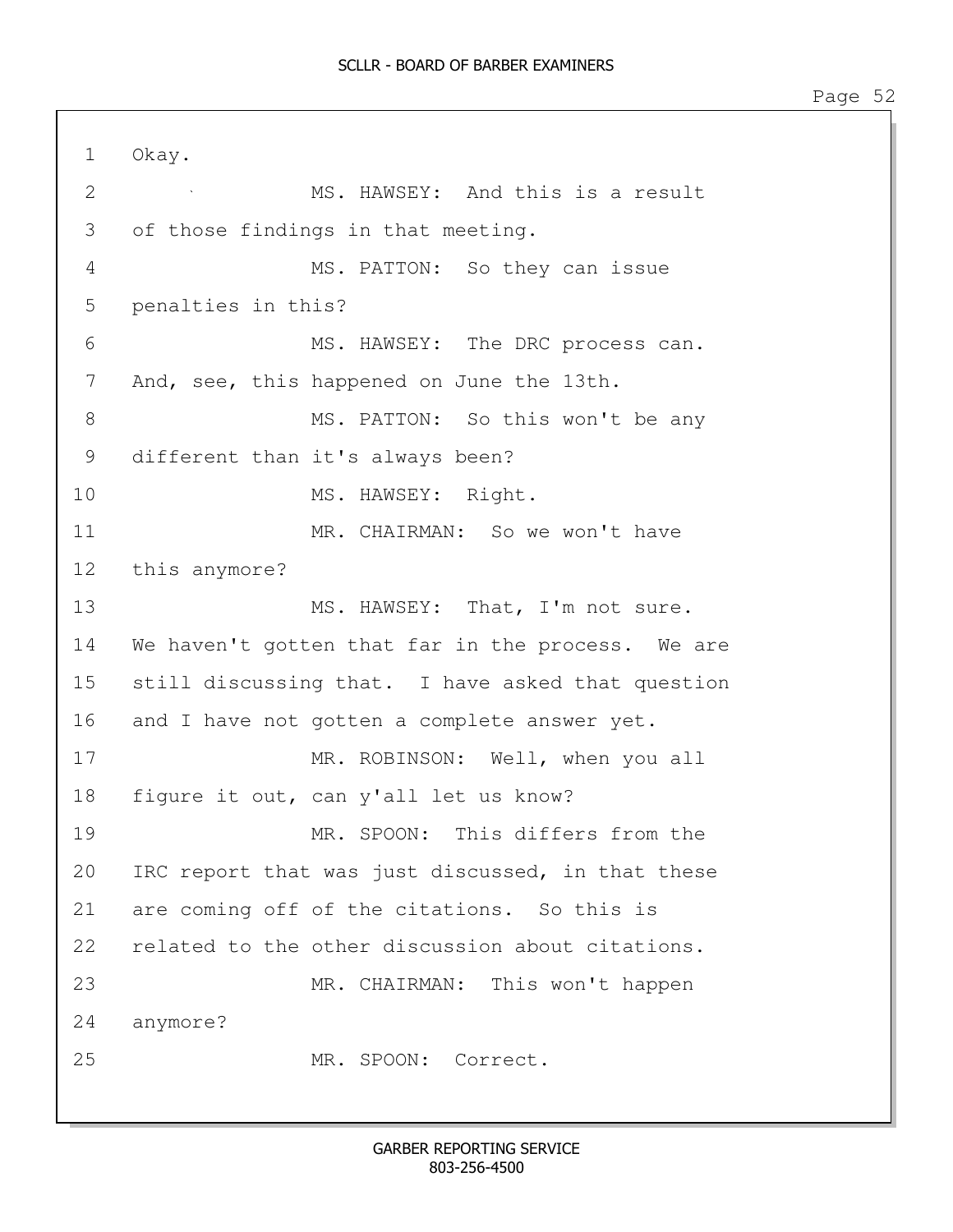1 Okay. 2 MS. HAWSEY: And this is a result 3 of those findings in that meeting. 4 MS. PATTON: So they can issue 5 penalties in this? 6 MS. HAWSEY: The DRC process can. 7 And, see, this happened on June the 13th. 8 MS. PATTON: So this won't be any 9 different than it's always been? 10 MS. HAWSEY: Right. 11 MR. CHAIRMAN: So we won't have 12 this anymore? 13 MS. HAWSEY: That, I'm not sure. 14 We haven't gotten that far in the process. We are 15 still discussing that. I have asked that question 16 and I have not gotten a complete answer yet. 17 MR. ROBINSON: Well, when you all 18 figure it out, can y'all let us know? 19 MR. SPOON: This differs from the 20 IRC report that was just discussed, in that these 21 are coming off of the citations. So this is 22 related to the other discussion about citations. 23 MR. CHAIRMAN: This won't happen 24 anymore? 25 MR. SPOON: Correct.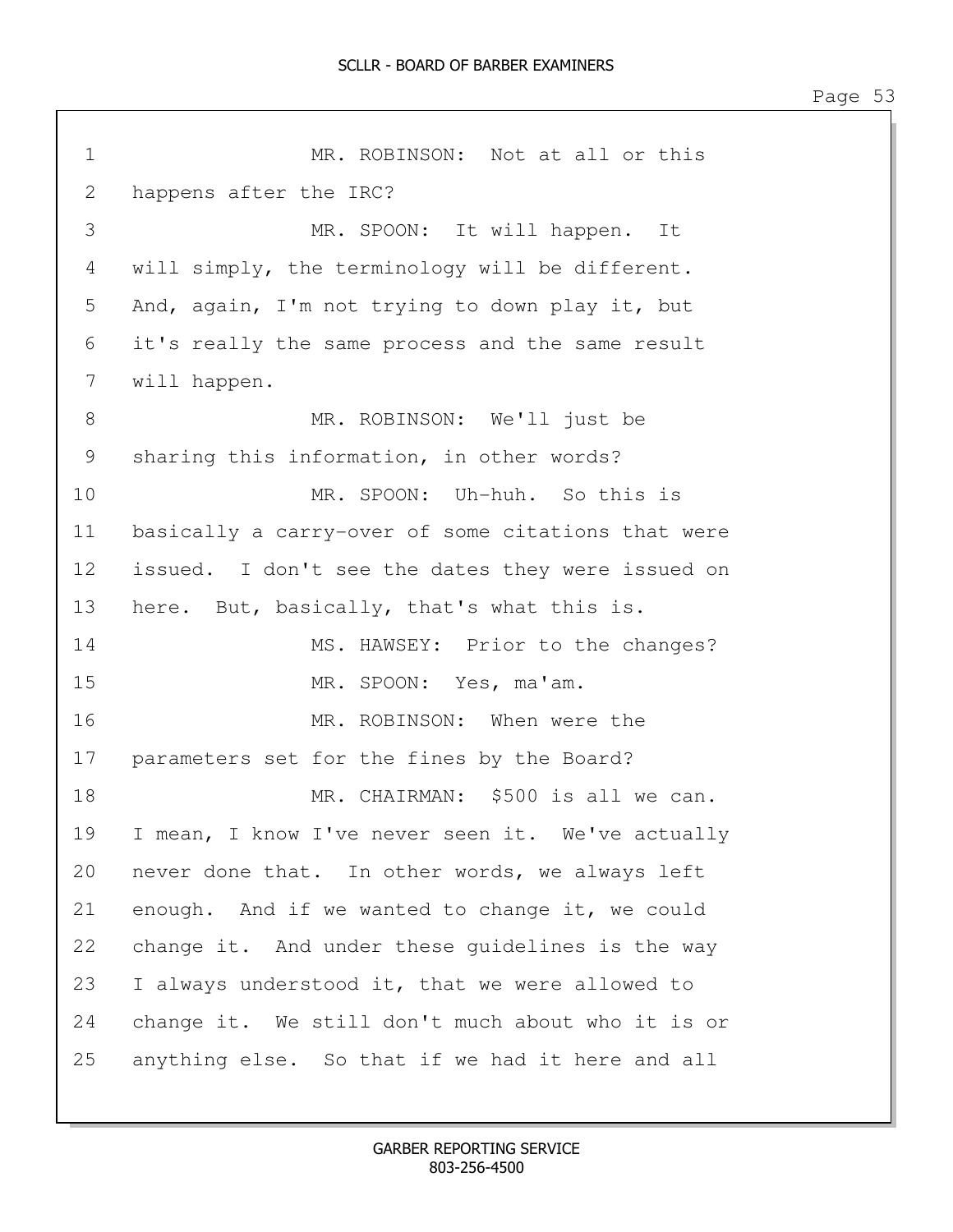1 MR. ROBINSON: Not at all or this 2 happens after the IRC? 3 MR. SPOON: It will happen. It 4 will simply, the terminology will be different. 5 And, again, I'm not trying to down play it, but 6 it's really the same process and the same result 7 will happen. 8 MR. ROBINSON: We'll just be 9 sharing this information, in other words? 10 MR. SPOON: Uh-huh. So this is 11 basically a carry-over of some citations that were 12 issued. I don't see the dates they were issued on 13 here. But, basically, that's what this is. 14 MS. HAWSEY: Prior to the changes? 15 MR. SPOON: Yes, ma'am. 16 MR. ROBINSON: When were the 17 parameters set for the fines by the Board? 18 MR. CHAIRMAN: \$500 is all we can. 19 I mean, I know I've never seen it. We've actually 20 never done that. In other words, we always left 21 enough. And if we wanted to change it, we could 22 change it. And under these guidelines is the way 23 I always understood it, that we were allowed to 24 change it. We still don't much about who it is or 25 anything else. So that if we had it here and all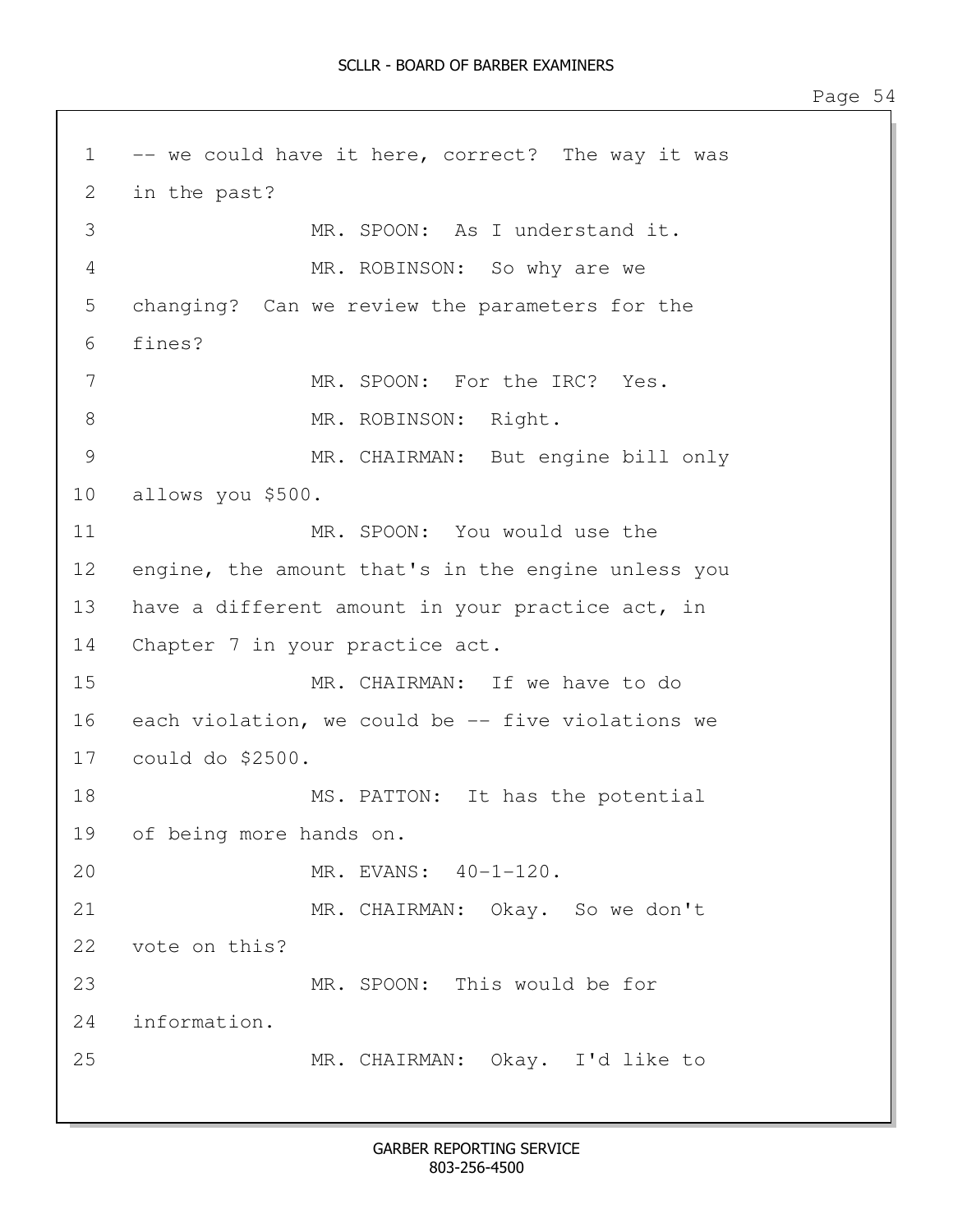1 -- we could have it here, correct? The way it was 2 in the past? 3 MR. SPOON: As I understand it. 4 MR. ROBINSON: So why are we 5 changing? Can we review the parameters for the 6 fines? 7 MR. SPOON: For the IRC? Yes. 8 MR. ROBINSON: Right. 9 MR. CHAIRMAN: But engine bill only 10 allows you \$500. 11 MR. SPOON: You would use the 12 engine, the amount that's in the engine unless you 13 have a different amount in your practice act, in 14 Chapter 7 in your practice act. 15 MR. CHAIRMAN: If we have to do 16 each violation, we could be -- five violations we 17 could do \$2500. 18 MS. PATTON: It has the potential 19 of being more hands on. 20 MR. EVANS: 40-1-120. 21 MR. CHAIRMAN: Okay. So we don't 22 vote on this? 23 MR. SPOON: This would be for 24 information. 25 MR. CHAIRMAN: Okay. I'd like to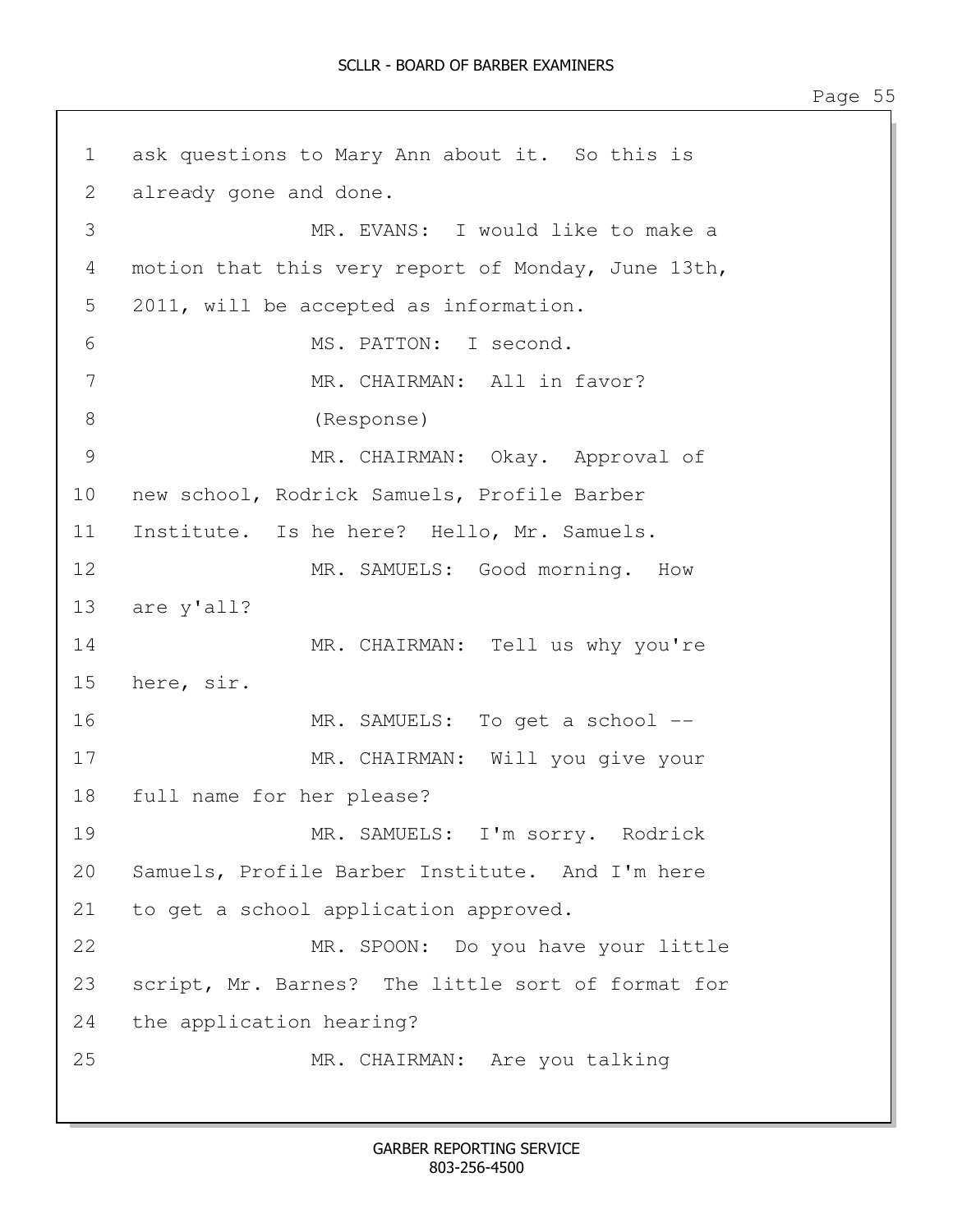1 ask questions to Mary Ann about it. So this is 2 already gone and done. 3 MR. EVANS: I would like to make a 4 motion that this very report of Monday, June 13th, 5 2011, will be accepted as information. 6 MS. PATTON: I second. 7 MR. CHAIRMAN: All in favor? 8 (Response) 9 MR. CHAIRMAN: Okay. Approval of 10 new school, Rodrick Samuels, Profile Barber 11 Institute. Is he here? Hello, Mr. Samuels. 12 MR. SAMUELS: Good morning. How 13 are y'all? 14 MR. CHAIRMAN: Tell us why you're 15 here, sir. 16 MR. SAMUELS: To get a school -- 17 MR. CHAIRMAN: Will you give your 18 full name for her please? 19 MR. SAMUELS: I'm sorry. Rodrick 20 Samuels, Profile Barber Institute. And I'm here 21 to get a school application approved. 22 MR. SPOON: Do you have your little 23 script, Mr. Barnes? The little sort of format for 24 the application hearing? 25 MR. CHAIRMAN: Are you talking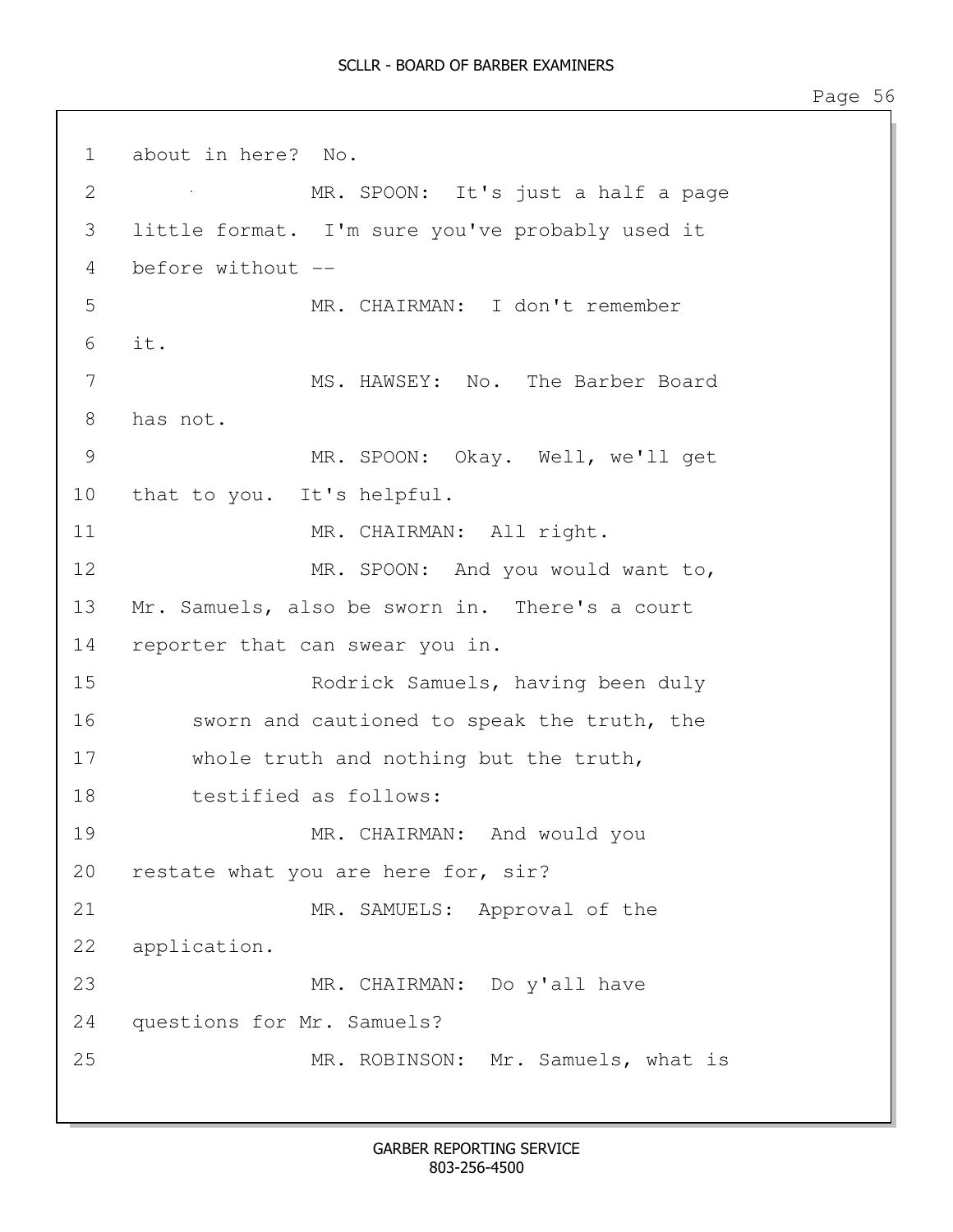1 about in here? No. 2 MR. SPOON: It's just a half a page 3 little format. I'm sure you've probably used it 4 before without -- 5 MR. CHAIRMAN: I don't remember 6 it. 7 MS. HAWSEY: No. The Barber Board 8 has not. 9 MR. SPOON: Okay. Well, we'll get 10 that to you. It's helpful. 11 MR. CHAIRMAN: All right. 12 MR. SPOON: And you would want to, 13 Mr. Samuels, also be sworn in. There's a court 14 reporter that can swear you in. 15 Rodrick Samuels, having been duly 16 sworn and cautioned to speak the truth, the 17 whole truth and nothing but the truth, 18 testified as follows: 19 MR. CHAIRMAN: And would you 20 restate what you are here for, sir? 21 MR. SAMUELS: Approval of the 22 application. 23 MR. CHAIRMAN: Do y'all have 24 questions for Mr. Samuels? 25 MR. ROBINSON: Mr. Samuels, what is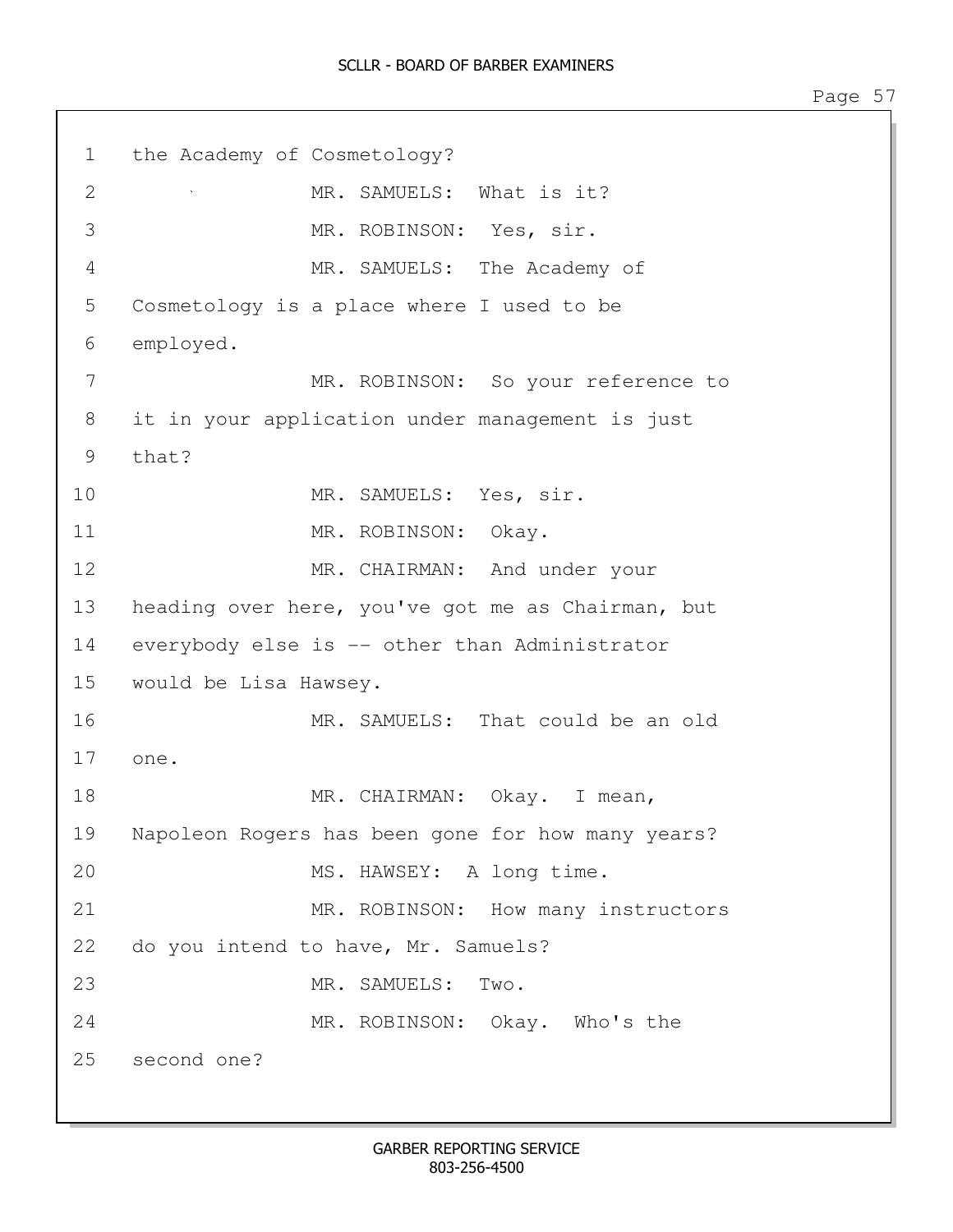1 the Academy of Cosmetology? 2 MR. SAMUELS: What is it? 3 MR. ROBINSON: Yes, sir. 4 MR. SAMUELS: The Academy of 5 Cosmetology is a place where I used to be 6 employed. 7 MR. ROBINSON: So your reference to 8 it in your application under management is just 9 that? 10 MR. SAMUELS: Yes, sir. 11 MR. ROBINSON: Okay. 12 MR. CHAIRMAN: And under your 13 heading over here, you've got me as Chairman, but 14 everybody else is -- other than Administrator 15 would be Lisa Hawsey. 16 MR. SAMUELS: That could be an old 17 one. 18 MR. CHAIRMAN: Okay. I mean, 19 Napoleon Rogers has been gone for how many years? 20 MS. HAWSEY: A long time. 21 MR. ROBINSON: How many instructors 22 do you intend to have, Mr. Samuels? 23 MR. SAMUELS: Two. 24 MR. ROBINSON: Okay. Who's the 25 second one?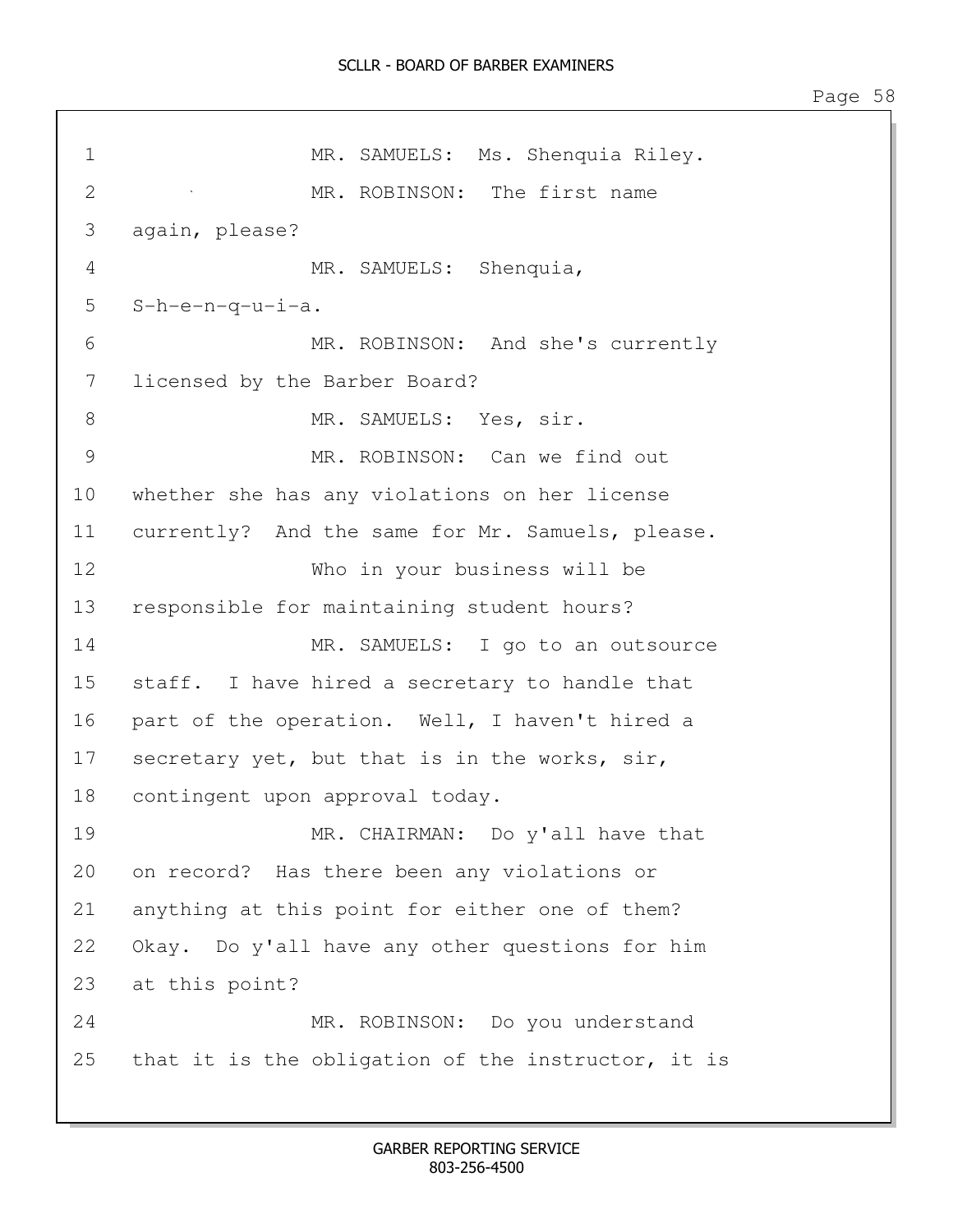1 MR. SAMUELS: Ms. Shenquia Riley. 2 MR. ROBINSON: The first name 3 again, please? 4 MR. SAMUELS: Shenquia, 5 S-h-e-n-q-u-i-a. 6 MR. ROBINSON: And she's currently 7 licensed by the Barber Board? 8 MR. SAMUELS: Yes, sir. 9 MR. ROBINSON: Can we find out 10 whether she has any violations on her license 11 currently? And the same for Mr. Samuels, please. 12 Who in your business will be 13 responsible for maintaining student hours? 14 MR. SAMUELS: I go to an outsource 15 staff. I have hired a secretary to handle that 16 part of the operation. Well, I haven't hired a 17 secretary yet, but that is in the works, sir, 18 contingent upon approval today. 19 MR. CHAIRMAN: Do y'all have that 20 on record? Has there been any violations or 21 anything at this point for either one of them? 22 Okay. Do y'all have any other questions for him 23 at this point? 24 MR. ROBINSON: Do you understand 25 that it is the obligation of the instructor, it is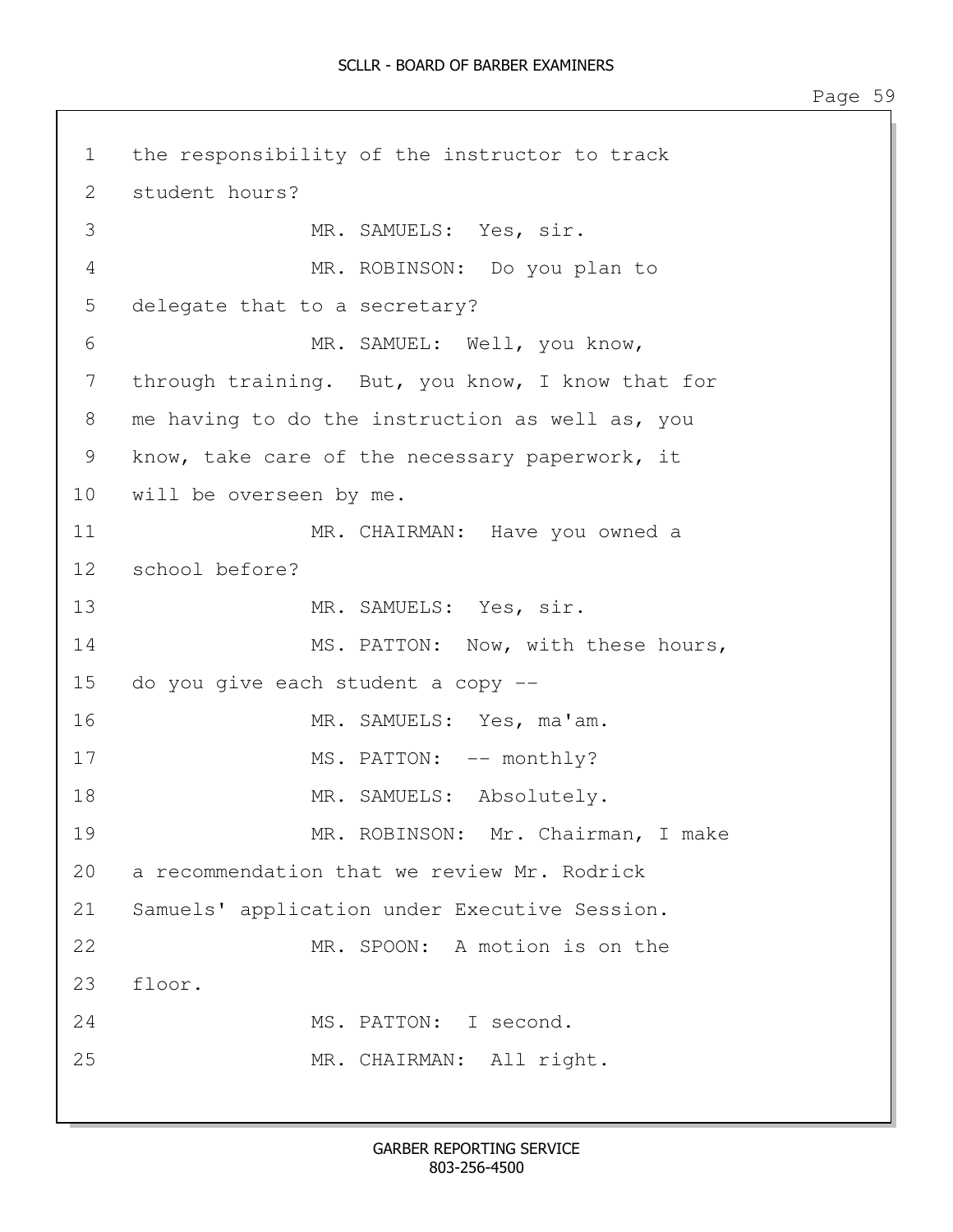1 the responsibility of the instructor to track 2 student hours? 3 MR. SAMUELS: Yes, sir. 4 MR. ROBINSON: Do you plan to 5 delegate that to a secretary? 6 MR. SAMUEL: Well, you know, 7 through training. But, you know, I know that for 8 me having to do the instruction as well as, you 9 know, take care of the necessary paperwork, it 10 will be overseen by me. 11 MR. CHAIRMAN: Have you owned a 12 school before? 13 MR. SAMUELS: Yes, sir. 14 MS. PATTON: Now, with these hours, 15 do you give each student a copy -- 16 MR. SAMUELS: Yes, ma'am. 17 MS. PATTON:  $--$  monthly? 18 MR. SAMUELS: Absolutely. 19 MR. ROBINSON: Mr. Chairman, I make 20 a recommendation that we review Mr. Rodrick 21 Samuels' application under Executive Session. 22 MR. SPOON: A motion is on the 23 floor. 24 MS. PATTON: I second. 25 MR. CHAIRMAN: All right.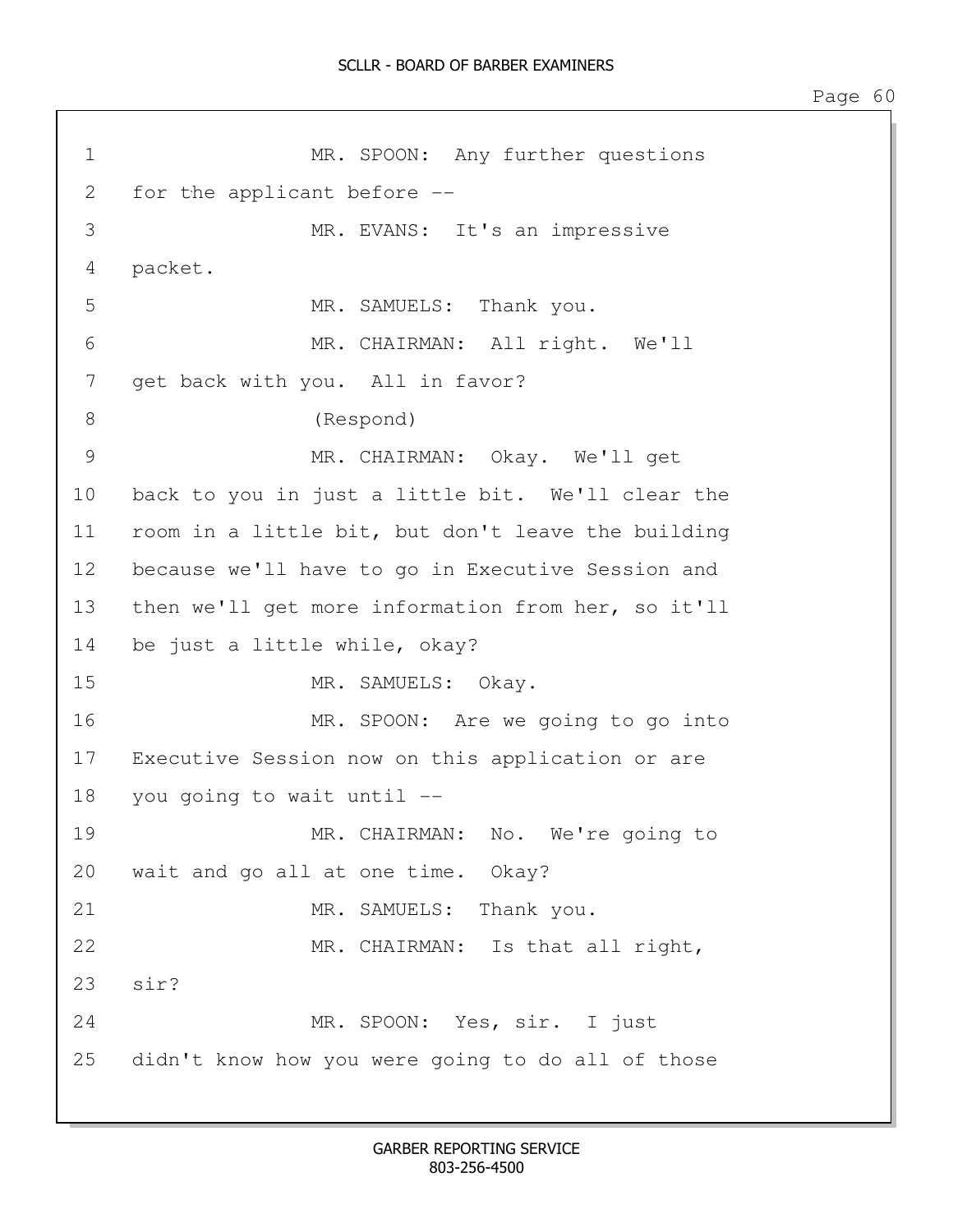1 MR. SPOON: Any further questions 2 for the applicant before -- 3 MR. EVANS: It's an impressive 4 packet. 5 MR. SAMUELS: Thank you. 6 MR. CHAIRMAN: All right. We'll 7 get back with you. All in favor? 8 (Respond) 9 MR. CHAIRMAN: Okay. We'll get 10 back to you in just a little bit. We'll clear the 11 room in a little bit, but don't leave the building 12 because we'll have to go in Executive Session and 13 then we'll get more information from her, so it'll 14 be just a little while, okay? 15 MR. SAMUELS: Okay. 16 MR. SPOON: Are we going to go into 17 Executive Session now on this application or are 18 you going to wait until -- 19 MR. CHAIRMAN: No. We're going to 20 wait and go all at one time. Okay? 21 MR. SAMUELS: Thank you. 22 MR. CHAIRMAN: Is that all right, 23 sir? 24 MR. SPOON: Yes, sir. I just 25 didn't know how you were going to do all of those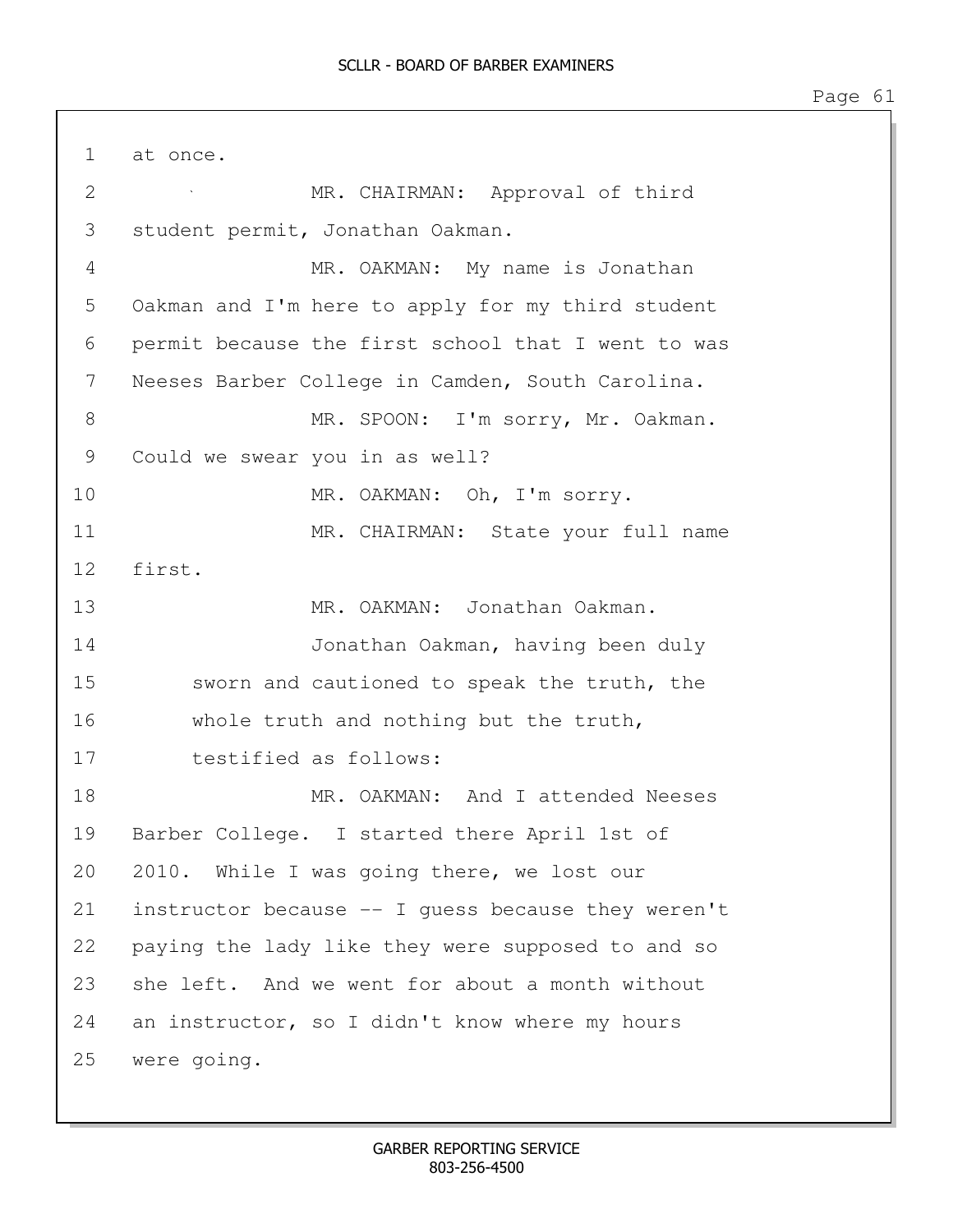1 at once. 2 MR. CHAIRMAN: Approval of third 3 student permit, Jonathan Oakman. 4 MR. OAKMAN: My name is Jonathan 5 Oakman and I'm here to apply for my third student 6 permit because the first school that I went to was 7 Neeses Barber College in Camden, South Carolina. 8 MR. SPOON: I'm sorry, Mr. Oakman. 9 Could we swear you in as well? 10 MR. OAKMAN: Oh, I'm sorry. 11 MR. CHAIRMAN: State your full name 12 first. 13 MR. OAKMAN: Jonathan Oakman. 14 Jonathan Oakman, having been duly 15 sworn and cautioned to speak the truth, the 16 whole truth and nothing but the truth, 17 testified as follows: 18 MR. OAKMAN: And I attended Neeses 19 Barber College. I started there April 1st of 20 2010. While I was going there, we lost our 21 instructor because -- I guess because they weren't 22 paying the lady like they were supposed to and so 23 she left. And we went for about a month without 24 an instructor, so I didn't know where my hours 25 were going.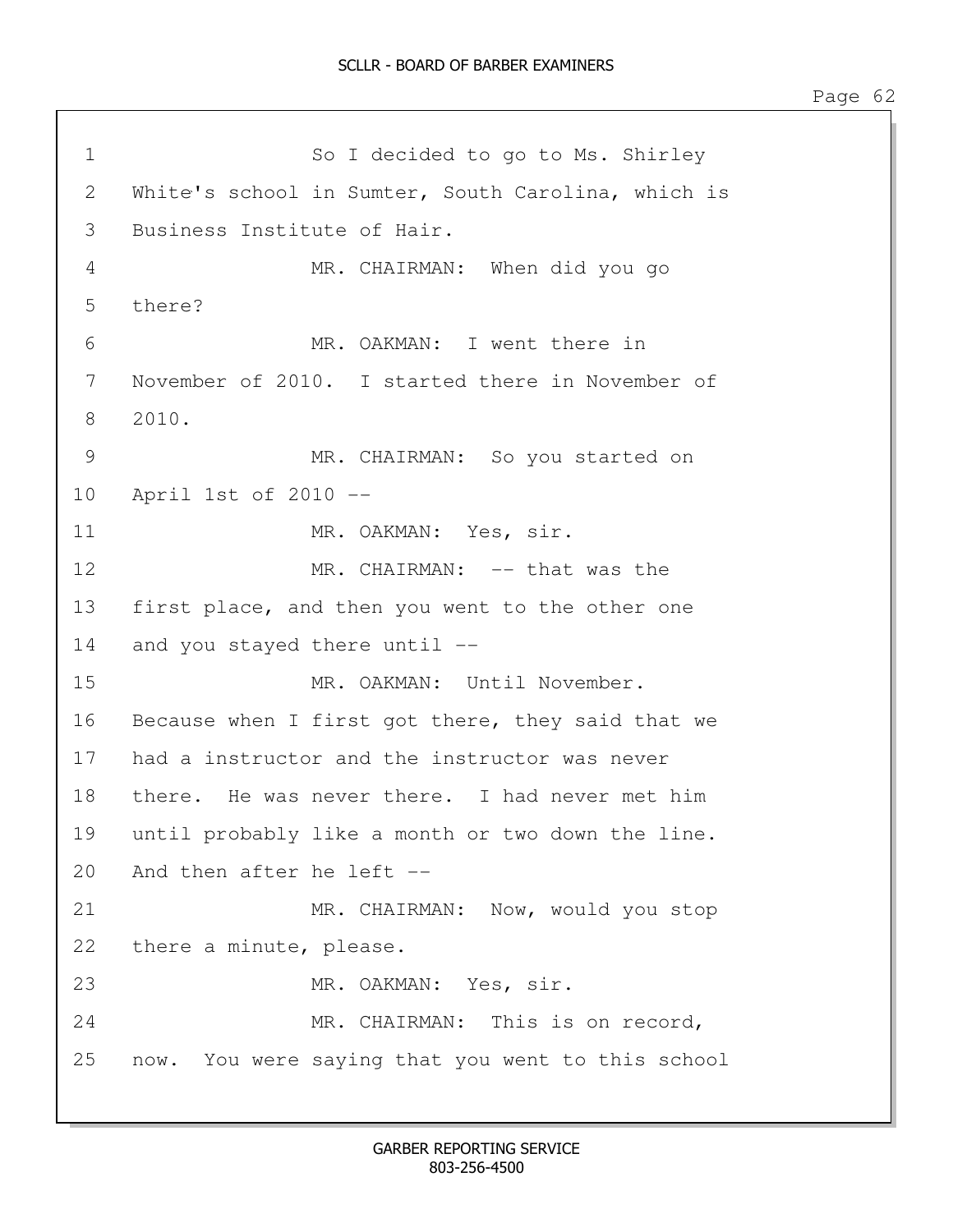```
1 So I decided to go to Ms. Shirley
2 White's school in Sumter, South Carolina, which is
3 Business Institute of Hair.
4 MR. CHAIRMAN: When did you go 
5 there?
6 MR. OAKMAN: I went there in 
7 November of 2010. I started there in November of 
8 2010.
9 MR. CHAIRMAN: So you started on 
10 April 1st of 2010 --
11 MR. OAKMAN: Yes, sir.
12 MR. CHAIRMAN: -- that was the
13 first place, and then you went to the other one 
14 and you stayed there until --
15 MR. OAKMAN: Until November. 
16 Because when I first got there, they said that we
17 had a instructor and the instructor was never 
18 there. He was never there. I had never met him 
19 until probably like a month or two down the line. 
20 And then after he left --
21 MR. CHAIRMAN: Now, would you stop
22 there a minute, please.
23 MR. OAKMAN: Yes, sir.
24 MR. CHAIRMAN: This is on record, 
25 now. You were saying that you went to this school
```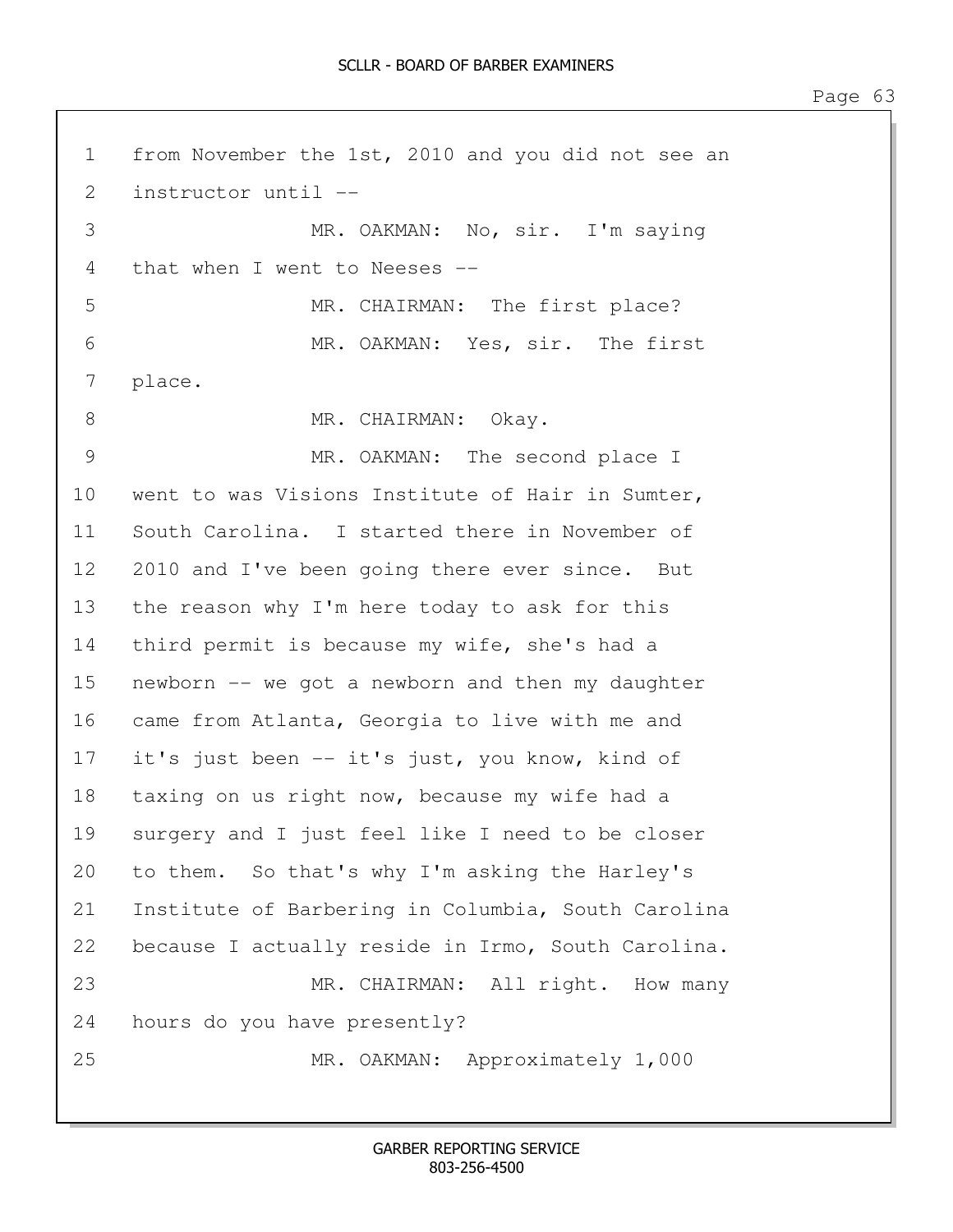1 from November the 1st, 2010 and you did not see an 2 instructor until -- 3 MR. OAKMAN: No, sir. I'm saying 4 that when I went to Neeses -- 5 MR. CHAIRMAN: The first place? 6 MR. OAKMAN: Yes, sir. The first 7 place. 8 MR. CHAIRMAN: Okay. 9 MR. OAKMAN: The second place I 10 went to was Visions Institute of Hair in Sumter, 11 South Carolina. I started there in November of 12 2010 and I've been going there ever since. But 13 the reason why I'm here today to ask for this 14 third permit is because my wife, she's had a 15 newborn -- we got a newborn and then my daughter 16 came from Atlanta, Georgia to live with me and 17 it's just been -- it's just, you know, kind of 18 taxing on us right now, because my wife had a 19 surgery and I just feel like I need to be closer 20 to them. So that's why I'm asking the Harley's 21 Institute of Barbering in Columbia, South Carolina 22 because I actually reside in Irmo, South Carolina. 23 MR. CHAIRMAN: All right. How many 24 hours do you have presently? 25 MR. OAKMAN: Approximately 1,000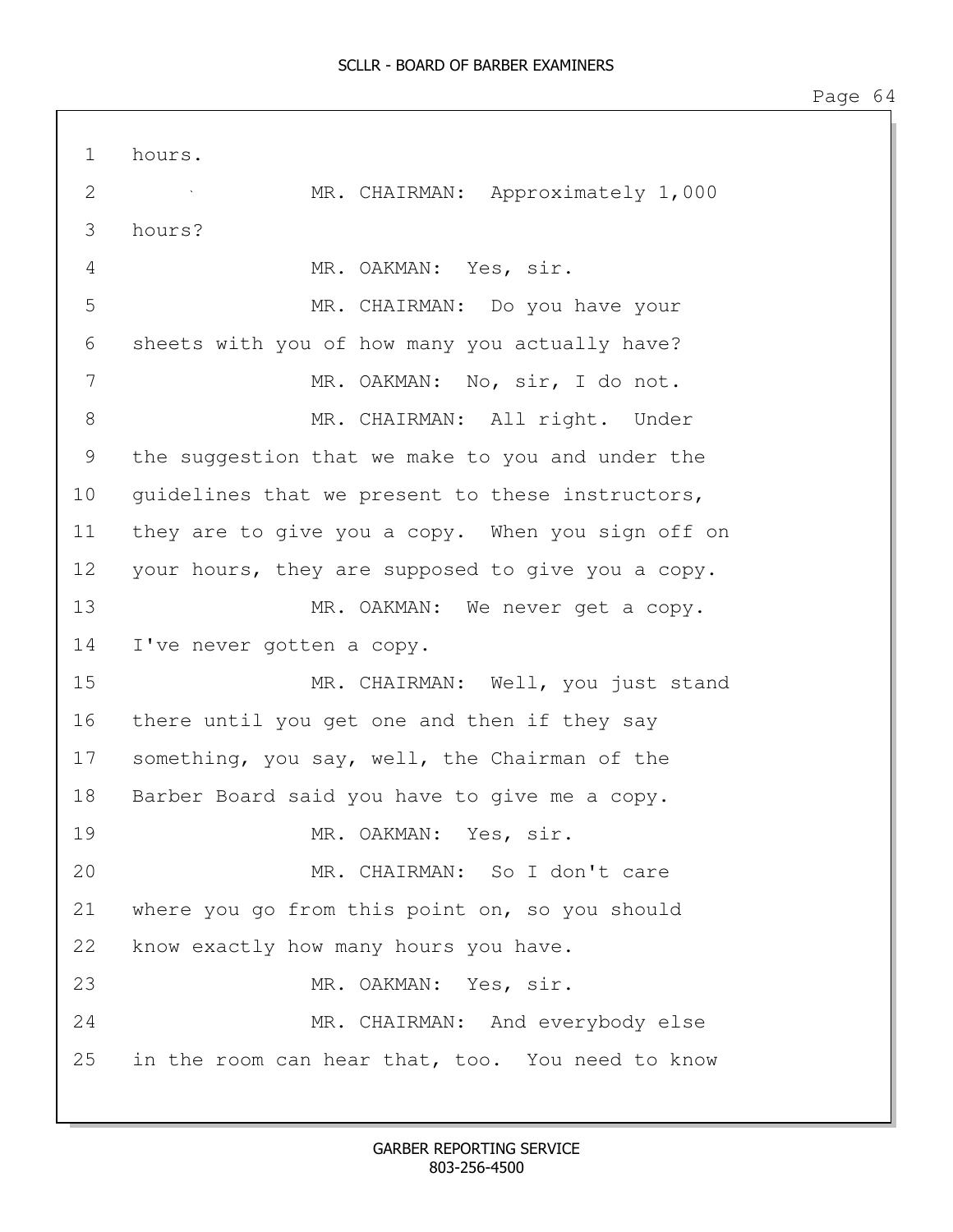1 hours. 2 MR. CHAIRMAN: Approximately 1,000 3 hours? 4 MR. OAKMAN: Yes, sir. 5 MR. CHAIRMAN: Do you have your 6 sheets with you of how many you actually have? 7 MR. OAKMAN: No, sir, I do not. 8 MR. CHAIRMAN: All right. Under 9 the suggestion that we make to you and under the 10 quidelines that we present to these instructors, 11 they are to give you a copy. When you sign off on 12 your hours, they are supposed to give you a copy. 13 MR. OAKMAN: We never get a copy. 14 I've never gotten a copy. 15 MR. CHAIRMAN: Well, you just stand 16 there until you get one and then if they say 17 something, you say, well, the Chairman of the 18 Barber Board said you have to give me a copy. 19 MR. OAKMAN: Yes, sir. 20 MR. CHAIRMAN: So I don't care 21 where you go from this point on, so you should 22 know exactly how many hours you have. 23 MR. OAKMAN: Yes, sir. 24 MR. CHAIRMAN: And everybody else 25 in the room can hear that, too. You need to know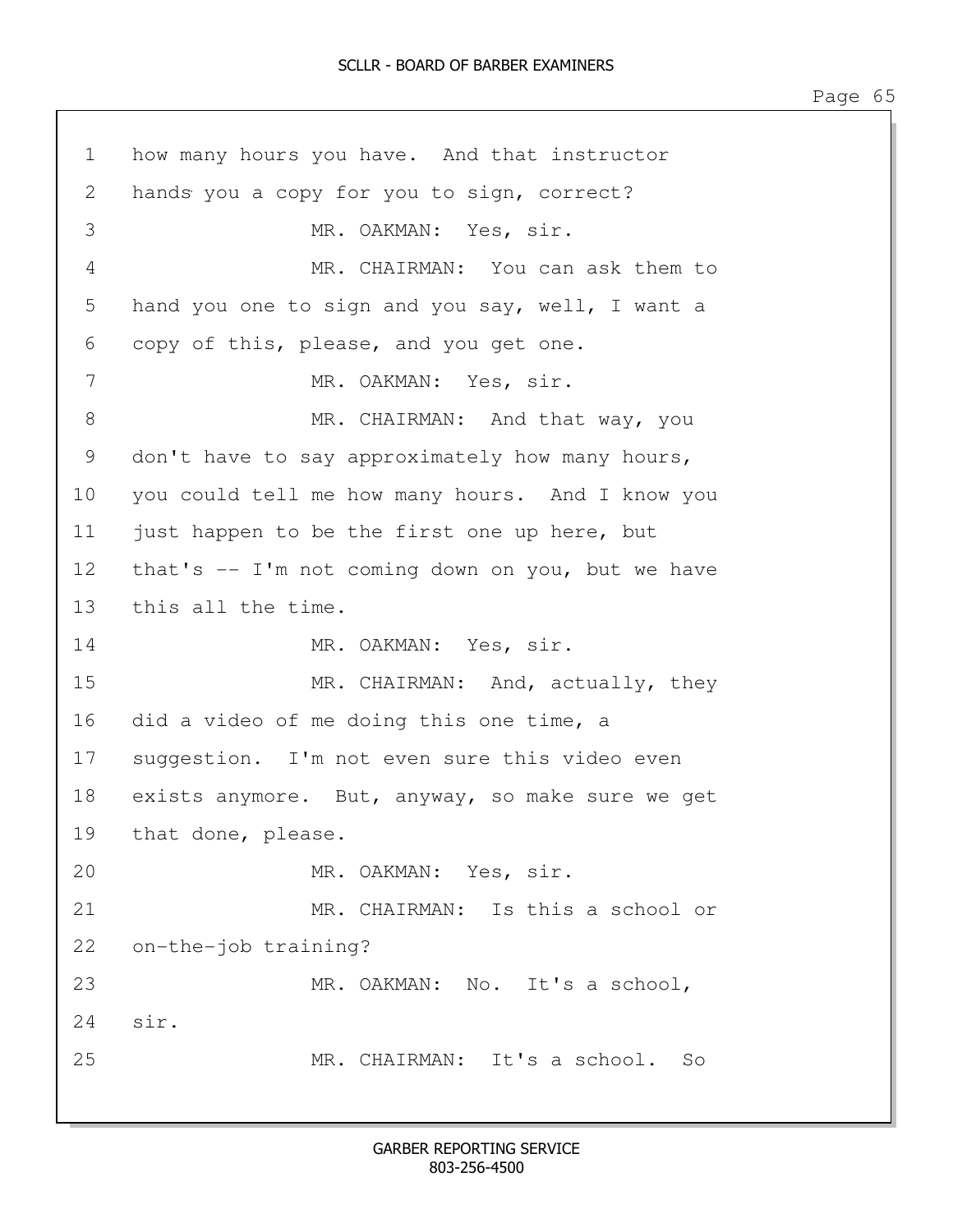1 how many hours you have. And that instructor 2 hands you a copy for you to sign, correct? 3 MR. OAKMAN: Yes, sir. 4 MR. CHAIRMAN: You can ask them to 5 hand you one to sign and you say, well, I want a 6 copy of this, please, and you get one. 7 MR. OAKMAN: Yes, sir. 8 MR. CHAIRMAN: And that way, you 9 don't have to say approximately how many hours, 10 you could tell me how many hours. And I know you 11 just happen to be the first one up here, but 12 that's -- I'm not coming down on you, but we have 13 this all the time. 14 MR. OAKMAN: Yes, sir. 15 MR. CHAIRMAN: And, actually, they 16 did a video of me doing this one time, a 17 suggestion. I'm not even sure this video even 18 exists anymore. But, anyway, so make sure we get 19 that done, please. 20 MR. OAKMAN: Yes, sir. 21 MR. CHAIRMAN: Is this a school or 22 on-the-job training? 23 MR. OAKMAN: No. It's a school, 24 sir. 25 MR. CHAIRMAN: It's a school. So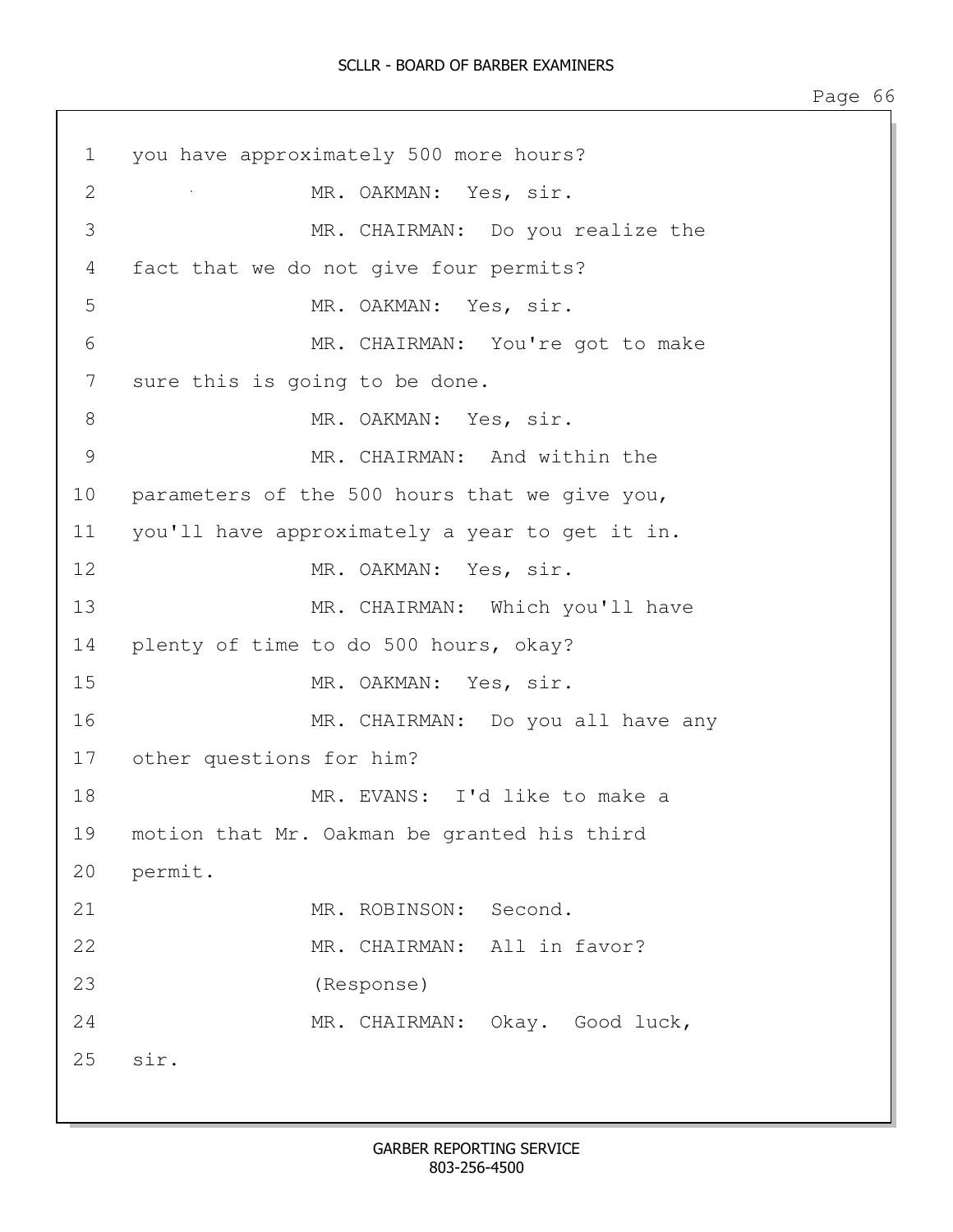| 1  | you have approximately 500 more hours?         |
|----|------------------------------------------------|
| 2  | MR. OAKMAN: Yes, sir.                          |
| 3  | MR. CHAIRMAN: Do you realize the               |
| 4  | fact that we do not give four permits?         |
| 5  | MR. OAKMAN: Yes, sir.                          |
| 6  | MR. CHAIRMAN: You're got to make               |
| 7  | sure this is going to be done.                 |
| 8  | MR. OAKMAN: Yes, sir.                          |
| 9  | MR. CHAIRMAN: And within the                   |
| 10 | parameters of the 500 hours that we give you,  |
| 11 | you'll have approximately a year to get it in. |
| 12 | MR. OAKMAN: Yes, sir.                          |
| 13 | MR. CHAIRMAN: Which you'll have                |
| 14 | plenty of time to do 500 hours, okay?          |
| 15 | MR. OAKMAN: Yes, sir.                          |
| 16 | MR. CHAIRMAN: Do you all have any              |
| 17 | other questions for him?                       |
| 18 | MR. EVANS: I'd like to make a                  |
| 19 | motion that Mr. Oakman be granted his third    |
| 20 | permit.                                        |
| 21 | MR. ROBINSON: Second.                          |
| 22 | MR. CHAIRMAN: All in favor?                    |
| 23 | (Response)                                     |
| 24 | MR. CHAIRMAN: Okay. Good luck,                 |
| 25 | sir.                                           |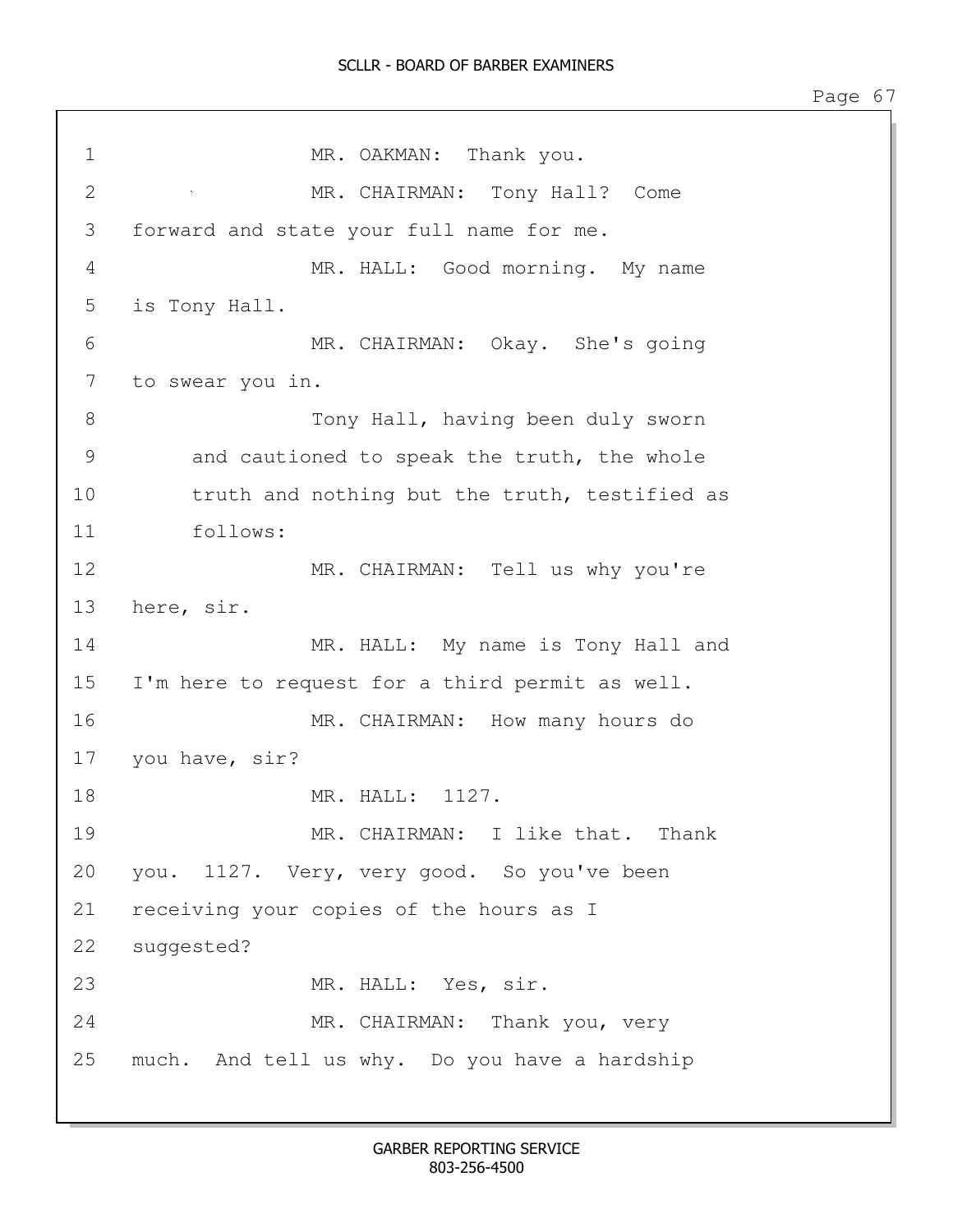## SCLLR - BOARD OF BARBER EXAMINERS

Page 67

1 MR. OAKMAN: Thank you. 2 MR. CHAIRMAN: Tony Hall? Come 3 forward and state your full name for me. 4 MR. HALL: Good morning. My name 5 is Tony Hall. 6 MR. CHAIRMAN: Okay. She's going 7 to swear you in. 8 Tony Hall, having been duly sworn 9 and cautioned to speak the truth, the whole 10 truth and nothing but the truth, testified as 11 follows: 12 MR. CHAIRMAN: Tell us why you're 13 here, sir. 14 MR. HALL: My name is Tony Hall and 15 I'm here to request for a third permit as well. 16 MR. CHAIRMAN: How many hours do 17 you have, sir? 18 MR. HALL: 1127. 19 MR. CHAIRMAN: I like that. Thank 20 you. 1127. Very, very good. So you've been 21 receiving your copies of the hours as I 22 suggested? 23 MR. HALL: Yes, sir. 24 MR. CHAIRMAN: Thank you, very 25 much. And tell us why. Do you have a hardship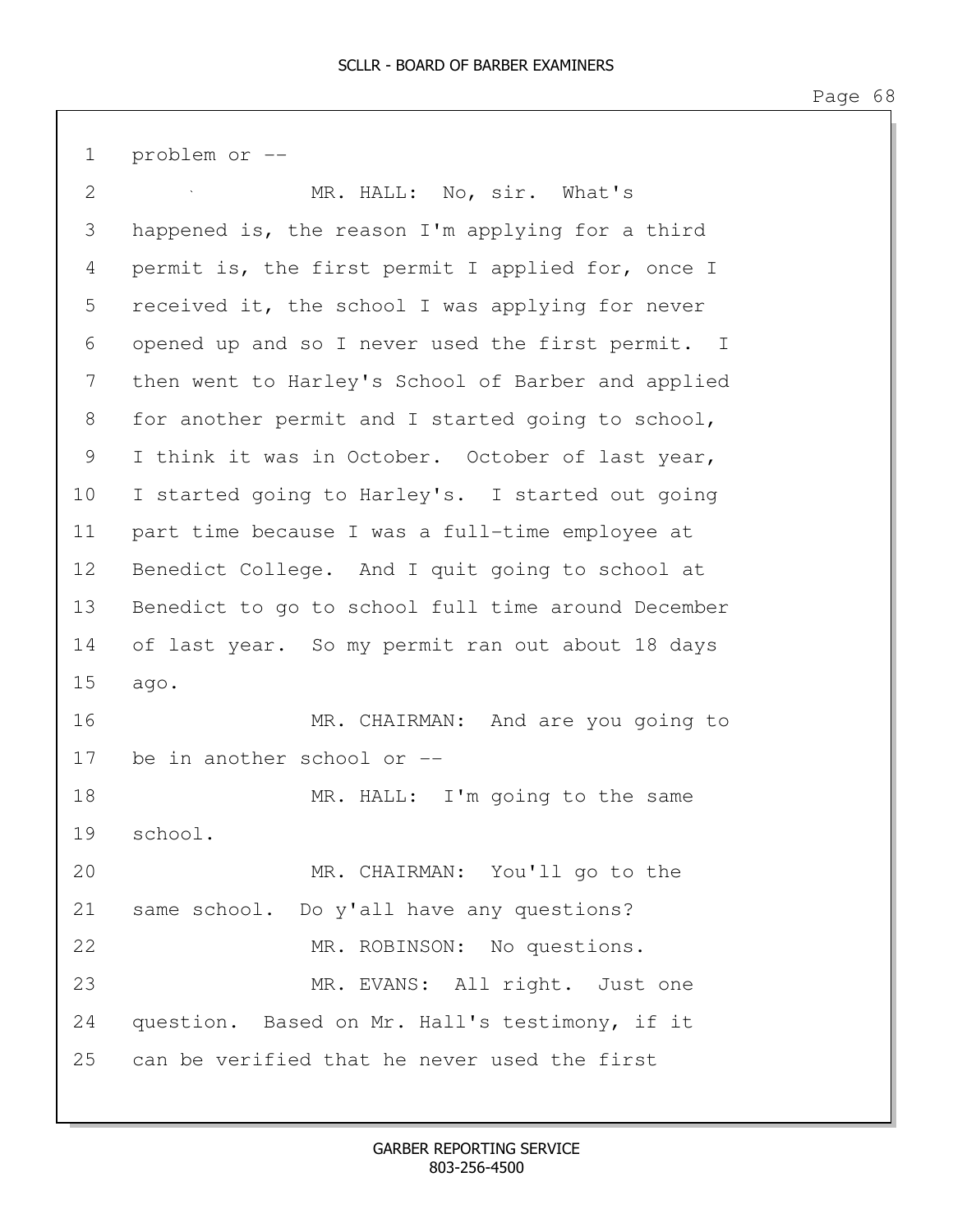1 problem or --

| 2  | MR. HALL: No, sir. What's                          |
|----|----------------------------------------------------|
| 3  | happened is, the reason I'm applying for a third   |
| 4  | permit is, the first permit I applied for, once I  |
| 5  | received it, the school I was applying for never   |
| 6  | opened up and so I never used the first permit. I  |
| 7  | then went to Harley's School of Barber and applied |
| 8  | for another permit and I started going to school,  |
| 9  | I think it was in October. October of last year,   |
| 10 | I started going to Harley's. I started out going   |
| 11 | part time because I was a full-time employee at    |
| 12 | Benedict College. And I quit going to school at    |
| 13 | Benedict to go to school full time around December |
| 14 | of last year. So my permit ran out about 18 days   |
| 15 | ago.                                               |
| 16 | MR. CHAIRMAN: And are you going to                 |
| 17 | be in another school or --                         |
| 18 | MR. HALL: I'm going to the same                    |
| 19 | school.                                            |
| 20 | MR. CHAIRMAN: You'll go to the                     |
| 21 | same school. Do y'all have any questions?          |
| 22 | MR. ROBINSON: No questions.                        |
| 23 | MR. EVANS: All right. Just one                     |
| 24 | question. Based on Mr. Hall's testimony, if it     |
| 25 | can be verified that he never used the first       |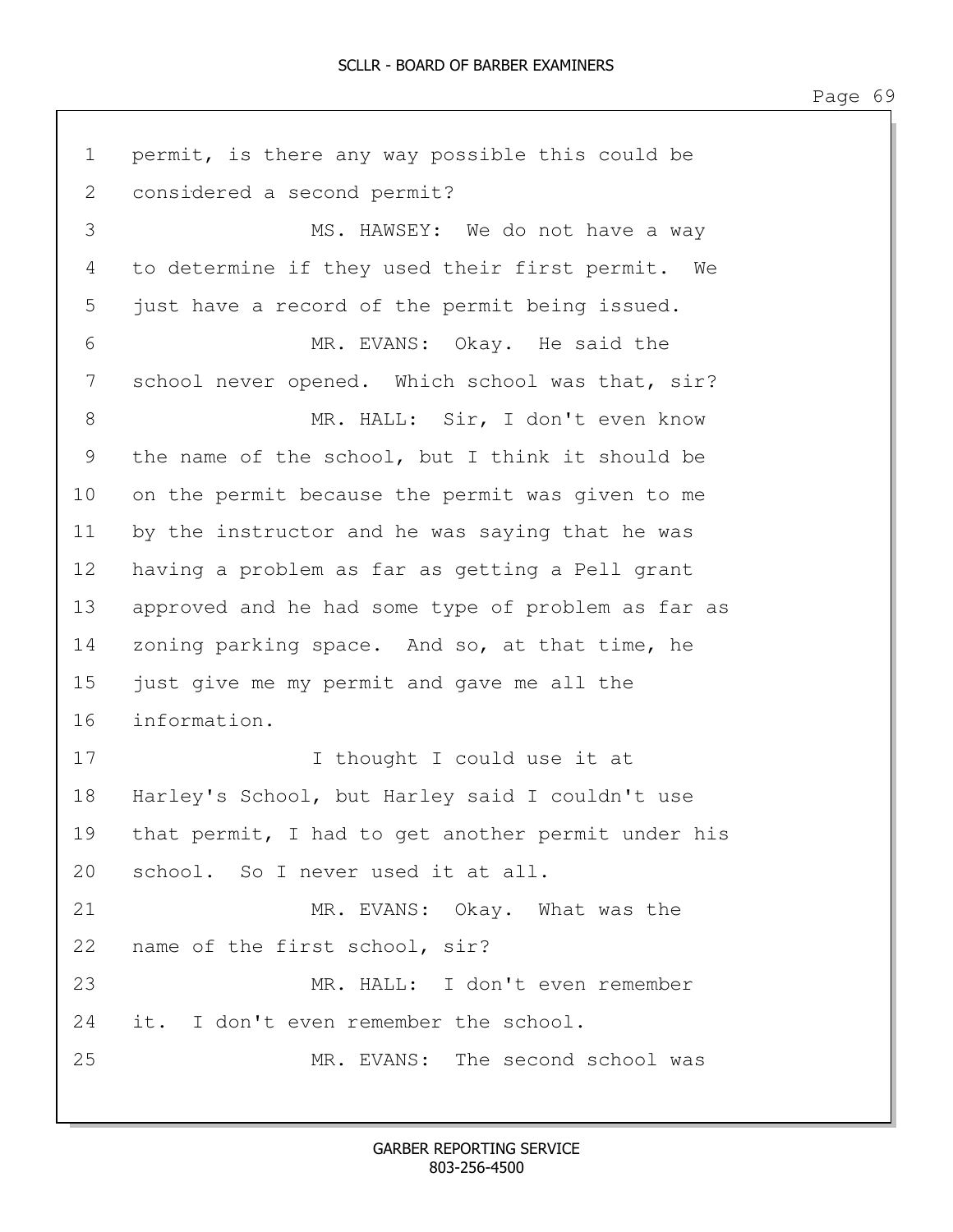1 permit, is there any way possible this could be 2 considered a second permit? 3 MS. HAWSEY: We do not have a way 4 to determine if they used their first permit. We 5 just have a record of the permit being issued. 6 MR. EVANS: Okay. He said the 7 school never opened. Which school was that, sir? 8 MR. HALL: Sir, I don't even know 9 the name of the school, but I think it should be 10 on the permit because the permit was given to me 11 by the instructor and he was saying that he was 12 having a problem as far as getting a Pell grant 13 approved and he had some type of problem as far as 14 zoning parking space. And so, at that time, he 15 just give me my permit and gave me all the 16 information. 17 I thought I could use it at 18 Harley's School, but Harley said I couldn't use 19 that permit, I had to get another permit under his 20 school. So I never used it at all. 21 MR. EVANS: Okay. What was the 22 name of the first school, sir? 23 MR. HALL: I don't even remember 24 it. I don't even remember the school. 25 MR. EVANS: The second school was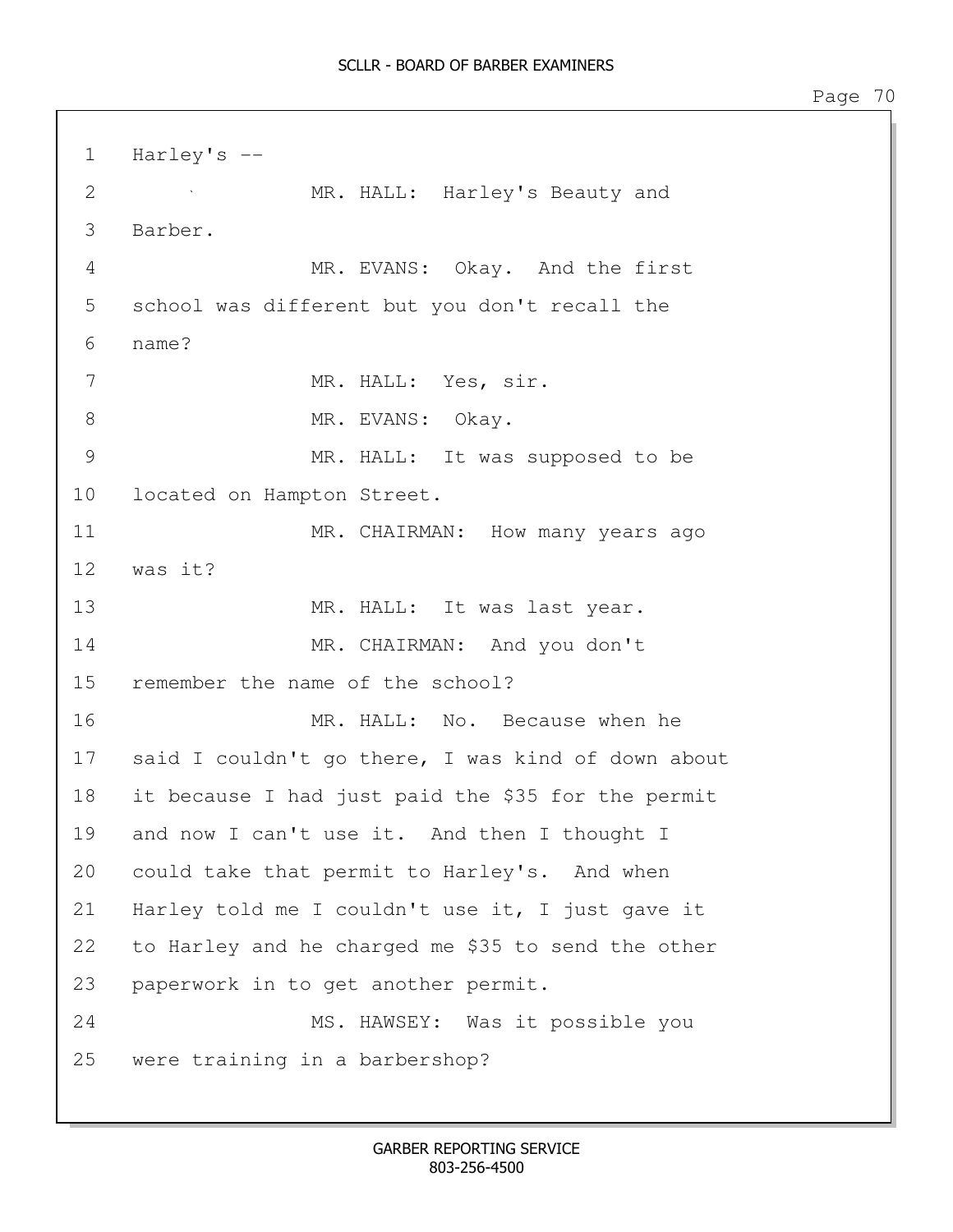1 Harley's -- 2 MR. HALL: Harley's Beauty and 3 Barber. 4 MR. EVANS: Okay. And the first 5 school was different but you don't recall the 6 name? 7 MR. HALL: Yes, sir. 8 MR. EVANS: Okay. 9 MR. HALL: It was supposed to be 10 located on Hampton Street. 11 MR. CHAIRMAN: How many years ago 12 was it? 13 MR. HALL: It was last year. 14 MR. CHAIRMAN: And you don't 15 remember the name of the school? 16 MR. HALL: No. Because when he 17 said I couldn't go there, I was kind of down about 18 it because I had just paid the \$35 for the permit 19 and now I can't use it. And then I thought I 20 could take that permit to Harley's. And when 21 Harley told me I couldn't use it, I just gave it 22 to Harley and he charged me \$35 to send the other 23 paperwork in to get another permit. 24 MS. HAWSEY: Was it possible you 25 were training in a barbershop?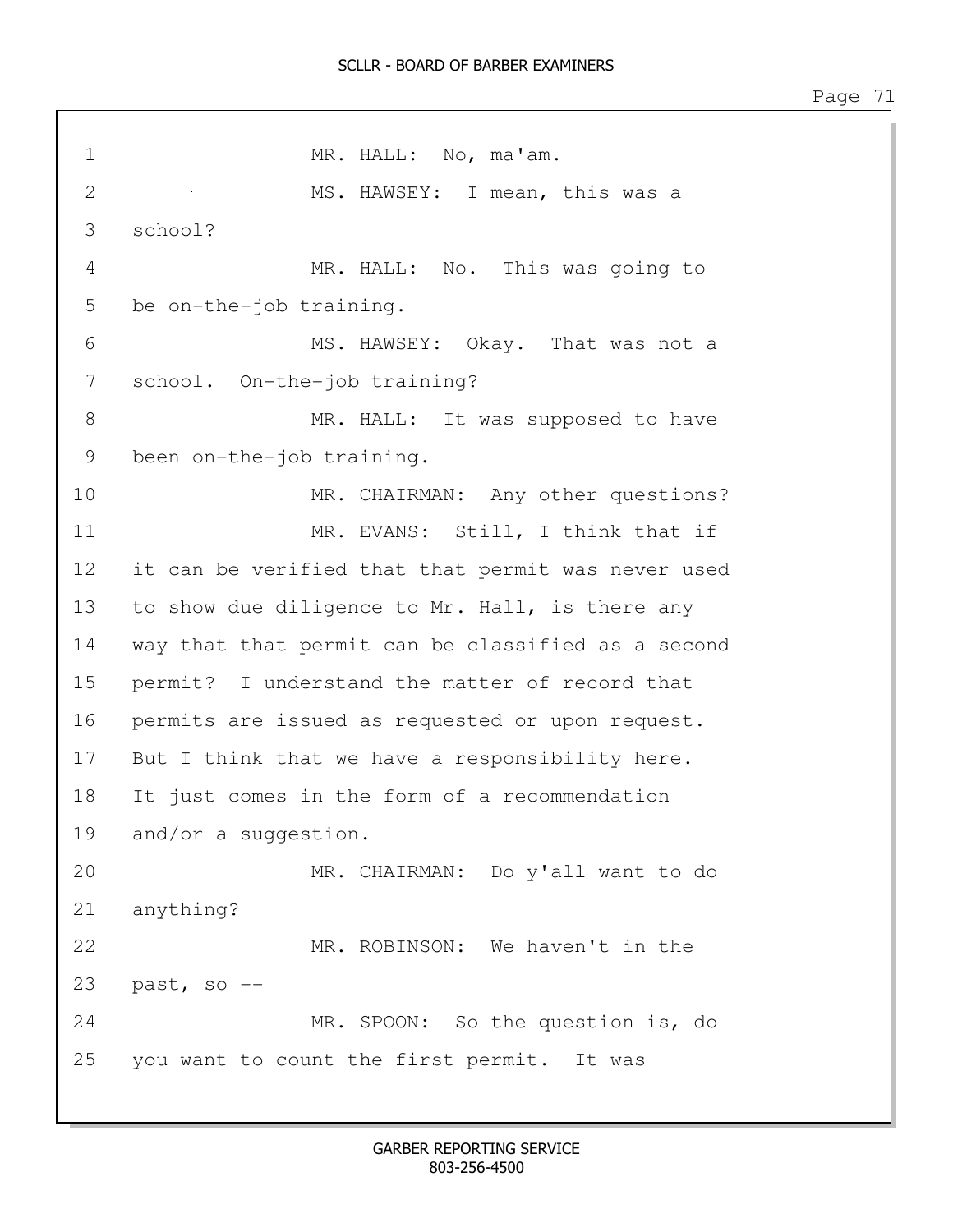1 MR. HALL: No, ma'am. 2 MS. HAWSEY: I mean, this was a 3 school? 4 MR. HALL: No. This was going to 5 be on-the-job training. 6 MS. HAWSEY: Okay. That was not a 7 school. On-the-job training? 8 MR. HALL: It was supposed to have 9 been on-the-job training. 10 MR. CHAIRMAN: Any other questions? 11 MR. EVANS: Still, I think that if 12 it can be verified that that permit was never used 13 to show due diligence to Mr. Hall, is there any 14 way that that permit can be classified as a second 15 permit? I understand the matter of record that 16 permits are issued as requested or upon request. 17 But I think that we have a responsibility here. 18 It just comes in the form of a recommendation 19 and/or a suggestion. 20 MR. CHAIRMAN: Do y'all want to do 21 anything? 22 MR. ROBINSON: We haven't in the 23  $past, so --$ 24 MR. SPOON: So the question is, do 25 you want to count the first permit. It was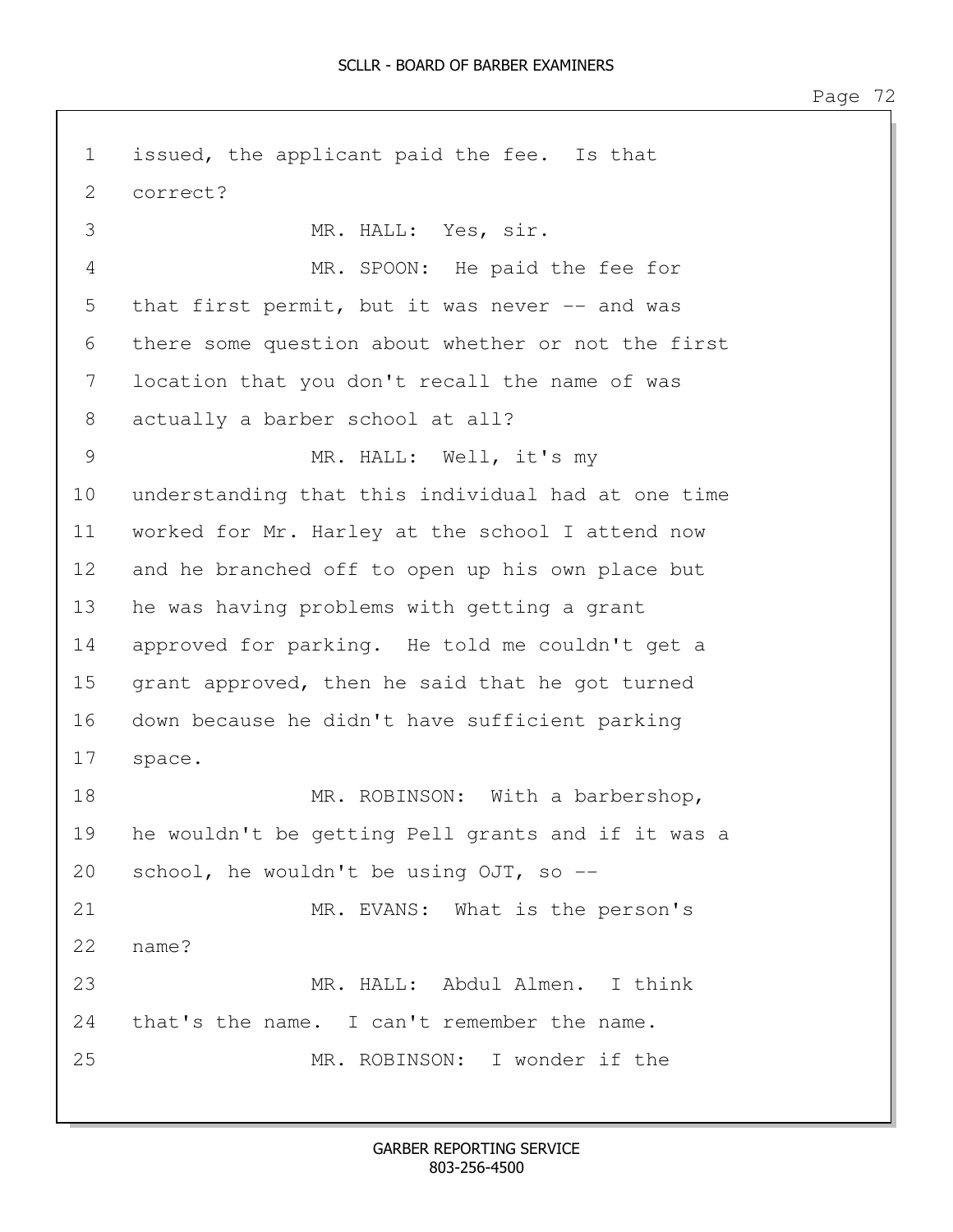1 issued, the applicant paid the fee. Is that 2 correct? 3 MR. HALL: Yes, sir. 4 MR. SPOON: He paid the fee for 5 that first permit, but it was never -- and was 6 there some question about whether or not the first 7 location that you don't recall the name of was 8 actually a barber school at all? 9 MR. HALL: Well, it's my 10 understanding that this individual had at one time 11 worked for Mr. Harley at the school I attend now 12 and he branched off to open up his own place but 13 he was having problems with getting a grant 14 approved for parking. He told me couldn't get a 15 grant approved, then he said that he got turned 16 down because he didn't have sufficient parking 17 space. 18 MR. ROBINSON: With a barbershop, 19 he wouldn't be getting Pell grants and if it was a 20 school, he wouldn't be using OJT, so -- 21 MR. EVANS: What is the person's 22 name? 23 MR. HALL: Abdul Almen. I think 24 that's the name. I can't remember the name. 25 MR. ROBINSON: I wonder if the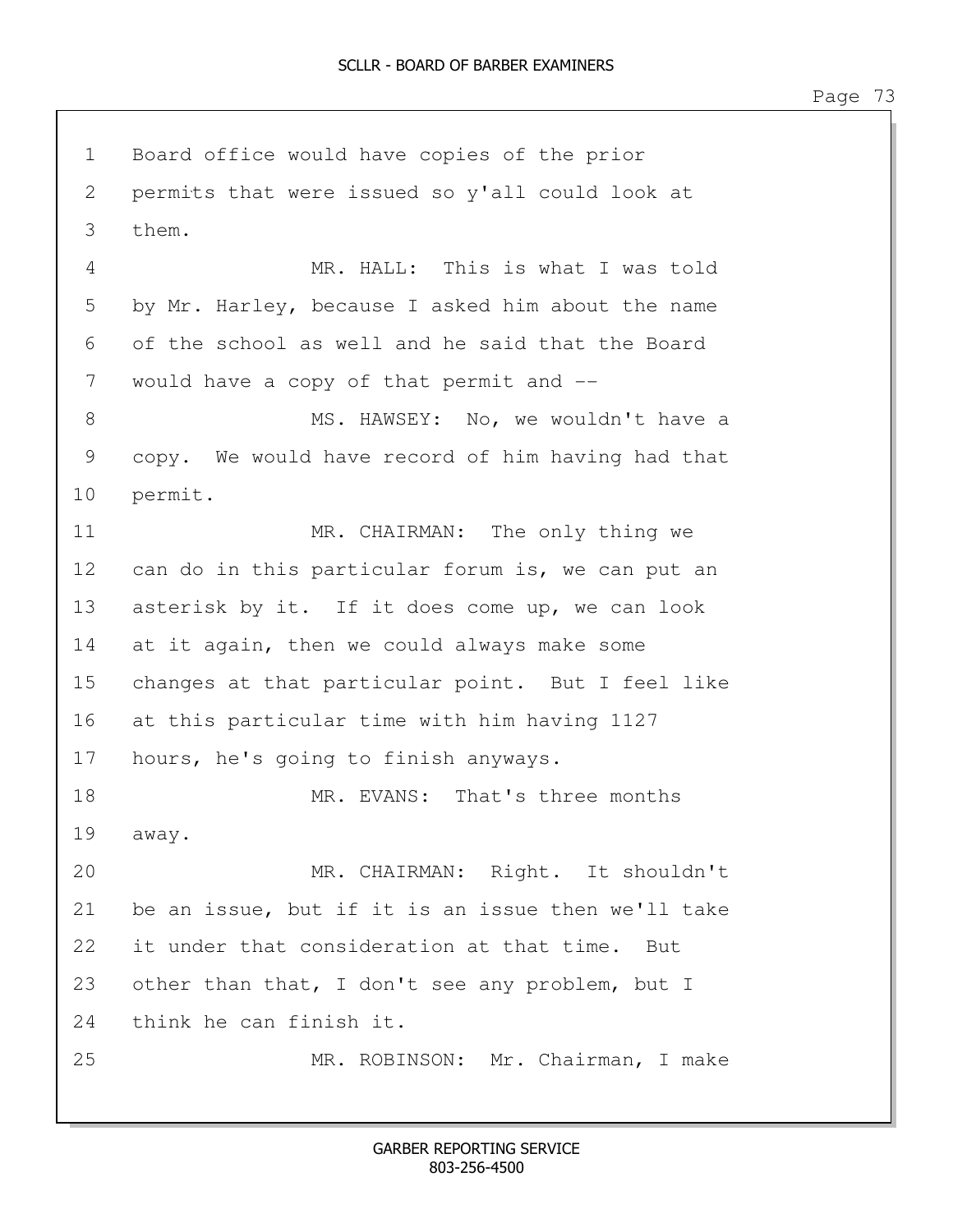1 Board office would have copies of the prior 2 permits that were issued so y'all could look at 3 them. 4 MR. HALL: This is what I was told 5 by Mr. Harley, because I asked him about the name 6 of the school as well and he said that the Board 7 would have a copy of that permit and  $-$ 8 MS. HAWSEY: No, we wouldn't have a 9 copy. We would have record of him having had that 10 permit. 11 MR. CHAIRMAN: The only thing we 12 can do in this particular forum is, we can put an 13 asterisk by it. If it does come up, we can look 14 at it again, then we could always make some 15 changes at that particular point. But I feel like 16 at this particular time with him having 1127 17 hours, he's going to finish anyways. 18 MR. EVANS: That's three months 19 away. 20 MR. CHAIRMAN: Right. It shouldn't 21 be an issue, but if it is an issue then we'll take 22 it under that consideration at that time. But 23 other than that, I don't see any problem, but I 24 think he can finish it. 25 MR. ROBINSON: Mr. Chairman, I make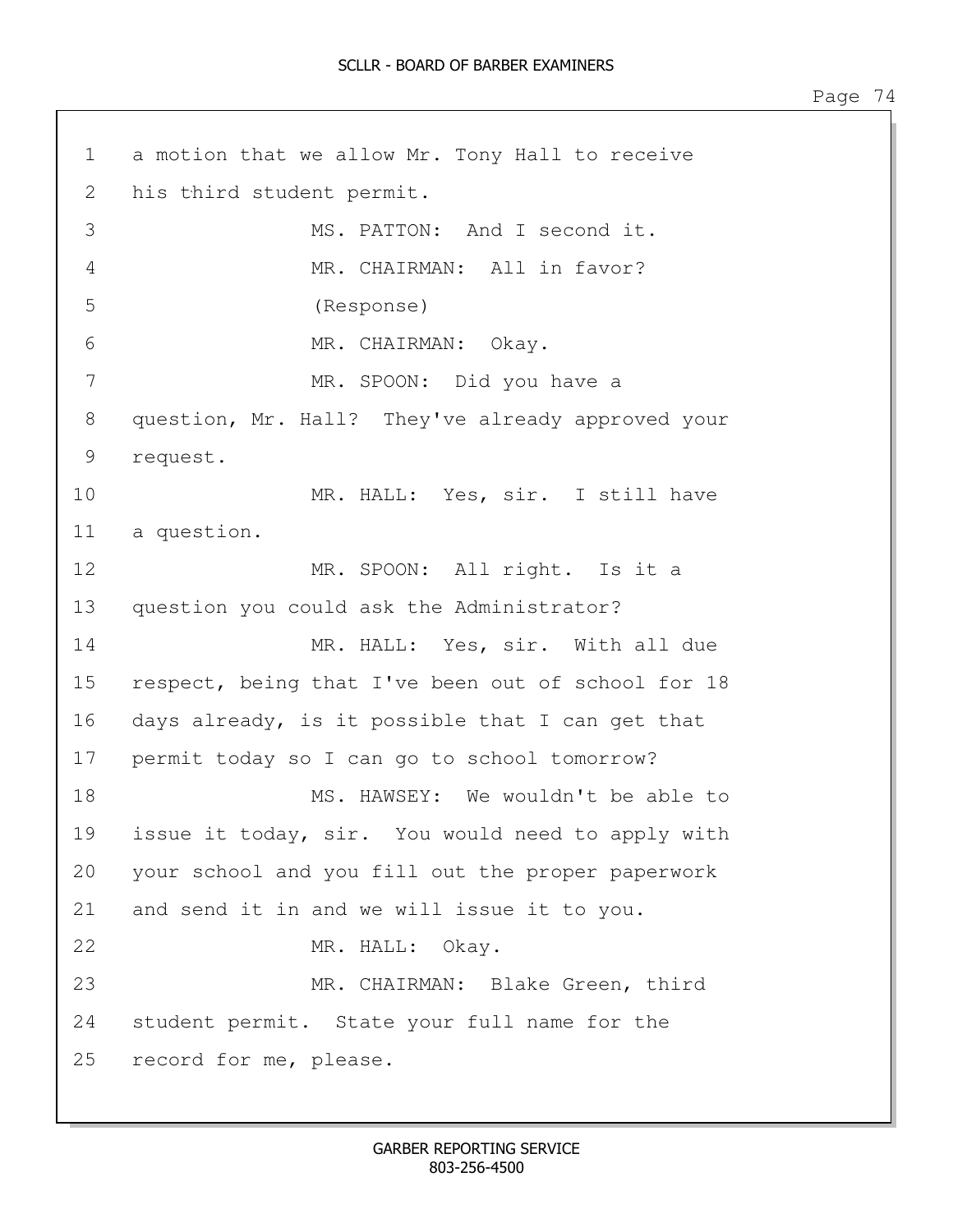1 a motion that we allow Mr. Tony Hall to receive 2 his third student permit. 3 MS. PATTON: And I second it. 4 MR. CHAIRMAN: All in favor? 5 (Response) 6 MR. CHAIRMAN: Okay. 7 MR. SPOON: Did you have a 8 question, Mr. Hall? They've already approved your 9 request. 10 MR. HALL: Yes, sir. I still have 11 a question. 12 MR. SPOON: All right. Is it a 13 question you could ask the Administrator? 14 MR. HALL: Yes, sir. With all due 15 respect, being that I've been out of school for 18 16 days already, is it possible that I can get that 17 permit today so I can go to school tomorrow? 18 MS. HAWSEY: We wouldn't be able to 19 issue it today, sir. You would need to apply with 20 your school and you fill out the proper paperwork 21 and send it in and we will issue it to you. 22 MR. HALL: Okay. 23 MR. CHAIRMAN: Blake Green, third 24 student permit. State your full name for the 25 record for me, please.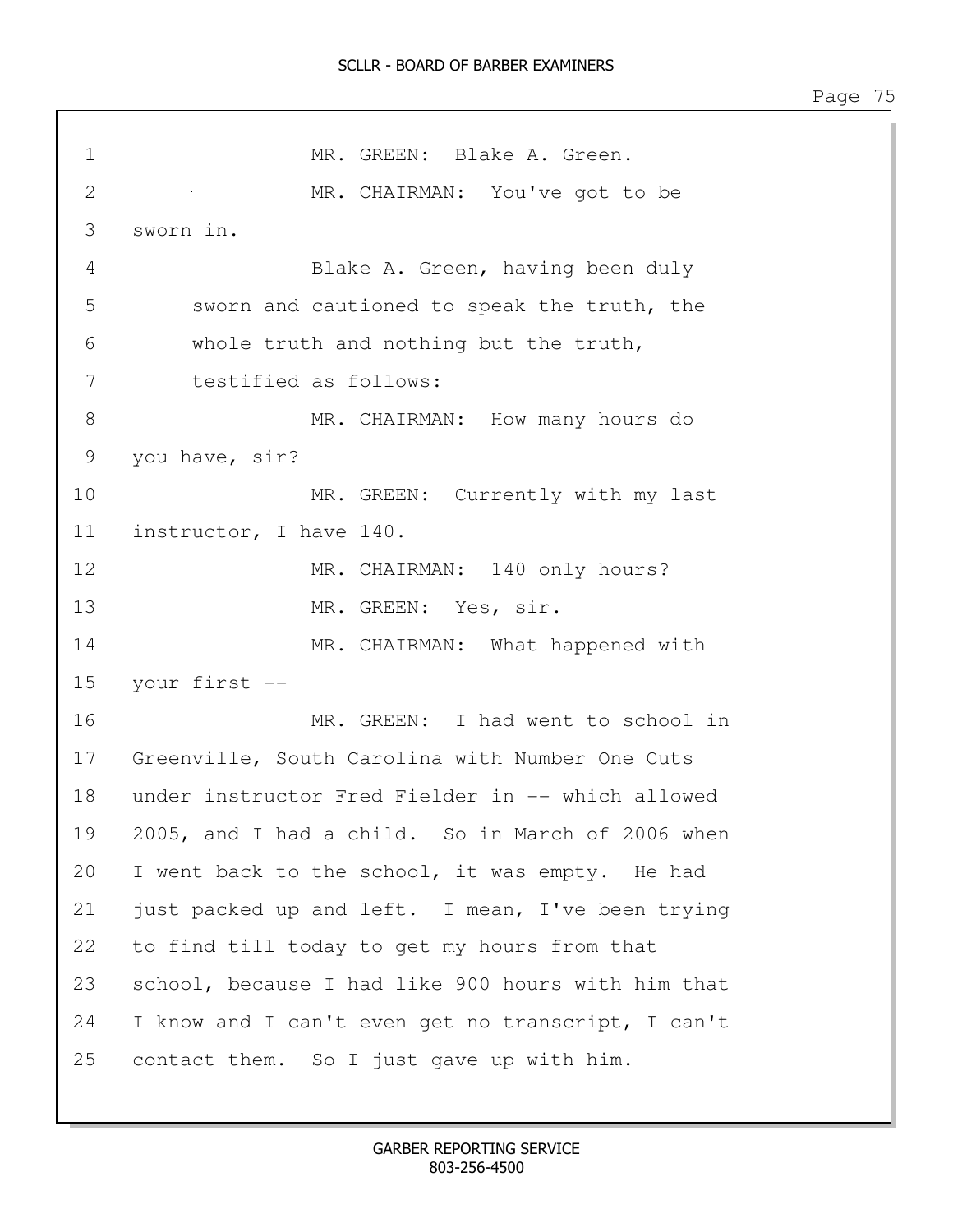1 MR. GREEN: Blake A. Green. 2 MR. CHAIRMAN: You've got to be 3 sworn in. 4 Blake A. Green, having been duly 5 sworn and cautioned to speak the truth, the 6 whole truth and nothing but the truth, 7 testified as follows: 8 MR. CHAIRMAN: How many hours do 9 you have, sir? 10 MR. GREEN: Currently with my last 11 instructor, I have 140. 12 MR. CHAIRMAN: 140 only hours? 13 MR. GREEN: Yes, sir. 14 MR. CHAIRMAN: What happened with 15 your first -- 16 MR. GREEN: I had went to school in 17 Greenville, South Carolina with Number One Cuts 18 under instructor Fred Fielder in -- which allowed 19 2005, and I had a child. So in March of 2006 when 20 I went back to the school, it was empty. He had 21 just packed up and left. I mean, I've been trying 22 to find till today to get my hours from that 23 school, because I had like 900 hours with him that 24 I know and I can't even get no transcript, I can't 25 contact them. So I just gave up with him.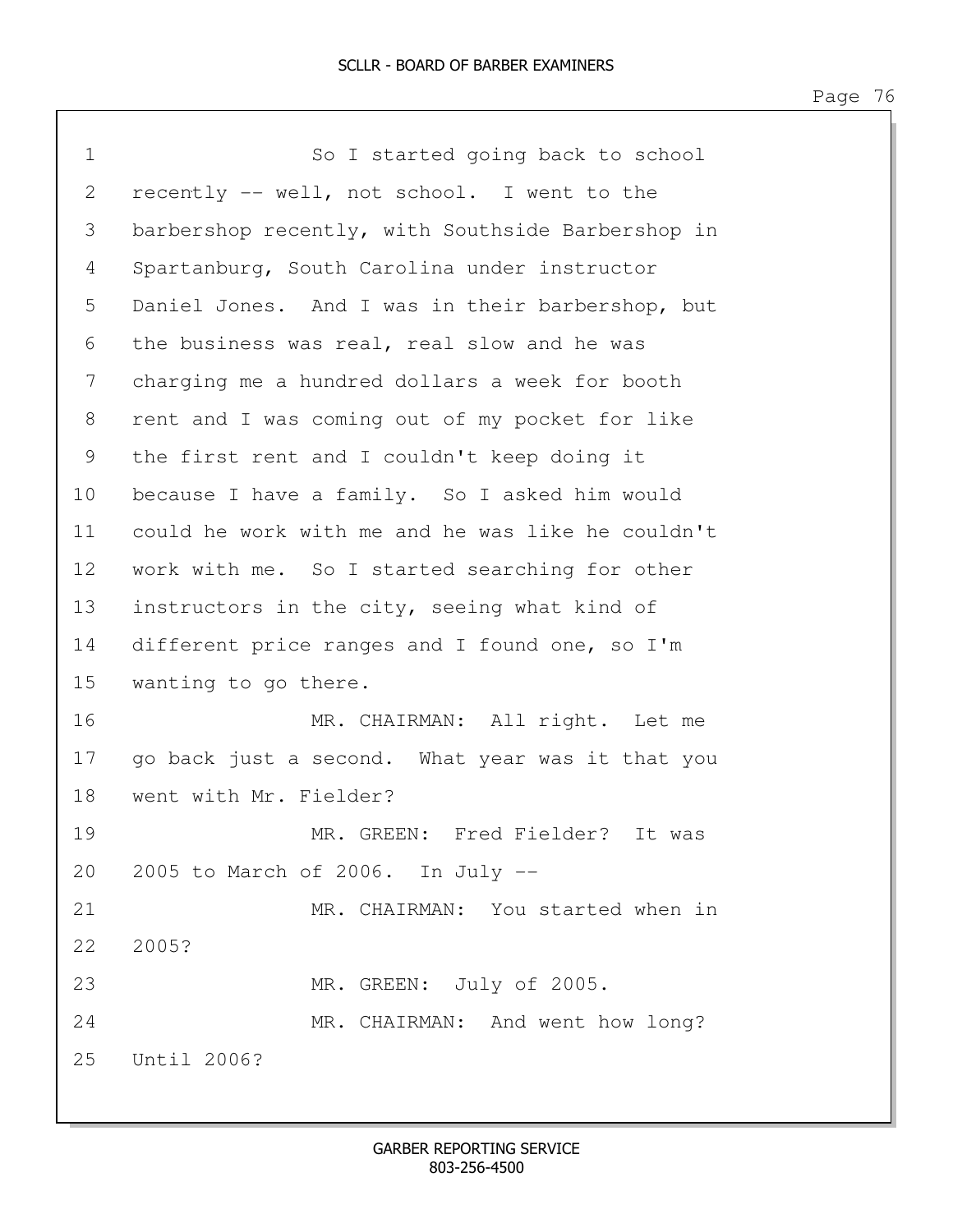| $\mathbf 1$ | So I started going back to school                 |
|-------------|---------------------------------------------------|
| 2           | recently -- well, not school. I went to the       |
| 3           | barbershop recently, with Southside Barbershop in |
| 4           | Spartanburg, South Carolina under instructor      |
| 5           | Daniel Jones. And I was in their barbershop, but  |
| 6           | the business was real, real slow and he was       |
| 7           | charging me a hundred dollars a week for booth    |
| 8           | rent and I was coming out of my pocket for like   |
| 9           | the first rent and I couldn't keep doing it       |
| 10          | because I have a family. So I asked him would     |
| 11          | could he work with me and he was like he couldn't |
| 12          | work with me. So I started searching for other    |
| 13          | instructors in the city, seeing what kind of      |
| 14          | different price ranges and I found one, so I'm    |
| 15          | wanting to go there.                              |
| 16          | MR. CHAIRMAN: All right. Let me                   |
| 17          | go back just a second. What year was it that you  |
| 18          | went with Mr. Fielder?                            |
| 19          | MR. GREEN: Fred Fielder? It was                   |
|             | 20 2005 to March of 2006. In July --              |
| 21          | MR. CHAIRMAN: You started when in                 |
| 22          | 2005?                                             |
| 23          | MR. GREEN: July of 2005.                          |
| 24          | MR. CHAIRMAN: And went how long?                  |
| 25          | Until 2006?                                       |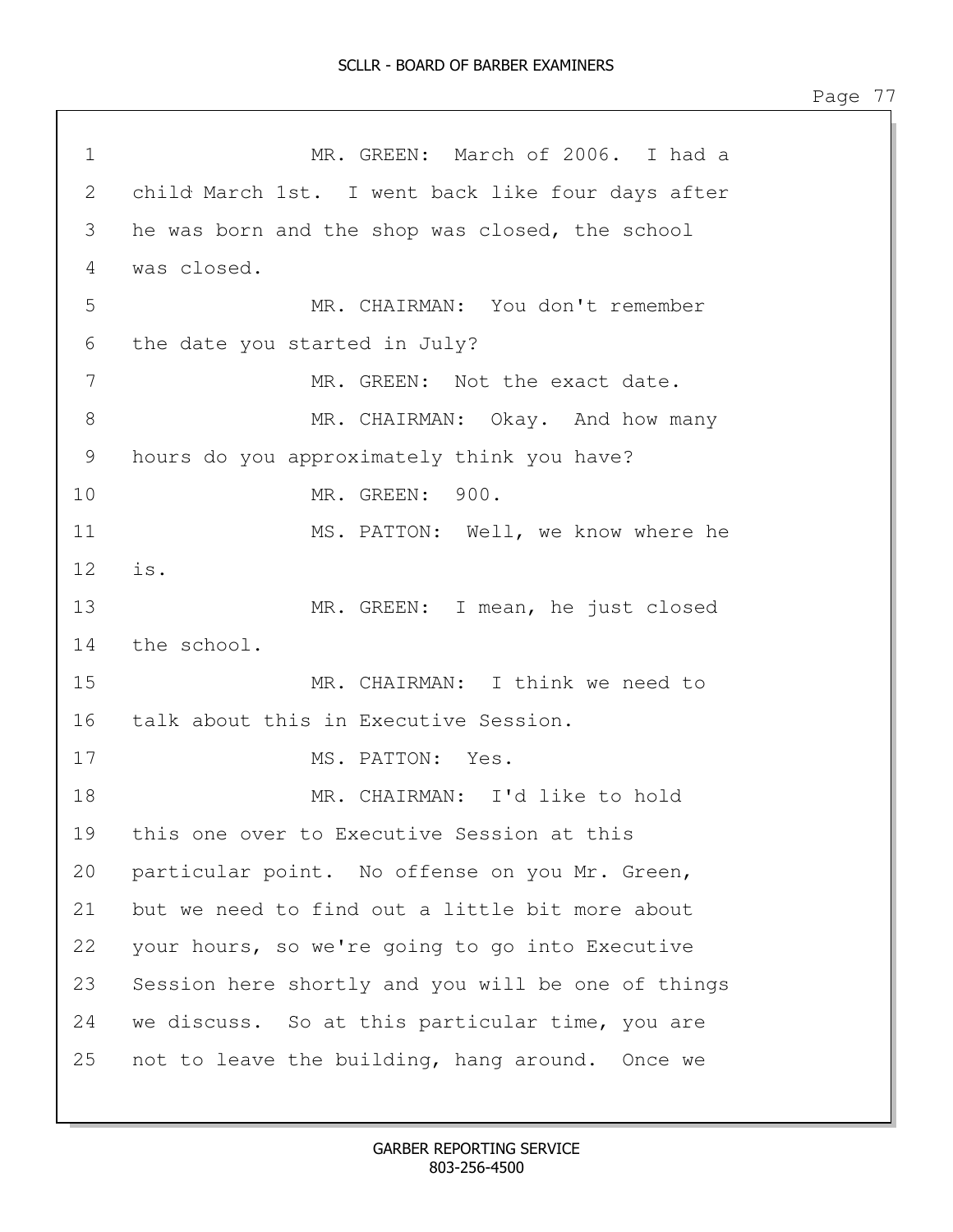1 MR. GREEN: March of 2006. I had a 2 child March 1st. I went back like four days after 3 he was born and the shop was closed, the school 4 was closed. 5 MR. CHAIRMAN: You don't remember 6 the date you started in July? 7 MR. GREEN: Not the exact date. 8 MR. CHAIRMAN: Okay. And how many 9 hours do you approximately think you have? 10 MR. GREEN: 900. 11 MS. PATTON: Well, we know where he 12 is. 13 MR. GREEN: I mean, he just closed 14 the school. 15 MR. CHAIRMAN: I think we need to 16 talk about this in Executive Session. 17 MS. PATTON: Yes. 18 MR. CHAIRMAN: I'd like to hold 19 this one over to Executive Session at this 20 particular point. No offense on you Mr. Green, 21 but we need to find out a little bit more about 22 your hours, so we're going to go into Executive 23 Session here shortly and you will be one of things 24 we discuss. So at this particular time, you are 25 not to leave the building, hang around. Once we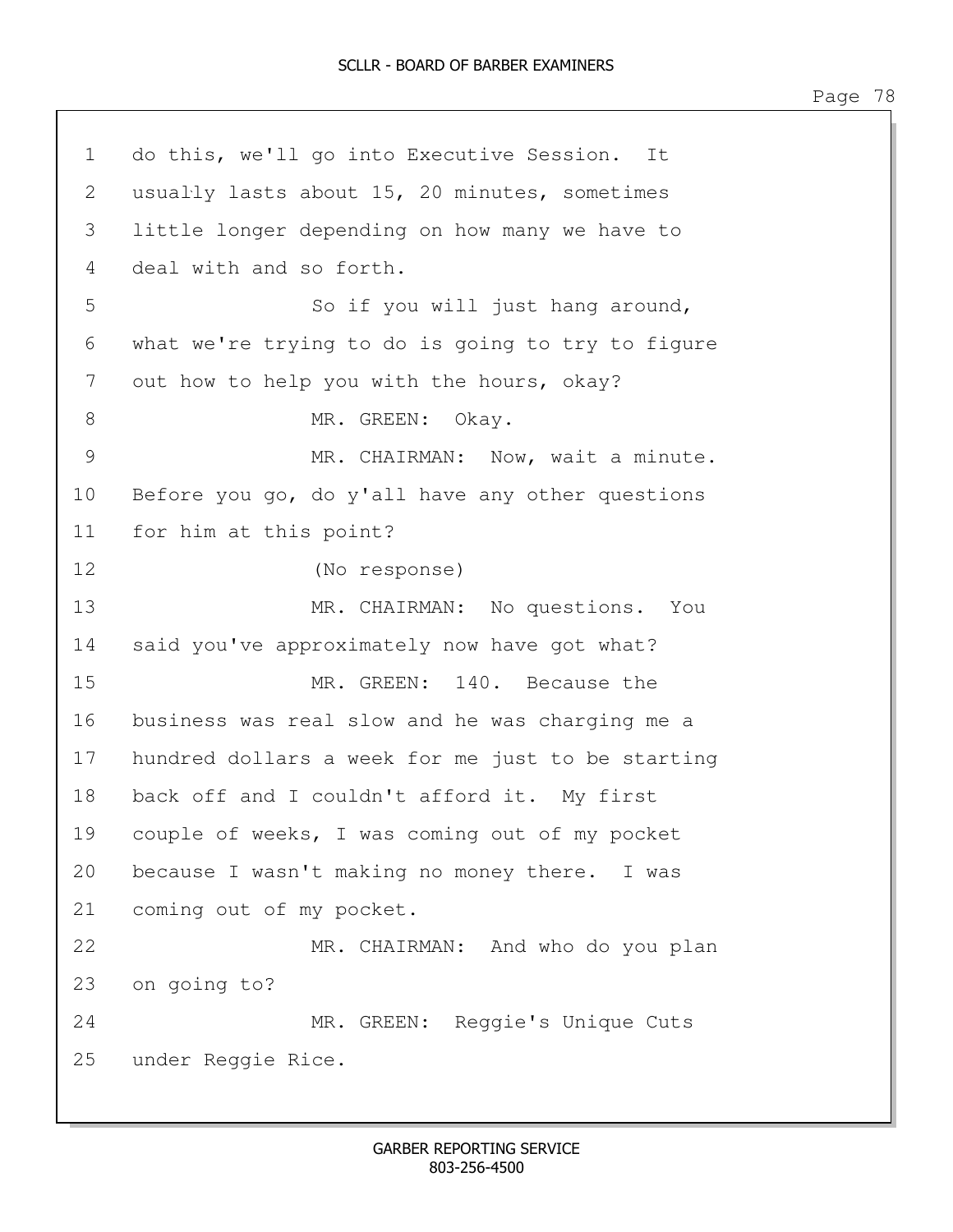```
1 do this, we'll go into Executive Session. It 
2 usually lasts about 15, 20 minutes, sometimes 
3 little longer depending on how many we have to 
4 deal with and so forth.
5 So if you will just hang around,
6 what we're trying to do is going to try to figure 
7 out how to help you with the hours, okay?
8 MR. GREEN: Okay.
9 MR. CHAIRMAN: Now, wait a minute. 
10 Before you go, do y'all have any other questions 
11 for him at this point?
12 (No response)
13 MR. CHAIRMAN: No questions. You 
14 said you've approximately now have got what?
15 MR. GREEN: 140. Because the 
16 business was real slow and he was charging me a 
17 hundred dollars a week for me just to be starting
18 back off and I couldn't afford it. My first 
19 couple of weeks, I was coming out of my pocket 
20 because I wasn't making no money there. I was 
21 coming out of my pocket.
22 MR. CHAIRMAN: And who do you plan
23 on going to?
24 MR. GREEN: Reggie's Unique Cuts
25 under Reggie Rice.
```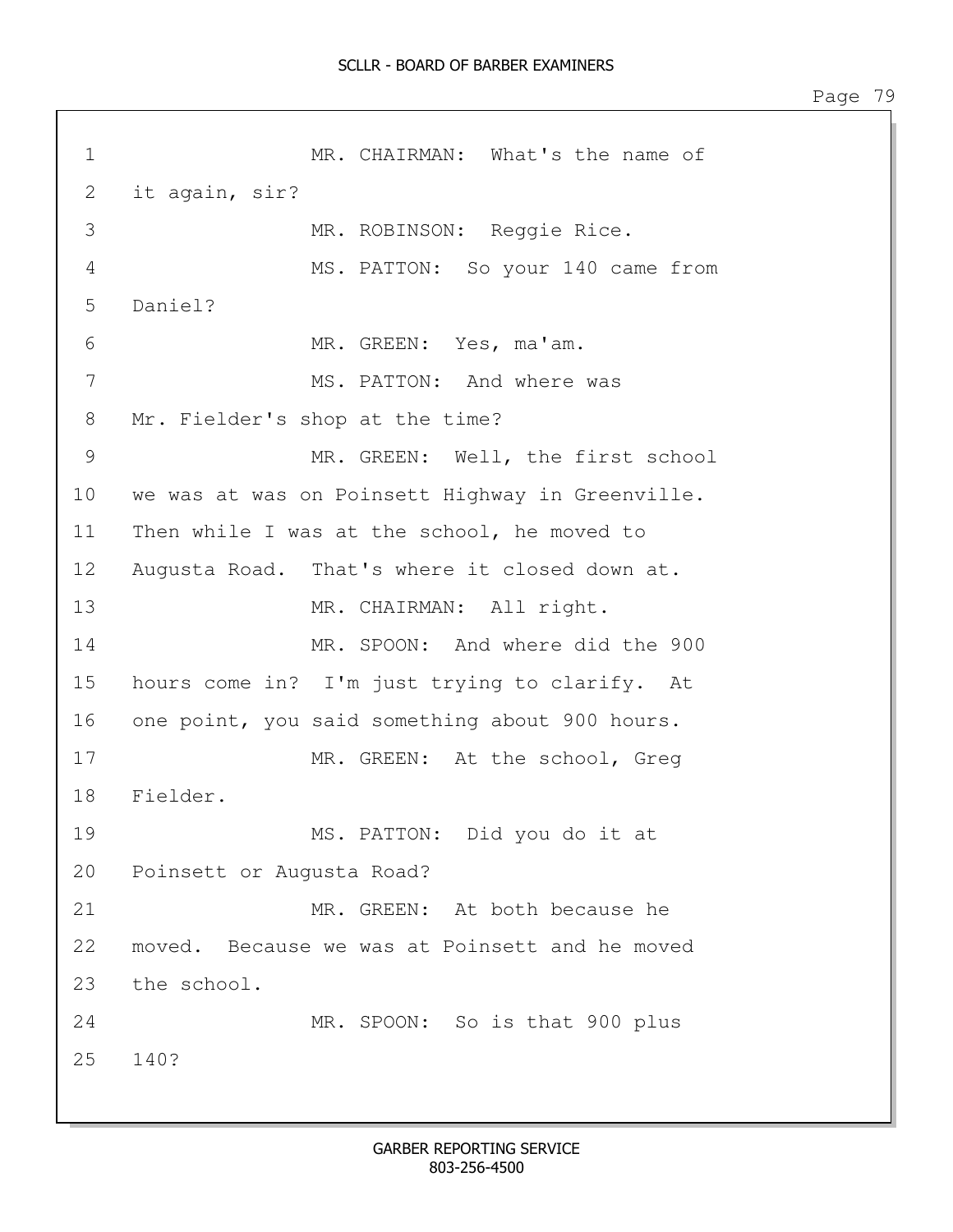1 MR. CHAIRMAN: What's the name of 2 it again, sir? 3 MR. ROBINSON: Reggie Rice. 4 MS. PATTON: So your 140 came from 5 Daniel? 6 MR. GREEN: Yes, ma'am. 7 MS. PATTON: And where was 8 Mr. Fielder's shop at the time? 9 MR. GREEN: Well, the first school 10 we was at was on Poinsett Highway in Greenville. 11 Then while I was at the school, he moved to 12 Augusta Road. That's where it closed down at. 13 MR. CHAIRMAN: All right. 14 MR. SPOON: And where did the 900 15 hours come in? I'm just trying to clarify. At 16 one point, you said something about 900 hours. 17 MR. GREEN: At the school, Greg 18 Fielder. 19 MS. PATTON: Did you do it at 20 Poinsett or Augusta Road? 21 MR. GREEN: At both because he 22 moved. Because we was at Poinsett and he moved 23 the school. 24 MR. SPOON: So is that 900 plus 25 140?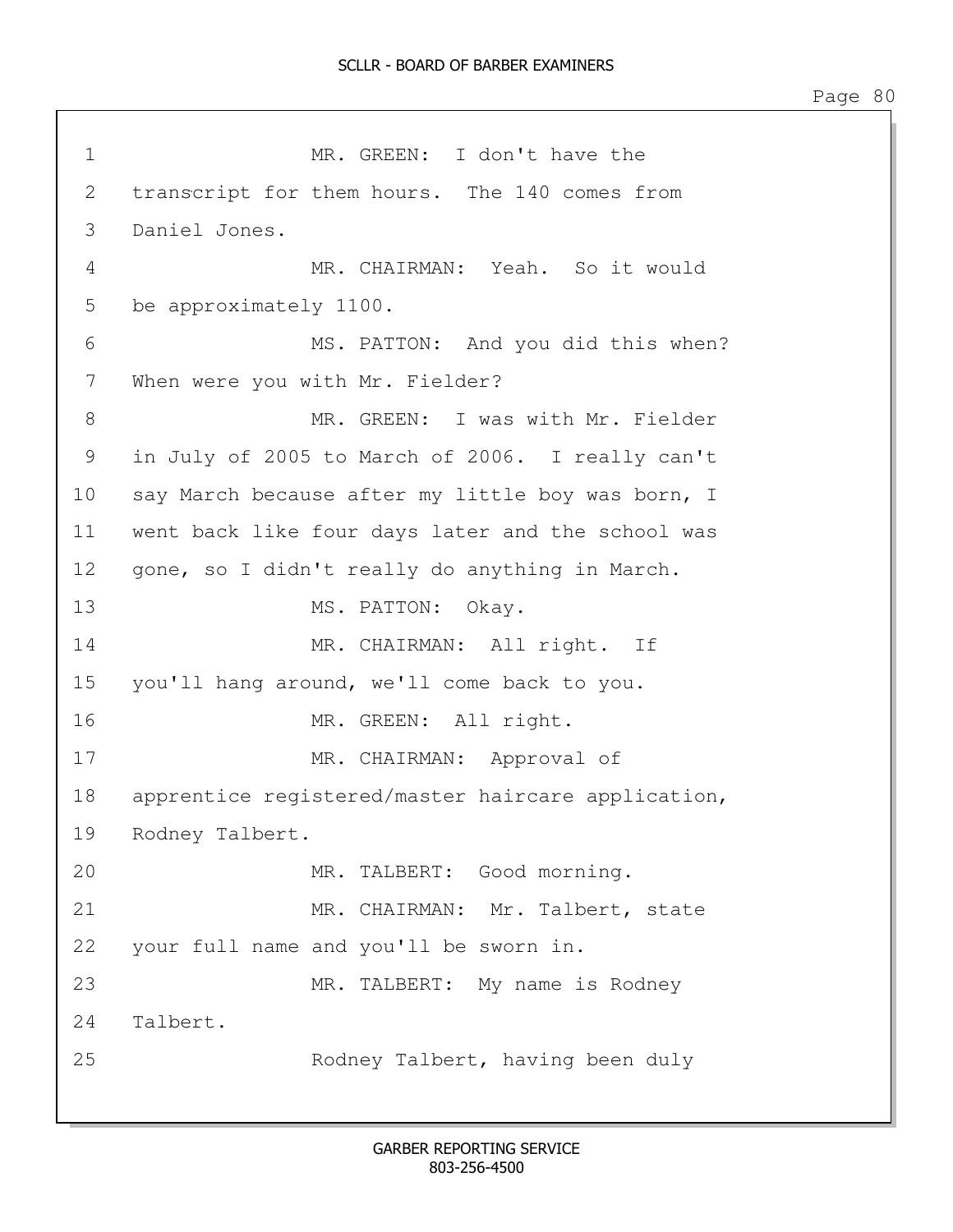1 MR. GREEN: I don't have the 2 transcript for them hours. The 140 comes from 3 Daniel Jones. 4 MR. CHAIRMAN: Yeah. So it would 5 be approximately 1100. 6 MS. PATTON: And you did this when? 7 When were you with Mr. Fielder? 8 MR. GREEN: I was with Mr. Fielder 9 in July of 2005 to March of 2006. I really can't 10 say March because after my little boy was born, I 11 went back like four days later and the school was 12 gone, so I didn't really do anything in March. 13 MS. PATTON: Okay. 14 MR. CHAIRMAN: All right. If 15 you'll hang around, we'll come back to you. 16 MR. GREEN: All right. 17 MR. CHAIRMAN: Approval of 18 apprentice registered/master haircare application, 19 Rodney Talbert. 20 MR. TALBERT: Good morning. 21 MR. CHAIRMAN: Mr. Talbert, state 22 your full name and you'll be sworn in. 23 MR. TALBERT: My name is Rodney 24 Talbert. 25 Rodney Talbert, having been duly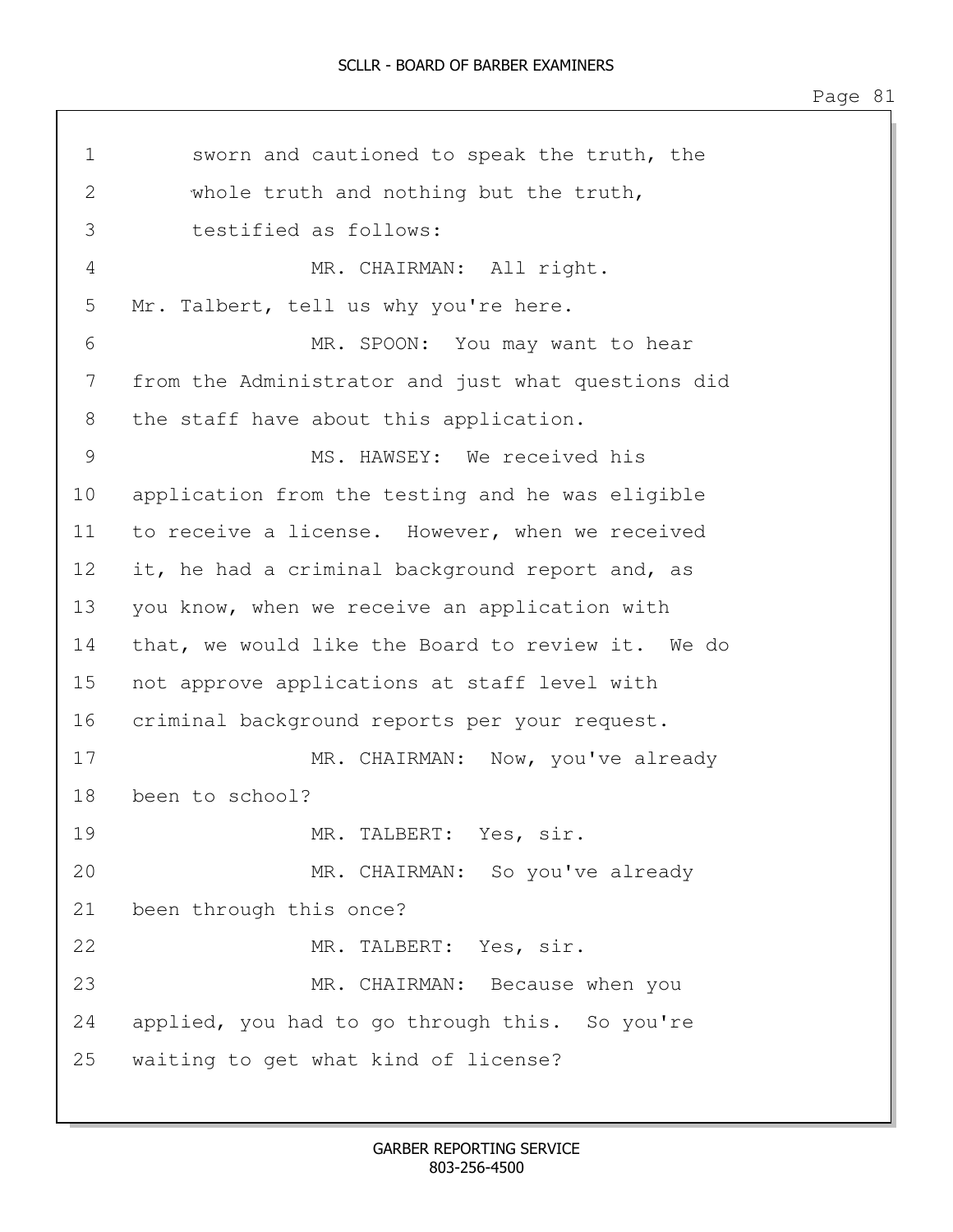1 sworn and cautioned to speak the truth, the 2 whole truth and nothing but the truth, 3 testified as follows: 4 MR. CHAIRMAN: All right. 5 Mr. Talbert, tell us why you're here. 6 MR. SPOON: You may want to hear 7 from the Administrator and just what questions did 8 the staff have about this application. 9 MS. HAWSEY: We received his 10 application from the testing and he was eligible 11 to receive a license. However, when we received 12 it, he had a criminal background report and, as 13 you know, when we receive an application with 14 that, we would like the Board to review it. We do 15 not approve applications at staff level with 16 criminal background reports per your request. 17 MR. CHAIRMAN: Now, you've already 18 been to school? 19 MR. TALBERT: Yes, sir. 20 MR. CHAIRMAN: So you've already 21 been through this once? 22 MR. TALBERT: Yes, sir. 23 MR. CHAIRMAN: Because when you 24 applied, you had to go through this. So you're 25 waiting to get what kind of license?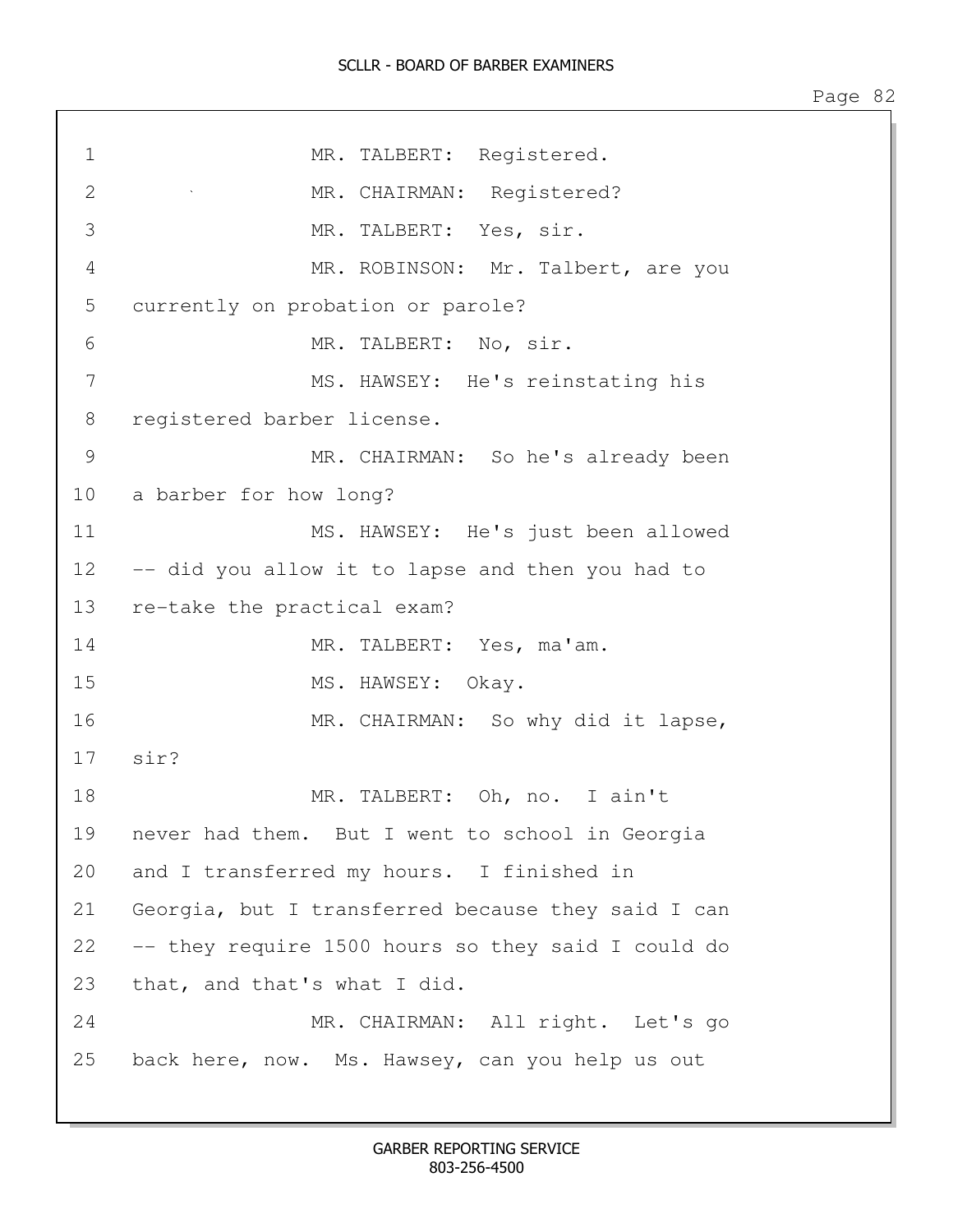| $\mathbf 1$       | MR. TALBERT: Registered.                                                 |
|-------------------|--------------------------------------------------------------------------|
| 2                 | MR. CHAIRMAN: Registered?<br>$\mathcal{F}^{\mathcal{G}}_{\mathcal{G}}$ . |
| 3                 | MR. TALBERT: Yes, sir.                                                   |
| $\overline{4}$    | MR. ROBINSON: Mr. Talbert, are you                                       |
| 5                 | currently on probation or parole?                                        |
| 6                 | MR. TALBERT: No, sir.                                                    |
| 7                 | MS. HAWSEY: He's reinstating his                                         |
| 8                 | registered barber license.                                               |
| $\mathcal{G}$     | MR. CHAIRMAN: So he's already been                                       |
| 10                | a barber for how long?                                                   |
| 11                | MS. HAWSEY: He's just been allowed                                       |
| $12 \overline{ }$ | -- did you allow it to lapse and then you had to                         |
| 13                | re-take the practical exam?                                              |
| 14                | MR. TALBERT: Yes, ma'am.                                                 |
| 15                | MS. HAWSEY: Okay.                                                        |
| 16                | MR. CHAIRMAN: So why did it lapse,                                       |
|                   | 17 sir?                                                                  |
| 18                | MR.<br>TALBERT: Oh, no. I ain't                                          |
| 19                | never had them. But I went to school in Georgia                          |
| 20                | and I transferred my hours. I finished in                                |
| 21                | Georgia, but I transferred because they said I can                       |
| 22                | -- they require 1500 hours so they said I could do                       |
| 23                | that, and that's what I did.                                             |
| 24                | MR. CHAIRMAN: All right. Let's go                                        |
| 25                | back here, now. Ms. Hawsey, can you help us out                          |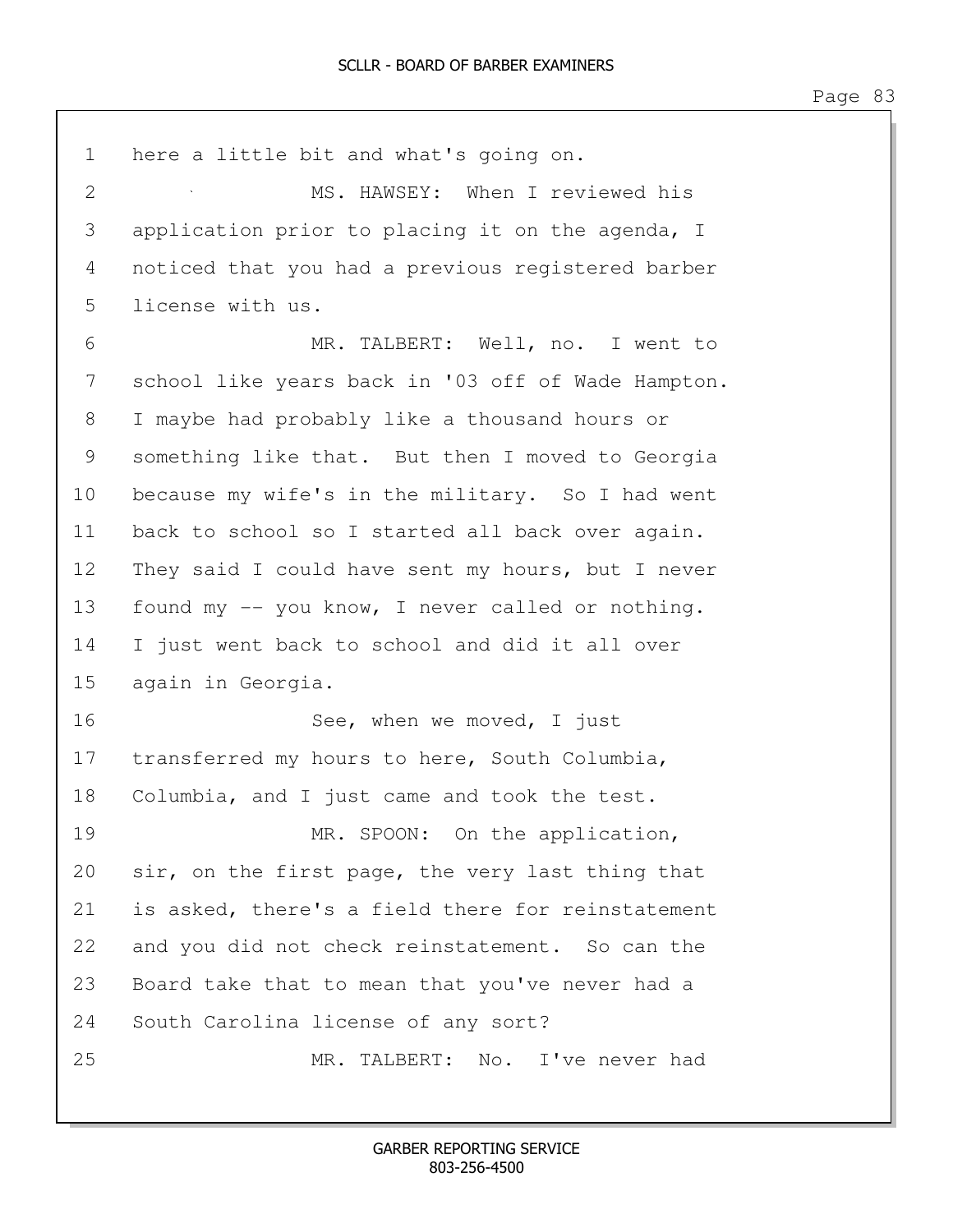| $\mathbf 1$   | here a little bit and what's going on.             |
|---------------|----------------------------------------------------|
| $\mathbf{2}$  | MS. HAWSEY: When I reviewed his                    |
| 3             | application prior to placing it on the agenda, I   |
| 4             | noticed that you had a previous registered barber  |
| 5             | license with us.                                   |
| 6             | MR. TALBERT: Well, no. I went to                   |
| 7             | school like years back in '03 off of Wade Hampton. |
| $8\,$         | I maybe had probably like a thousand hours or      |
| $\mathcal{G}$ | something like that. But then I moved to Georgia   |
| 10            | because my wife's in the military. So I had went   |
| 11            | back to school so I started all back over again.   |
| 12            | They said I could have sent my hours, but I never  |
| 13            | found my -- you know, I never called or nothing.   |
| 14            | I just went back to school and did it all over     |
| 15            | again in Georgia.                                  |
| 16            | See, when we moved, I just                         |
| 17            | transferred my hours to here, South Columbia,      |
| 18            | Columbia, and I just came and took the test.       |
| 19            | MR. SPOON: On the application,                     |
| 20            | sir, on the first page, the very last thing that   |
| 21            | is asked, there's a field there for reinstatement  |
| 22            | and you did not check reinstatement. So can the    |
| 23            | Board take that to mean that you've never had a    |
| 24            | South Carolina license of any sort?                |
| 25            | MR. TALBERT: No. I've never had                    |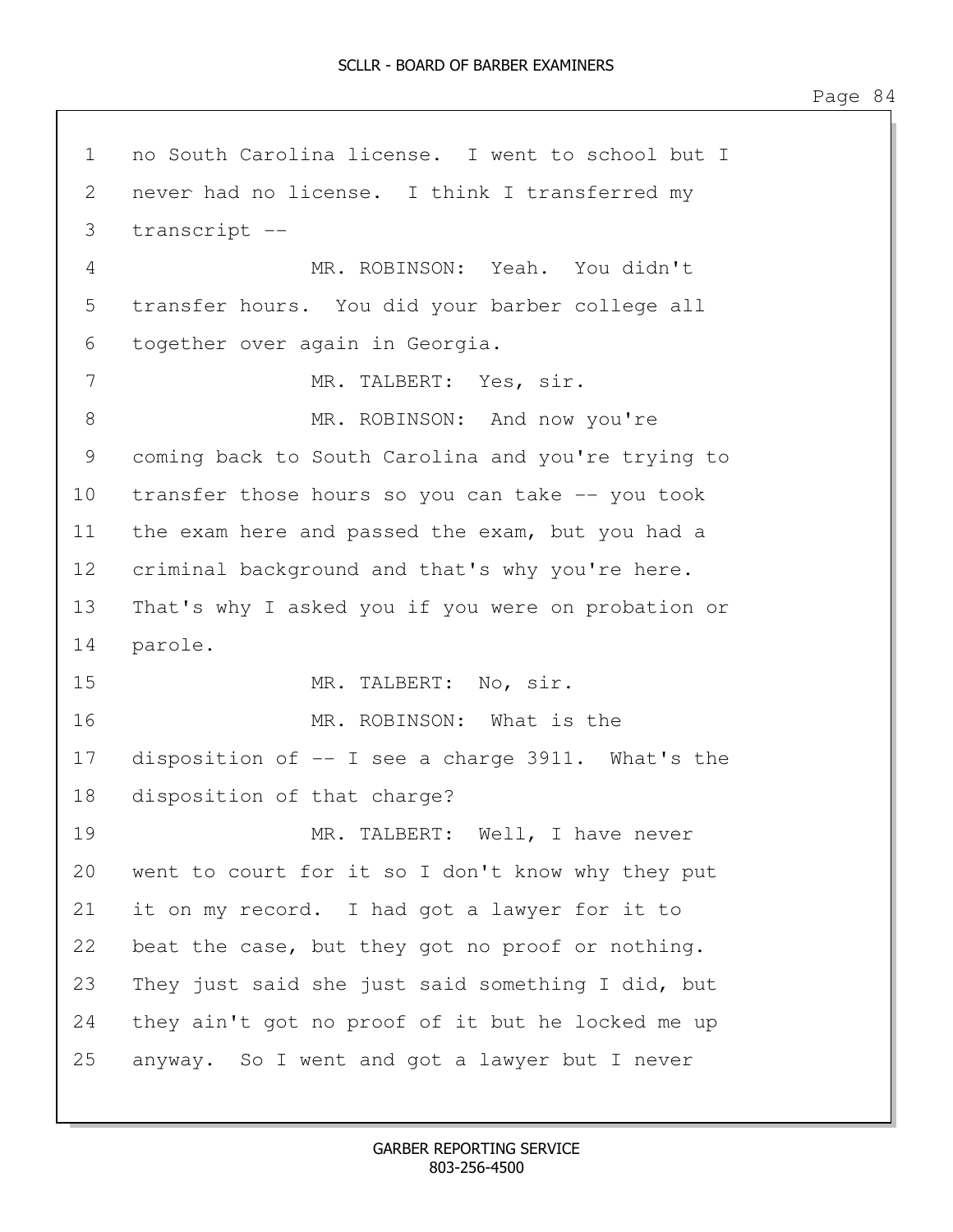1 no South Carolina license. I went to school but I 2 never had no license. I think I transferred my 3 transcript -- 4 MR. ROBINSON: Yeah. You didn't 5 transfer hours. You did your barber college all 6 together over again in Georgia. 7 MR. TALBERT: Yes, sir. 8 MR. ROBINSON: And now you're 9 coming back to South Carolina and you're trying to 10 transfer those hours so you can take -- you took 11 the exam here and passed the exam, but you had a 12 criminal background and that's why you're here. 13 That's why I asked you if you were on probation or 14 parole. 15 MR. TALBERT: No, sir. 16 MR. ROBINSON: What is the 17 disposition of -- I see a charge 3911. What's the 18 disposition of that charge? 19 MR. TALBERT: Well, I have never 20 went to court for it so I don't know why they put 21 it on my record. I had got a lawyer for it to 22 beat the case, but they got no proof or nothing. 23 They just said she just said something I did, but 24 they ain't got no proof of it but he locked me up 25 anyway. So I went and got a lawyer but I never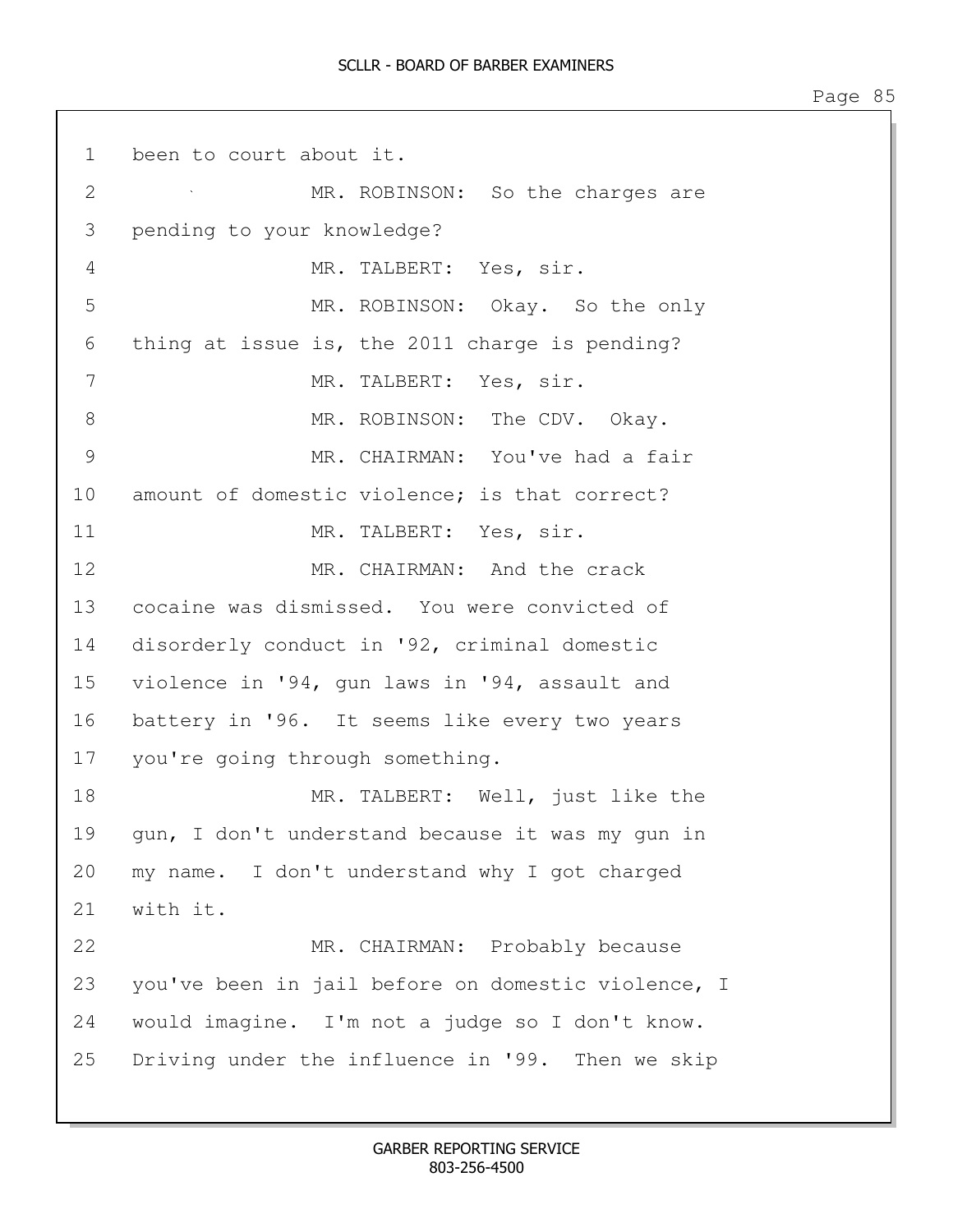1 been to court about it. 2 MR. ROBINSON: So the charges are 3 pending to your knowledge? 4 MR. TALBERT: Yes, sir. 5 MR. ROBINSON: Okay. So the only 6 thing at issue is, the 2011 charge is pending? 7 MR. TALBERT: Yes, sir. 8 MR. ROBINSON: The CDV. Okay. 9 MR. CHAIRMAN: You've had a fair 10 amount of domestic violence; is that correct? 11 MR. TALBERT: Yes, sir. 12 MR. CHAIRMAN: And the crack 13 cocaine was dismissed. You were convicted of 14 disorderly conduct in '92, criminal domestic 15 violence in '94, gun laws in '94, assault and 16 battery in '96. It seems like every two years 17 you're going through something. 18 MR. TALBERT: Well, just like the 19 gun, I don't understand because it was my gun in 20 my name. I don't understand why I got charged 21 with it. 22 MR. CHAIRMAN: Probably because 23 you've been in jail before on domestic violence, I 24 would imagine. I'm not a judge so I don't know. 25 Driving under the influence in '99. Then we skip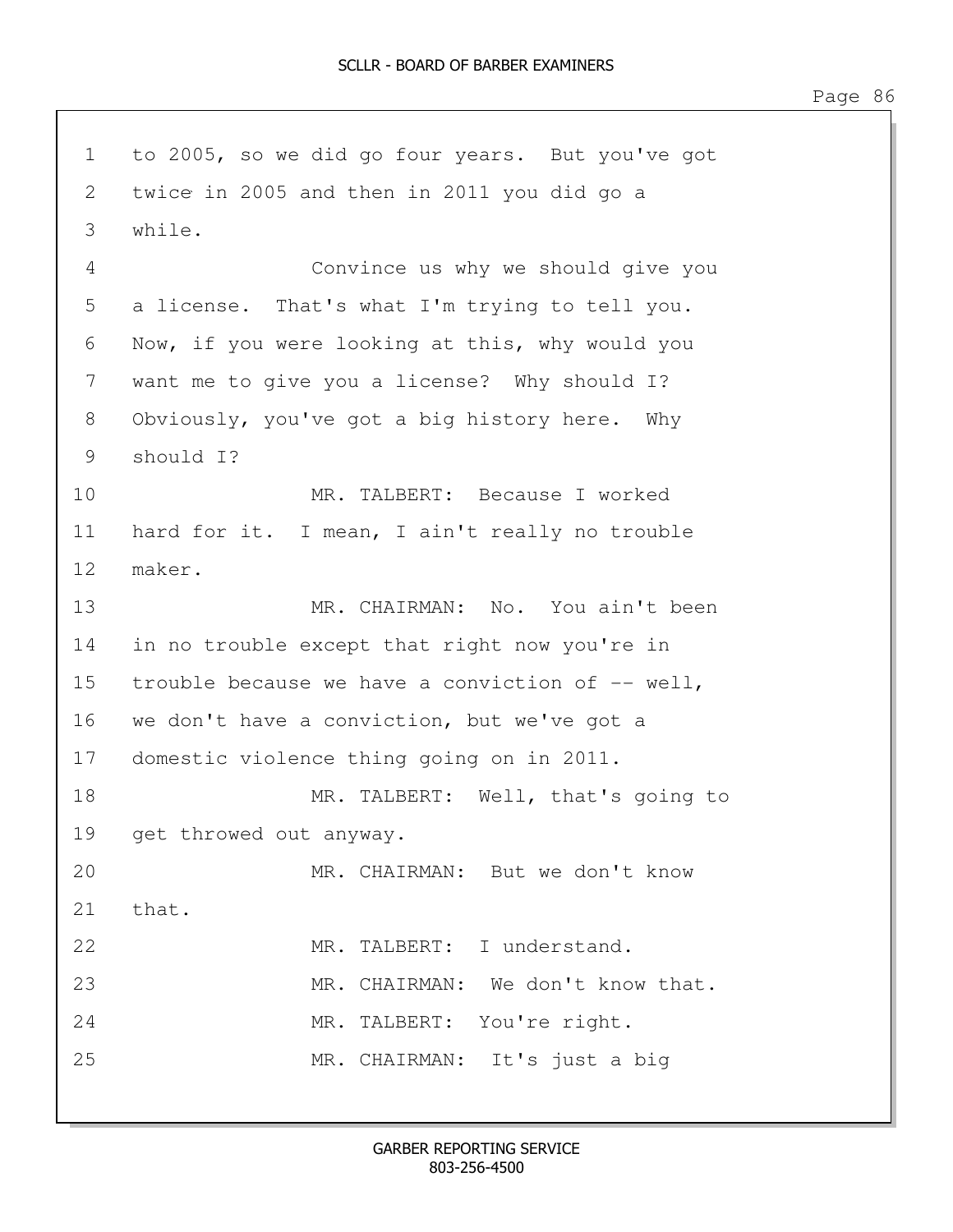1 to 2005, so we did go four years. But you've got 2 twice in 2005 and then in 2011 you did go a 3 while. 4 Convince us why we should give you 5 a license. That's what I'm trying to tell you. 6 Now, if you were looking at this, why would you 7 want me to give you a license? Why should I? 8 Obviously, you've got a big history here. Why 9 should I? 10 MR. TALBERT: Because I worked 11 hard for it. I mean, I ain't really no trouble 12 maker. 13 MR. CHAIRMAN: No. You ain't been 14 in no trouble except that right now you're in 15 trouble because we have a conviction of -- well, 16 we don't have a conviction, but we've got a 17 domestic violence thing going on in 2011. 18 MR. TALBERT: Well, that's going to 19 get throwed out anyway. 20 MR. CHAIRMAN: But we don't know 21 that. 22 MR. TALBERT: I understand. 23 MR. CHAIRMAN: We don't know that. 24 MR. TALBERT: You're right. 25 MR. CHAIRMAN: It's just a big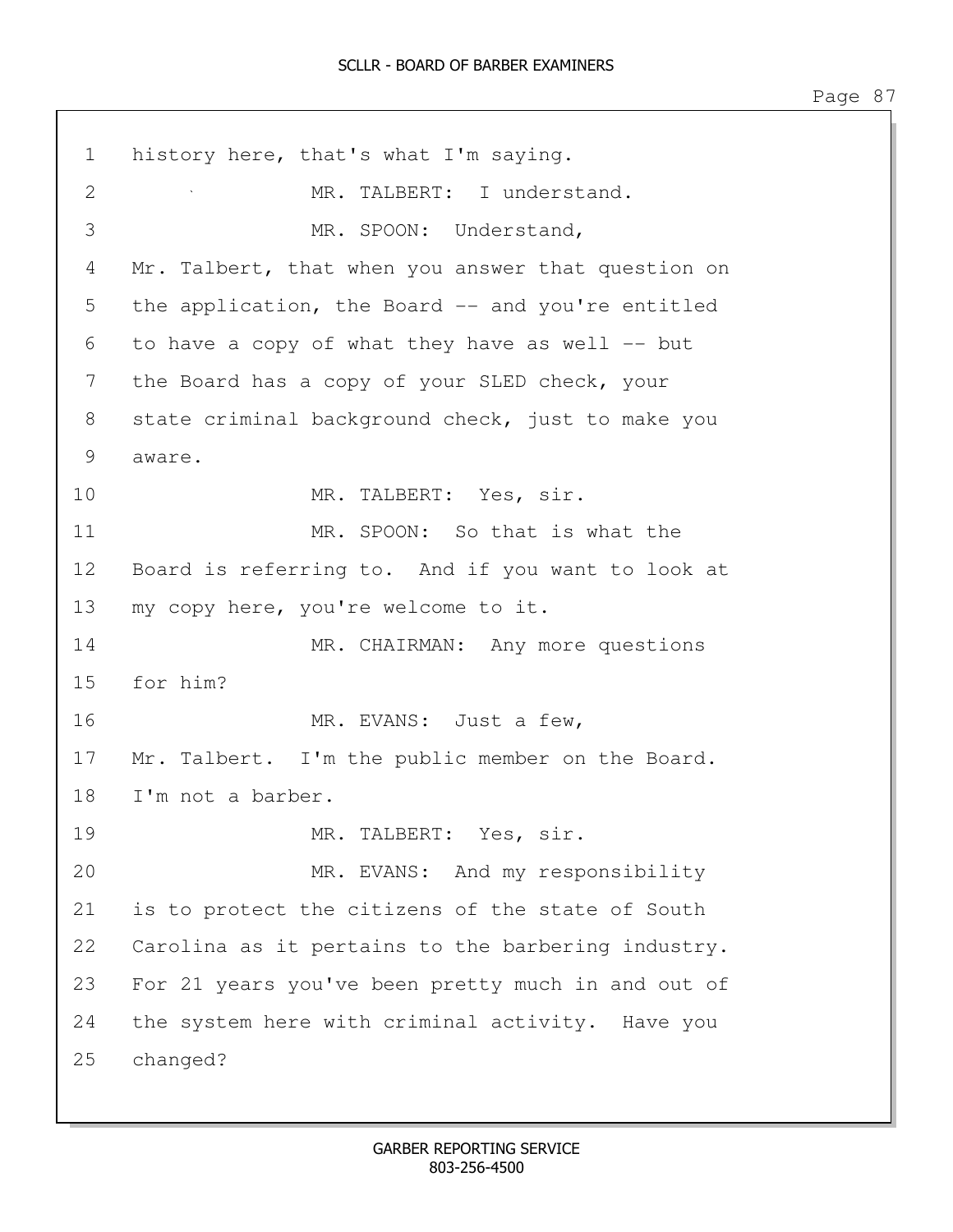1 history here, that's what I'm saying. 2 MR. TALBERT: I understand. 3 MR. SPOON: Understand, 4 Mr. Talbert, that when you answer that question on 5 the application, the Board -- and you're entitled 6 to have a copy of what they have as well -- but 7 the Board has a copy of your SLED check, your 8 state criminal background check, just to make you 9 aware. 10 MR. TALBERT: Yes, sir. 11 MR. SPOON: So that is what the 12 Board is referring to. And if you want to look at 13 my copy here, you're welcome to it. 14 MR. CHAIRMAN: Any more questions 15 for him? 16 MR. EVANS: Just a few, 17 Mr. Talbert. I'm the public member on the Board. 18 I'm not a barber. 19 MR. TALBERT: Yes, sir. 20 MR. EVANS: And my responsibility 21 is to protect the citizens of the state of South 22 Carolina as it pertains to the barbering industry. 23 For 21 years you've been pretty much in and out of 24 the system here with criminal activity. Have you 25 changed?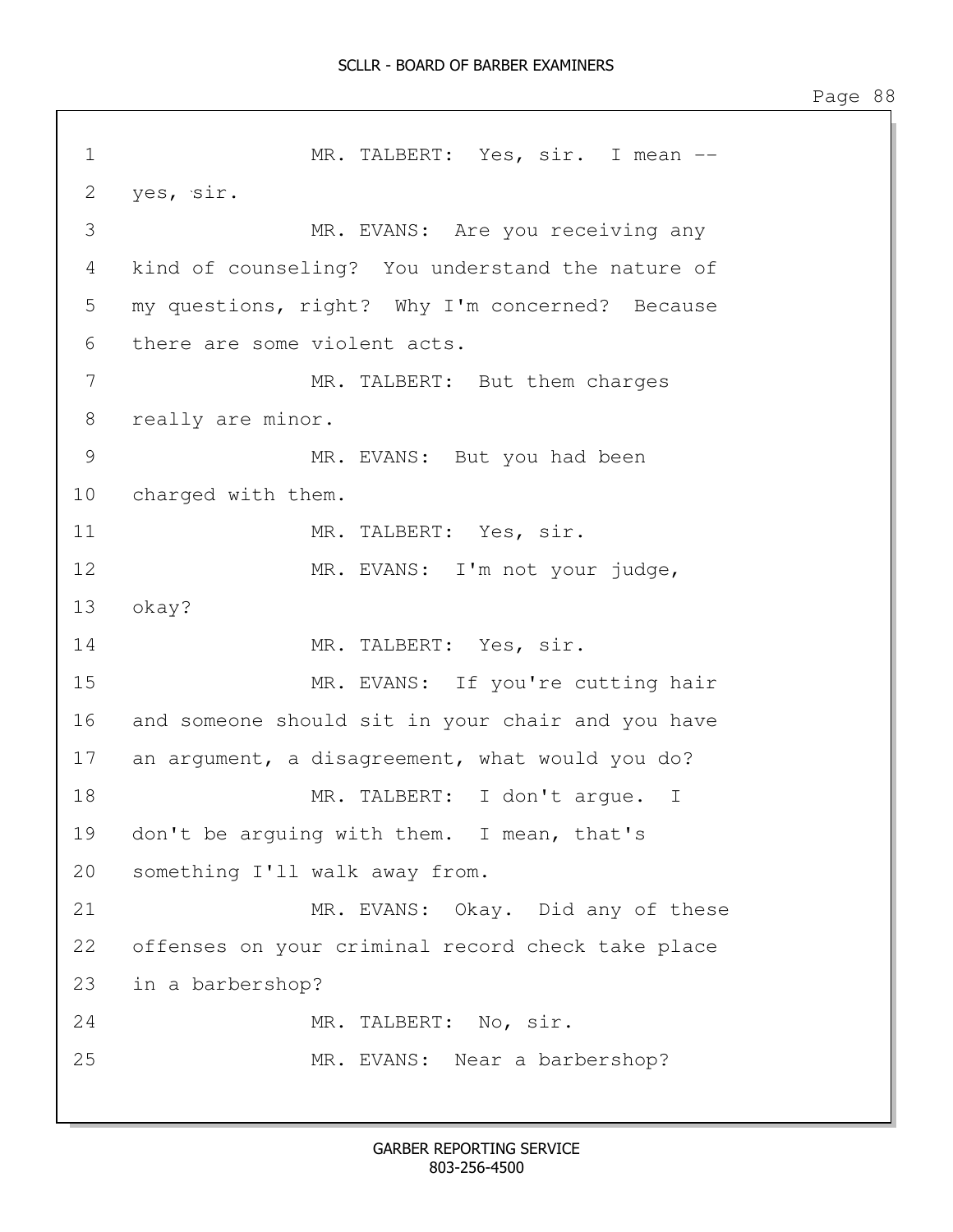1 MR. TALBERT: Yes, sir. I mean --2 yes, sir. 3 MR. EVANS: Are you receiving any 4 kind of counseling? You understand the nature of 5 my questions, right? Why I'm concerned? Because 6 there are some violent acts. 7 MR. TALBERT: But them charges 8 really are minor. 9 MR. EVANS: But you had been 10 charged with them. 11 MR. TALBERT: Yes, sir. 12 MR. EVANS: I'm not your judge, 13 okay? 14 MR. TALBERT: Yes, sir. 15 MR. EVANS: If you're cutting hair 16 and someone should sit in your chair and you have 17 an argument, a disagreement, what would you do? 18 MR. TALBERT: I don't arque. I 19 don't be arguing with them. I mean, that's 20 something I'll walk away from. 21 MR. EVANS: Okay. Did any of these 22 offenses on your criminal record check take place 23 in a barbershop? 24 MR. TALBERT: No. sir. 25 MR. EVANS: Near a barbershop?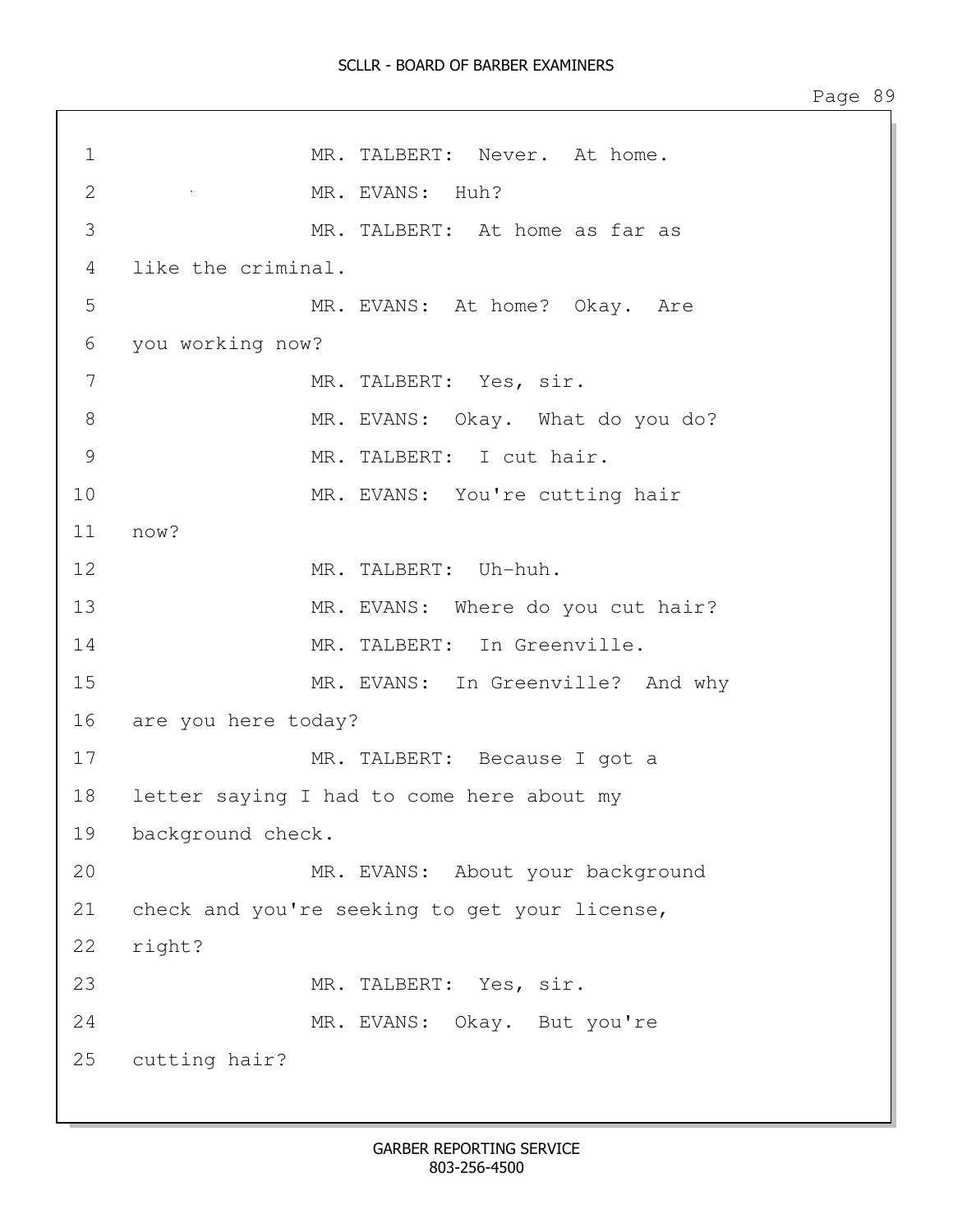1 MR. TALBERT: Never. At home. 2 MR. EVANS: Huh? 3 MR. TALBERT: At home as far as 4 like the criminal. 5 MR. EVANS: At home? Okay. Are 6 you working now? 7 MR. TALBERT: Yes, sir. 8 MR. EVANS: Okay. What do you do? 9 MR. TALBERT: I cut hair. 10 MR. EVANS: You're cutting hair 11 now? 12 MR. TALBERT: Uh-huh. 13 MR. EVANS: Where do you cut hair? 14 MR. TALBERT: In Greenville. 15 MR. EVANS: In Greenville? And why 16 are you here today? 17 MR. TALBERT: Because I got a 18 letter saying I had to come here about my 19 background check. 20 MR. EVANS: About your background 21 check and you're seeking to get your license, 22 right? 23 MR. TALBERT: Yes, sir. 24 MR. EVANS: Okay. But you're 25 cutting hair?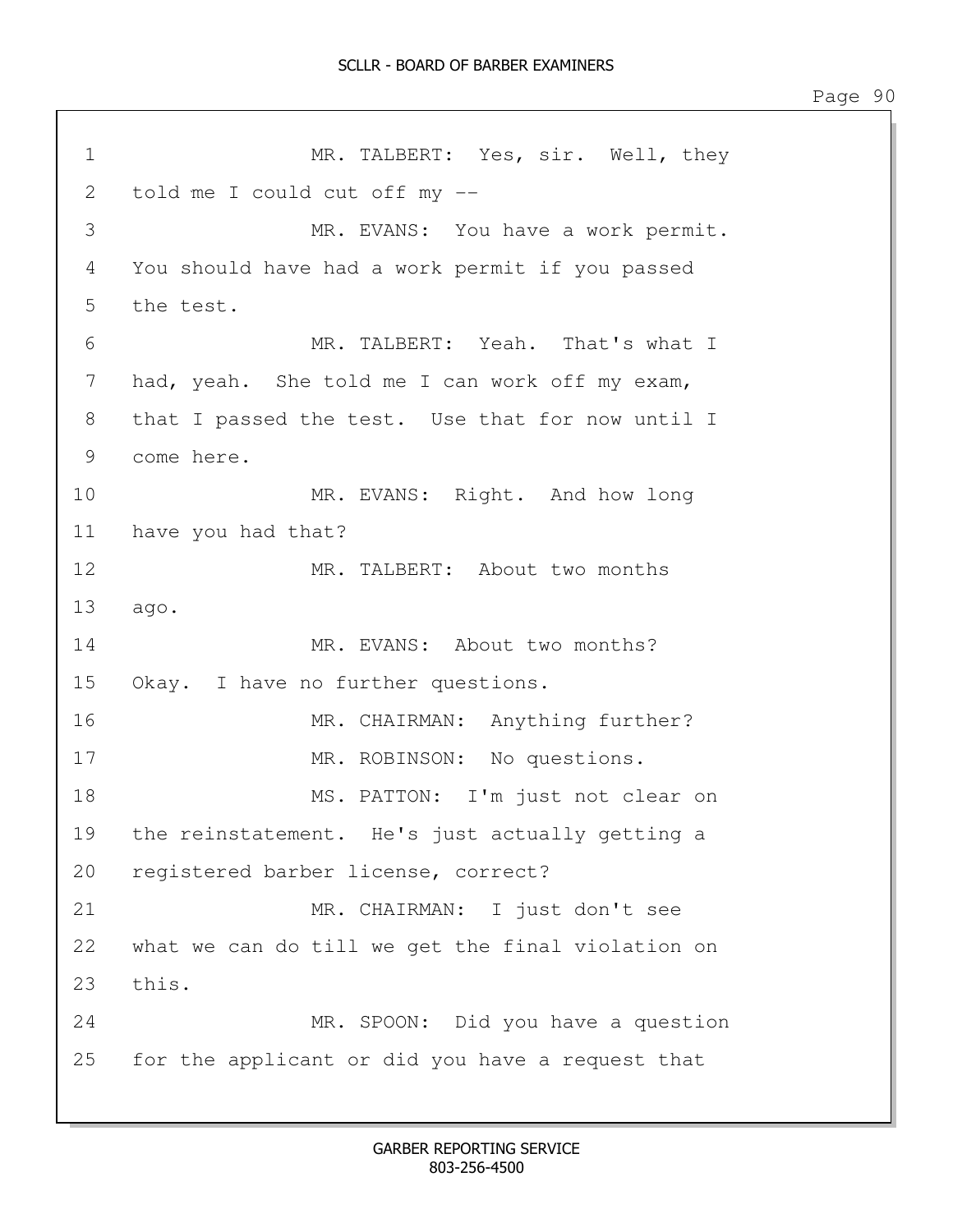1 MR. TALBERT: Yes, sir. Well, they 2 told me I could cut off my -- 3 MR. EVANS: You have a work permit. 4 You should have had a work permit if you passed 5 the test. 6 MR. TALBERT: Yeah. That's what I 7 had, yeah. She told me I can work off my exam, 8 that I passed the test. Use that for now until I 9 come here. 10 MR. EVANS: Right. And how long 11 have you had that? 12 MR. TALBERT: About two months 13 ago. 14 MR. EVANS: About two months? 15 Okay. I have no further questions. 16 MR. CHAIRMAN: Anything further? 17 MR. ROBINSON: No questions. 18 MS. PATTON: I'm just not clear on 19 the reinstatement. He's just actually getting a 20 registered barber license, correct? 21 MR. CHAIRMAN: I just don't see 22 what we can do till we get the final violation on 23 this. 24 MR. SPOON: Did you have a question 25 for the applicant or did you have a request that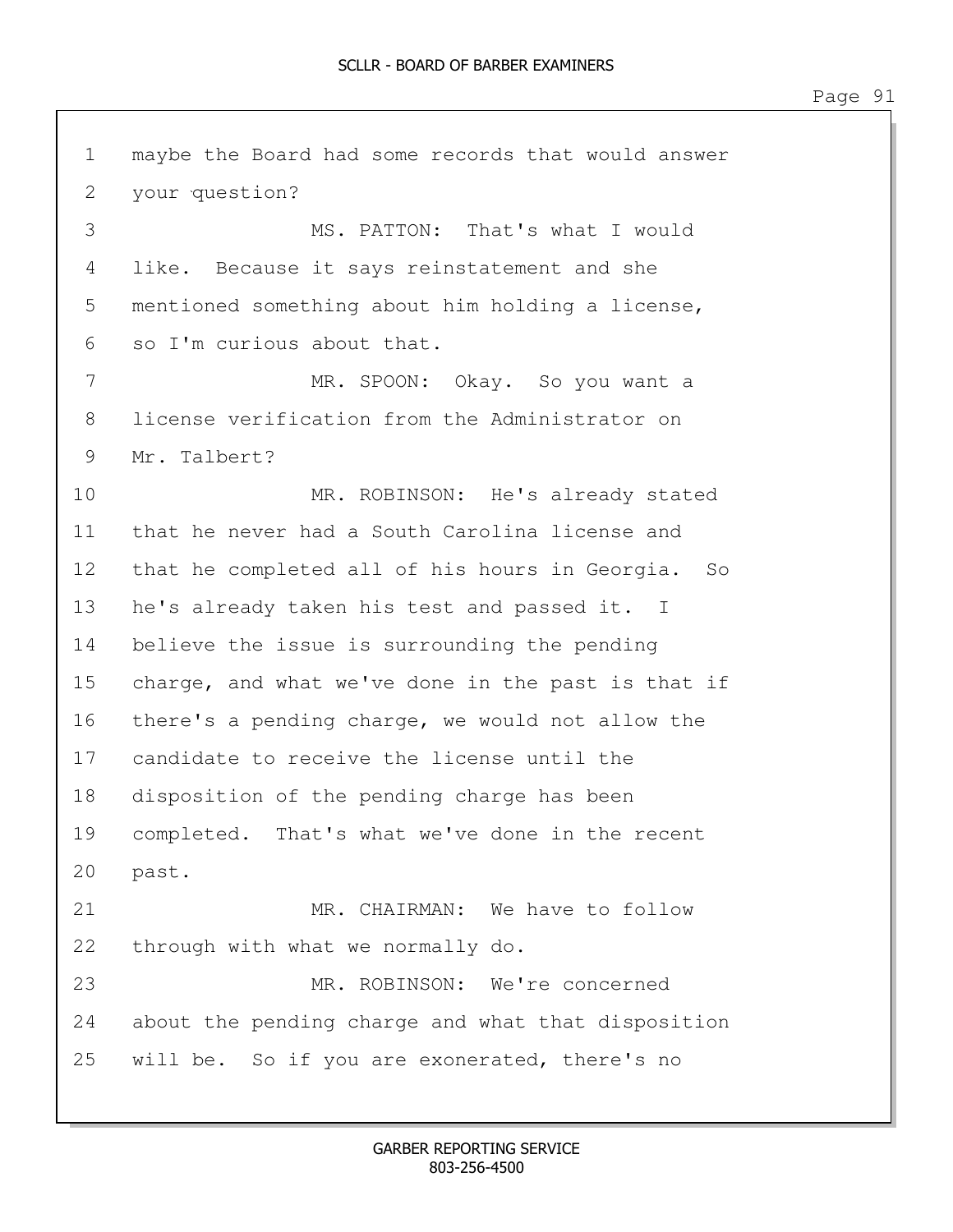1 maybe the Board had some records that would answer 2 your question? 3 MS. PATTON: That's what I would 4 like. Because it says reinstatement and she 5 mentioned something about him holding a license, 6 so I'm curious about that. 7 MR. SPOON: Okay. So you want a 8 license verification from the Administrator on 9 Mr. Talbert? 10 MR. ROBINSON: He's already stated 11 that he never had a South Carolina license and 12 that he completed all of his hours in Georgia. So 13 he's already taken his test and passed it. I 14 believe the issue is surrounding the pending 15 charge, and what we've done in the past is that if 16 there's a pending charge, we would not allow the 17 candidate to receive the license until the 18 disposition of the pending charge has been 19 completed. That's what we've done in the recent 20 past. 21 MR. CHAIRMAN: We have to follow 22 through with what we normally do. 23 MR. ROBINSON: We're concerned 24 about the pending charge and what that disposition 25 will be. So if you are exonerated, there's no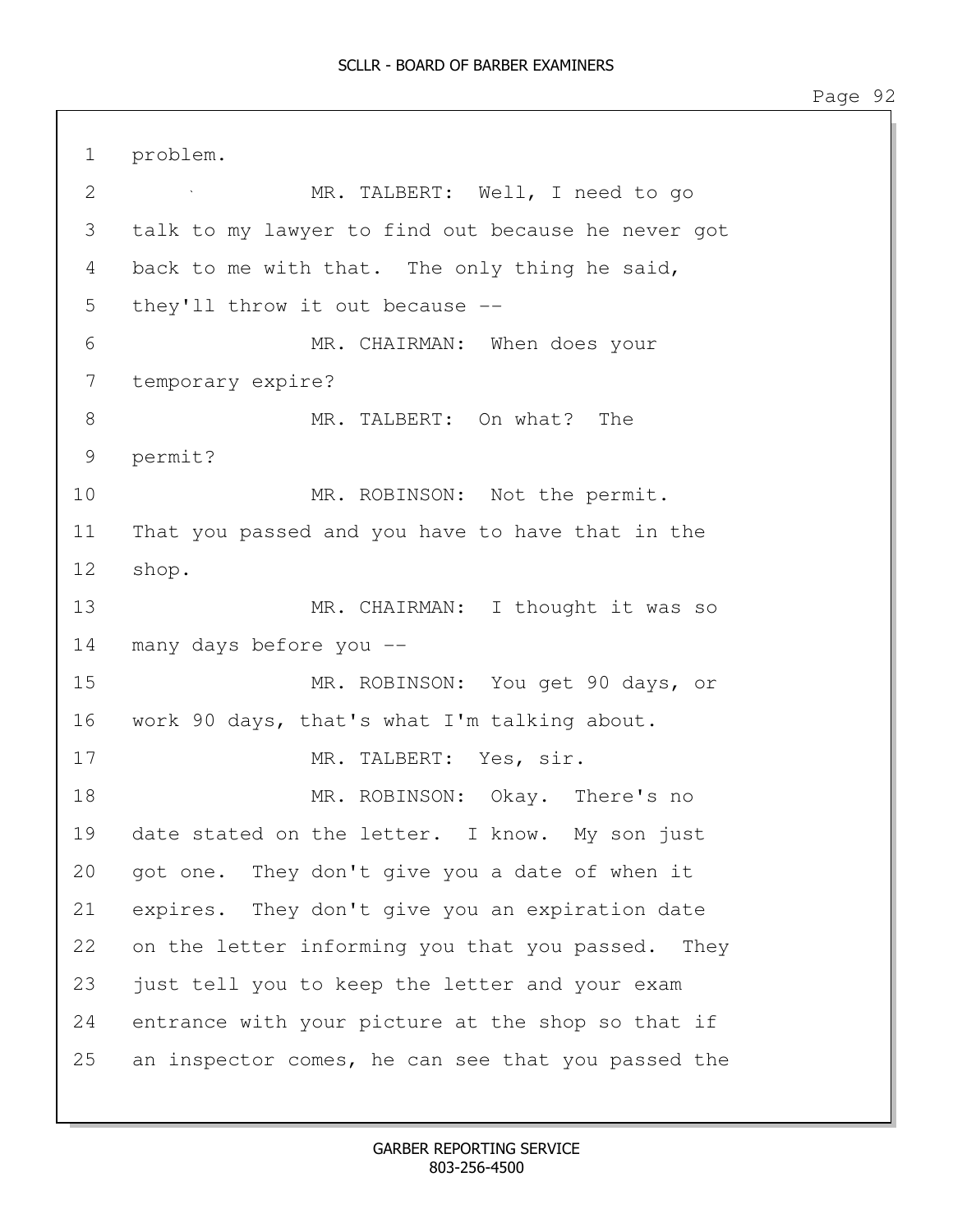1 problem. 2 MR. TALBERT: Well, I need to go 3 talk to my lawyer to find out because he never got 4 back to me with that. The only thing he said, 5 they'll throw it out because --6 MR. CHAIRMAN: When does your 7 temporary expire? 8 MR. TALBERT: On what? The 9 permit? 10 MR. ROBINSON: Not the permit. 11 That you passed and you have to have that in the 12 shop. 13 MR. CHAIRMAN: I thought it was so 14 many days before you -- 15 MR. ROBINSON: You get 90 days, or 16 work 90 days, that's what I'm talking about. 17 MR. TALBERT: Yes, sir. 18 MR. ROBINSON: Okay. There's no 19 date stated on the letter. I know. My son just 20 got one. They don't give you a date of when it 21 expires. They don't give you an expiration date 22 on the letter informing you that you passed. They 23 just tell you to keep the letter and your exam 24 entrance with your picture at the shop so that if 25 an inspector comes, he can see that you passed the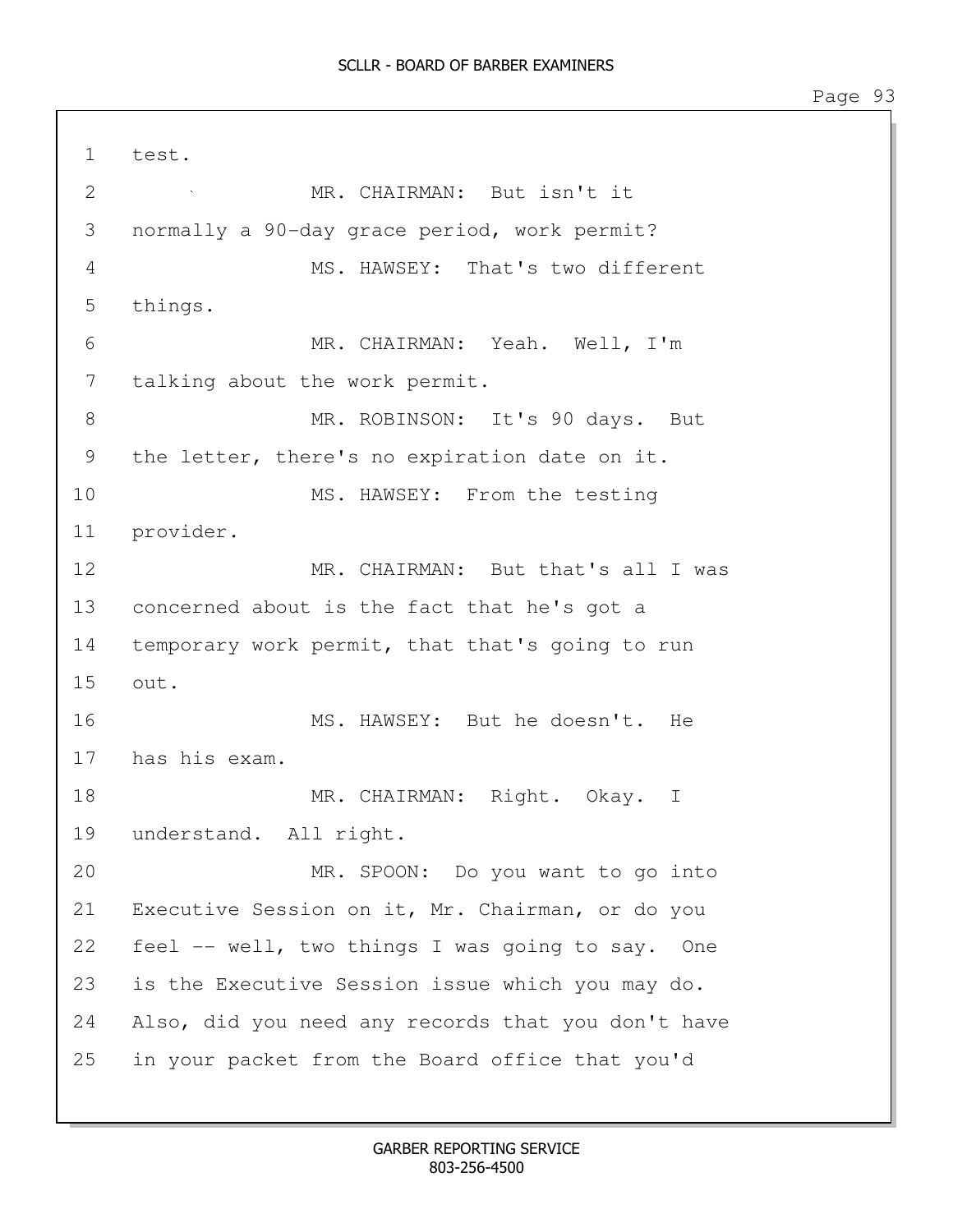1 test. 2 MR. CHAIRMAN: But isn't it 3 normally a 90-day grace period, work permit? 4 MS. HAWSEY: That's two different 5 things. 6 MR. CHAIRMAN: Yeah. Well, I'm 7 talking about the work permit. 8 MR. ROBINSON: It's 90 days. But 9 the letter, there's no expiration date on it. 10 MS. HAWSEY: From the testing 11 provider. 12 MR. CHAIRMAN: But that's all I was 13 concerned about is the fact that he's got a 14 temporary work permit, that that's going to run 15 out. 16 MS. HAWSEY: But he doesn't. He 17 has his exam. 18 MR. CHAIRMAN: Right. Okay. I 19 understand. All right. 20 MR. SPOON: Do you want to go into 21 Executive Session on it, Mr. Chairman, or do you 22 feel -- well, two things I was going to say. One 23 is the Executive Session issue which you may do. 24 Also, did you need any records that you don't have 25 in your packet from the Board office that you'd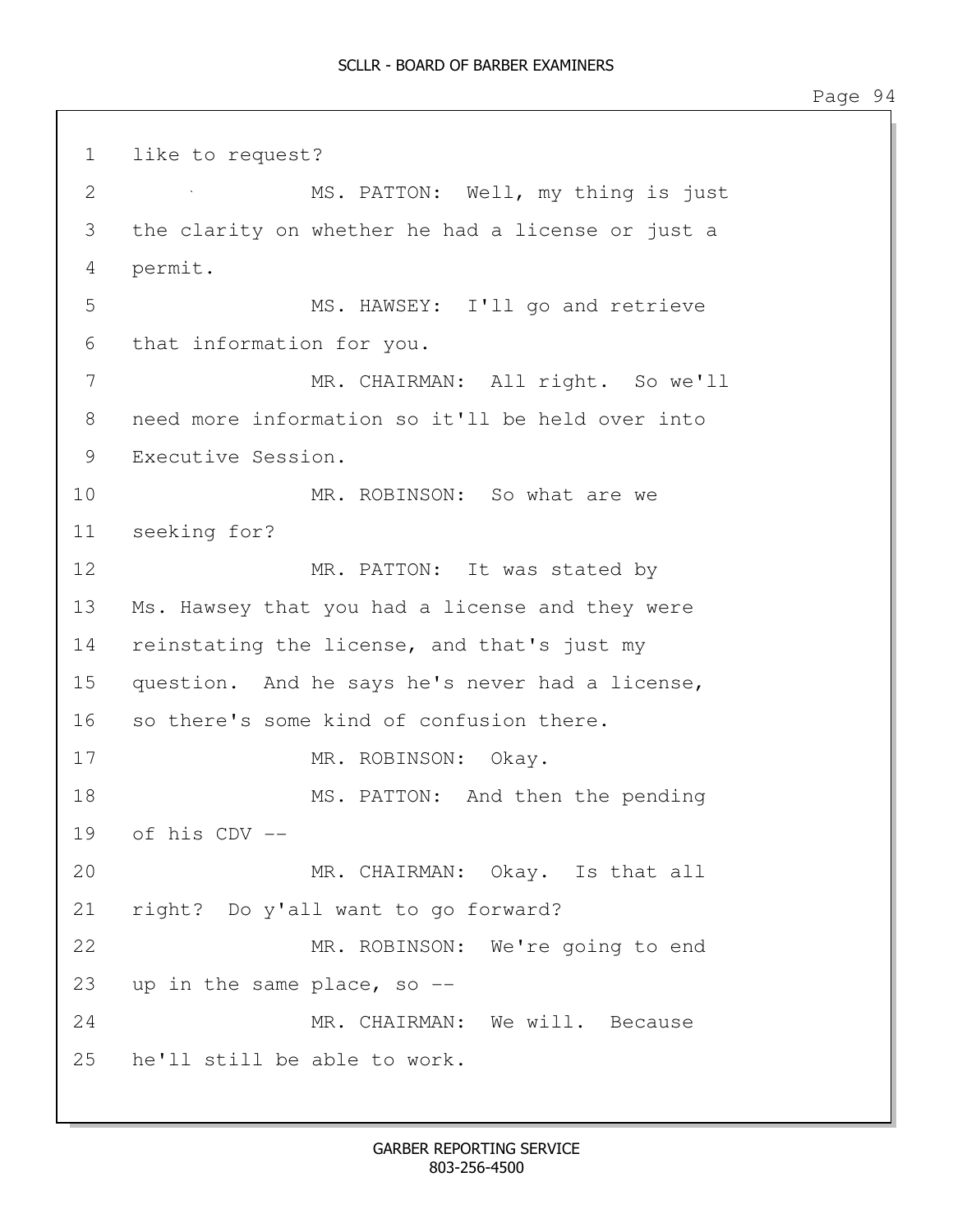1 like to request? 2 MS. PATTON: Well, my thing is just 3 the clarity on whether he had a license or just a 4 permit. 5 MS. HAWSEY: I'll go and retrieve 6 that information for you. 7 MR. CHAIRMAN: All right. So we'll 8 need more information so it'll be held over into 9 Executive Session. 10 MR. ROBINSON: So what are we 11 seeking for? 12 MR. PATTON: It was stated by 13 Ms. Hawsey that you had a license and they were 14 reinstating the license, and that's just my 15 question. And he says he's never had a license, 16 so there's some kind of confusion there. 17 MR. ROBINSON: Okay. 18 MS. PATTON: And then the pending 19 of his CDV -- 20 MR. CHAIRMAN: Okay. Is that all 21 right? Do y'all want to go forward? 22 MR. ROBINSON: We're going to end 23 up in the same place, so -- 24 MR. CHAIRMAN: We will. Because 25 he'll still be able to work.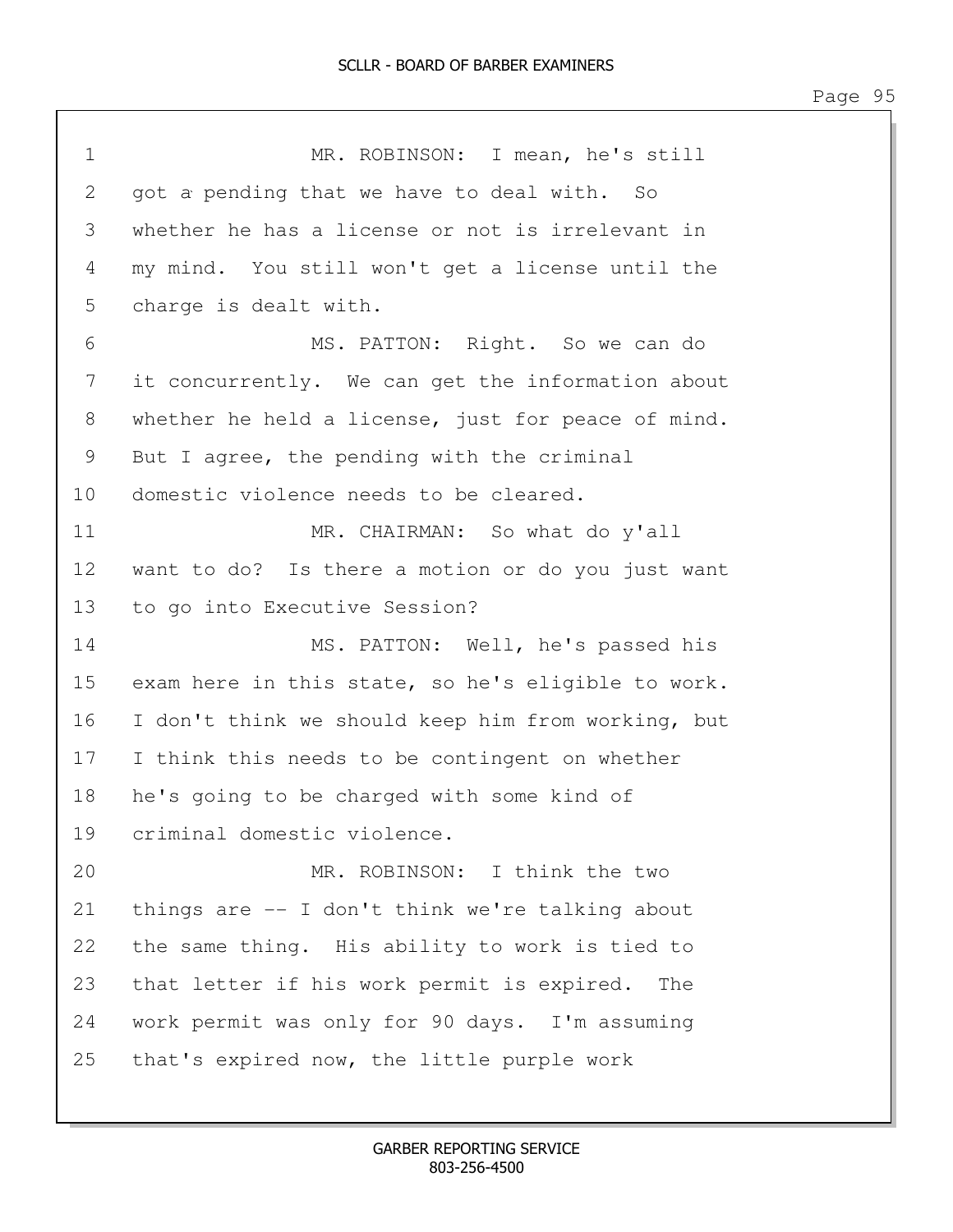1 MR. ROBINSON: I mean, he's still 2 got a pending that we have to deal with. So 3 whether he has a license or not is irrelevant in 4 my mind. You still won't get a license until the 5 charge is dealt with. 6 MS. PATTON: Right. So we can do 7 it concurrently. We can get the information about 8 whether he held a license, just for peace of mind. 9 But I agree, the pending with the criminal 10 domestic violence needs to be cleared. 11 MR. CHAIRMAN: So what do y'all 12 want to do? Is there a motion or do you just want 13 to go into Executive Session? 14 MS. PATTON: Well, he's passed his 15 exam here in this state, so he's eligible to work. 16 I don't think we should keep him from working, but 17 I think this needs to be contingent on whether 18 he's going to be charged with some kind of 19 criminal domestic violence. 20 MR. ROBINSON: I think the two 21 things are -- I don't think we're talking about 22 the same thing. His ability to work is tied to 23 that letter if his work permit is expired. The 24 work permit was only for 90 days. I'm assuming 25 that's expired now, the little purple work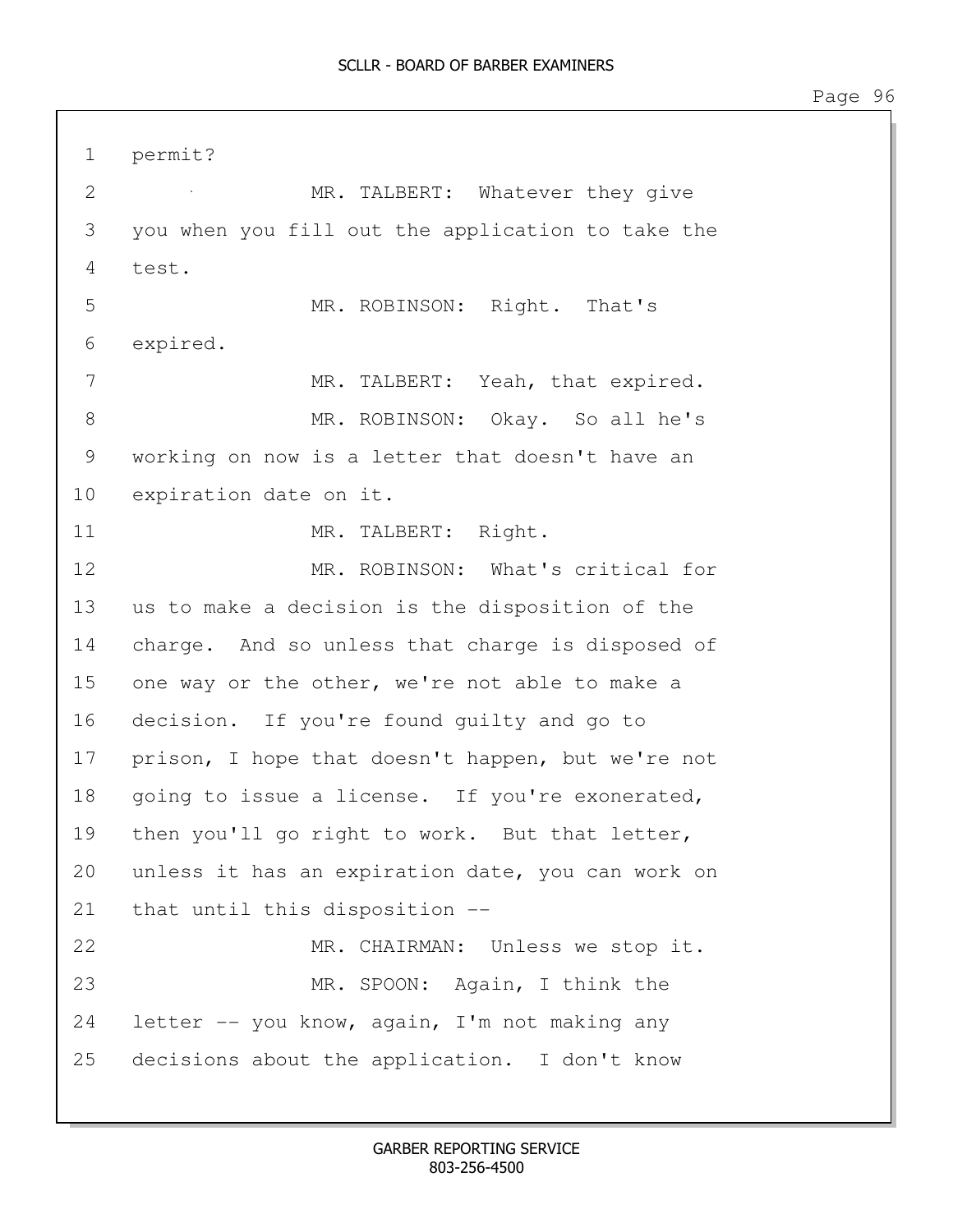1 permit? 2 MR. TALBERT: Whatever they give 3 you when you fill out the application to take the 4 test. 5 MR. ROBINSON: Right. That's 6 expired. 7 MR. TALBERT: Yeah, that expired. 8 MR. ROBINSON: Okay. So all he's 9 working on now is a letter that doesn't have an 10 expiration date on it. 11 MR. TALBERT: Right. 12 MR. ROBINSON: What's critical for 13 us to make a decision is the disposition of the 14 charge. And so unless that charge is disposed of 15 one way or the other, we're not able to make a 16 decision. If you're found guilty and go to 17 prison, I hope that doesn't happen, but we're not 18 going to issue a license. If you're exonerated, 19 then you'll go right to work. But that letter, 20 unless it has an expiration date, you can work on 21 that until this disposition -- 22 MR. CHAIRMAN: Unless we stop it. 23 MR. SPOON: Again, I think the 24 letter -- you know, again, I'm not making any 25 decisions about the application. I don't know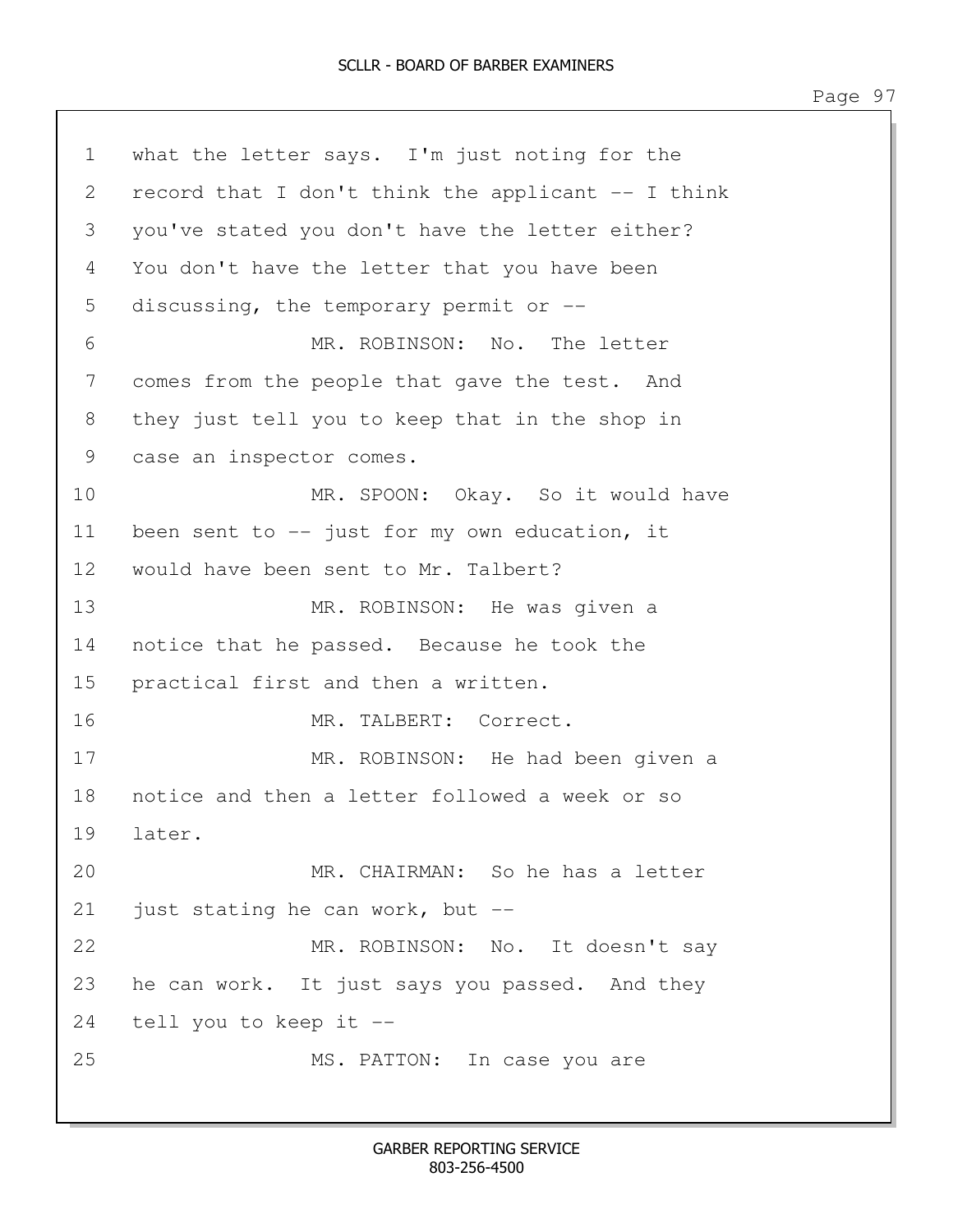1 what the letter says. I'm just noting for the 2 record that I don't think the applicant -- I think 3 you've stated you don't have the letter either? 4 You don't have the letter that you have been 5 discussing, the temporary permit or -- 6 MR. ROBINSON: No. The letter 7 comes from the people that gave the test. And 8 they just tell you to keep that in the shop in 9 case an inspector comes. 10 MR. SPOON: Okay. So it would have 11 been sent to -- just for my own education, it 12 would have been sent to Mr. Talbert? 13 MR. ROBINSON: He was given a 14 notice that he passed. Because he took the 15 practical first and then a written. 16 MR. TALBERT: Correct. 17 MR. ROBINSON: He had been given a 18 notice and then a letter followed a week or so 19 later. 20 MR. CHAIRMAN: So he has a letter 21 just stating he can work, but -- 22 MR. ROBINSON: No. It doesn't say 23 he can work. It just says you passed. And they 24 tell you to keep it -- 25 MS. PATTON: In case you are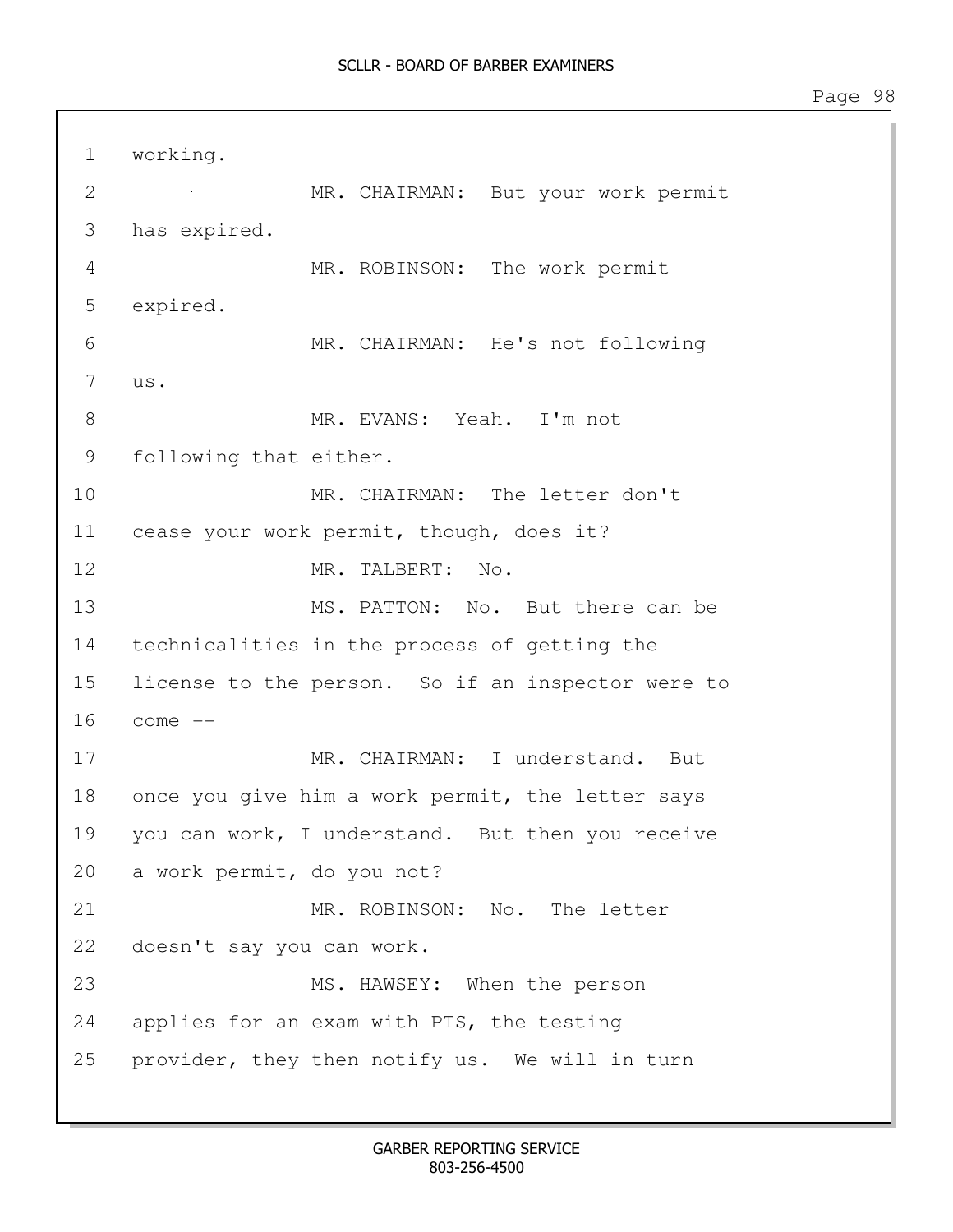1 working. 2 MR. CHAIRMAN: But your work permit 3 has expired. 4 MR. ROBINSON: The work permit 5 expired. 6 MR. CHAIRMAN: He's not following 7 us. 8 MR. EVANS: Yeah. I'm not 9 following that either. 10 MR. CHAIRMAN: The letter don't 11 cease your work permit, though, does it? 12 MR. TALBERT: No. 13 MS. PATTON: No. But there can be 14 technicalities in the process of getting the 15 license to the person. So if an inspector were to 16 come -- 17 MR. CHAIRMAN: I understand. But 18 once you give him a work permit, the letter says 19 you can work, I understand. But then you receive 20 a work permit, do you not? 21 MR. ROBINSON: No. The letter 22 doesn't say you can work. 23 MS. HAWSEY: When the person 24 applies for an exam with PTS, the testing 25 provider, they then notify us. We will in turn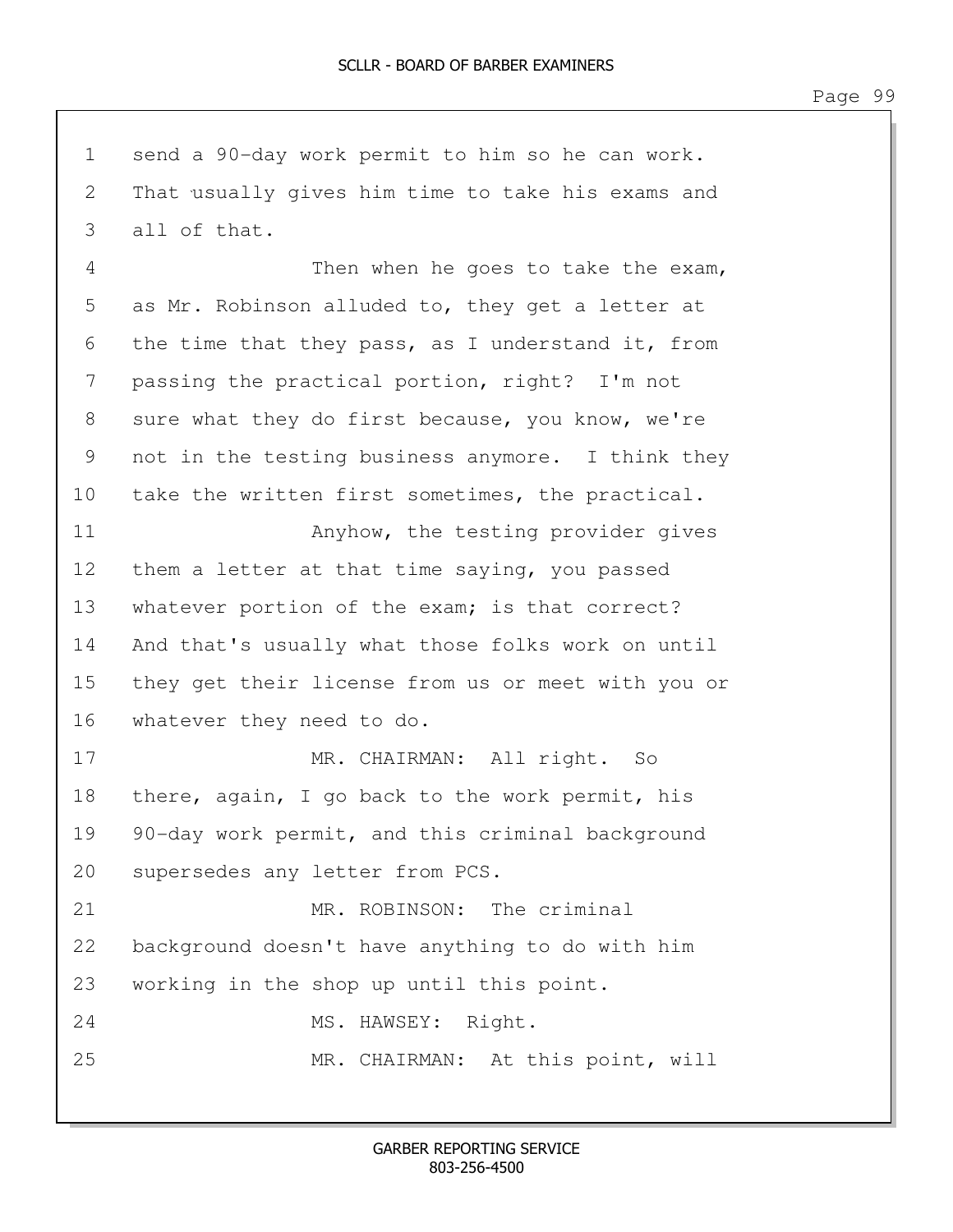1 send a 90-day work permit to him so he can work. 2 That usually gives him time to take his exams and 3 all of that. 4 Then when he goes to take the exam, 5 as Mr. Robinson alluded to, they get a letter at 6 the time that they pass, as I understand it, from 7 passing the practical portion, right? I'm not 8 sure what they do first because, you know, we're 9 not in the testing business anymore. I think they 10 take the written first sometimes, the practical. 11 Anyhow, the testing provider gives 12 them a letter at that time saying, you passed 13 whatever portion of the exam; is that correct? 14 And that's usually what those folks work on until 15 they get their license from us or meet with you or 16 whatever they need to do. 17 MR. CHAIRMAN: All right. So 18 there, again, I go back to the work permit, his 19 90-day work permit, and this criminal background 20 supersedes any letter from PCS. 21 MR. ROBINSON: The criminal 22 background doesn't have anything to do with him 23 working in the shop up until this point. 24 MS. HAWSEY: Right. 25 MR. CHAIRMAN: At this point, will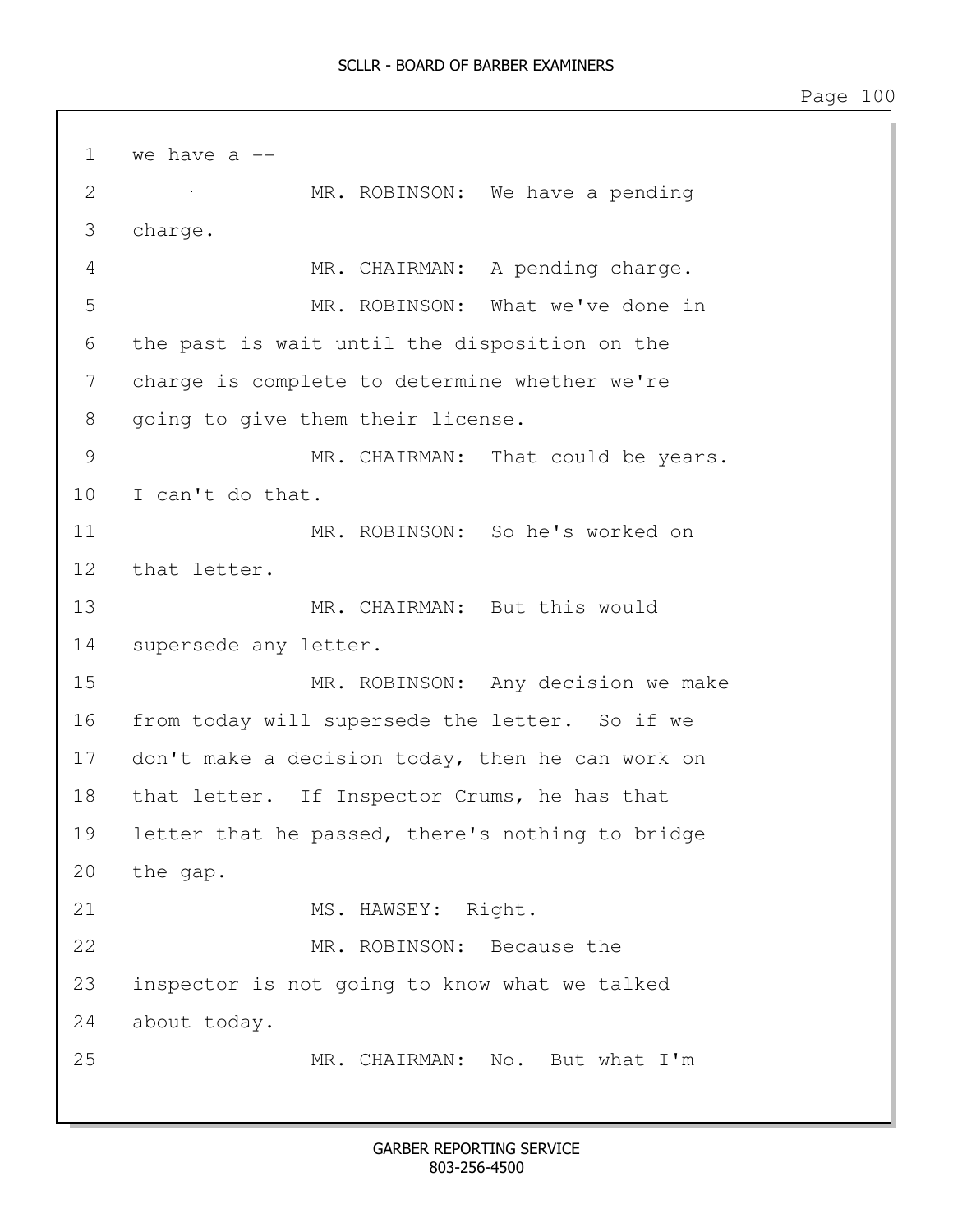1 we have a  $-$ 2 MR. ROBINSON: We have a pending 3 charge. 4 MR. CHAIRMAN: A pending charge. 5 MR. ROBINSON: What we've done in 6 the past is wait until the disposition on the 7 charge is complete to determine whether we're 8 going to give them their license. 9 MR. CHAIRMAN: That could be years. 10 I can't do that. 11 MR. ROBINSON: So he's worked on 12 that letter. 13 MR. CHAIRMAN: But this would 14 supersede any letter. 15 MR. ROBINSON: Any decision we make 16 from today will supersede the letter. So if we 17 don't make a decision today, then he can work on 18 that letter. If Inspector Crums, he has that 19 letter that he passed, there's nothing to bridge 20 the gap. 21 MS. HAWSEY: Right. 22 MR. ROBINSON: Because the 23 inspector is not going to know what we talked 24 about today. 25 MR. CHAIRMAN: No. But what I'm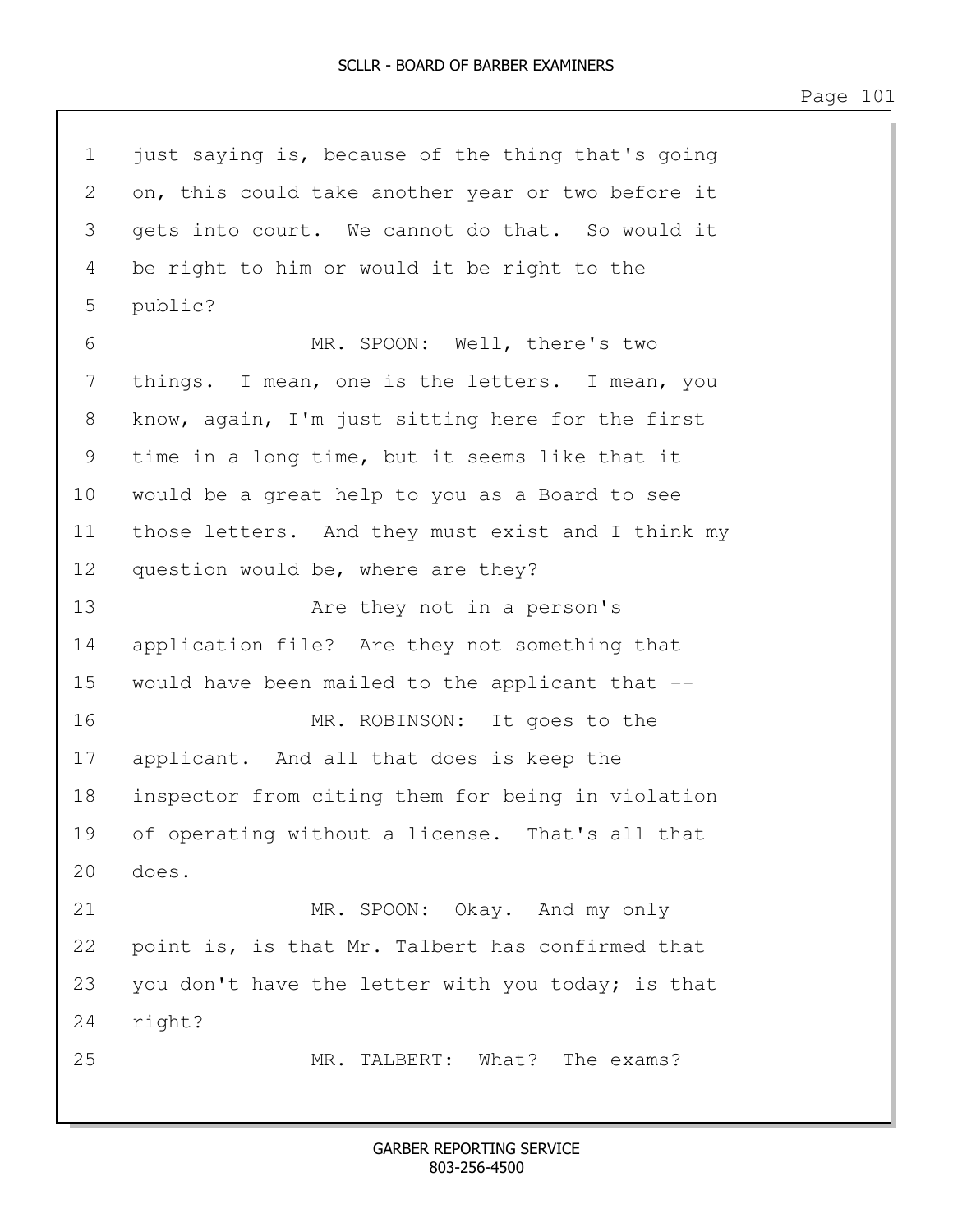1 just saying is, because of the thing that's going 2 on, this could take another year or two before it 3 gets into court. We cannot do that. So would it 4 be right to him or would it be right to the 5 public? 6 MR. SPOON: Well, there's two 7 things. I mean, one is the letters. I mean, you 8 know, again, I'm just sitting here for the first 9 time in a long time, but it seems like that it 10 would be a great help to you as a Board to see 11 those letters. And they must exist and I think my 12 question would be, where are they? 13 Are they not in a person's 14 application file? Are they not something that 15 would have been mailed to the applicant that -- 16 MR. ROBINSON: It goes to the 17 applicant. And all that does is keep the 18 inspector from citing them for being in violation 19 of operating without a license. That's all that 20 does. 21 MR. SPOON: Okay. And my only 22 point is, is that Mr. Talbert has confirmed that 23 you don't have the letter with you today; is that 24 right? 25 MR. TALBERT: What? The exams?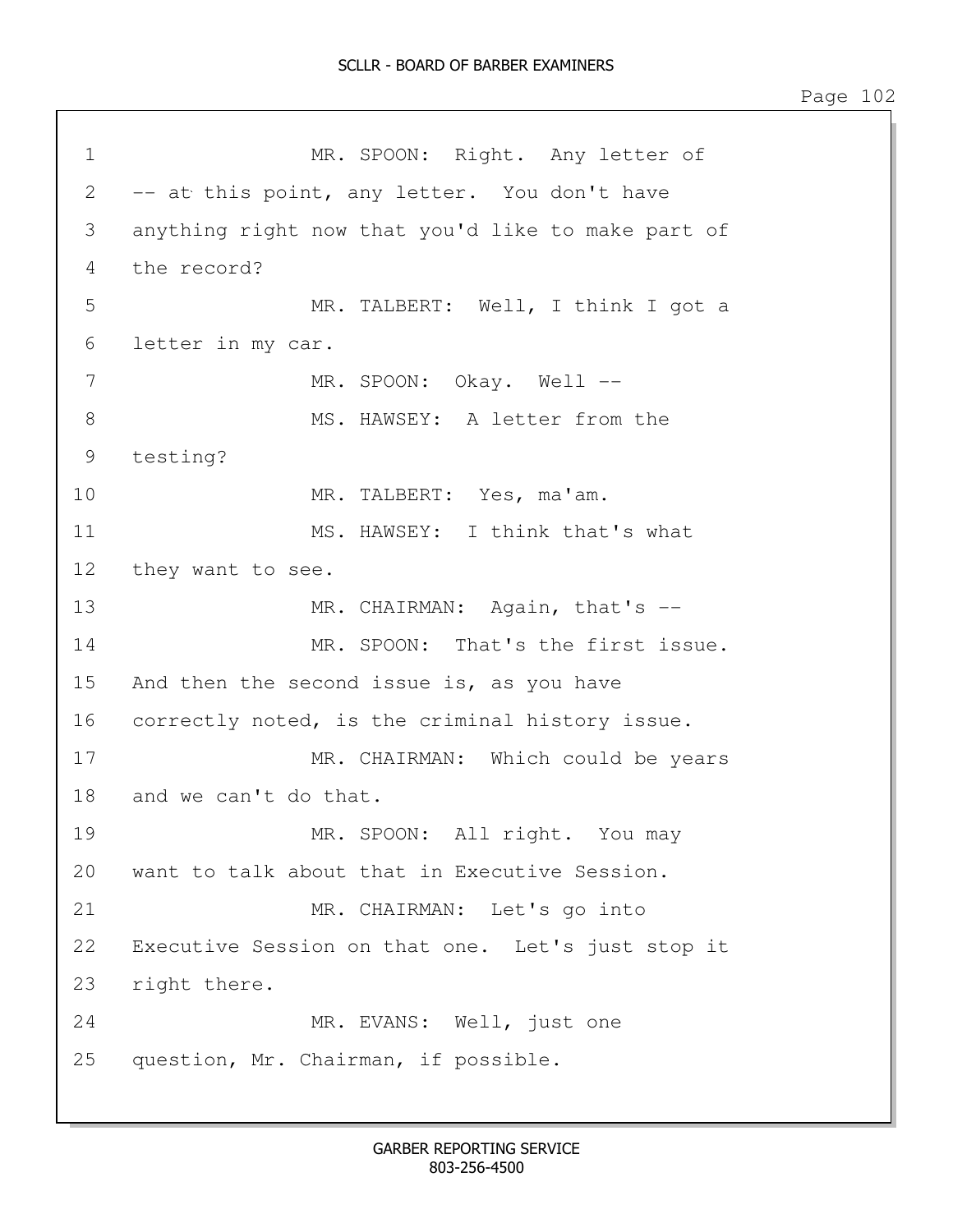1 MR. SPOON: Right. Any letter of 2 -- at this point, any letter. You don't have 3 anything right now that you'd like to make part of 4 the record? 5 MR. TALBERT: Well, I think I got a 6 letter in my car. 7 MR. SPOON: Okay. Well --8 MS. HAWSEY: A letter from the 9 testing? 10 MR. TALBERT: Yes, ma'am. 11 MS. HAWSEY: I think that's what 12 they want to see. 13 MR. CHAIRMAN: Again, that's --14 MR. SPOON: That's the first issue. 15 And then the second issue is, as you have 16 correctly noted, is the criminal history issue. 17 MR. CHAIRMAN: Which could be years 18 and we can't do that. 19 MR. SPOON: All right. You may 20 want to talk about that in Executive Session. 21 MR. CHAIRMAN: Let's go into 22 Executive Session on that one. Let's just stop it 23 right there. 24 MR. EVANS: Well, just one 25 question, Mr. Chairman, if possible.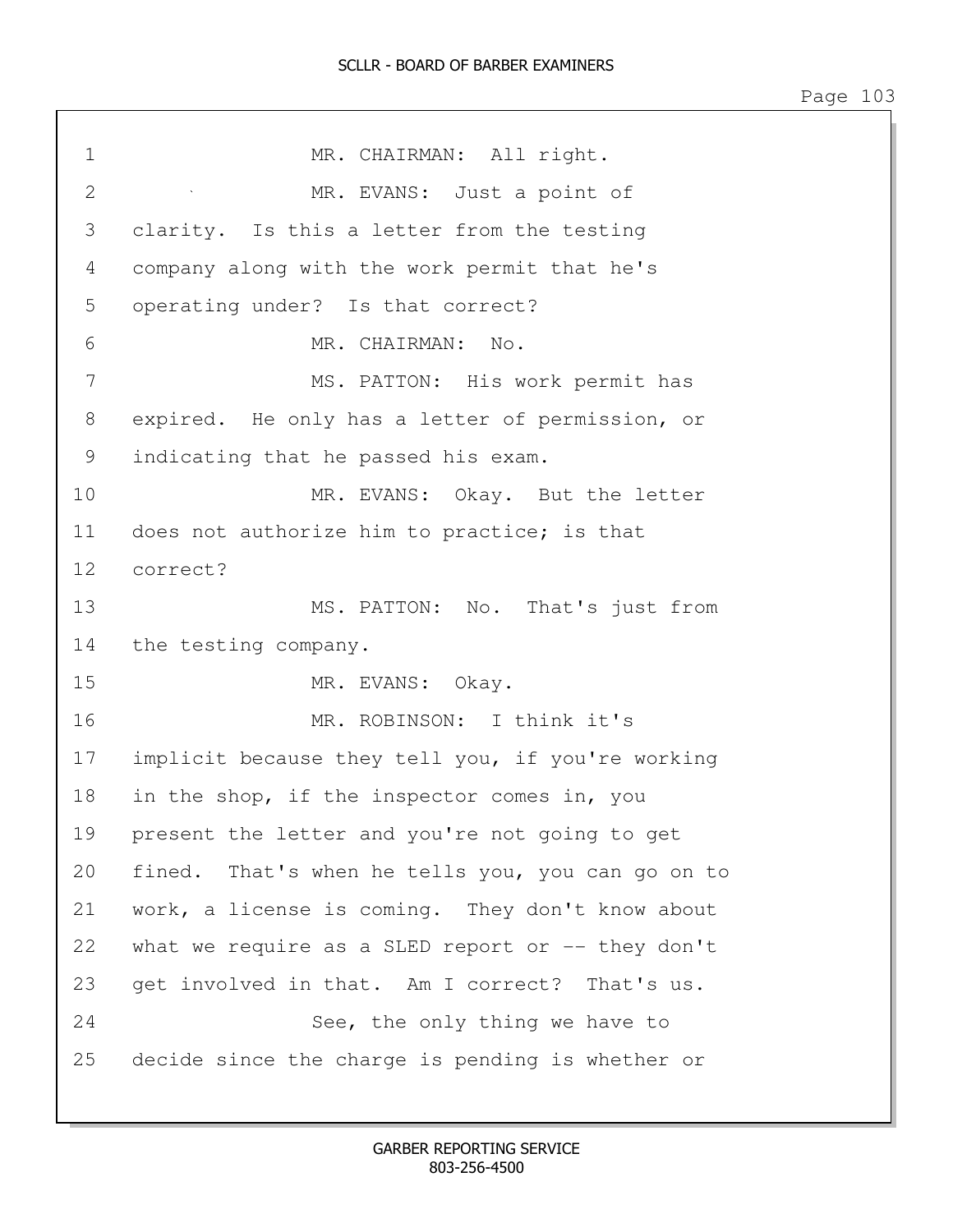## SCLLR - BOARD OF BARBER EXAMINERS

Page 103

| $\mathbf 1$    | MR. CHAIRMAN: All right.                           |
|----------------|----------------------------------------------------|
| $\overline{2}$ | MR. EVANS: Just a point of                         |
| 3              | clarity. Is this a letter from the testing         |
| 4              | company along with the work permit that he's       |
| 5              | operating under? Is that correct?                  |
| 6              | MR. CHAIRMAN:<br>No.                               |
| 7              | MS. PATTON: His work permit has                    |
| 8              | expired. He only has a letter of permission, or    |
| 9              | indicating that he passed his exam.                |
| 10             | MR. EVANS: Okay. But the letter                    |
| 11             | does not authorize him to practice; is that        |
| 12             | correct?                                           |
| 13             | MS. PATTON: No. That's just from                   |
| 14             | the testing company.                               |
| 15             | MR. EVANS: Okay.                                   |
| 16             | MR. ROBINSON: I think it's                         |
| 17             | implicit because they tell you, if you're working  |
| 18             | in the shop, if the inspector comes in, you        |
| 19             | present the letter and you're not going to get     |
| 20             | fined. That's when he tells you, you can go on to  |
| 21             | work, a license is coming. They don't know about   |
| 22             | what we require as a SLED report or $-$ they don't |
| 23             | get involved in that. Am I correct?<br>That's us.  |
| 24             | See, the only thing we have to                     |
| 25             | decide since the charge is pending is whether or   |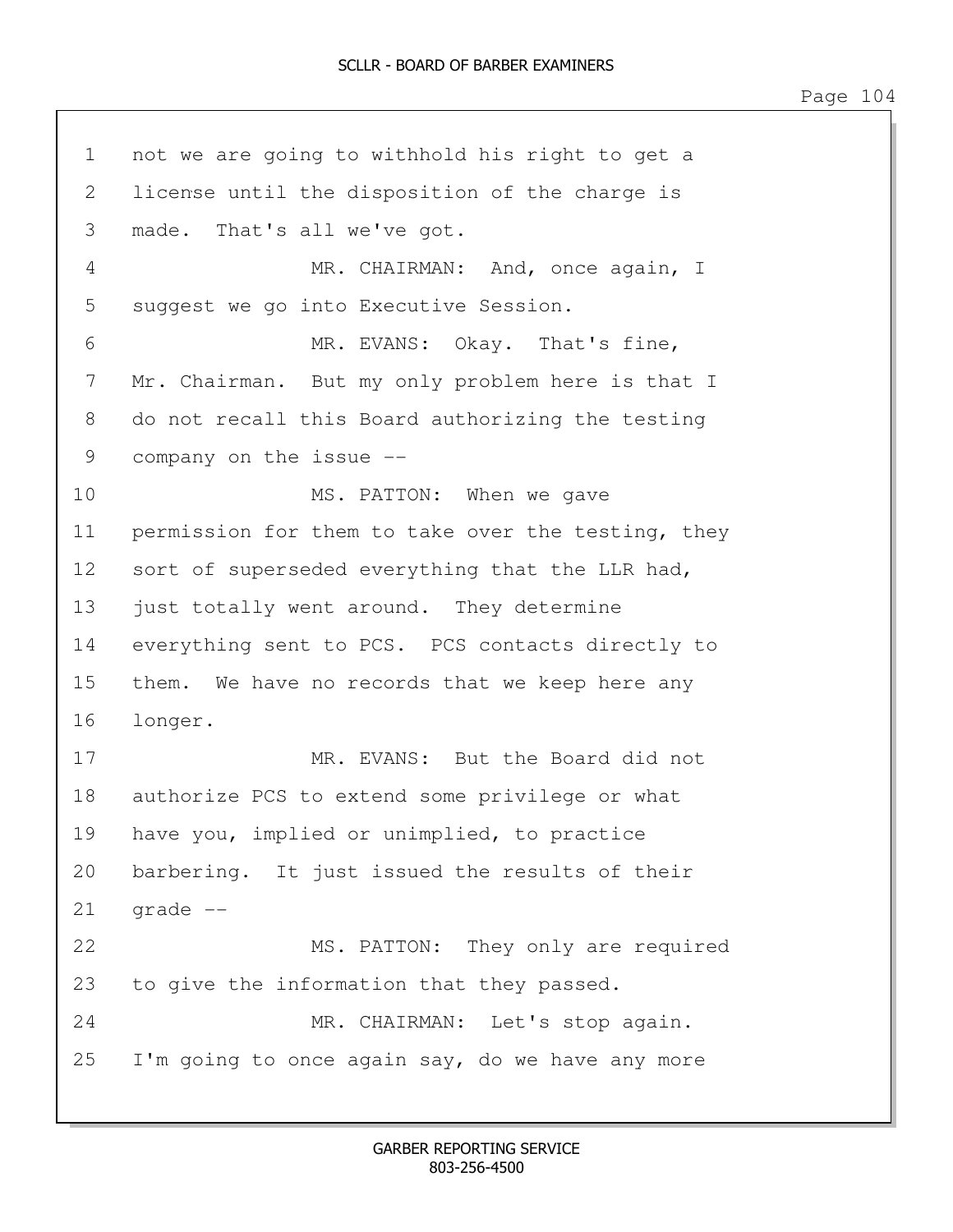1 not we are going to withhold his right to get a 2 license until the disposition of the charge is 3 made. That's all we've got. 4 MR. CHAIRMAN: And, once again, I 5 suggest we go into Executive Session. 6 MR. EVANS: Okay. That's fine, 7 Mr. Chairman. But my only problem here is that I 8 do not recall this Board authorizing the testing 9 company on the issue -- 10 MS. PATTON: When we gave 11 permission for them to take over the testing, they 12 sort of superseded everything that the LLR had, 13 just totally went around. They determine 14 everything sent to PCS. PCS contacts directly to 15 them. We have no records that we keep here any 16 longer. 17 MR. EVANS: But the Board did not 18 authorize PCS to extend some privilege or what 19 have you, implied or unimplied, to practice 20 barbering. It just issued the results of their  $21$  grade  $-$ 22 MS. PATTON: They only are required 23 to give the information that they passed. 24 MR. CHAIRMAN: Let's stop again. 25 I'm going to once again say, do we have any more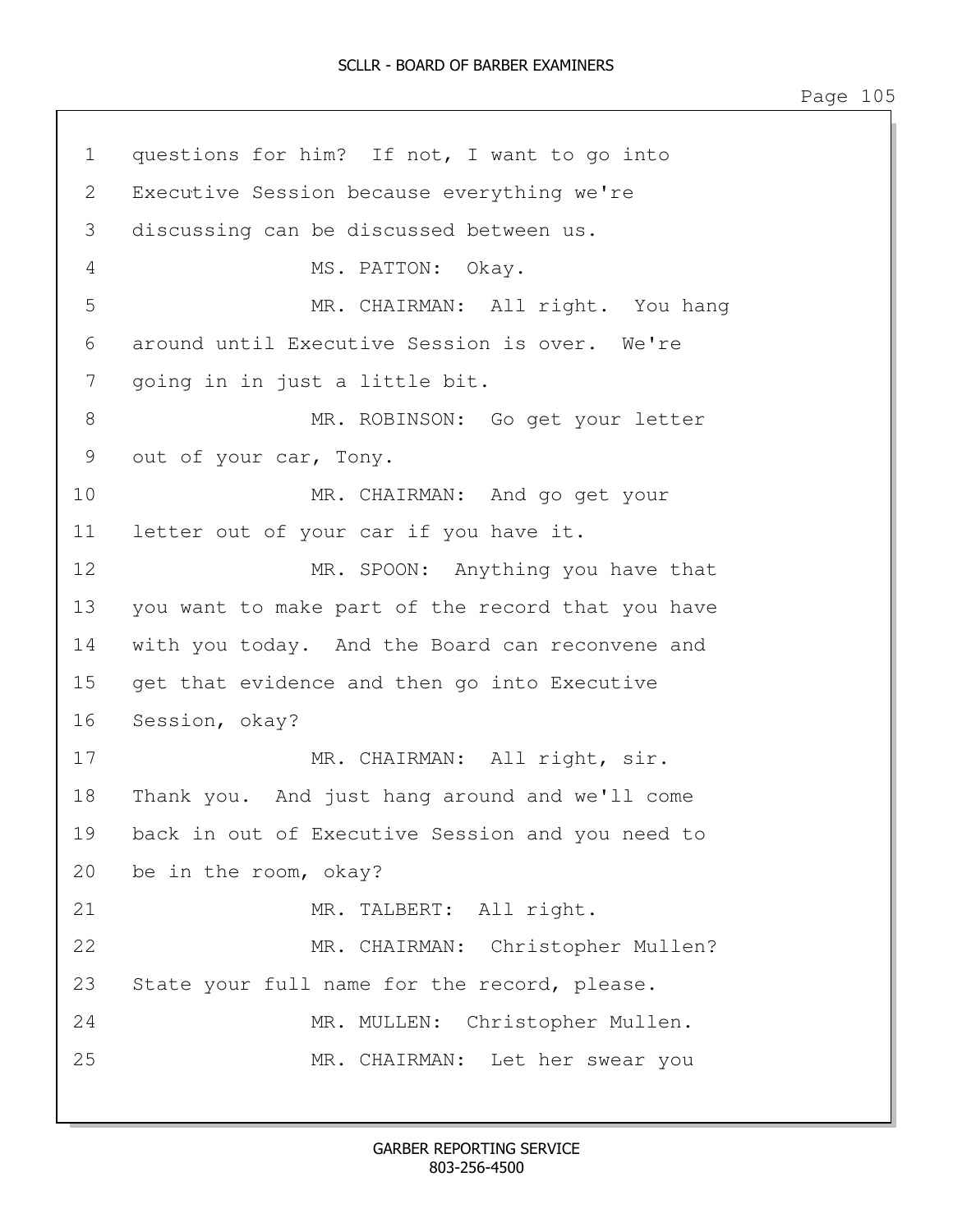1 questions for him? If not, I want to go into 2 Executive Session because everything we're 3 discussing can be discussed between us. 4 MS. PATTON: Okay. 5 MR. CHAIRMAN: All right. You hang 6 around until Executive Session is over. We're 7 going in in just a little bit. 8 MR. ROBINSON: Go get your letter 9 out of your car, Tony. 10 MR. CHAIRMAN: And go get your 11 letter out of your car if you have it. 12 MR. SPOON: Anything you have that 13 you want to make part of the record that you have 14 with you today. And the Board can reconvene and 15 get that evidence and then go into Executive 16 Session, okay? 17 MR. CHAIRMAN: All right, sir. 18 Thank you. And just hang around and we'll come 19 back in out of Executive Session and you need to 20 be in the room, okay? 21 MR. TALBERT: All right. 22 MR. CHAIRMAN: Christopher Mullen? 23 State your full name for the record, please. 24 MR. MULLEN: Christopher Mullen. 25 MR. CHAIRMAN: Let her swear you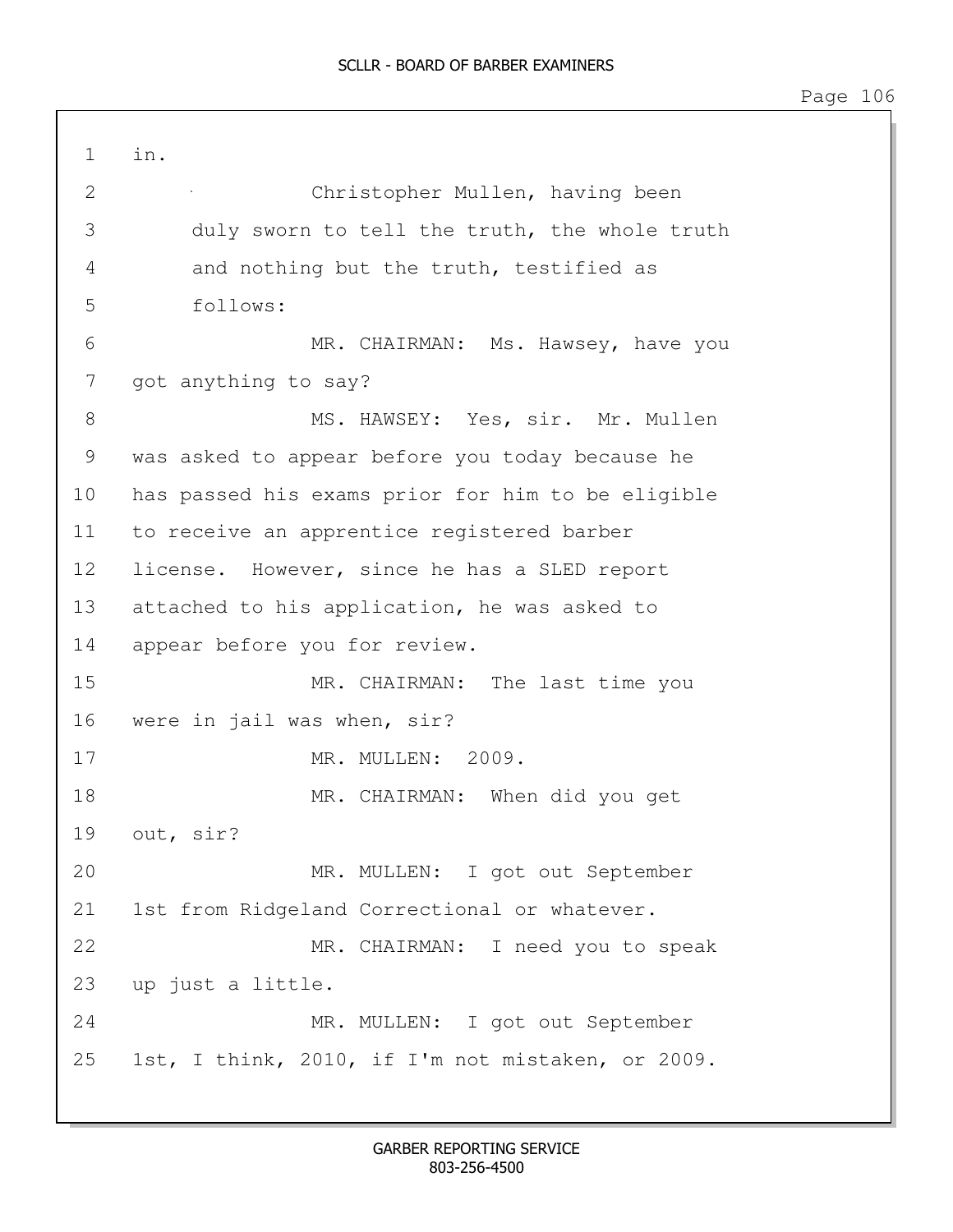| $\mathbf 1$ | in.                                               |
|-------------|---------------------------------------------------|
| 2           | Christopher Mullen, having been                   |
| 3           | duly sworn to tell the truth, the whole truth     |
| 4           | and nothing but the truth, testified as           |
| 5           | follows:                                          |
| 6           | MR. CHAIRMAN: Ms. Hawsey, have you                |
| 7           | got anything to say?                              |
| 8           | MS. HAWSEY: Yes, sir. Mr. Mullen                  |
| 9           | was asked to appear before you today because he   |
| 10          | has passed his exams prior for him to be eligible |
| 11          | to receive an apprentice registered barber        |
| 12          | license. However, since he has a SLED report      |
| 13          | attached to his application, he was asked to      |
| 14          | appear before you for review.                     |
| 15          | MR. CHAIRMAN: The last time you                   |
| 16          | were in jail was when, sir?                       |
| 17          | MR. MULLEN: 2009.                                 |
| 18          | MR. CHAIRMAN: When did you get                    |
| 19          | out, sir?                                         |
| 20          | MR. MULLEN: I got out September                   |
| 21          | 1st from Ridgeland Correctional or whatever.      |
| 22          | MR. CHAIRMAN: I need you to speak                 |
| 23          | up just a little.                                 |
| 24          | MR. MULLEN: I got out September                   |
| 25          | 1st, I think, 2010, if I'm not mistaken, or 2009. |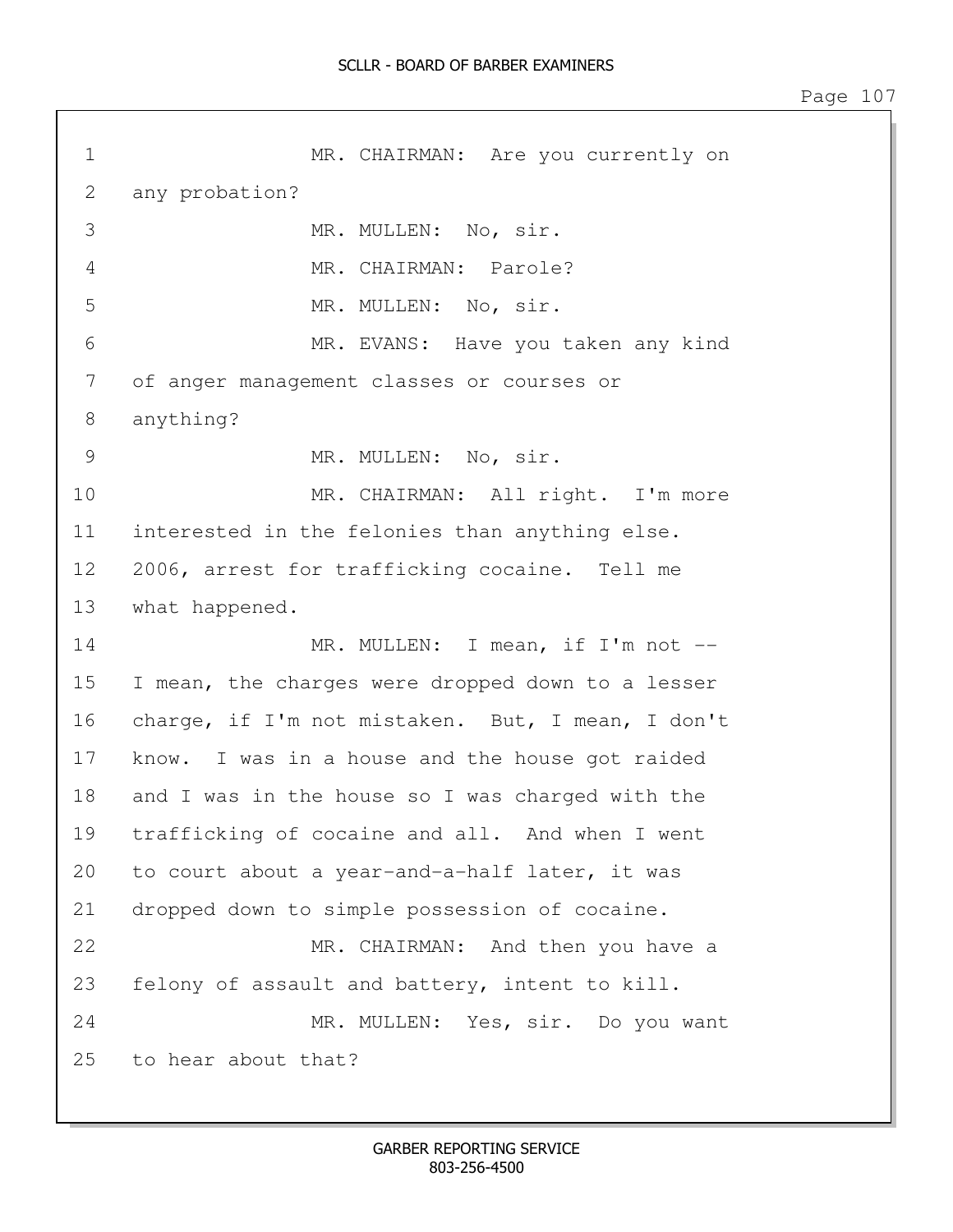1 MR. CHAIRMAN: Are you currently on 2 any probation? 3 MR. MULLEN: No, sir. 4 MR. CHAIRMAN: Parole? 5 MR. MULLEN: No, sir. 6 MR. EVANS: Have you taken any kind 7 of anger management classes or courses or 8 anything? 9 MR. MULLEN: No, sir. 10 MR. CHAIRMAN: All right. I'm more 11 interested in the felonies than anything else. 12 2006, arrest for trafficking cocaine. Tell me 13 what happened. 14 MR. MULLEN: I mean, if I'm not --15 I mean, the charges were dropped down to a lesser 16 charge, if I'm not mistaken. But, I mean, I don't 17 know. I was in a house and the house got raided 18 and I was in the house so I was charged with the 19 trafficking of cocaine and all. And when I went 20 to court about a year-and-a-half later, it was 21 dropped down to simple possession of cocaine. 22 MR. CHAIRMAN: And then you have a 23 felony of assault and battery, intent to kill. 24 MR. MULLEN: Yes, sir. Do you want 25 to hear about that?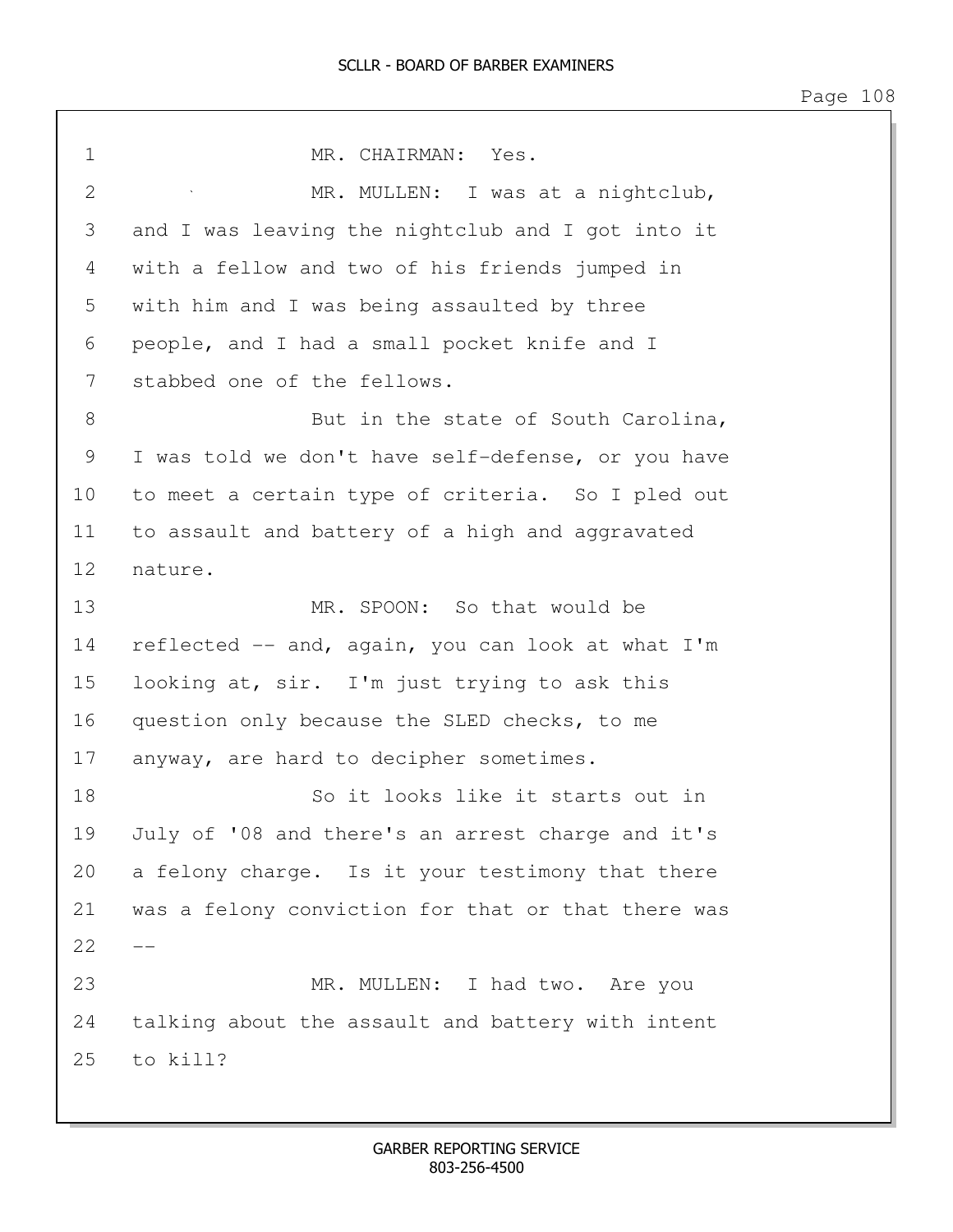| $\mathbf 1$    | MR. CHAIRMAN: Yes.                                 |
|----------------|----------------------------------------------------|
| $\overline{2}$ | MR. MULLEN: I was at a nightclub,                  |
| 3              | and I was leaving the nightclub and I got into it  |
| 4              | with a fellow and two of his friends jumped in     |
| 5              | with him and I was being assaulted by three        |
| 6              | people, and I had a small pocket knife and I       |
| 7              | stabbed one of the fellows.                        |
| 8              | But in the state of South Carolina,                |
| 9              | I was told we don't have self-defense, or you have |
| 10             | to meet a certain type of criteria. So I pled out  |
| 11             | to assault and battery of a high and aggravated    |
| 12             | nature.                                            |
| 13             | MR. SPOON: So that would be                        |
| 14             | reflected -- and, again, you can look at what I'm  |
| 15             | looking at, sir. I'm just trying to ask this       |
| 16             | question only because the SLED checks, to me       |
| 17             | anyway, are hard to decipher sometimes.            |
| 18             | So it looks like it starts out in                  |
| 19             | July of '08 and there's an arrest charge and it's  |
| 20             | a felony charge. Is it your testimony that there   |
| 21             | was a felony conviction for that or that there was |
| 22             |                                                    |
| 23             | MR. MULLEN: I had two. Are you                     |
| 24             | talking about the assault and battery with intent  |
| 25             | to kill?                                           |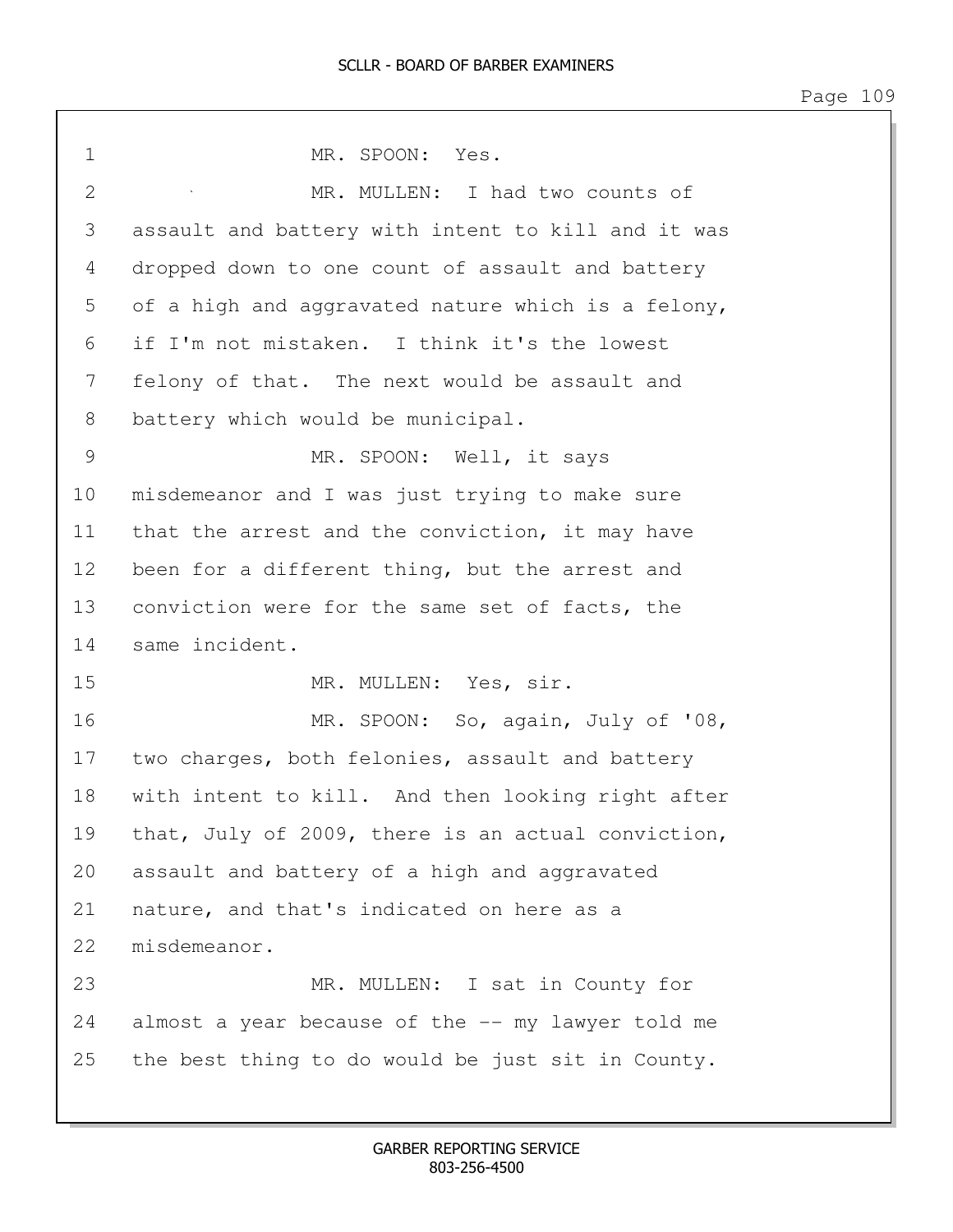1 MR. SPOON: Yes. 2 MR. MULLEN: I had two counts of 3 assault and battery with intent to kill and it was 4 dropped down to one count of assault and battery 5 of a high and aggravated nature which is a felony, 6 if I'm not mistaken. I think it's the lowest 7 felony of that. The next would be assault and 8 battery which would be municipal. 9 MR. SPOON: Well, it says 10 misdemeanor and I was just trying to make sure 11 that the arrest and the conviction, it may have 12 been for a different thing, but the arrest and 13 conviction were for the same set of facts, the 14 same incident. 15 MR. MULLEN: Yes, sir. 16 MR. SPOON: So, again, July of '08, 17 two charges, both felonies, assault and battery 18 with intent to kill. And then looking right after 19 that, July of 2009, there is an actual conviction, 20 assault and battery of a high and aggravated 21 nature, and that's indicated on here as a 22 misdemeanor. 23 MR. MULLEN: I sat in County for 24 almost a year because of the -- my lawyer told me 25 the best thing to do would be just sit in County.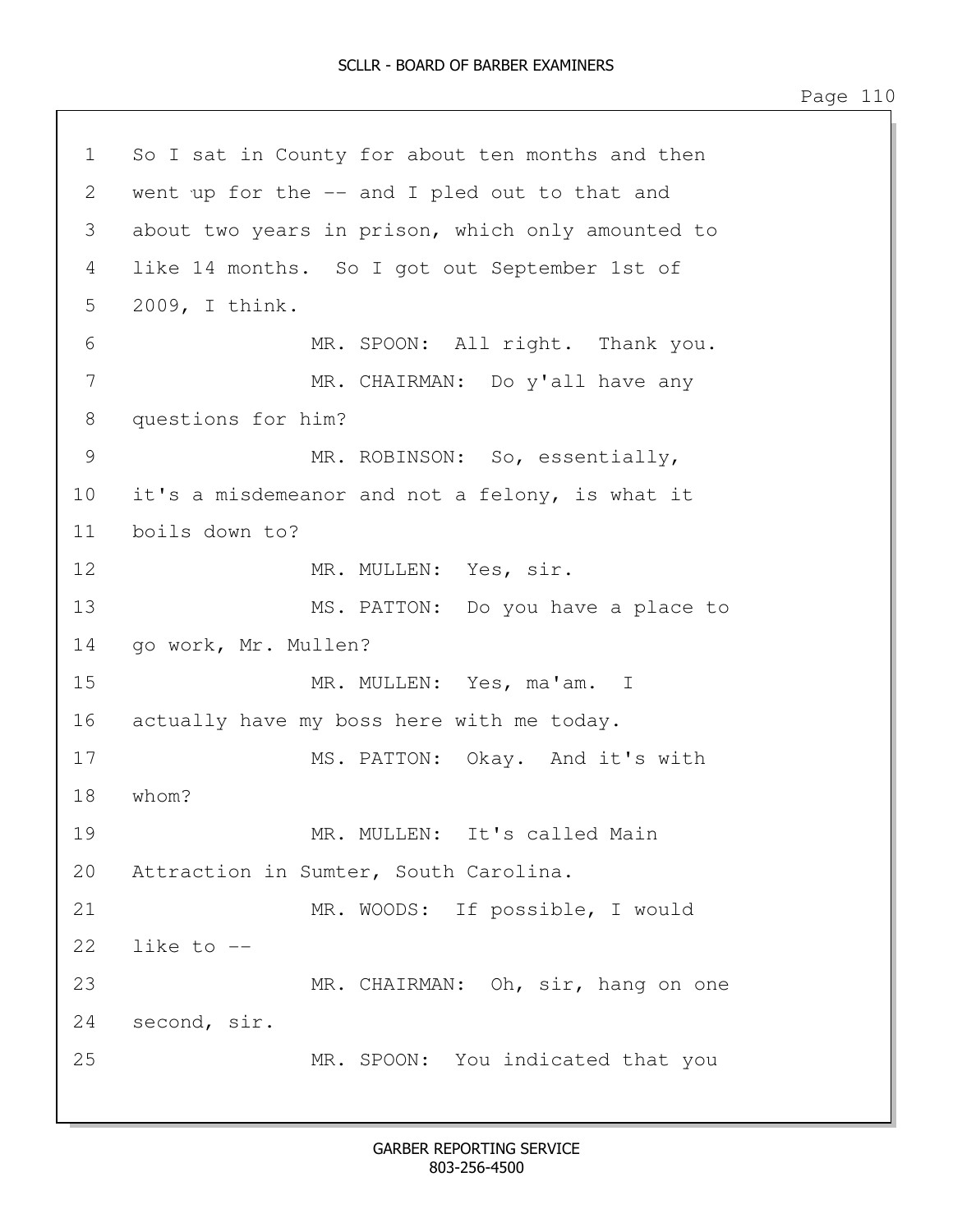1 So I sat in County for about ten months and then 2 went up for the -- and I pled out to that and 3 about two years in prison, which only amounted to 4 like 14 months. So I got out September 1st of 5 2009, I think. 6 MR. SPOON: All right. Thank you. 7 MR. CHAIRMAN: Do y'all have any 8 questions for him? 9 MR. ROBINSON: So, essentially, 10 it's a misdemeanor and not a felony, is what it 11 boils down to? 12 MR. MULLEN: Yes, sir. 13 MS. PATTON: Do you have a place to 14 go work, Mr. Mullen? 15 MR. MULLEN: Yes, ma'am. I 16 actually have my boss here with me today. 17 MS. PATTON: Okay. And it's with 18 whom? 19 MR. MULLEN: It's called Main 20 Attraction in Sumter, South Carolina. 21 MR. WOODS: If possible, I would  $22$  like to  $-$ 23 MR. CHAIRMAN: Oh, sir, hang on one 24 second, sir. 25 MR. SPOON: You indicated that you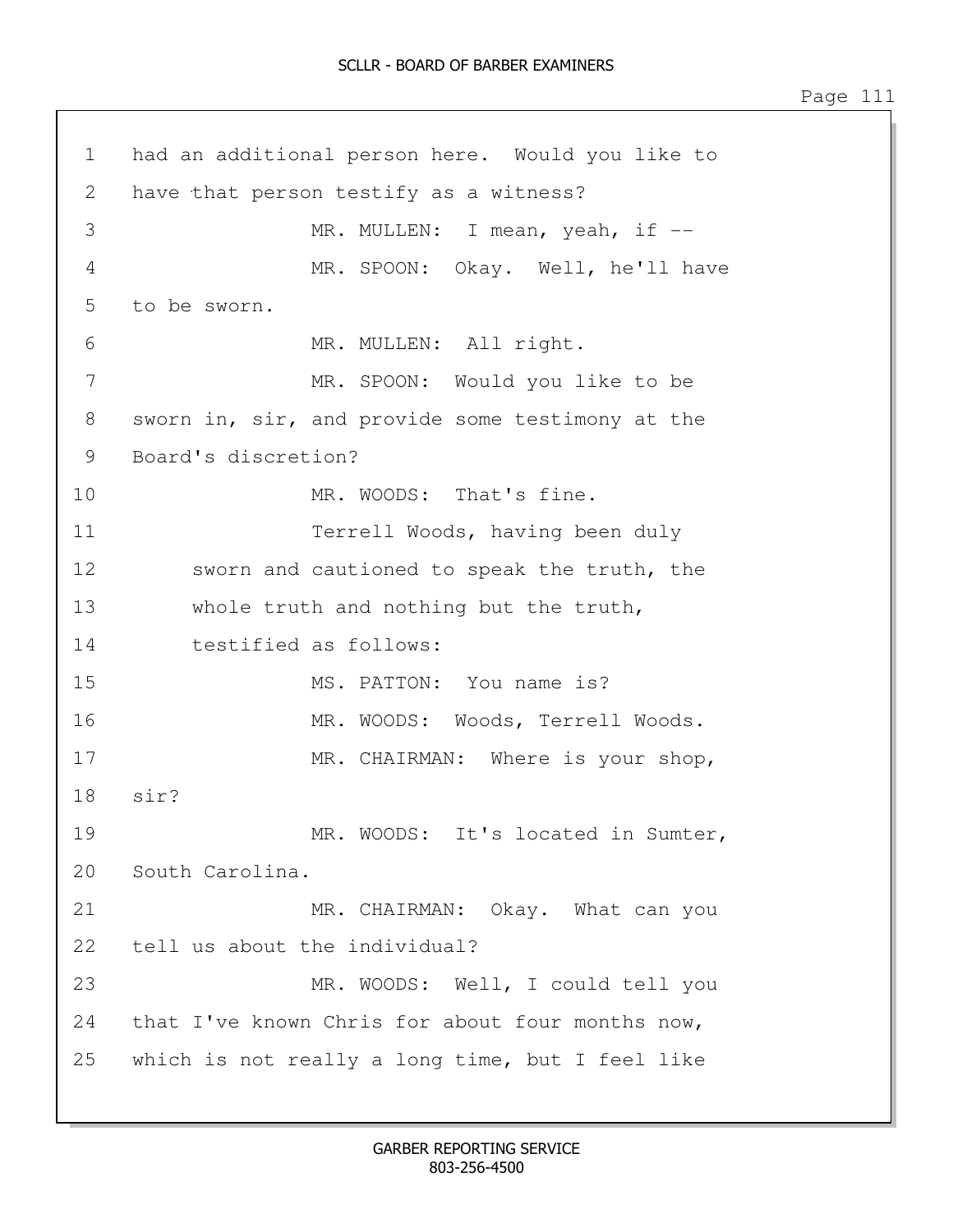1 had an additional person here. Would you like to 2 have that person testify as a witness? 3 MR. MULLEN: I mean, yeah, if --4 MR. SPOON: Okay. Well, he'll have 5 to be sworn. 6 MR. MULLEN: All right. 7 MR. SPOON: Would you like to be 8 sworn in, sir, and provide some testimony at the 9 Board's discretion? 10 MR. WOODS: That's fine. 11 Terrell Woods, having been duly 12 sworn and cautioned to speak the truth, the 13 whole truth and nothing but the truth, 14 testified as follows: 15 MS. PATTON: You name is? 16 MR. WOODS: Woods, Terrell Woods. 17 MR. CHAIRMAN: Where is your shop, 18 sir? 19 MR. WOODS: It's located in Sumter, 20 South Carolina. 21 MR. CHAIRMAN: Okay. What can you 22 tell us about the individual? 23 MR. WOODS: Well, I could tell you 24 that I've known Chris for about four months now, 25 which is not really a long time, but I feel like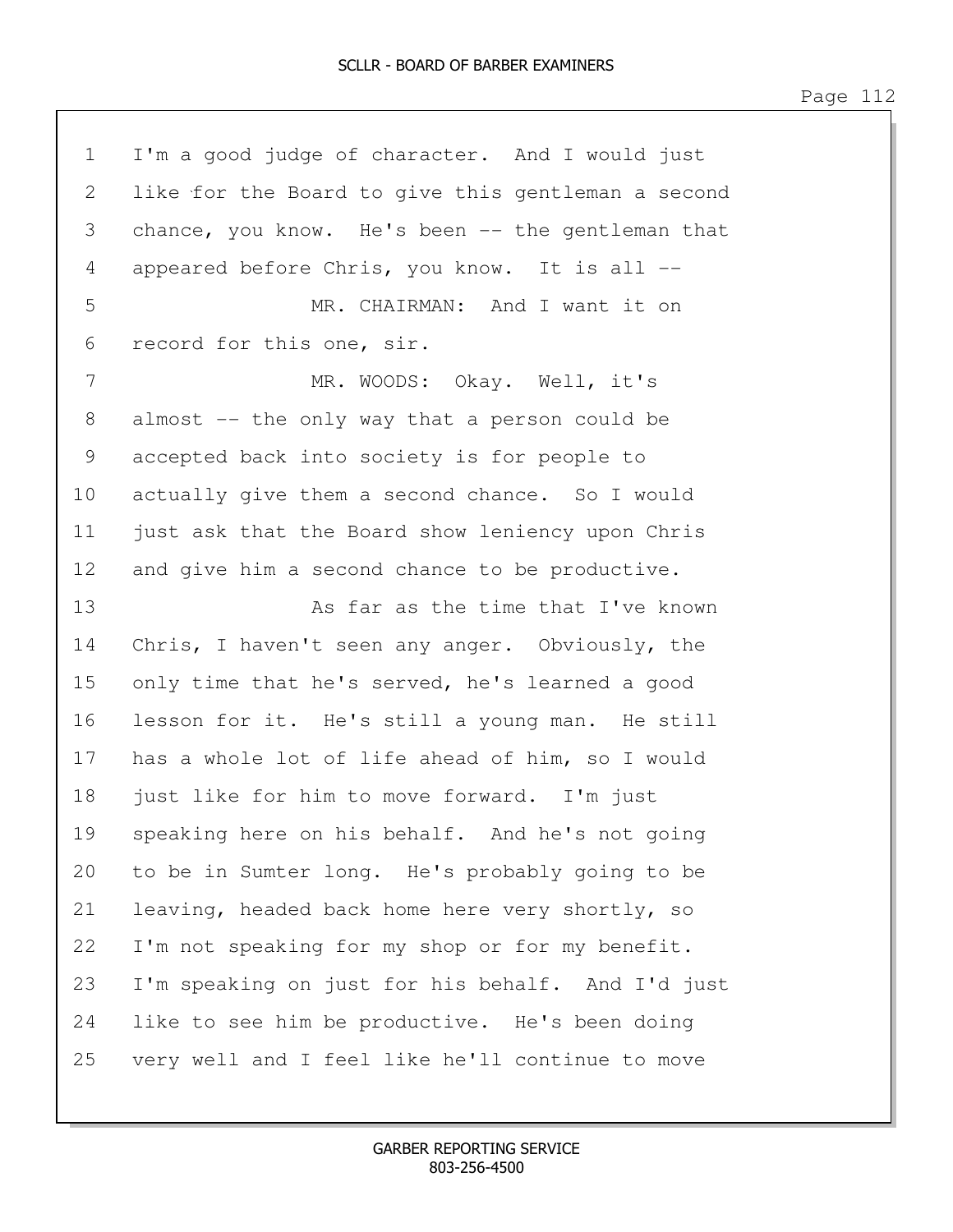| $\mathbf 1$ | I'm a good judge of character. And I would just    |
|-------------|----------------------------------------------------|
| 2           | like for the Board to give this gentleman a second |
| 3           | chance, you know. He's been -- the gentleman that  |
| 4           | appeared before Chris, you know. It is all --      |
| 5           | MR. CHAIRMAN: And I want it on                     |
| 6           | record for this one, sir.                          |
| 7           | MR. WOODS: Okay. Well, it's                        |
| 8           | almost -- the only way that a person could be      |
| 9           | accepted back into society is for people to        |
| 10          | actually give them a second chance. So I would     |
| 11          | just ask that the Board show leniency upon Chris   |
| 12          | and give him a second chance to be productive.     |
| 13          | As far as the time that I've known                 |
| 14          | Chris, I haven't seen any anger. Obviously, the    |
| 15          | only time that he's served, he's learned a good    |
| 16          | lesson for it. He's still a young man. He still    |
| 17          | has a whole lot of life ahead of him, so I would   |
| 18          | just like for him to move forward. I'm just        |
| 19          | speaking here on his behalf. And he's not going    |
| 20          | to be in Sumter long. He's probably going to be    |
| 21          | leaving, headed back home here very shortly, so    |
| 22          | I'm not speaking for my shop or for my benefit.    |
| 23          | I'm speaking on just for his behalf. And I'd just  |
| 24          | like to see him be productive. He's been doing     |
| 25          | very well and I feel like he'll continue to move   |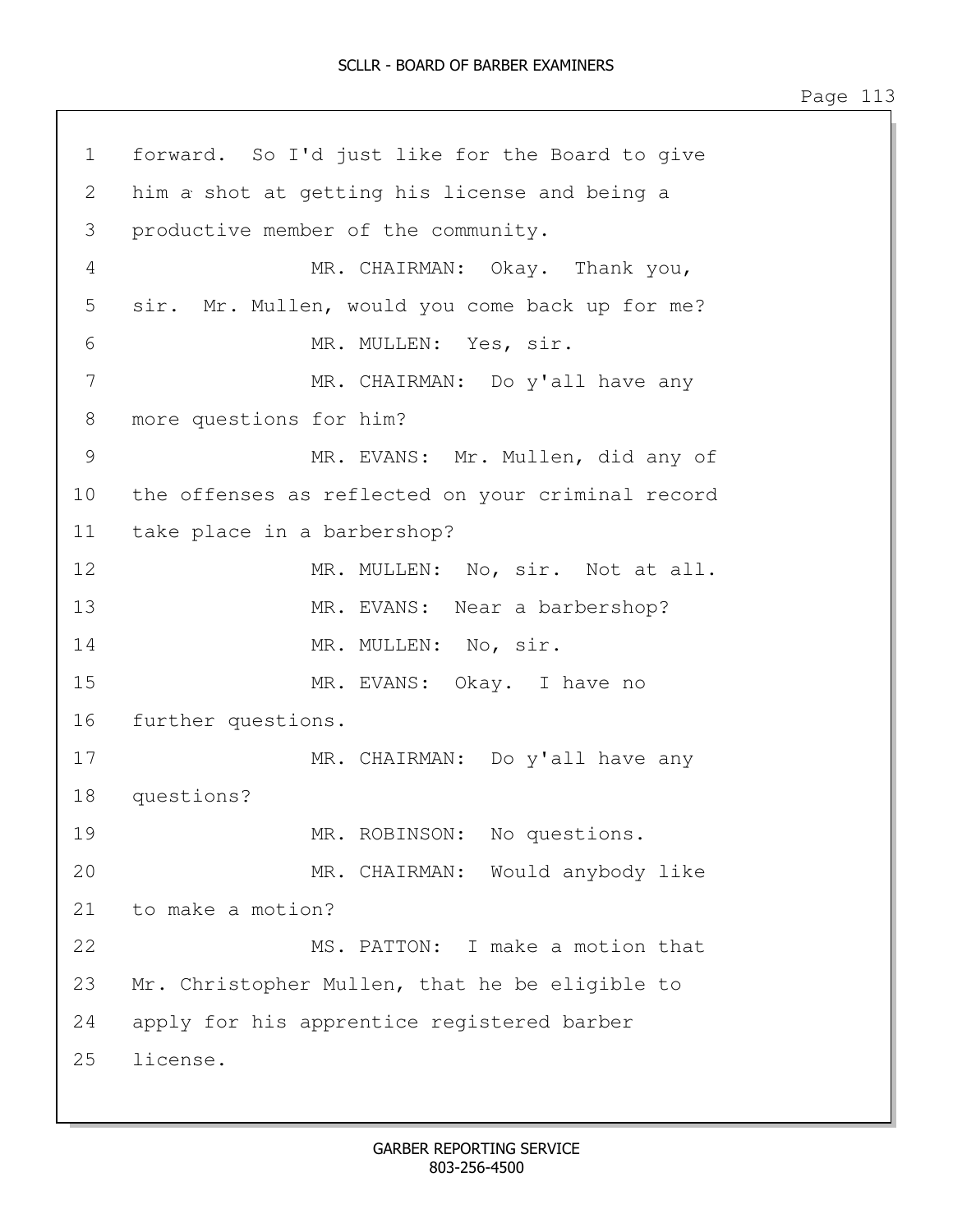1 forward. So I'd just like for the Board to give 2 him a shot at getting his license and being a 3 productive member of the community. 4 MR. CHAIRMAN: Okay. Thank you, 5 sir. Mr. Mullen, would you come back up for me? 6 MR. MULLEN: Yes, sir. 7 MR. CHAIRMAN: Do y'all have any 8 more questions for him? 9 MR. EVANS: Mr. Mullen, did any of 10 the offenses as reflected on your criminal record 11 take place in a barbershop? 12 MR. MULLEN: No, sir. Not at all. 13 MR. EVANS: Near a barbershop? 14 MR. MULLEN: No, sir. 15 MR. EVANS: Okay. I have no 16 further questions. 17 MR. CHAIRMAN: Do y'all have any 18 questions? 19 MR. ROBINSON: No questions. 20 MR. CHAIRMAN: Would anybody like 21 to make a motion? 22 MS. PATTON: I make a motion that 23 Mr. Christopher Mullen, that he be eligible to 24 apply for his apprentice registered barber 25 license.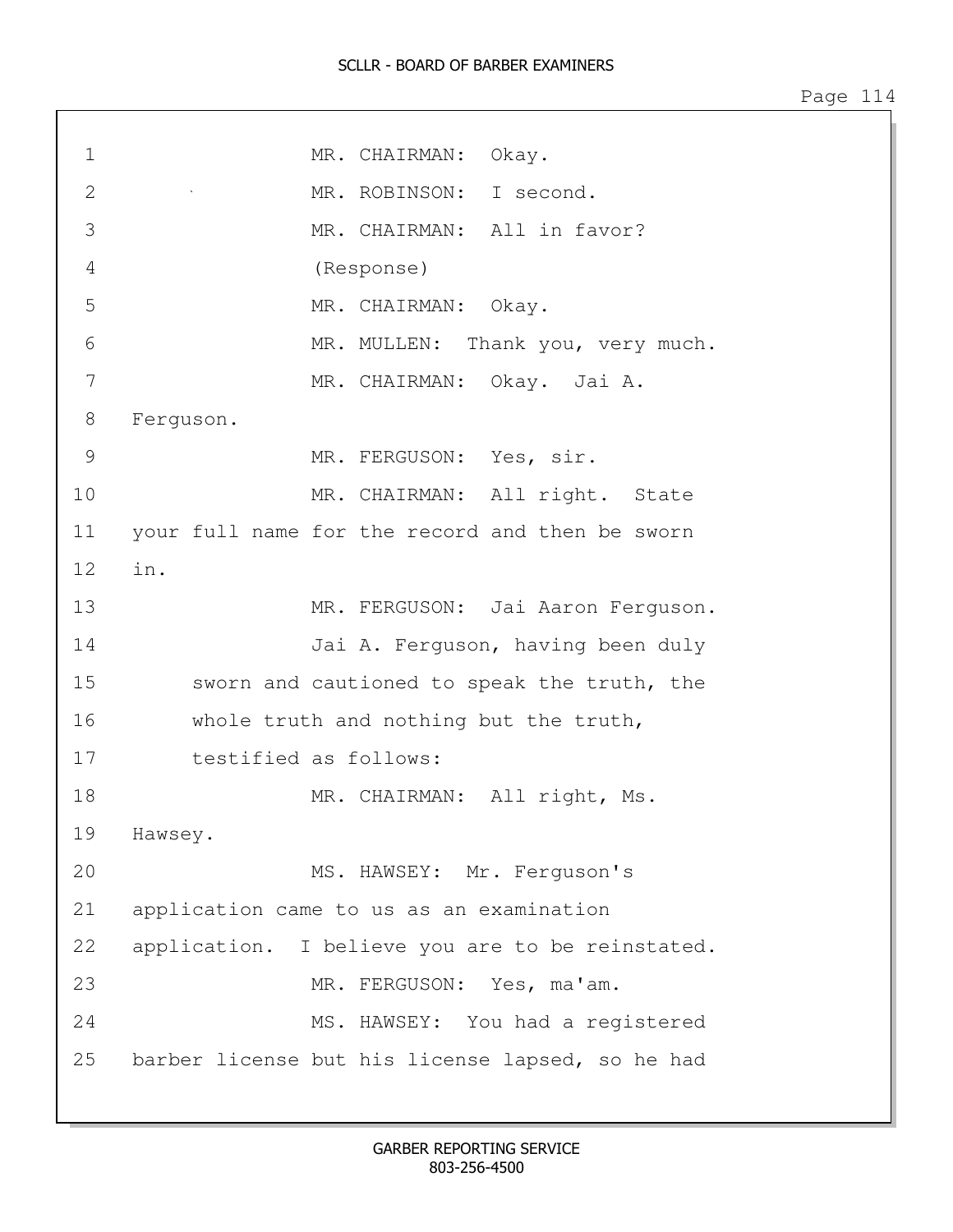## SCLLR - BOARD OF BARBER EXAMINERS

| $\mathbf 1$   | MR. CHAIRMAN: Okay.                              |
|---------------|--------------------------------------------------|
| $\mathbf{2}$  | MR. ROBINSON: I second.                          |
| 3             | MR. CHAIRMAN: All in favor?                      |
| 4             | (Response)                                       |
| 5             | MR. CHAIRMAN: Okay.                              |
| 6             | MR. MULLEN: Thank you, very much.                |
| 7             | MR. CHAIRMAN: Okay. Jai A.                       |
| 8             | Ferguson.                                        |
| $\mathcal{G}$ | MR. FERGUSON: Yes, sir.                          |
| 10            | MR. CHAIRMAN: All right. State                   |
| 11            | your full name for the record and then be sworn  |
| 12            | in.                                              |
| 13            | MR. FERGUSON: Jai Aaron Ferguson.                |
| 14            | Jai A. Ferguson, having been duly                |
| 15            | sworn and cautioned to speak the truth, the      |
| 16            | whole truth and nothing but the truth,           |
| 17            | testified as follows:                            |
| 18            | MR. CHAIRMAN: All right, Ms.                     |
| 19            | Hawsey.                                          |
| 20            | MS. HAWSEY: Mr. Ferguson's                       |
| 21            | application came to us as an examination         |
| 22            | application. I believe you are to be reinstated. |
| 23            | MR. FERGUSON: Yes, ma'am.                        |
| 24            | MS. HAWSEY: You had a registered                 |
| 25            | barber license but his license lapsed, so he had |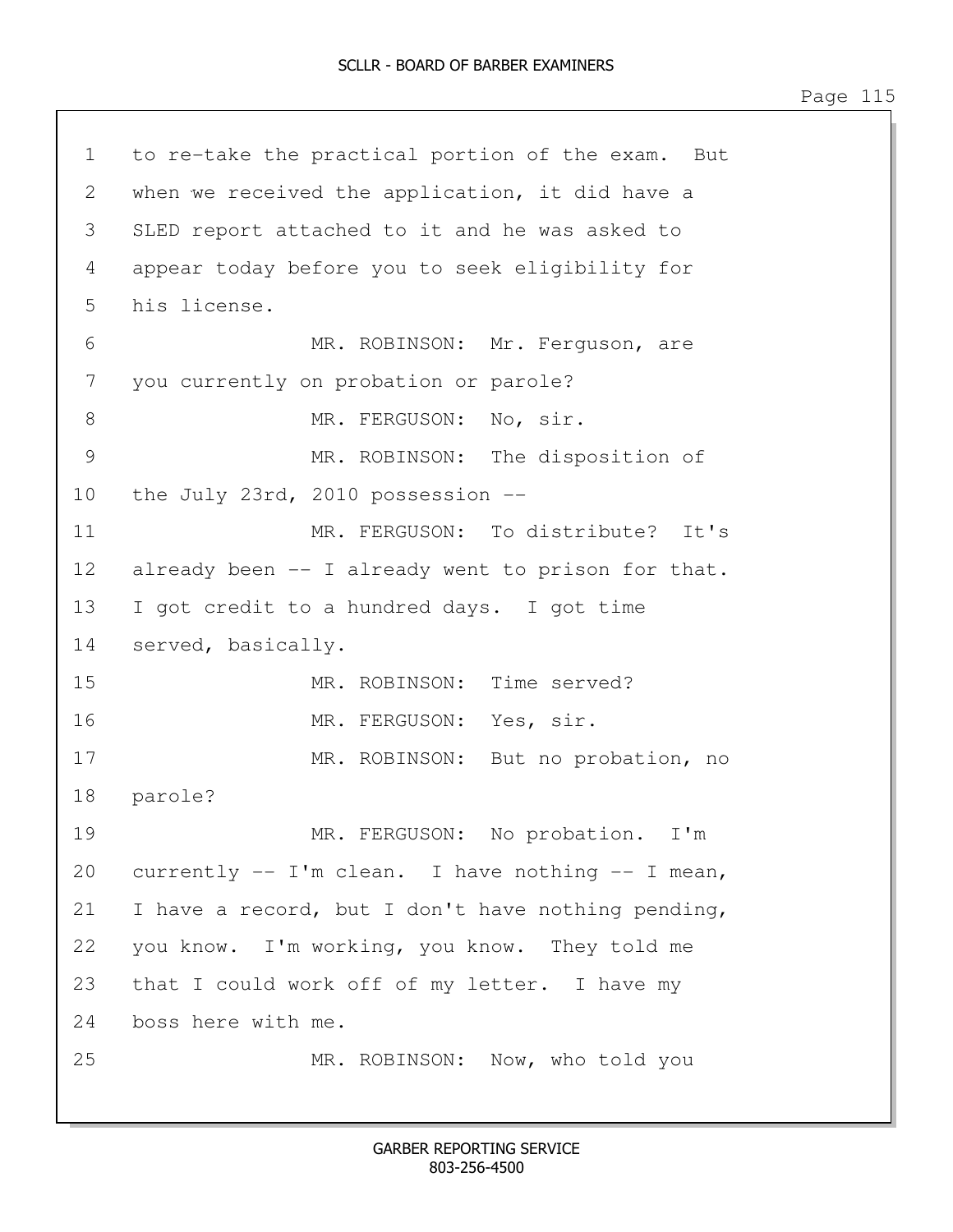1 to re-take the practical portion of the exam. But 2 when we received the application, it did have a 3 SLED report attached to it and he was asked to 4 appear today before you to seek eligibility for 5 his license. 6 MR. ROBINSON: Mr. Ferguson, are 7 you currently on probation or parole? 8 MR. FERGUSON: No, sir. 9 MR. ROBINSON: The disposition of 10 the July 23rd, 2010 possession -- 11 MR. FERGUSON: To distribute? It's 12 already been -- I already went to prison for that. 13 I got credit to a hundred days. I got time 14 served, basically. 15 MR. ROBINSON: Time served? 16 MR. FERGUSON: Yes, sir. 17 MR. ROBINSON: But no probation, no 18 parole? 19 MR. FERGUSON: No probation. I'm 20 currently -- I'm clean. I have nothing -- I mean, 21 I have a record, but I don't have nothing pending, 22 you know. I'm working, you know. They told me 23 that I could work off of my letter. I have my 24 boss here with me. 25 MR. ROBINSON: Now, who told you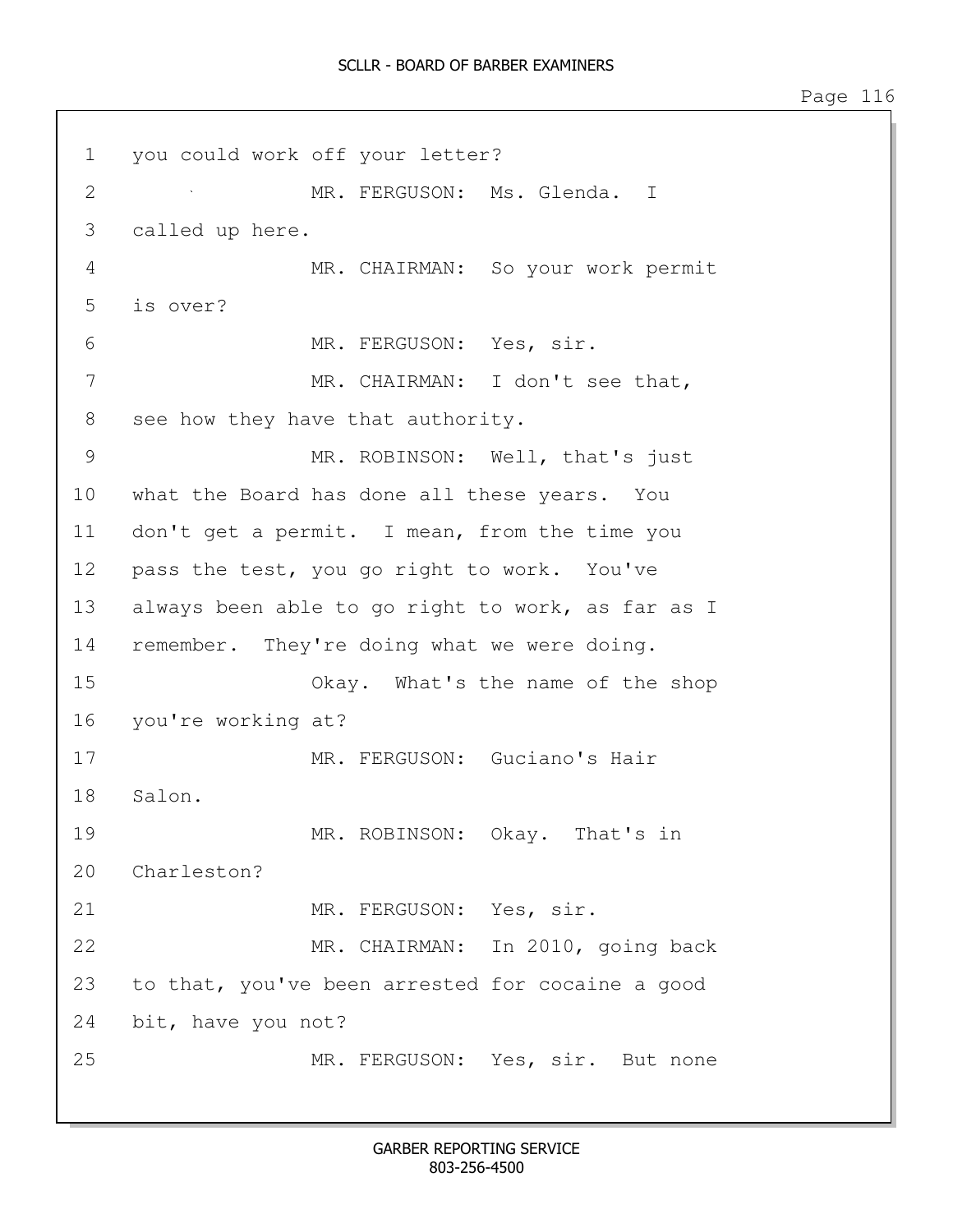1 you could work off your letter? 2 MR. FERGUSON: Ms. Glenda. I 3 called up here. 4 MR. CHAIRMAN: So your work permit 5 is over? 6 MR. FERGUSON: Yes, sir. 7 MR. CHAIRMAN: I don't see that, 8 see how they have that authority. 9 MR. ROBINSON: Well, that's just 10 what the Board has done all these years. You 11 don't get a permit. I mean, from the time you 12 pass the test, you go right to work. You've 13 always been able to go right to work, as far as I 14 remember. They're doing what we were doing. 15 Okay. What's the name of the shop 16 you're working at? 17 MR. FERGUSON: Guciano's Hair 18 Salon. 19 MR. ROBINSON: Okay. That's in 20 Charleston? 21 MR. FERGUSON: Yes, sir. 22 MR. CHAIRMAN: In 2010, going back 23 to that, you've been arrested for cocaine a good 24 bit, have you not? 25 MR. FERGUSON: Yes, sir. But none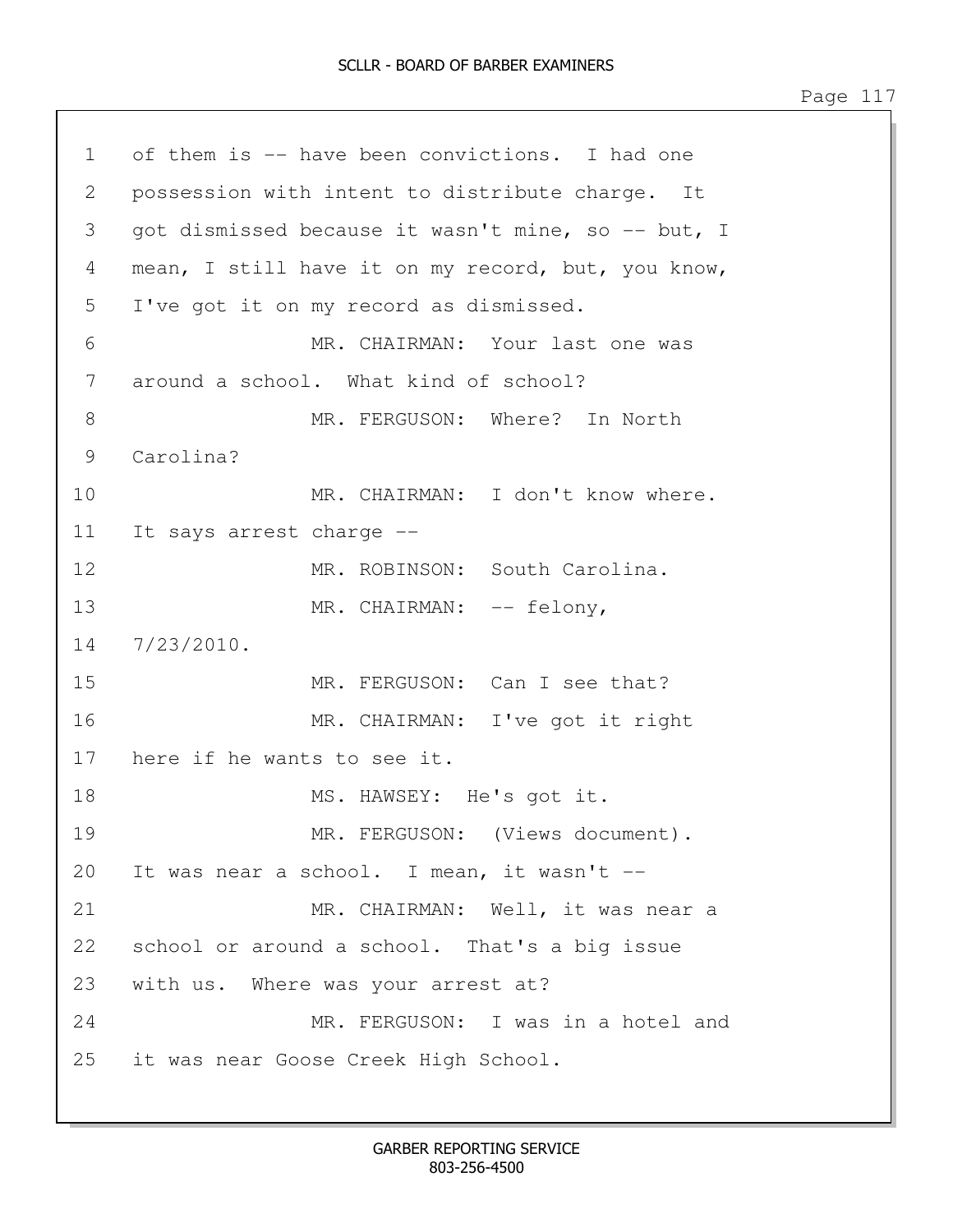1 of them is -- have been convictions. I had one 2 possession with intent to distribute charge. It 3 got dismissed because it wasn't mine, so -- but, I 4 mean, I still have it on my record, but, you know, 5 I've got it on my record as dismissed. 6 MR. CHAIRMAN: Your last one was 7 around a school. What kind of school? 8 MR. FERGUSON: Where? In North 9 Carolina? 10 MR. CHAIRMAN: I don't know where. 11 It says arrest charge -- 12 MR. ROBINSON: South Carolina. 13 MR. CHAIRMAN:  $--$  felony, 14 7/23/2010. 15 MR. FERGUSON: Can I see that? 16 MR. CHAIRMAN: I've got it right 17 here if he wants to see it. 18 MS. HAWSEY: He's got it. 19 MR. FERGUSON: (Views document). 20 It was near a school. I mean, it wasn't -- 21 MR. CHAIRMAN: Well, it was near a 22 school or around a school. That's a big issue 23 with us. Where was your arrest at? 24 MR. FERGUSON: I was in a hotel and 25 it was near Goose Creek High School.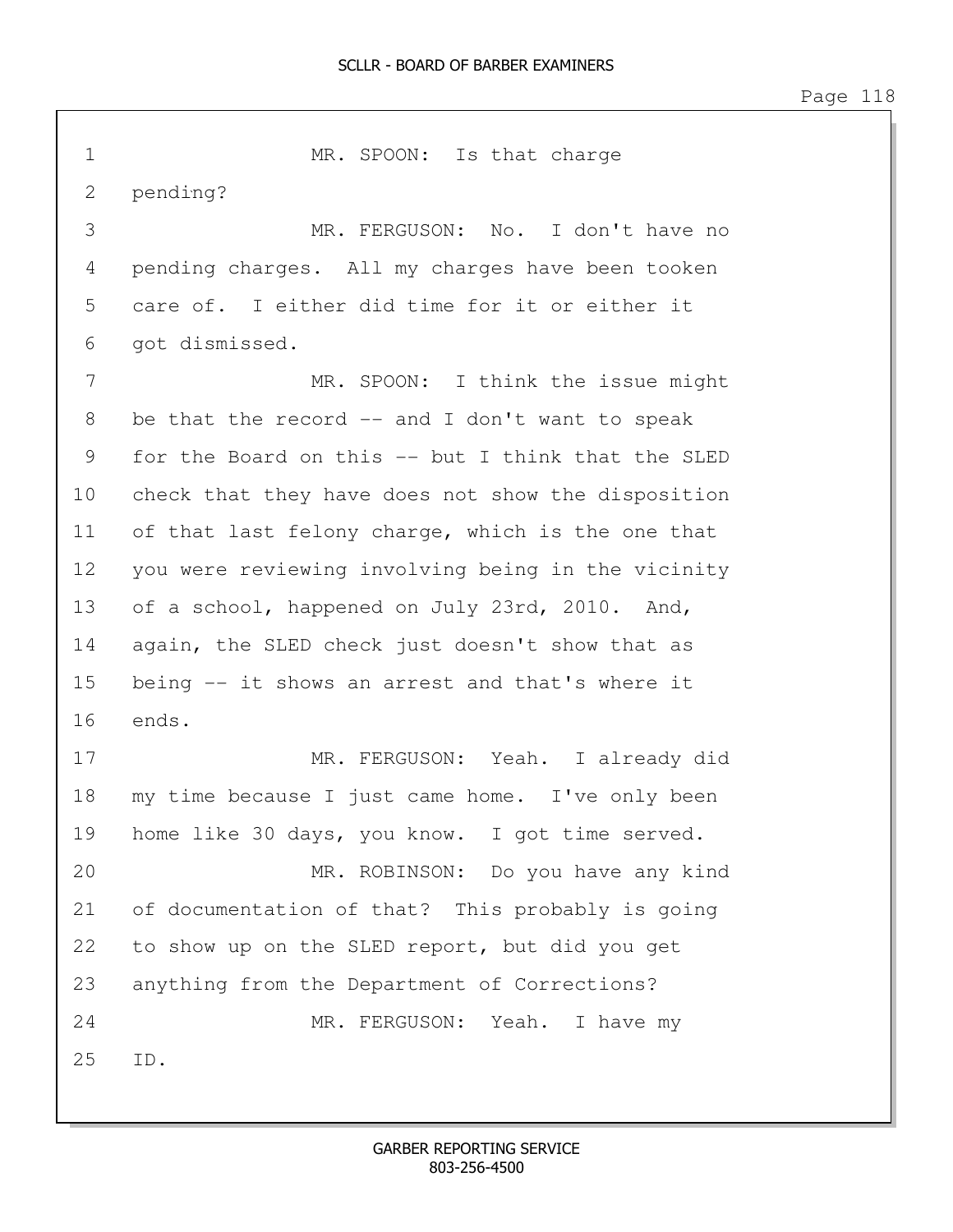1 MR. SPOON: Is that charge 2 pending? 3 MR. FERGUSON: No. I don't have no 4 pending charges. All my charges have been tooken 5 care of. I either did time for it or either it 6 got dismissed. 7 MR. SPOON: I think the issue might 8 be that the record -- and I don't want to speak 9 for the Board on this -- but I think that the SLED 10 check that they have does not show the disposition 11 of that last felony charge, which is the one that 12 you were reviewing involving being in the vicinity 13 of a school, happened on July 23rd, 2010. And, 14 again, the SLED check just doesn't show that as 15 being -- it shows an arrest and that's where it 16 ends. 17 MR. FERGUSON: Yeah. I already did 18 my time because I just came home. I've only been 19 home like 30 days, you know. I got time served. 20 MR. ROBINSON: Do you have any kind 21 of documentation of that? This probably is going 22 to show up on the SLED report, but did you get 23 anything from the Department of Corrections? 24 MR. FERGUSON: Yeah. I have my 25 ID.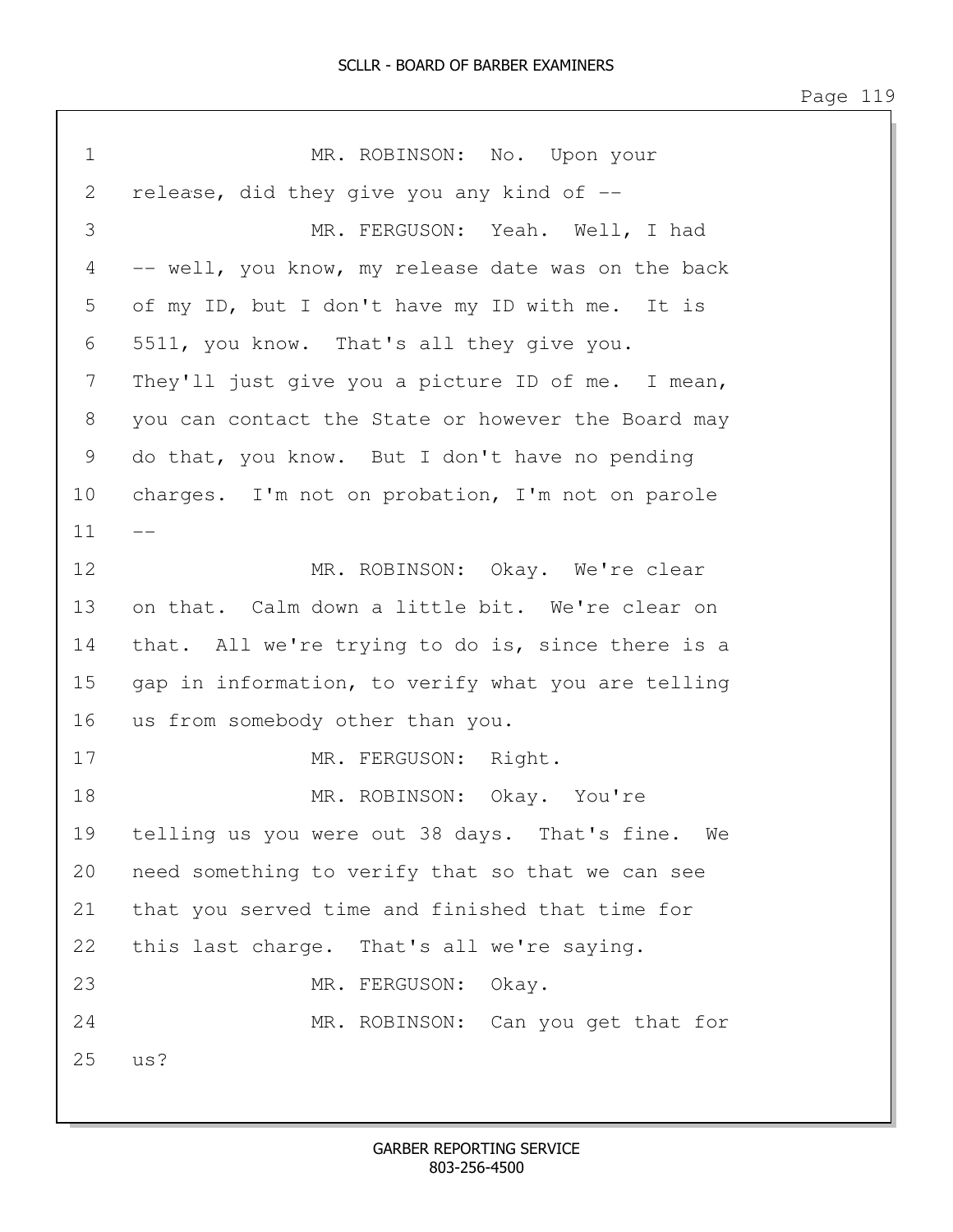1 MR. ROBINSON: No. Upon your 2 release, did they give you any kind of --3 MR. FERGUSON: Yeah. Well, I had 4 -- well, you know, my release date was on the back 5 of my ID, but I don't have my ID with me. It is 6 5511, you know. That's all they give you. 7 They'll just give you a picture ID of me. I mean, 8 you can contact the State or however the Board may 9 do that, you know. But I don't have no pending 10 charges. I'm not on probation, I'm not on parole  $11$ 12 MR. ROBINSON: Okay. We're clear 13 on that. Calm down a little bit. We're clear on 14 that. All we're trying to do is, since there is a 15 gap in information, to verify what you are telling 16 us from somebody other than you. 17 MR. FERGUSON: Right. 18 MR. ROBINSON: Okay. You're 19 telling us you were out 38 days. That's fine. We 20 need something to verify that so that we can see 21 that you served time and finished that time for 22 this last charge. That's all we're saying. 23 MR. FERGUSON: Okay. 24 MR. ROBINSON: Can you get that for 25 us?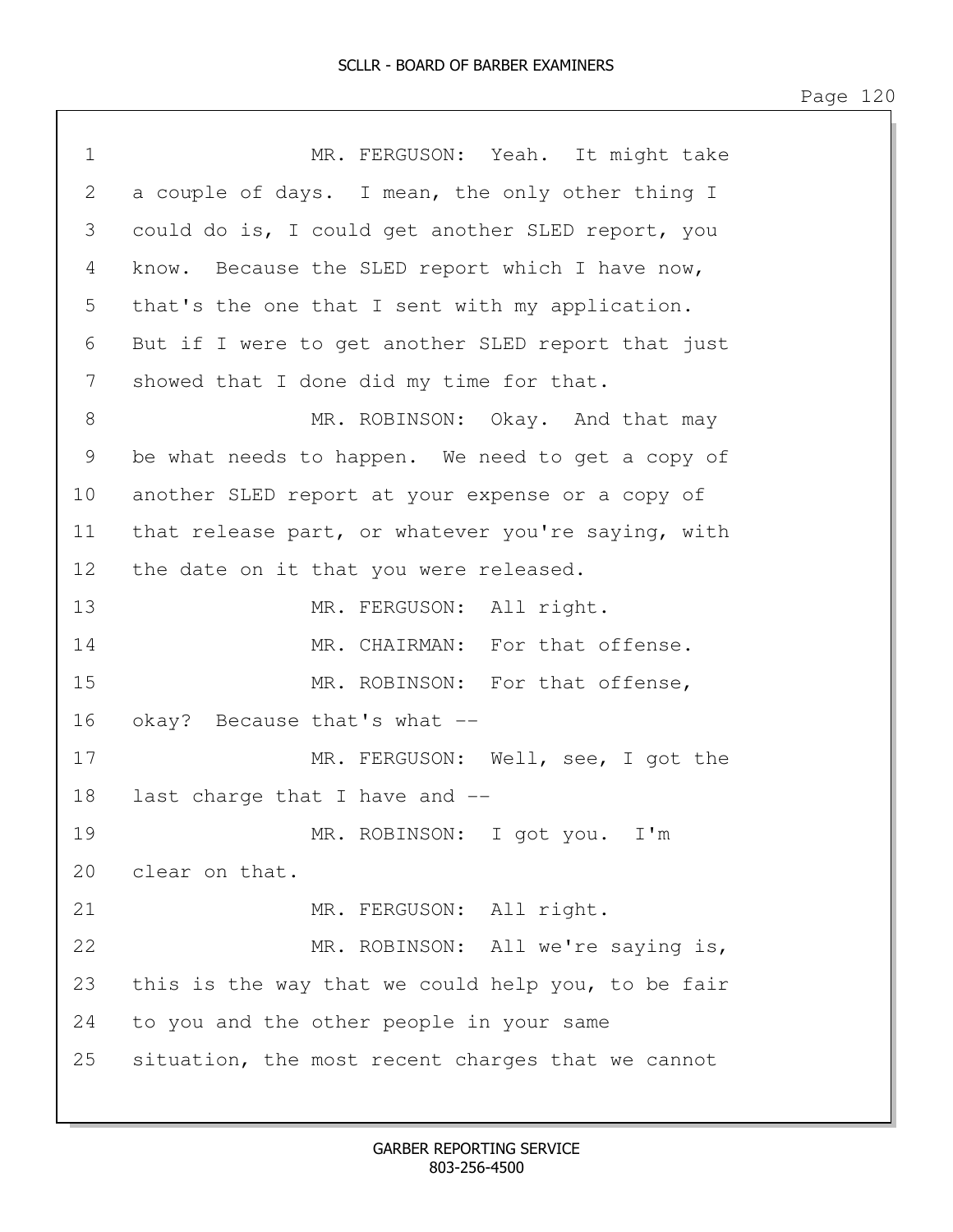| $\mathbf 1$  | MR. FERGUSON: Yeah. It might take                  |
|--------------|----------------------------------------------------|
| $\mathbf{2}$ | a couple of days. I mean, the only other thing I   |
| 3            | could do is, I could get another SLED report, you  |
| 4            | know. Because the SLED report which I have now,    |
| 5            | that's the one that I sent with my application.    |
| 6            | But if I were to get another SLED report that just |
| 7            | showed that I done did my time for that.           |
| 8            | MR. ROBINSON: Okay. And that may                   |
| 9            | be what needs to happen. We need to get a copy of  |
| 10           | another SLED report at your expense or a copy of   |
| 11           | that release part, or whatever you're saying, with |
| 12           | the date on it that you were released.             |
| 13           | MR. FERGUSON: All right.                           |
| 14           | MR. CHAIRMAN: For that offense.                    |
| 15           | MR. ROBINSON: For that offense,                    |
| 16           | okay? Because that's what --                       |
| 17           | MR. FERGUSON: Well, see, I got the                 |
| 18           | last charge that I have and --                     |
| 19           | MR. ROBINSON: I got you. I'm                       |
| 20           | clear on that.                                     |
| 21           | MR. FERGUSON: All right.                           |
| 22           | MR. ROBINSON: All we're saying is,                 |
| 23           | this is the way that we could help you, to be fair |
| 24           | to you and the other people in your same           |
| 25           | situation, the most recent charges that we cannot  |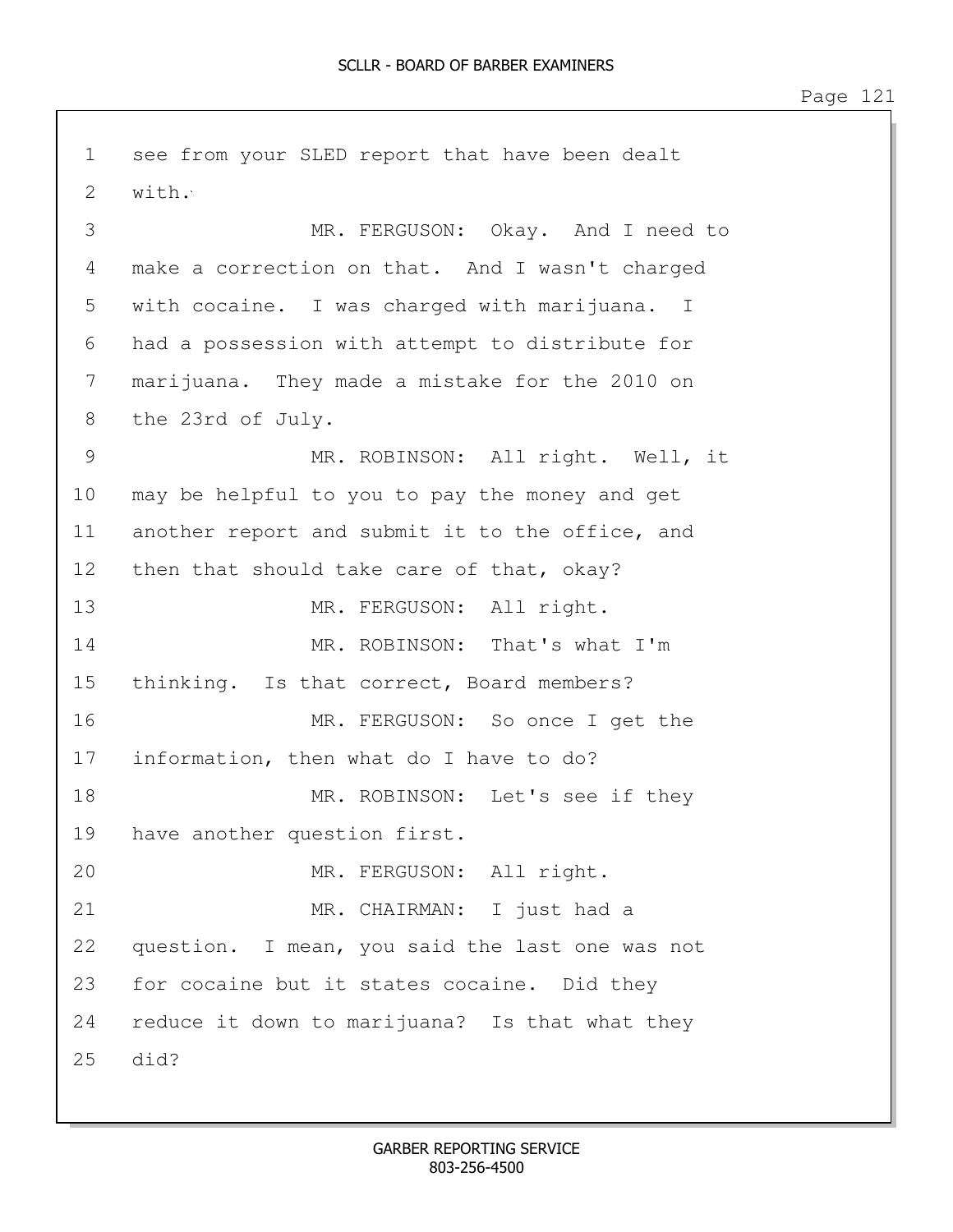1 see from your SLED report that have been dealt 2 with. 3 MR. FERGUSON: Okay. And I need to 4 make a correction on that. And I wasn't charged 5 with cocaine. I was charged with marijuana. I 6 had a possession with attempt to distribute for 7 marijuana. They made a mistake for the 2010 on 8 the 23rd of July. 9 MR. ROBINSON: All right. Well, it 10 may be helpful to you to pay the money and get 11 another report and submit it to the office, and 12 then that should take care of that, okay? 13 MR. FERGUSON: All right. 14 MR. ROBINSON: That's what I'm 15 thinking. Is that correct, Board members? 16 MR. FERGUSON: So once I get the 17 information, then what do I have to do? 18 MR. ROBINSON: Let's see if they 19 have another question first. 20 MR. FERGUSON: All right. 21 MR. CHAIRMAN: I just had a 22 question. I mean, you said the last one was not 23 for cocaine but it states cocaine. Did they 24 reduce it down to marijuana? Is that what they 25 did?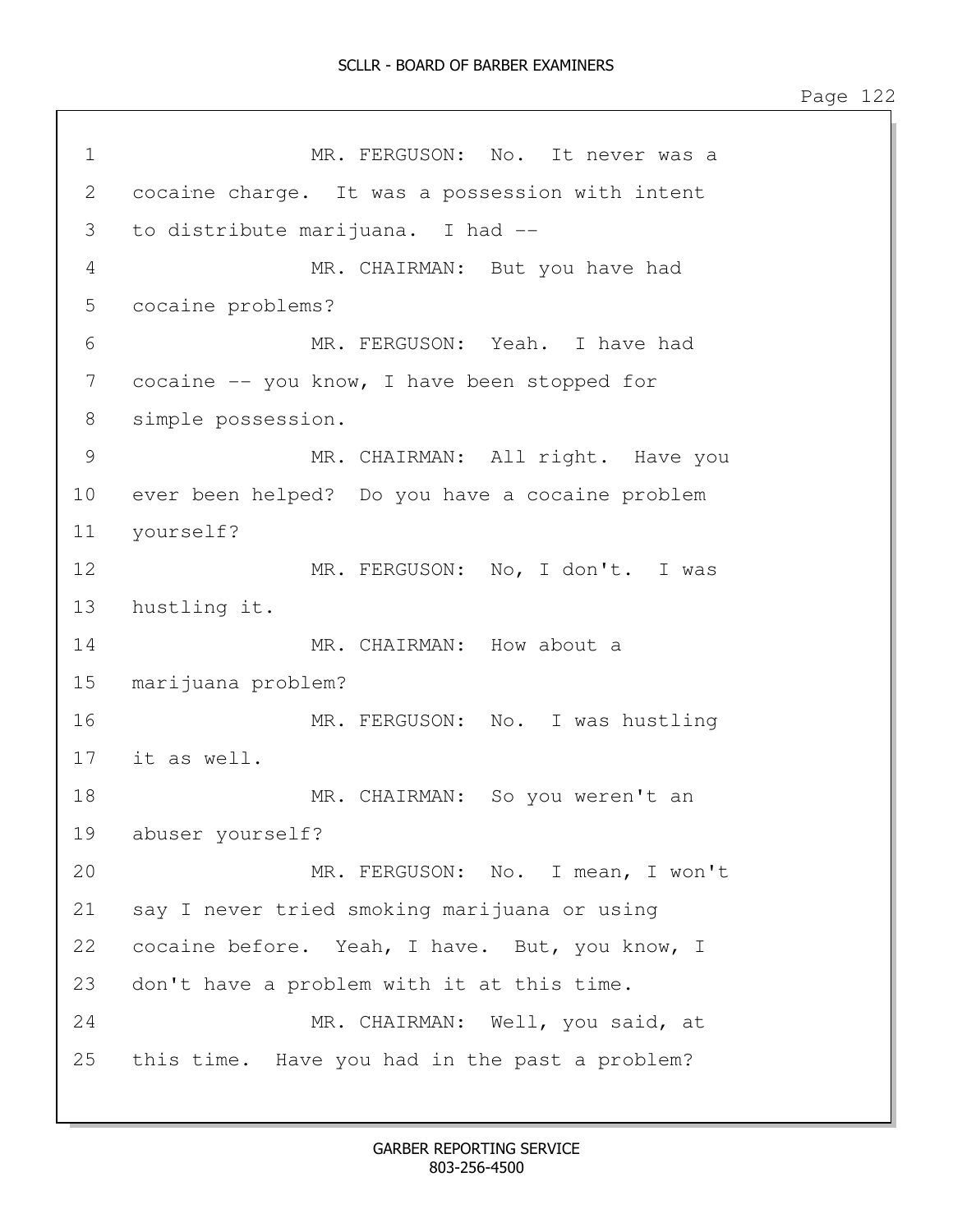1 MR. FERGUSON: No. It never was a 2 cocaine charge. It was a possession with intent 3 to distribute marijuana. I had -- 4 MR. CHAIRMAN: But you have had 5 cocaine problems? 6 MR. FERGUSON: Yeah. I have had 7 cocaine -- you know, I have been stopped for 8 simple possession. 9 MR. CHAIRMAN: All right. Have you 10 ever been helped? Do you have a cocaine problem 11 yourself? 12 MR. FERGUSON: No, I don't. I was 13 hustling it. 14 MR. CHAIRMAN: How about a 15 marijuana problem? 16 MR. FERGUSON: No. I was hustling 17 it as well. 18 MR. CHAIRMAN: So you weren't an 19 abuser yourself? 20 MR. FERGUSON: No. I mean, I won't 21 say I never tried smoking marijuana or using 22 cocaine before. Yeah, I have. But, you know, I 23 don't have a problem with it at this time. 24 MR. CHAIRMAN: Well, you said, at 25 this time. Have you had in the past a problem?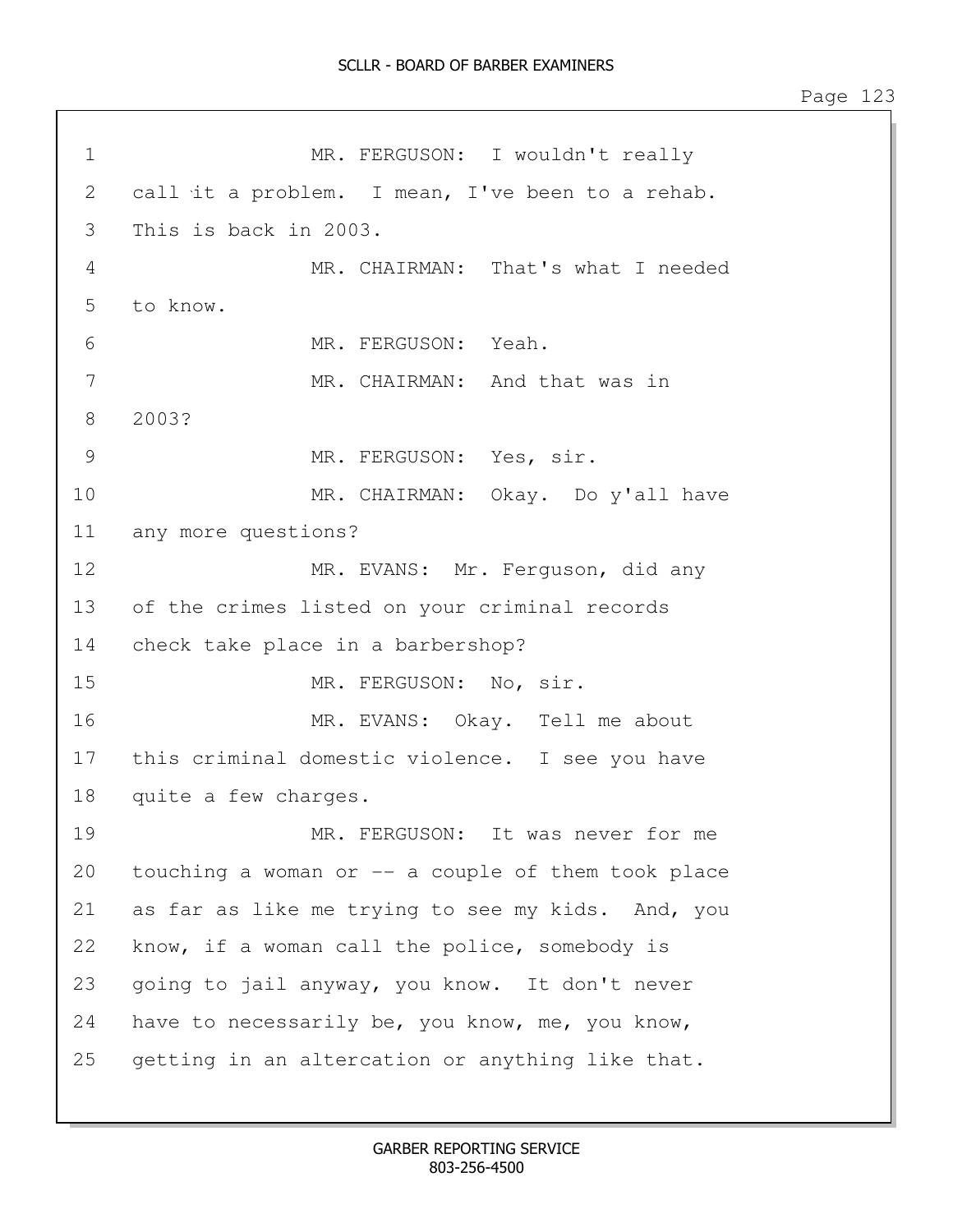1 MR. FERGUSON: I wouldn't really 2 call it a problem. I mean, I've been to a rehab. 3 This is back in 2003. 4 MR. CHAIRMAN: That's what I needed 5 to know. 6 MR. FERGUSON: Yeah. 7 MR. CHAIRMAN: And that was in 8 2003? 9 MR. FERGUSON: Yes, sir. 10 MR. CHAIRMAN: Okay. Do y'all have 11 any more questions? 12 MR. EVANS: Mr. Ferguson, did any 13 of the crimes listed on your criminal records 14 check take place in a barbershop? 15 MR. FERGUSON: No. sir. 16 MR. EVANS: Okay. Tell me about 17 this criminal domestic violence. I see you have 18 quite a few charges. 19 MR. FERGUSON: It was never for me 20 touching a woman or  $-$  a couple of them took place 21 as far as like me trying to see my kids. And, you 22 know, if a woman call the police, somebody is 23 going to jail anyway, you know. It don't never 24 have to necessarily be, you know, me, you know, 25 getting in an altercation or anything like that.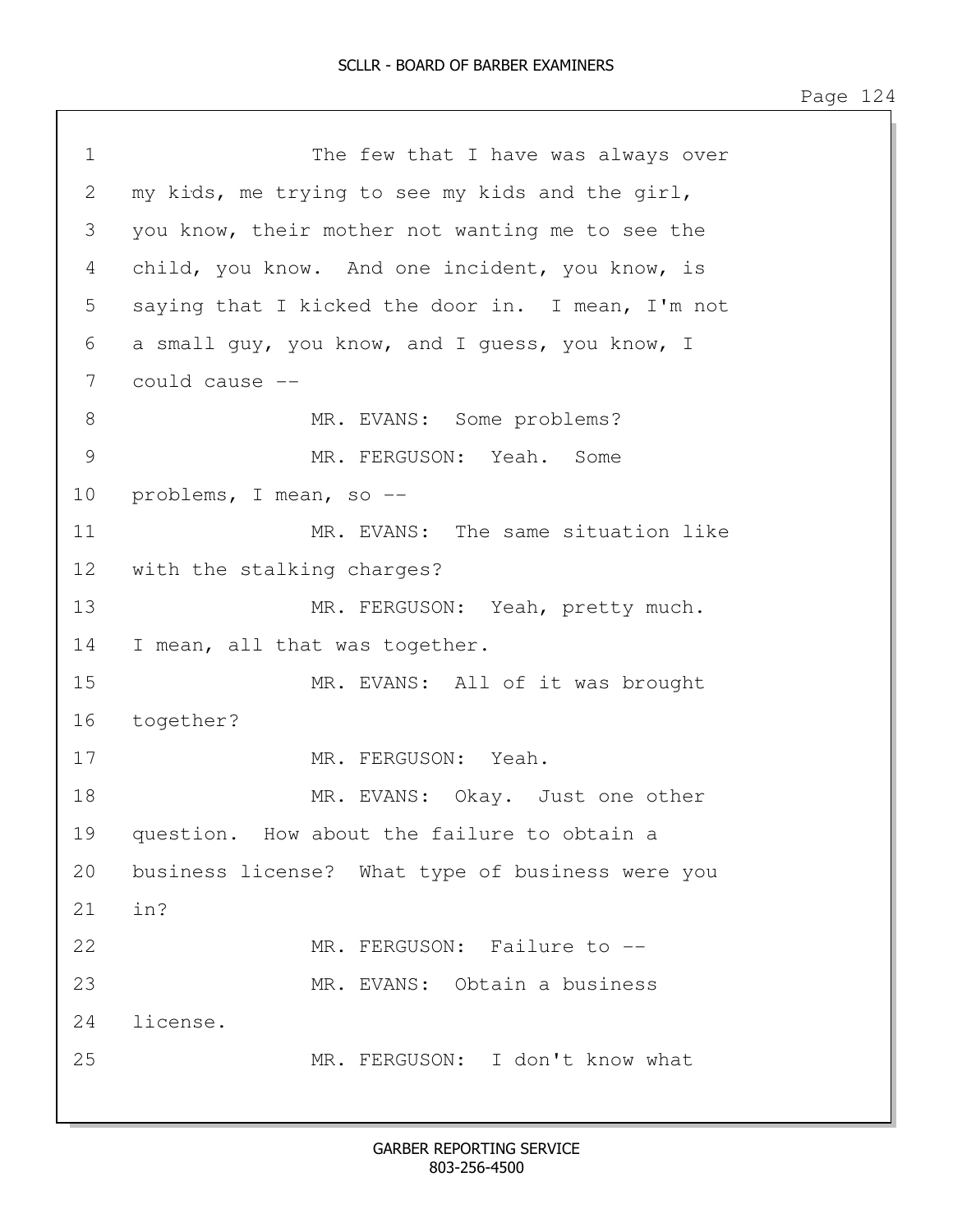```
1 The few that I have was always over
2 my kids, me trying to see my kids and the girl, 
3 you know, their mother not wanting me to see the 
4 child, you know. And one incident, you know, is 
5 saying that I kicked the door in. I mean, I'm not
6 a small guy, you know, and I guess, you know, I 
7 could cause --
8 MR. EVANS: Some problems?
9 MR. FERGUSON: Yeah. Some 
10 problems, I mean, so --
11 MR. EVANS: The same situation like
12 with the stalking charges?
13 MR. FERGUSON: Yeah, pretty much.
14 I mean, all that was together.
15 MR. EVANS: All of it was brought 
16 together?
17 MR. FERGUSON: Yeah.
18 MR. EVANS: Okay. Just one other
19 question. How about the failure to obtain a 
20 business license? What type of business were you
21 in?
22 MR. FERGUSON: Failure to --
23 MR. EVANS: Obtain a business 
24 license. 
25 MR. FERGUSON: I don't know what
```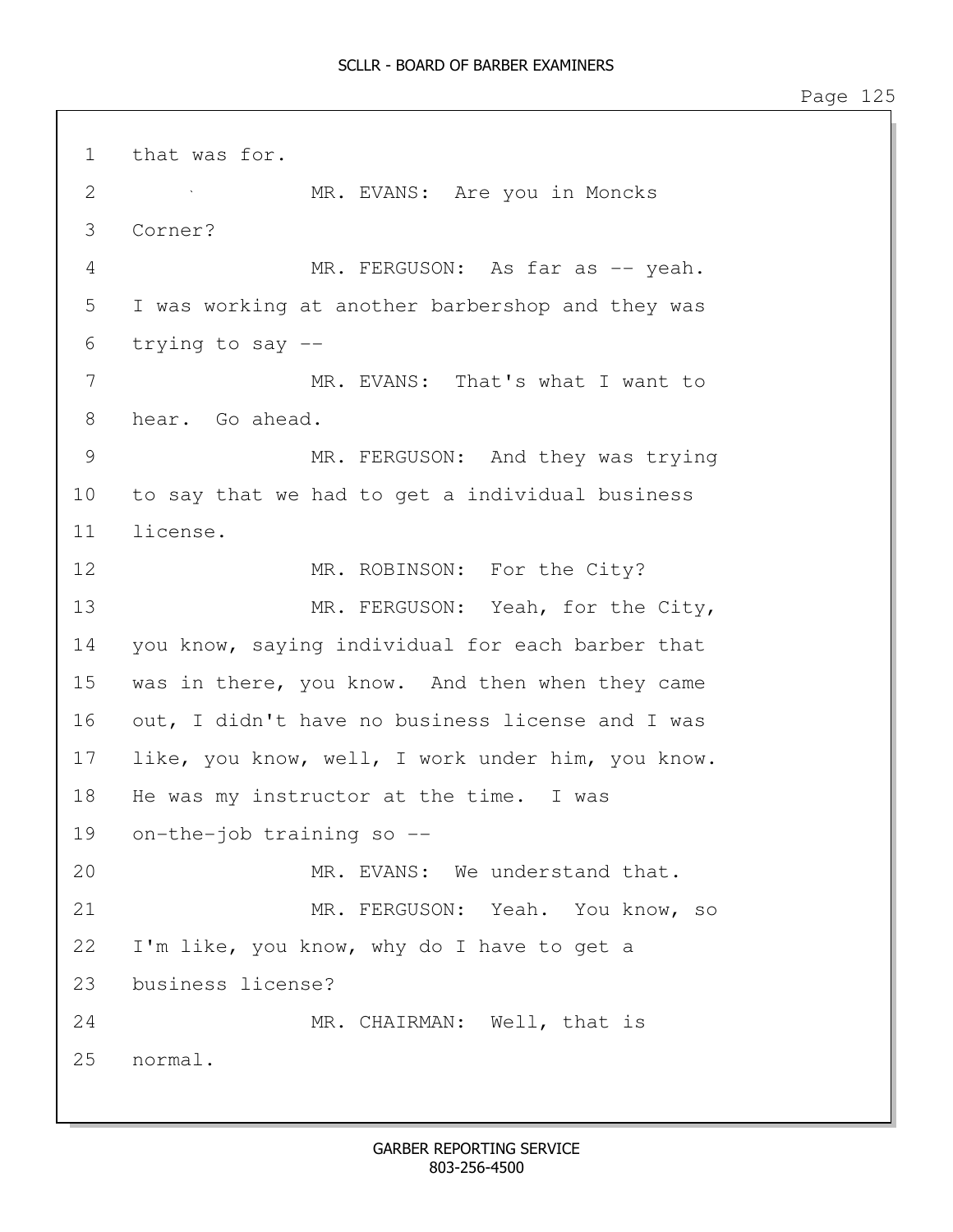1 that was for. 2 MR. EVANS: Are you in Moncks 3 Corner? 4 MR. FERGUSON: As far as -- yeah. 5 I was working at another barbershop and they was 6 trying to say -- 7 MR. EVANS: That's what I want to 8 hear. Go ahead. 9 MR. FERGUSON: And they was trying 10 to say that we had to get a individual business 11 license. 12 MR. ROBINSON: For the City? 13 MR. FERGUSON: Yeah, for the City, 14 you know, saying individual for each barber that 15 was in there, you know. And then when they came 16 out, I didn't have no business license and I was 17 like, you know, well, I work under him, you know. 18 He was my instructor at the time. I was 19 on-the-job training so -- 20 MR. EVANS: We understand that. 21 MR. FERGUSON: Yeah. You know, so 22 I'm like, you know, why do I have to get a 23 business license? 24 MR. CHAIRMAN: Well, that is 25 normal.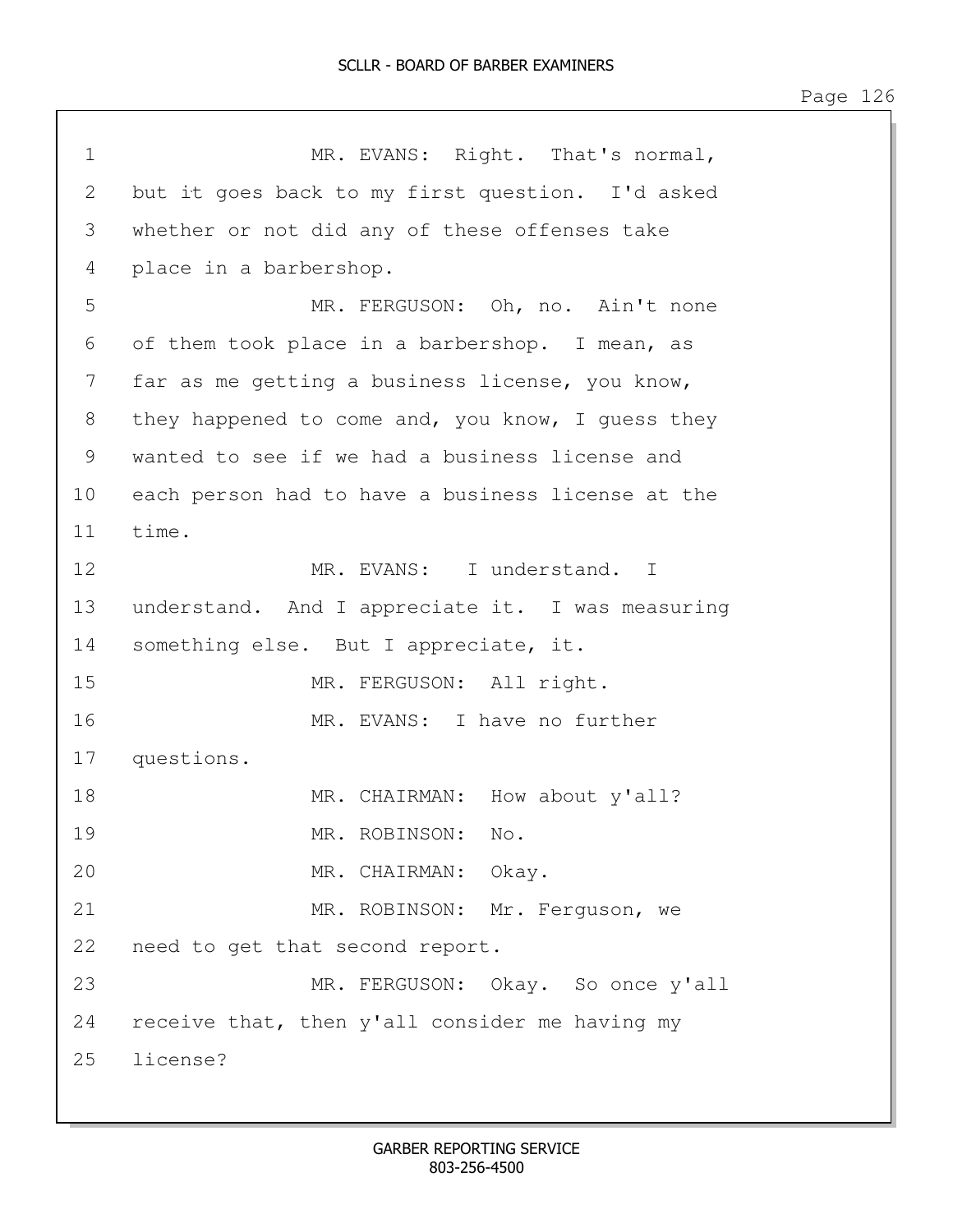1 MR. EVANS: Right. That's normal, 2 but it goes back to my first question. I'd asked 3 whether or not did any of these offenses take 4 place in a barbershop. 5 MR. FERGUSON: Oh, no. Ain't none 6 of them took place in a barbershop. I mean, as 7 far as me getting a business license, you know, 8 they happened to come and, you know, I guess they 9 wanted to see if we had a business license and 10 each person had to have a business license at the 11 time. 12 MR. EVANS: I understand. I 13 understand. And I appreciate it. I was measuring 14 something else. But I appreciate, it. 15 MR. FERGUSON: All right. 16 MR. EVANS: I have no further 17 questions. 18 MR. CHAIRMAN: How about y'all? 19 MR. ROBINSON: No. 20 MR. CHAIRMAN: Okay. 21 MR. ROBINSON: Mr. Ferguson, we 22 need to get that second report. 23 MR. FERGUSON: Okay. So once y'all 24 receive that, then y'all consider me having my 25 license?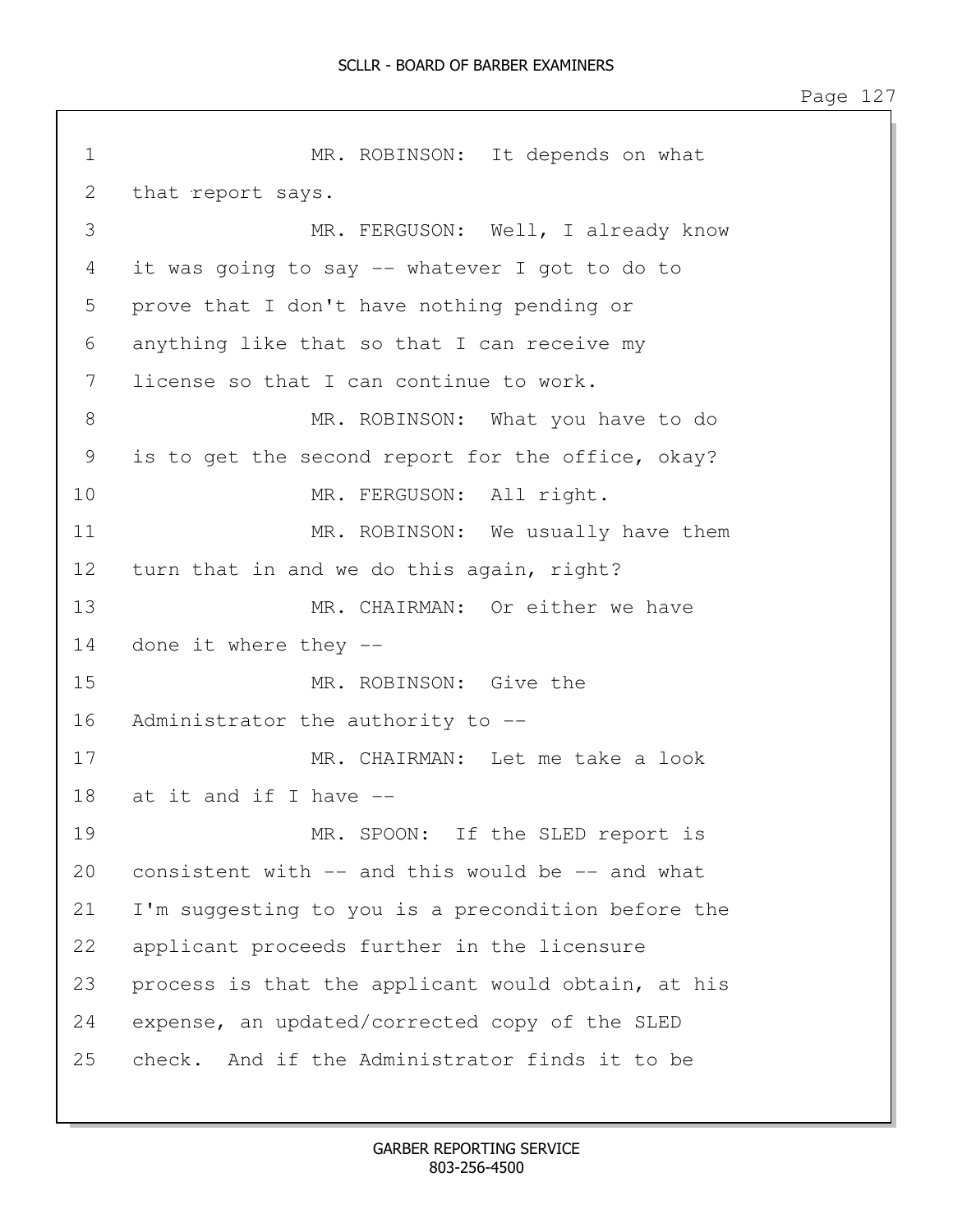1 MR. ROBINSON: It depends on what 2 that report says. 3 MR. FERGUSON: Well, I already know 4 it was going to say -- whatever I got to do to 5 prove that I don't have nothing pending or 6 anything like that so that I can receive my 7 license so that I can continue to work. 8 MR. ROBINSON: What you have to do 9 is to get the second report for the office, okay? 10 MR. FERGUSON: All right. 11 MR. ROBINSON: We usually have them 12 turn that in and we do this again, right? 13 MR. CHAIRMAN: Or either we have 14 done it where they -- 15 MR. ROBINSON: Give the 16 Administrator the authority to -- 17 MR. CHAIRMAN: Let me take a look 18 at it and if I have -- 19 MR. SPOON: If the SLED report is 20 consistent with -- and this would be -- and what 21 I'm suggesting to you is a precondition before the 22 applicant proceeds further in the licensure 23 process is that the applicant would obtain, at his 24 expense, an updated/corrected copy of the SLED 25 check. And if the Administrator finds it to be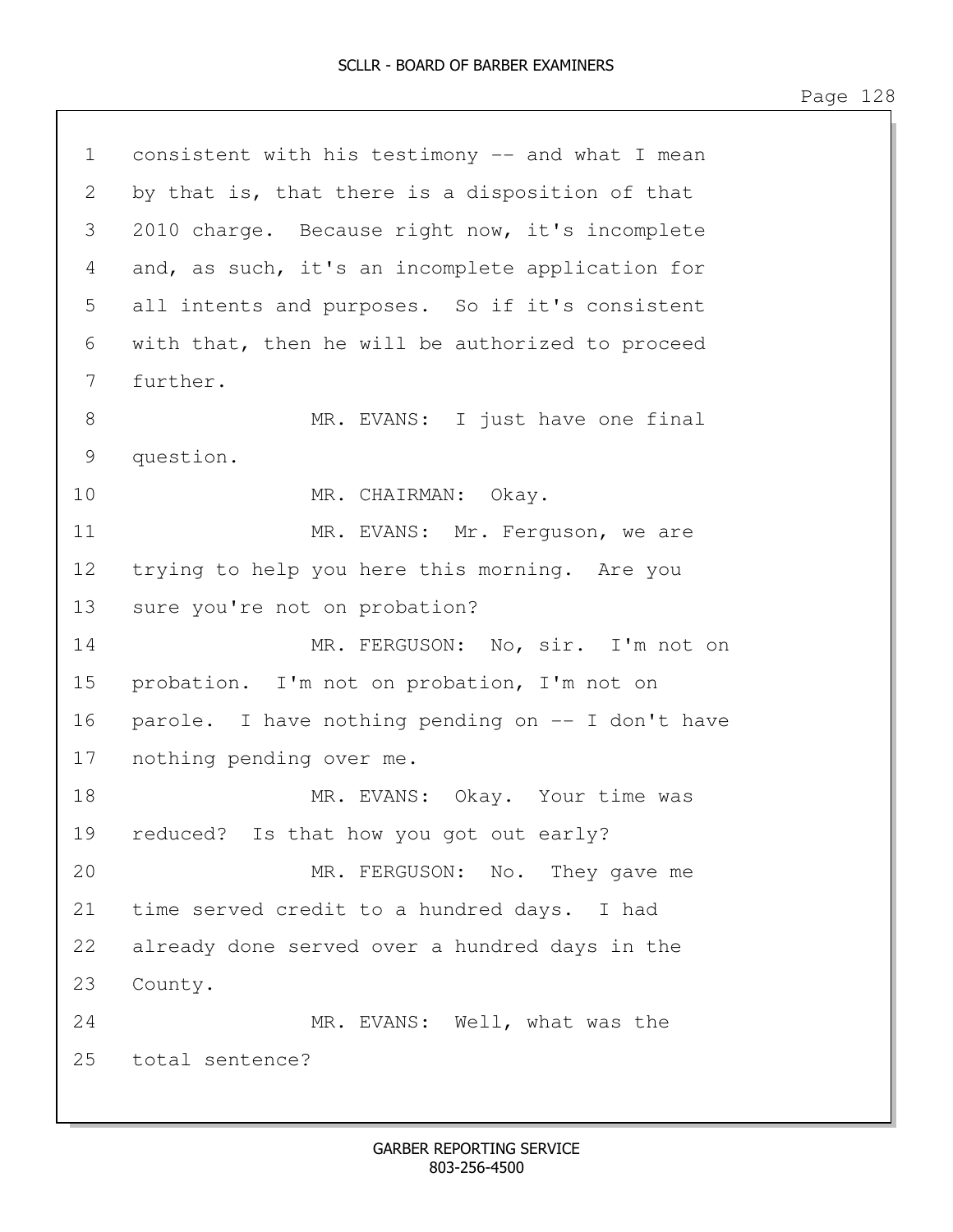| $\mathbf 1$     | consistent with his testimony -- and what I mean  |  |  |  |
|-----------------|---------------------------------------------------|--|--|--|
| 2               | by that is, that there is a disposition of that   |  |  |  |
| 3               | 2010 charge. Because right now, it's incomplete   |  |  |  |
| 4               | and, as such, it's an incomplete application for  |  |  |  |
| 5               | all intents and purposes. So if it's consistent   |  |  |  |
| 6               | with that, then he will be authorized to proceed  |  |  |  |
| 7               | further.                                          |  |  |  |
| 8               | MR. EVANS: I just have one final                  |  |  |  |
| 9               | question.                                         |  |  |  |
| 10              | MR. CHAIRMAN: Okay.                               |  |  |  |
| 11              | MR. EVANS: Mr. Ferguson, we are                   |  |  |  |
| 12 <sup>°</sup> | trying to help you here this morning. Are you     |  |  |  |
| 13              | sure you're not on probation?                     |  |  |  |
| 14              | MR. FERGUSON: No, sir. I'm not on                 |  |  |  |
| 15              | probation. I'm not on probation, I'm not on       |  |  |  |
| 16              | parole. I have nothing pending on -- I don't have |  |  |  |
| 17              | nothing pending over me.                          |  |  |  |
| 18              | MR. EVANS: Okay. Your time was                    |  |  |  |
| 19              | reduced? Is that how you got out early?           |  |  |  |
| 20              | MR. FERGUSON: No. They gave me                    |  |  |  |
| 21              | time served credit to a hundred days. I had       |  |  |  |
| 22              | already done served over a hundred days in the    |  |  |  |
| 23              | County.                                           |  |  |  |
| 24              | MR. EVANS: Well, what was the                     |  |  |  |
| 25              | total sentence?                                   |  |  |  |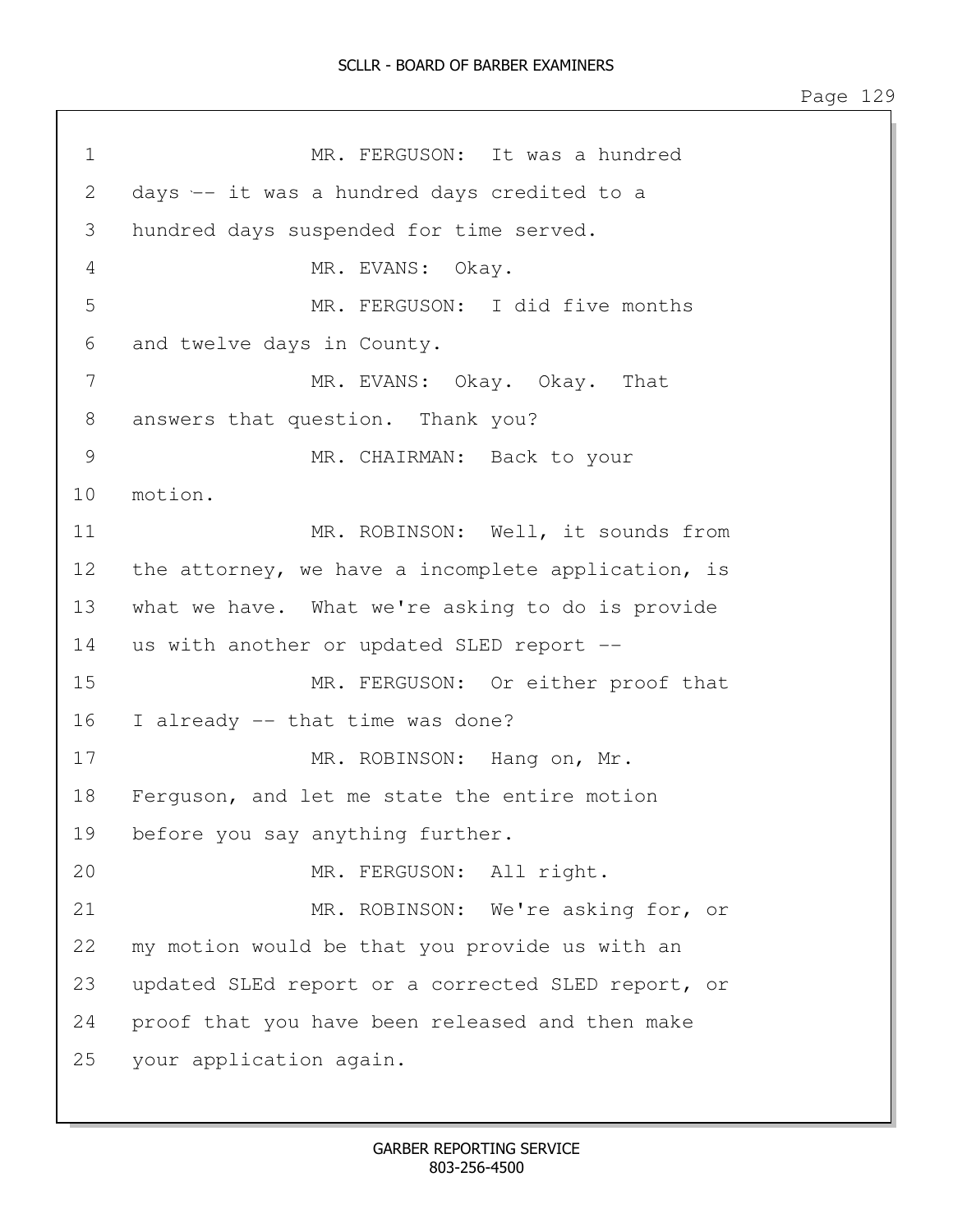1 MR. FERGUSON: It was a hundred 2 days -- it was a hundred days credited to a 3 hundred days suspended for time served. 4 MR. EVANS: Okay. 5 MR. FERGUSON: I did five months 6 and twelve days in County. 7 MR. EVANS: Okay. Okay. That 8 answers that question. Thank you? 9 MR. CHAIRMAN: Back to your 10 motion. 11 MR. ROBINSON: Well, it sounds from 12 the attorney, we have a incomplete application, is 13 what we have. What we're asking to do is provide 14 us with another or updated SLED report -- 15 MR. FERGUSON: Or either proof that 16 I already -- that time was done? 17 MR. ROBINSON: Hang on, Mr. 18 Ferguson, and let me state the entire motion 19 before you say anything further. 20 MR. FERGUSON: All right. 21 MR. ROBINSON: We're asking for, or 22 my motion would be that you provide us with an 23 updated SLEd report or a corrected SLED report, or 24 proof that you have been released and then make 25 your application again.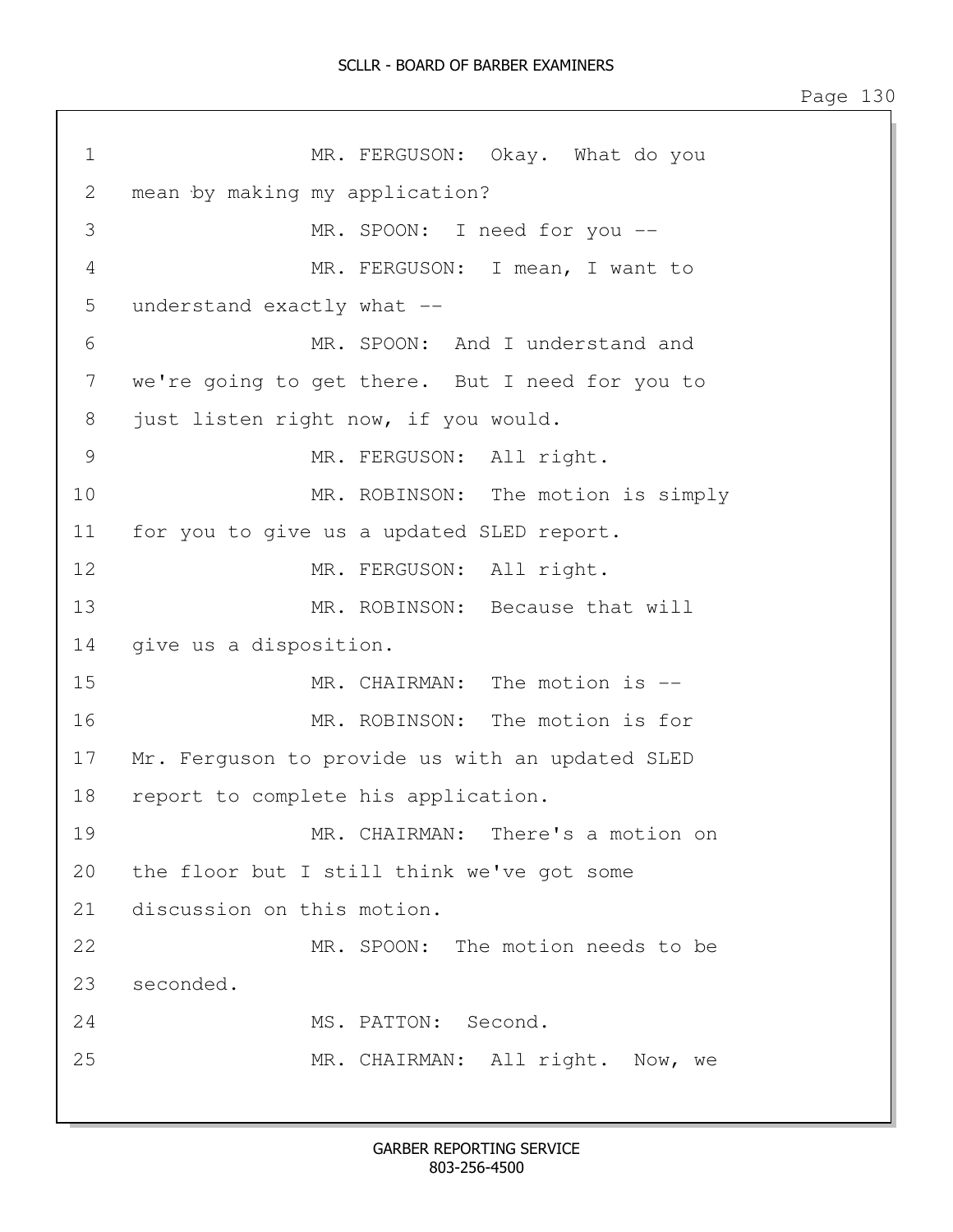1 MR. FERGUSON: Okay. What do you 2 mean by making my application? 3 MR. SPOON: I need for you -- 4 MR. FERGUSON: I mean, I want to 5 understand exactly what -- 6 MR. SPOON: And I understand and 7 we're going to get there. But I need for you to 8 just listen right now, if you would. 9 MR. FERGUSON: All right. 10 MR. ROBINSON: The motion is simply 11 for you to give us a updated SLED report. 12 MR. FERGUSON: All right. 13 MR. ROBINSON: Because that will 14 give us a disposition. 15 MR. CHAIRMAN: The motion is -- 16 MR. ROBINSON: The motion is for 17 Mr. Ferguson to provide us with an updated SLED 18 report to complete his application. 19 MR. CHAIRMAN: There's a motion on 20 the floor but I still think we've got some 21 discussion on this motion. 22 MR. SPOON: The motion needs to be 23 seconded. 24 MS. PATTON: Second. 25 MR. CHAIRMAN: All right. Now, we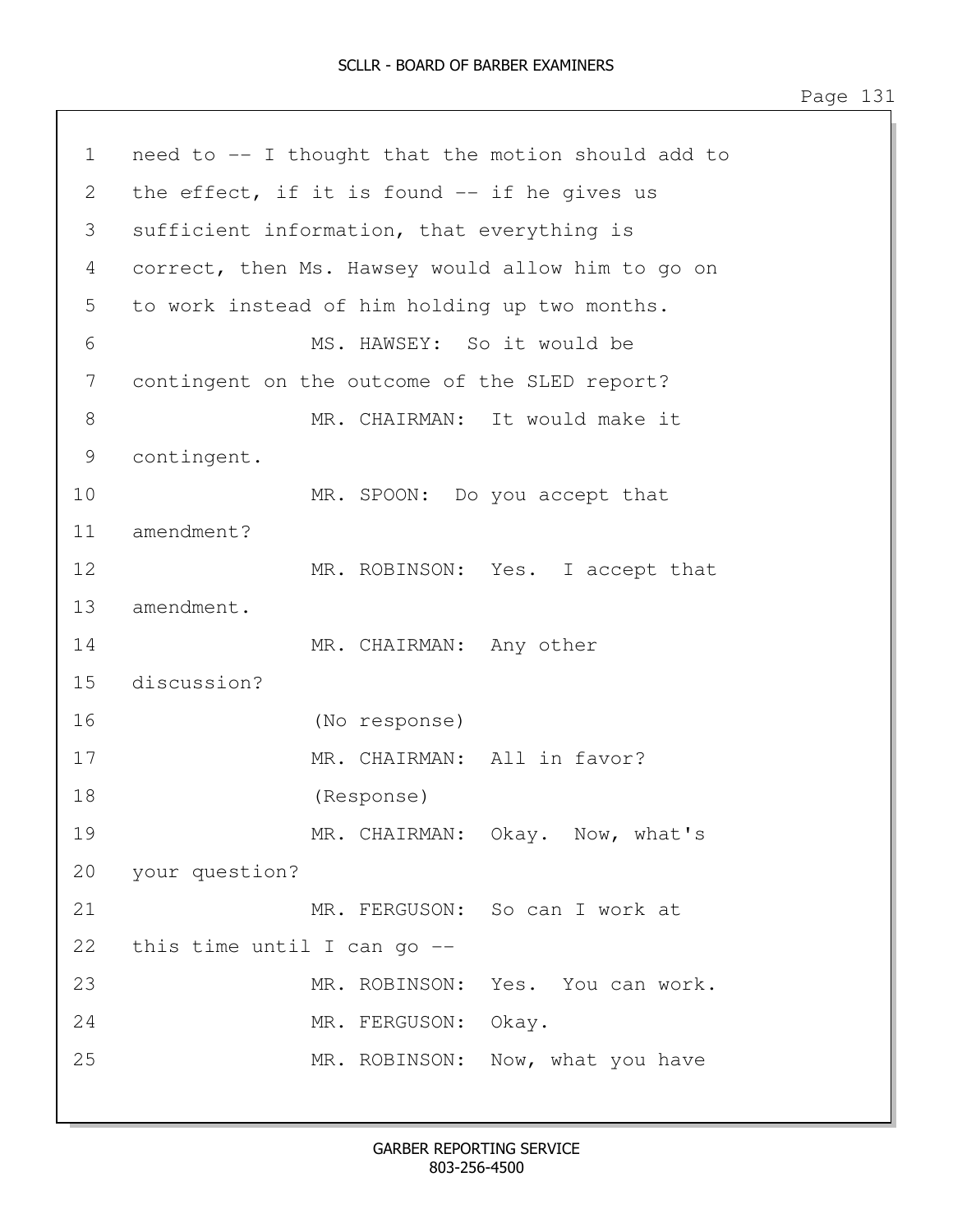| $\mathbf 1$ | need to -- I thought that the motion should add to |  |  |
|-------------|----------------------------------------------------|--|--|
| 2           | the effect, if it is found -- if he gives us       |  |  |
| 3           | sufficient information, that everything is         |  |  |
| 4           | correct, then Ms. Hawsey would allow him to go on  |  |  |
| 5           | to work instead of him holding up two months.      |  |  |
| 6           | MS. HAWSEY: So it would be                         |  |  |
| 7           | contingent on the outcome of the SLED report?      |  |  |
| 8           | MR. CHAIRMAN: It would make it                     |  |  |
| 9           | contingent.                                        |  |  |
| 10          | MR. SPOON: Do you accept that                      |  |  |
| 11          | amendment?                                         |  |  |
| 12          | MR. ROBINSON: Yes. I accept that                   |  |  |
| 13          | amendment.                                         |  |  |
| 14          | MR. CHAIRMAN: Any other                            |  |  |
| 15          | discussion?                                        |  |  |
| 16          | (No response)                                      |  |  |
| 17          | MR. CHAIRMAN: All in favor?                        |  |  |
| 18          | (Response)                                         |  |  |
| 19          | MR. CHAIRMAN: Okay. Now, what's                    |  |  |
|             | 20 your question?                                  |  |  |
| 21          | MR. FERGUSON: So can I work at                     |  |  |
| 22          | this time until I can go --                        |  |  |
| 23          | MR. ROBINSON: Yes. You can work.                   |  |  |
| 24          | MR. FERGUSON: Okay.                                |  |  |
| 25          | MR. ROBINSON: Now, what you have                   |  |  |
|             |                                                    |  |  |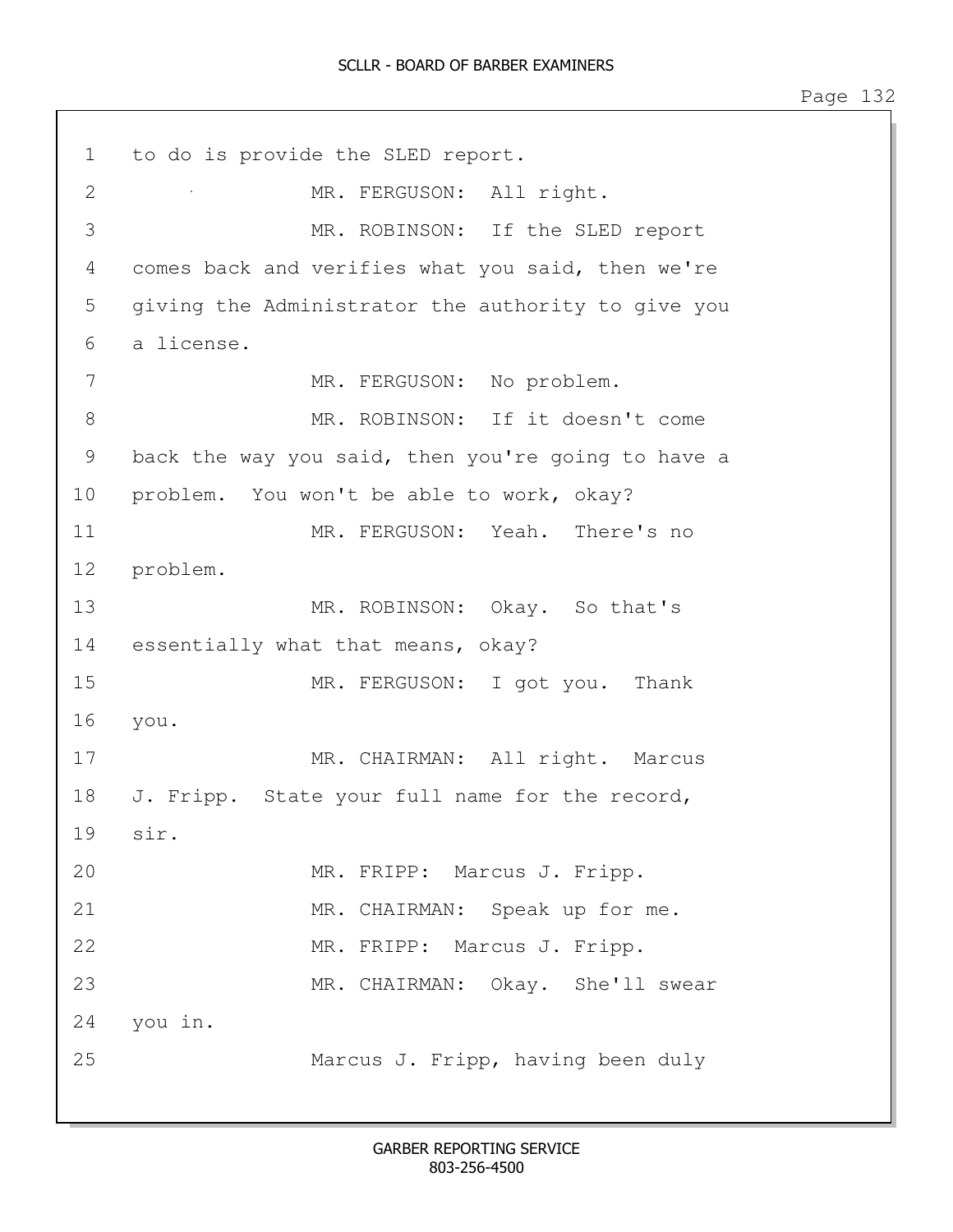1 to do is provide the SLED report. 2 MR. FERGUSON: All right. 3 MR. ROBINSON: If the SLED report 4 comes back and verifies what you said, then we're 5 giving the Administrator the authority to give you 6 a license. 7 MR. FERGUSON: No problem. 8 MR. ROBINSON: If it doesn't come 9 back the way you said, then you're going to have a 10 problem. You won't be able to work, okay? 11 MR. FERGUSON: Yeah. There's no 12 problem. 13 MR. ROBINSON: Okay. So that's 14 essentially what that means, okay? 15 MR. FERGUSON: I got you. Thank 16 you. 17 MR. CHAIRMAN: All right. Marcus 18 J. Fripp. State your full name for the record, 19 sir. 20 MR. FRIPP: Marcus J. Fripp. 21 MR. CHAIRMAN: Speak up for me. 22 MR. FRIPP: Marcus J. Fripp. 23 MR. CHAIRMAN: Okay. She'll swear 24 you in. 25 Marcus J. Fripp, having been duly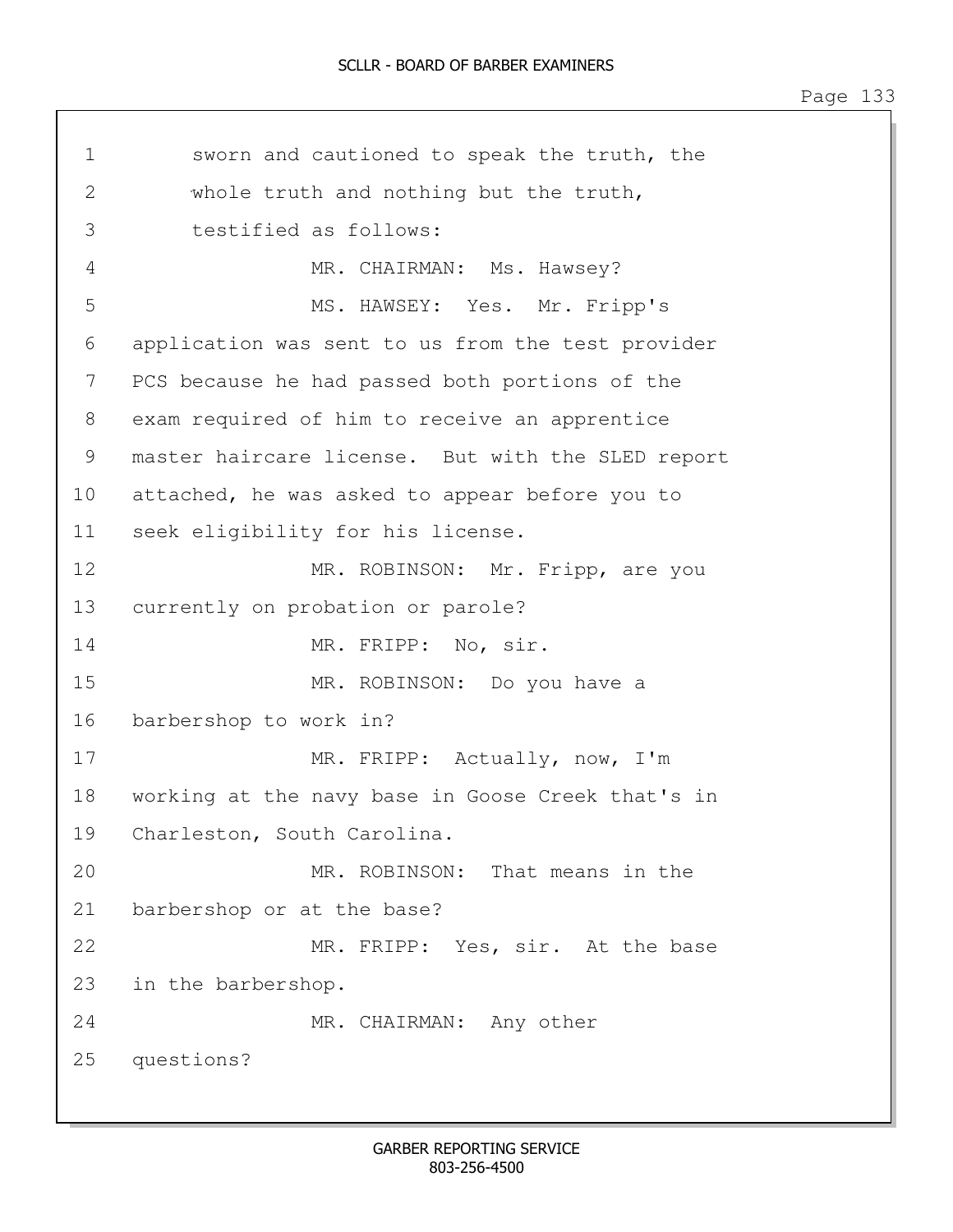```
1 sworn and cautioned to speak the truth, the 
2 whole truth and nothing but the truth, 
3 testified as follows:
4 MR. CHAIRMAN: Ms. Hawsey?
5 MS. HAWSEY: Yes. Mr. Fripp's
6 application was sent to us from the test provider 
7 PCS because he had passed both portions of the 
8 exam required of him to receive an apprentice 
9 master haircare license. But with the SLED report
10 attached, he was asked to appear before you to 
11 seek eligibility for his license.
12 MR. ROBINSON: Mr. Fripp, are you
13 currently on probation or parole?
14 MR. FRIPP: No, sir.
15 MR. ROBINSON: Do you have a 
16 barbershop to work in?
17 MR. FRIPP: Actually, now, I'm 
18 working at the navy base in Goose Creek that's in
19 Charleston, South Carolina. 
20 MR. ROBINSON: That means in the 
21 barbershop or at the base?
22 MR. FRIPP: Yes, sir. At the base
23 in the barbershop.
24 MR. CHAIRMAN: Any other
25 questions?
```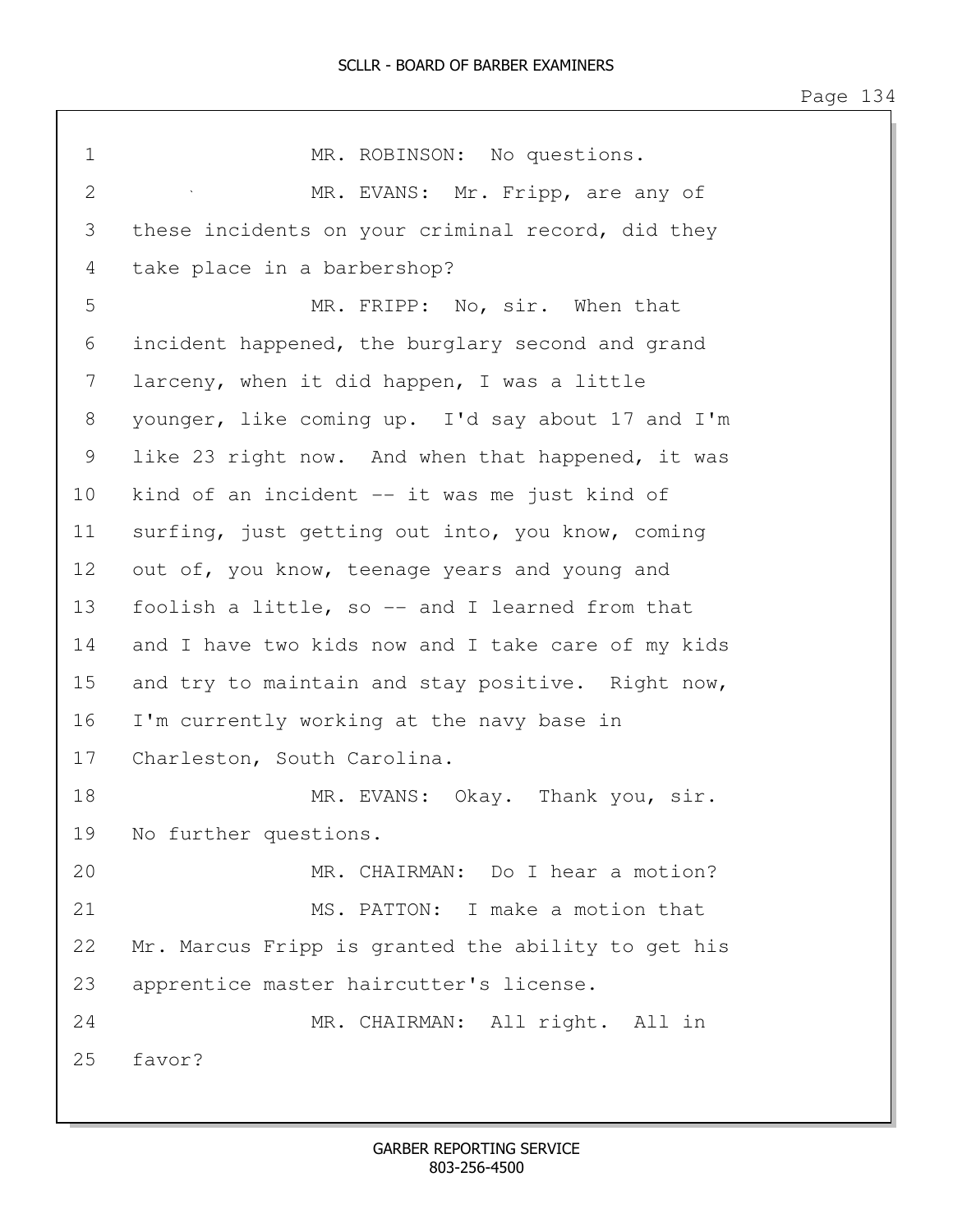| 1              | MR. ROBINSON: No questions.                        |
|----------------|----------------------------------------------------|
| $\overline{2}$ | MR. EVANS: Mr. Fripp, are any of                   |
| 3              | these incidents on your criminal record, did they  |
| 4              | take place in a barbershop?                        |
| 5              | MR. FRIPP: No, sir. When that                      |
| 6              | incident happened, the burglary second and grand   |
| 7              | larceny, when it did happen, I was a little        |
| 8              | younger, like coming up. I'd say about 17 and I'm  |
| 9              | like 23 right now. And when that happened, it was  |
| 10             | kind of an incident -- it was me just kind of      |
| 11             | surfing, just getting out into, you know, coming   |
| 12             | out of, you know, teenage years and young and      |
| 13             | foolish a little, so -- and I learned from that    |
| 14             | and I have two kids now and I take care of my kids |
| 15             | and try to maintain and stay positive. Right now,  |
| 16             | I'm currently working at the navy base in          |
| 17             | Charleston, South Carolina.                        |
| 18             | MR. EVANS: Okay. Thank you, sir.                   |
| 19             | No further questions.                              |
| 20             | MR. CHAIRMAN: Do I hear a motion?                  |
| 21             | MS. PATTON: I make a motion that                   |
| 22             | Mr. Marcus Fripp is granted the ability to get his |
| 23             | apprentice master haircutter's license.            |
| 24             | MR. CHAIRMAN: All right. All in                    |
| 25             | favor?                                             |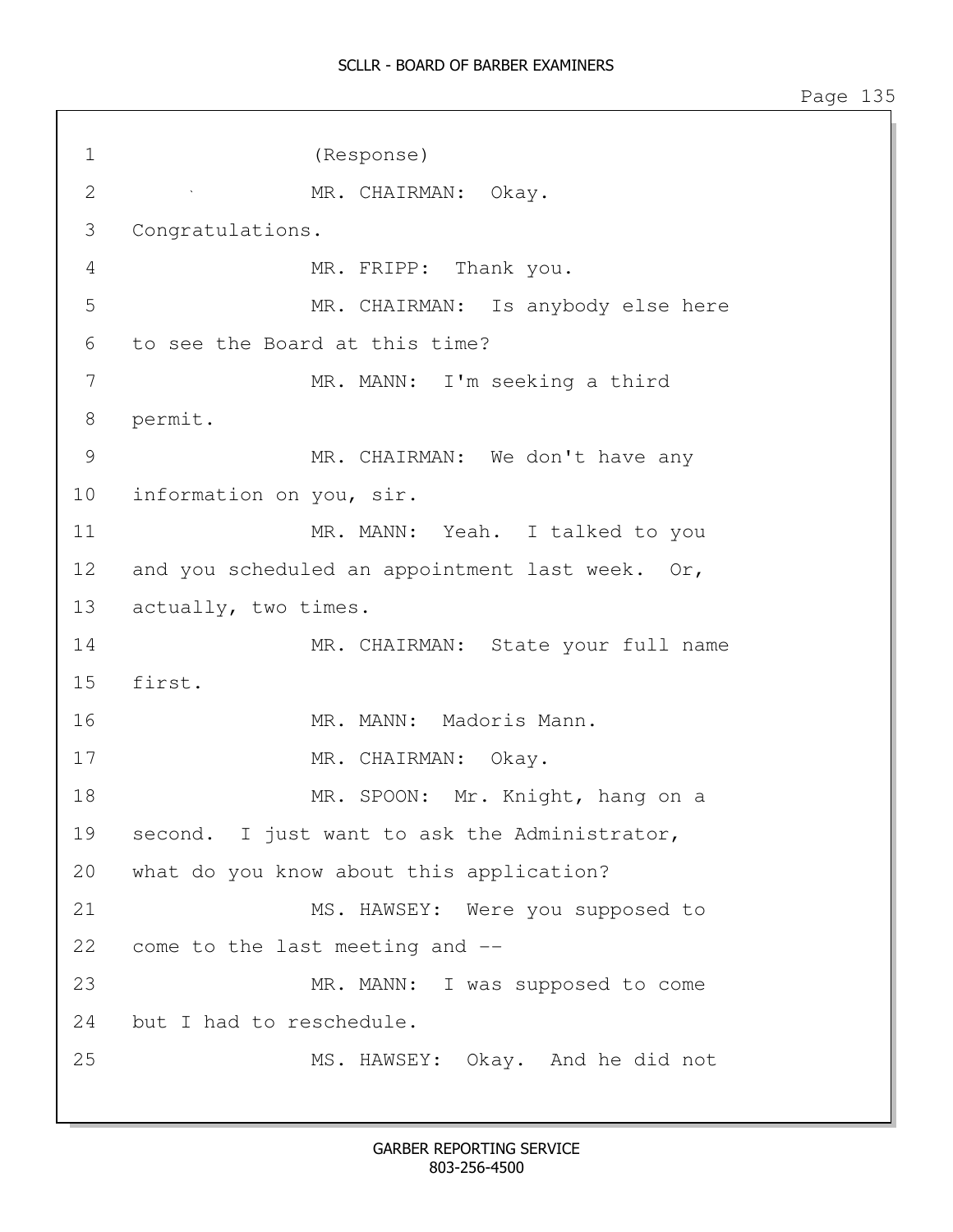1 (Response) 2 MR. CHAIRMAN: Okay. 3 Congratulations. 4 MR. FRIPP: Thank you. 5 MR. CHAIRMAN: Is anybody else here 6 to see the Board at this time? 7 MR. MANN: I'm seeking a third 8 permit. 9 MR. CHAIRMAN: We don't have any 10 information on you, sir. 11 MR. MANN: Yeah. I talked to you 12 and you scheduled an appointment last week. Or, 13 actually, two times. 14 MR. CHAIRMAN: State your full name 15 first. 16 MR. MANN: Madoris Mann. 17 MR. CHAIRMAN: Okay. 18 MR. SPOON: Mr. Knight, hang on a 19 second. I just want to ask the Administrator, 20 what do you know about this application? 21 MS. HAWSEY: Were you supposed to 22 come to the last meeting and -- 23 MR. MANN: I was supposed to come 24 but I had to reschedule. 25 MS. HAWSEY: Okay. And he did not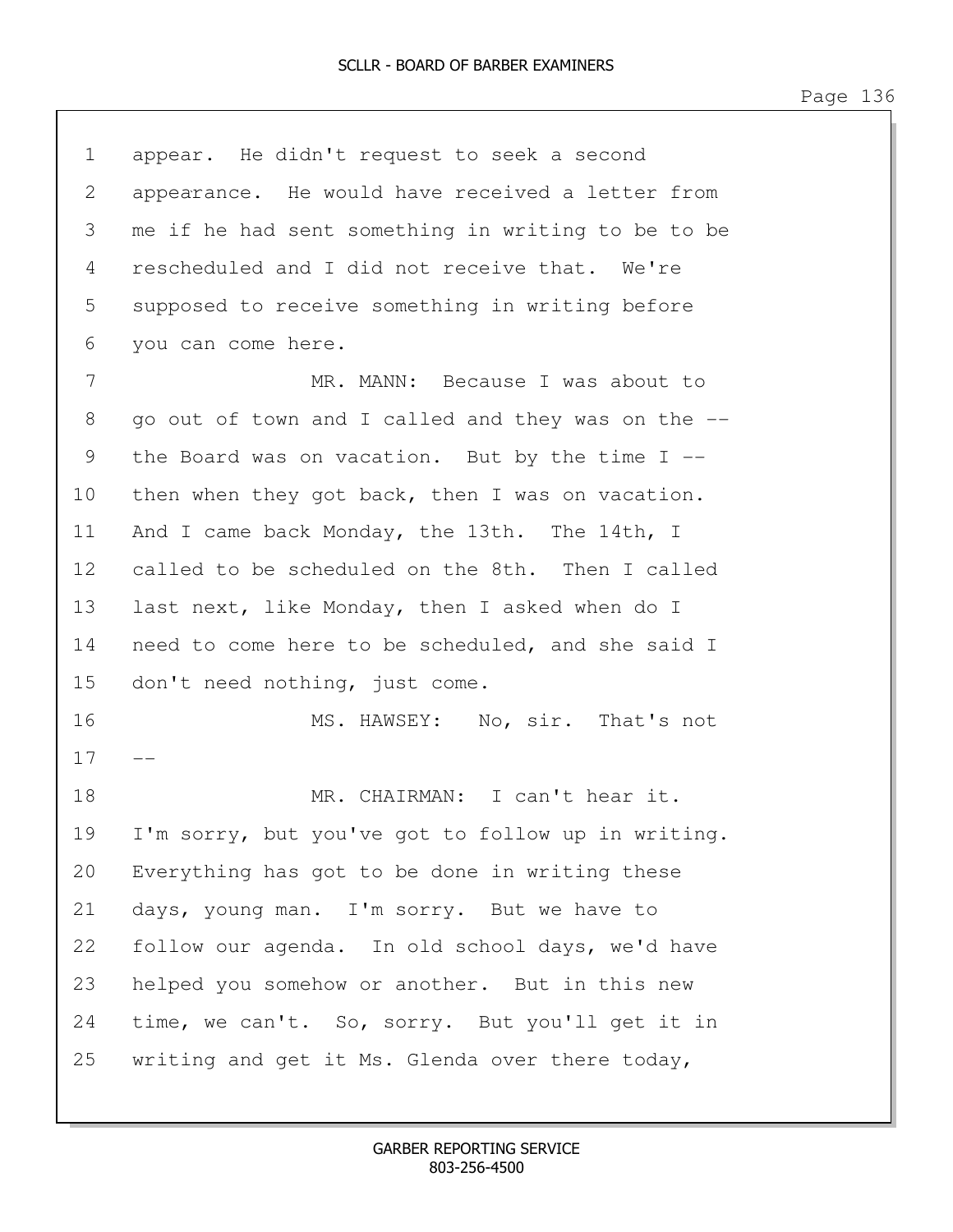| $\mathbf 1$ | appear. He didn't request to seek a second         |  |  |  |  |
|-------------|----------------------------------------------------|--|--|--|--|
| 2           | appearance. He would have received a letter from   |  |  |  |  |
| 3           | me if he had sent something in writing to be to be |  |  |  |  |
| 4           | rescheduled and I did not receive that. We're      |  |  |  |  |
| 5           | supposed to receive something in writing before    |  |  |  |  |
| 6           | you can come here.                                 |  |  |  |  |
| 7           | MR. MANN: Because I was about to                   |  |  |  |  |
| 8           | go out of town and I called and they was on the -- |  |  |  |  |
| 9           | the Board was on vacation. But by the time $I$ --  |  |  |  |  |
| 10          | then when they got back, then I was on vacation.   |  |  |  |  |
| 11          | And I came back Monday, the 13th. The 14th, I      |  |  |  |  |
| 12          | called to be scheduled on the 8th. Then I called   |  |  |  |  |
| 13          | last next, like Monday, then I asked when do I     |  |  |  |  |
| 14          | need to come here to be scheduled, and she said I  |  |  |  |  |
| 15          | don't need nothing, just come.                     |  |  |  |  |
| 16          | MS. HAWSEY: No, sir. That's not                    |  |  |  |  |
| 17          | $ -$                                               |  |  |  |  |
| 18          | MR. CHAIRMAN: I can't hear it.                     |  |  |  |  |
| 19          | I'm sorry, but you've got to follow up in writing. |  |  |  |  |
| 20          | Everything has got to be done in writing these     |  |  |  |  |
| 21          | days, young man. I'm sorry. But we have to         |  |  |  |  |
| 22          | follow our agenda. In old school days, we'd have   |  |  |  |  |
| 23          | helped you somehow or another. But in this new     |  |  |  |  |
| 24          | time, we can't. So, sorry. But you'll get it in    |  |  |  |  |
| 25          | writing and get it Ms. Glenda over there today,    |  |  |  |  |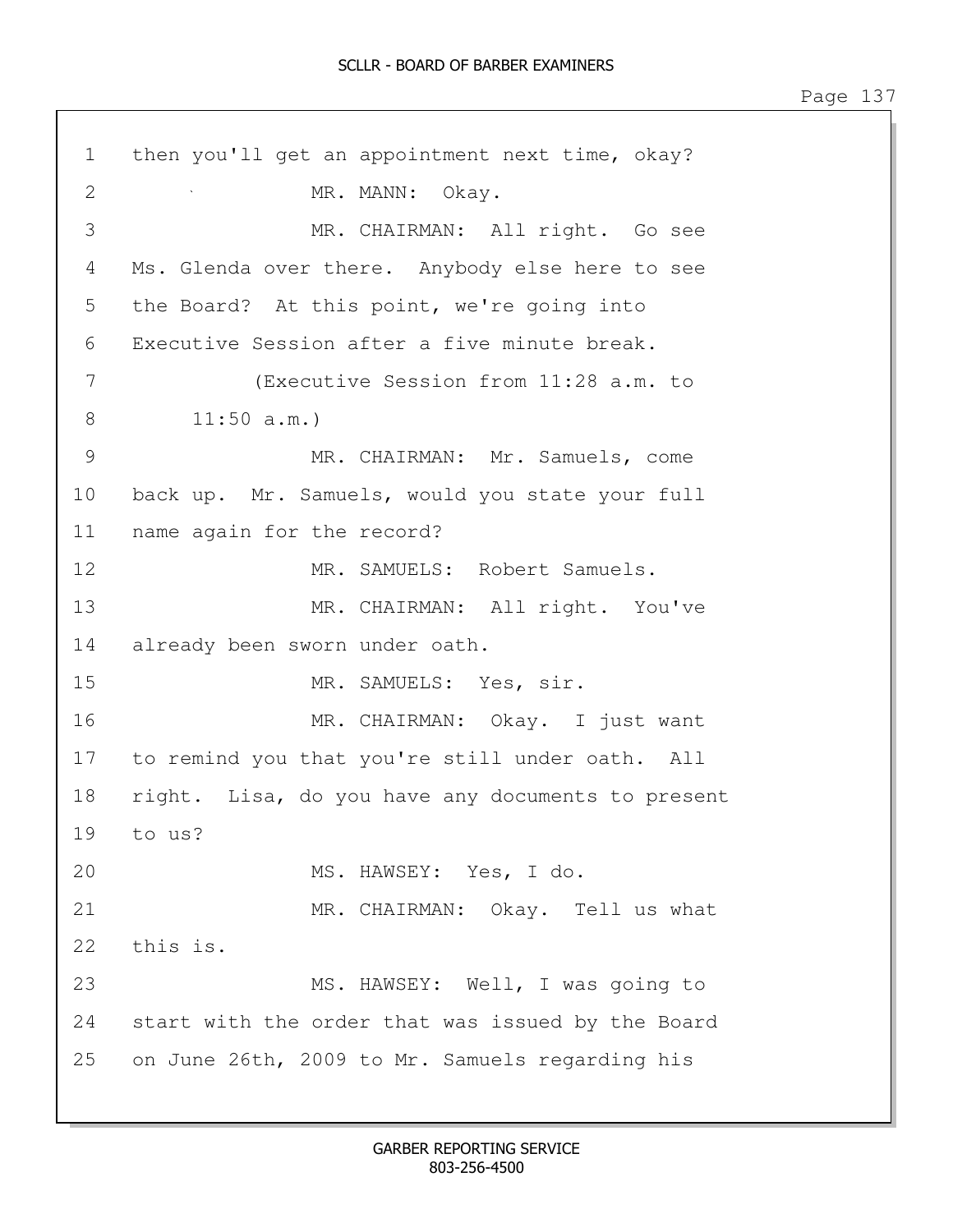1 then you'll get an appointment next time, okay? 2 MR. MANN: Okay. 3 MR. CHAIRMAN: All right. Go see 4 Ms. Glenda over there. Anybody else here to see 5 the Board? At this point, we're going into 6 Executive Session after a five minute break. 7 (Executive Session from 11:28 a.m. to 8 11:50 a.m.) 9 MR. CHAIRMAN: Mr. Samuels, come 10 back up. Mr. Samuels, would you state your full 11 name again for the record? 12 MR. SAMUELS: Robert Samuels. 13 MR. CHAIRMAN: All right. You've 14 already been sworn under oath. 15 MR. SAMUELS: Yes, sir. 16 MR. CHAIRMAN: Okay. I just want 17 to remind you that you're still under oath. All 18 right. Lisa, do you have any documents to present 19 to us? 20 MS. HAWSEY: Yes, I do. 21 MR. CHAIRMAN: Okay. Tell us what 22 this is. 23 MS. HAWSEY: Well, I was going to 24 start with the order that was issued by the Board 25 on June 26th, 2009 to Mr. Samuels regarding his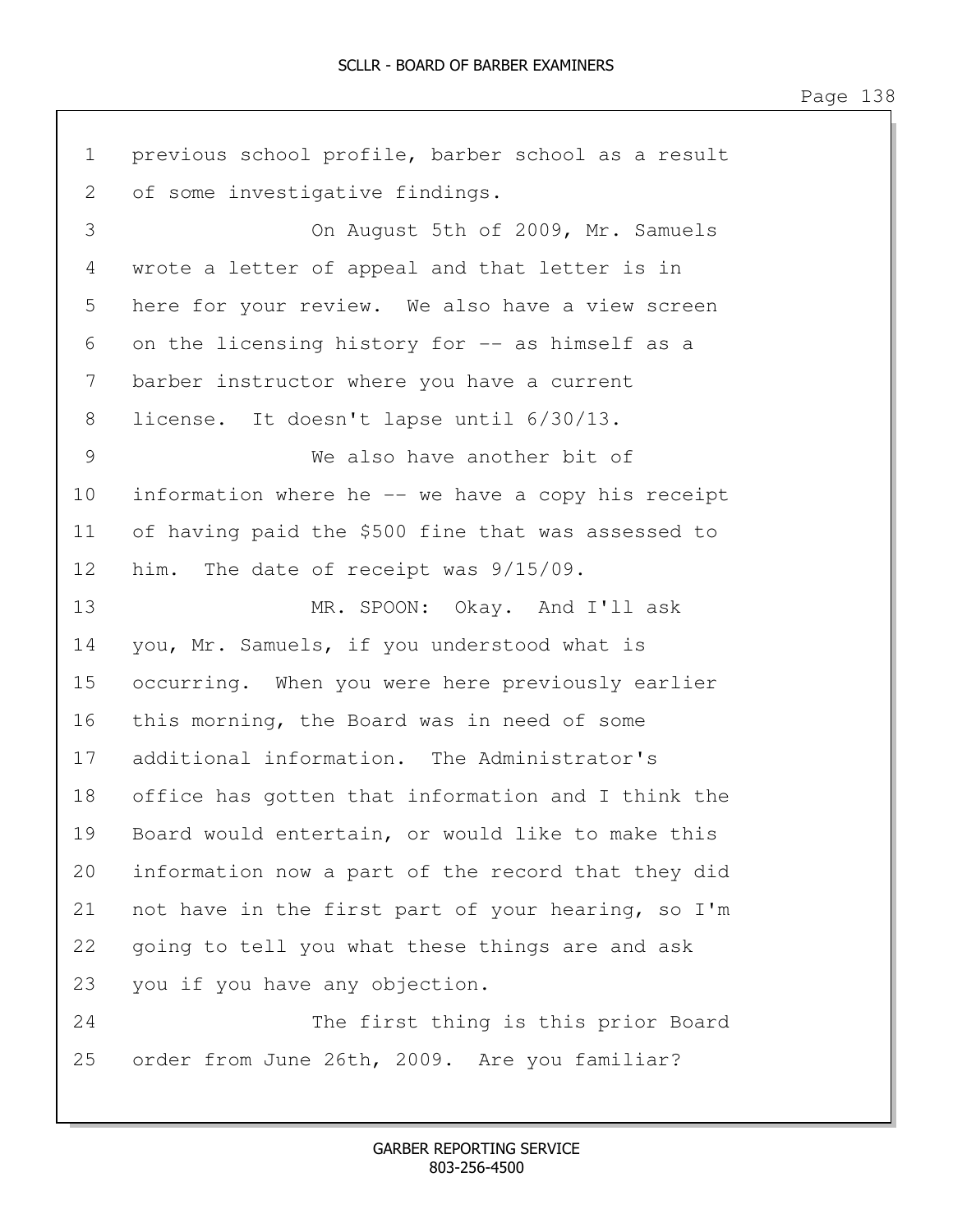1 previous school profile, barber school as a result 2 of some investigative findings. 3 On August 5th of 2009, Mr. Samuels 4 wrote a letter of appeal and that letter is in 5 here for your review. We also have a view screen 6 on the licensing history for -- as himself as a 7 barber instructor where you have a current 8 license. It doesn't lapse until 6/30/13. 9 We also have another bit of 10 information where he -- we have a copy his receipt 11 of having paid the \$500 fine that was assessed to 12 him. The date of receipt was 9/15/09. 13 MR. SPOON: Okay. And I'll ask 14 you, Mr. Samuels, if you understood what is 15 occurring. When you were here previously earlier 16 this morning, the Board was in need of some 17 additional information. The Administrator's 18 office has gotten that information and I think the 19 Board would entertain, or would like to make this 20 information now a part of the record that they did 21 not have in the first part of your hearing, so I'm 22 going to tell you what these things are and ask 23 you if you have any objection. 24 The first thing is this prior Board 25 order from June 26th, 2009. Are you familiar?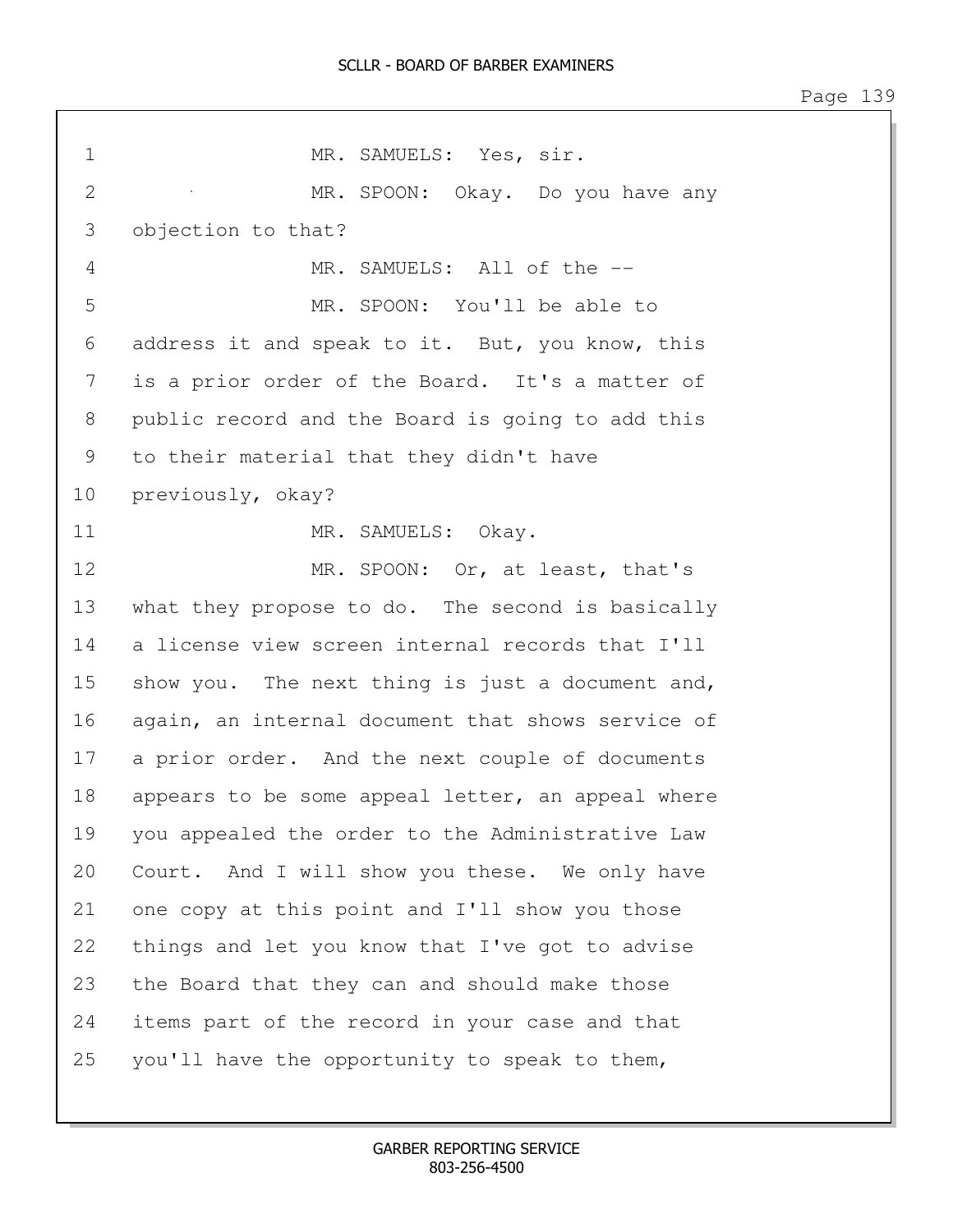| $\mathbf 1$ | MR. SAMUELS: Yes, sir.                            |  |  |  |
|-------------|---------------------------------------------------|--|--|--|
| 2           | MR. SPOON: Okay. Do you have any                  |  |  |  |
| 3           | objection to that?                                |  |  |  |
| 4           | MR. SAMUELS: All of the --                        |  |  |  |
| 5           | MR. SPOON: You'll be able to                      |  |  |  |
| 6           | address it and speak to it. But, you know, this   |  |  |  |
| 7           | is a prior order of the Board. It's a matter of   |  |  |  |
| 8           | public record and the Board is going to add this  |  |  |  |
| 9           | to their material that they didn't have           |  |  |  |
| 10          | previously, okay?                                 |  |  |  |
| 11          | MR. SAMUELS: Okay.                                |  |  |  |
| 12          | MR. SPOON: Or, at least, that's                   |  |  |  |
| 13          | what they propose to do. The second is basically  |  |  |  |
| 14          | a license view screen internal records that I'll  |  |  |  |
| 15          | show you. The next thing is just a document and,  |  |  |  |
| 16          | again, an internal document that shows service of |  |  |  |
| 17          | a prior order. And the next couple of documents   |  |  |  |
| 18          | appears to be some appeal letter, an appeal where |  |  |  |
| 19          | you appealed the order to the Administrative Law  |  |  |  |
| 20          | Court. And I will show you these. We only have    |  |  |  |
| 21          | one copy at this point and I'll show you those    |  |  |  |
| 22          | things and let you know that I've got to advise   |  |  |  |
| 23          | the Board that they can and should make those     |  |  |  |
| 24          | items part of the record in your case and that    |  |  |  |
| 25          | you'll have the opportunity to speak to them,     |  |  |  |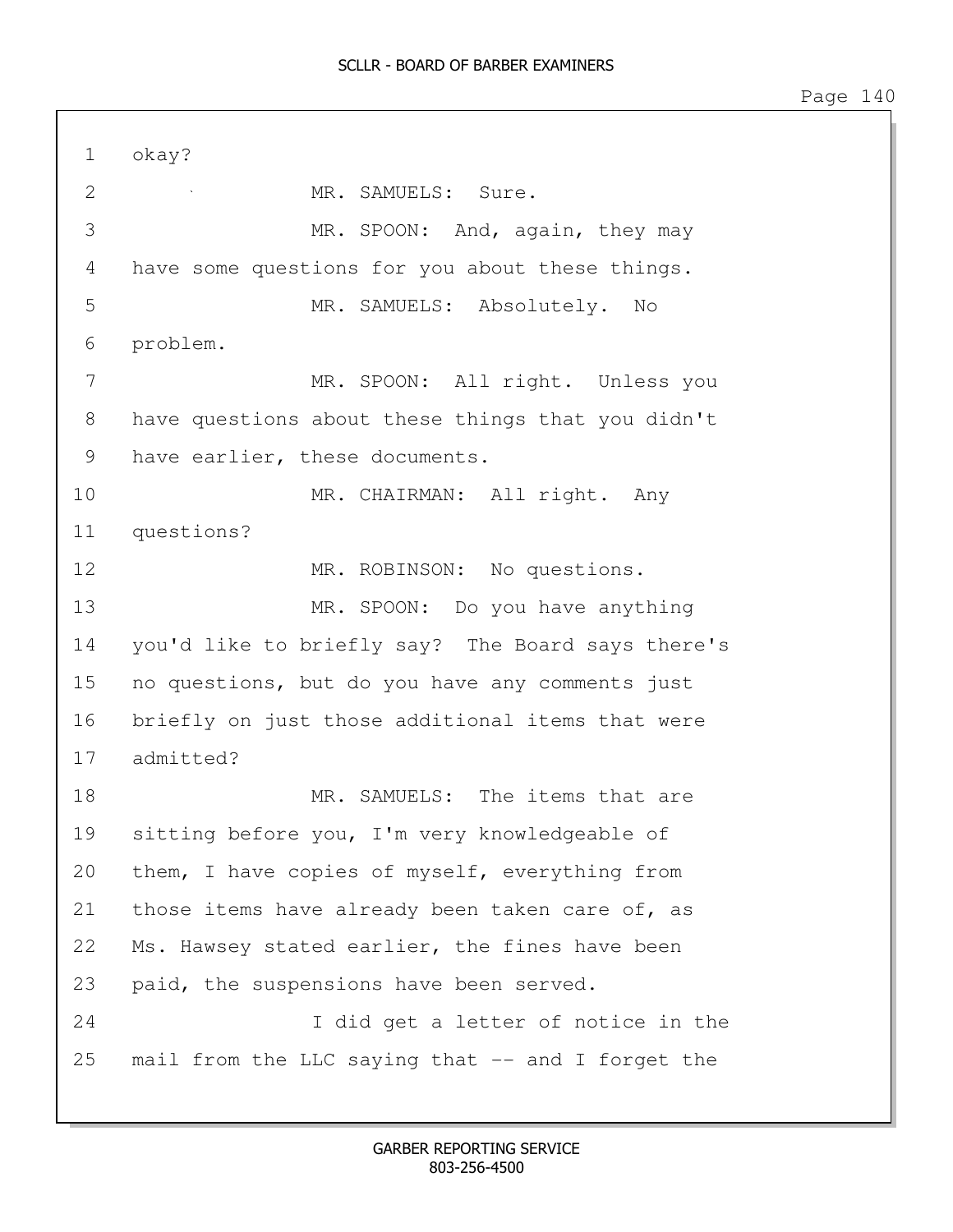| $\mathbf 1$    | okay?                                             |
|----------------|---------------------------------------------------|
| $\overline{2}$ | MR. SAMUELS: Sure.                                |
| 3              | MR. SPOON: And, again, they may                   |
| 4              | have some questions for you about these things.   |
| 5              | MR. SAMUELS: Absolutely. No                       |
| 6              | problem.                                          |
| 7              | MR. SPOON: All right. Unless you                  |
| 8              | have questions about these things that you didn't |
| 9              | have earlier, these documents.                    |
| 10             | MR. CHAIRMAN: All right. Any                      |
| 11             | questions?                                        |
| 12             | MR. ROBINSON: No questions.                       |
| 13             | MR. SPOON: Do you have anything                   |
| 14             | you'd like to briefly say? The Board says there's |
| 15             | no questions, but do you have any comments just   |
| 16             | briefly on just those additional items that were  |
| 17             | admitted?                                         |
| 18             | MR. SAMUELS: The items that are                   |
| 19             | sitting before you, I'm very knowledgeable of     |
| 20             | them, I have copies of myself, everything from    |
| 21             | those items have already been taken care of, as   |
| 22             | Ms. Hawsey stated earlier, the fines have been    |
| 23             | paid, the suspensions have been served.           |
| 24             | I did get a letter of notice in the               |
| 25             | mail from the LLC saying that -- and I forget the |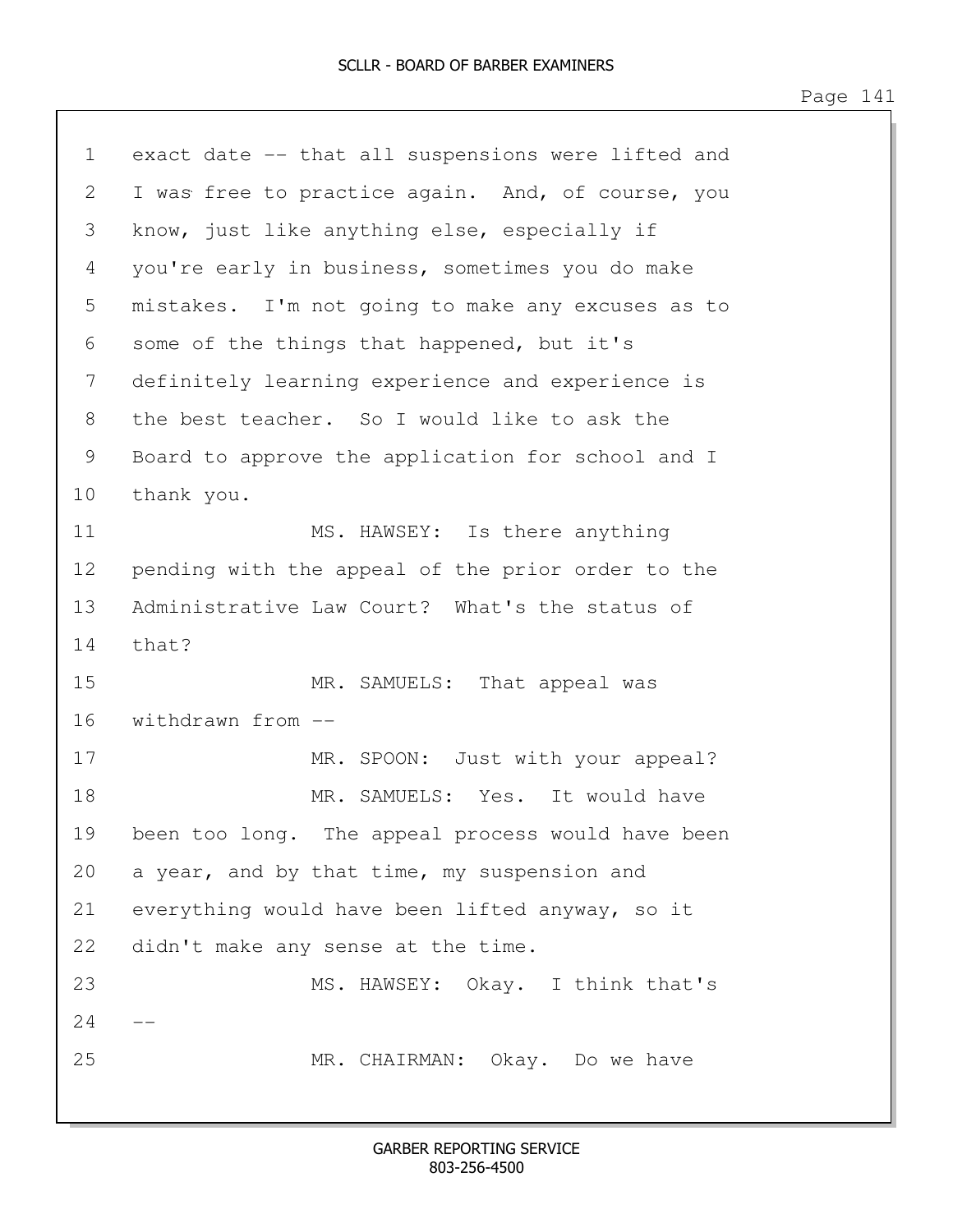1 exact date -- that all suspensions were lifted and 2 I was free to practice again. And, of course, you 3 know, just like anything else, especially if 4 you're early in business, sometimes you do make 5 mistakes. I'm not going to make any excuses as to 6 some of the things that happened, but it's 7 definitely learning experience and experience is 8 the best teacher. So I would like to ask the 9 Board to approve the application for school and I 10 thank you. 11 MS. HAWSEY: Is there anything 12 pending with the appeal of the prior order to the 13 Administrative Law Court? What's the status of 14 that? 15 MR. SAMUELS: That appeal was 16 withdrawn from -- 17 MR. SPOON: Just with your appeal? 18 MR. SAMUELS: Yes. It would have 19 been too long. The appeal process would have been 20 a year, and by that time, my suspension and 21 everything would have been lifted anyway, so it 22 didn't make any sense at the time. 23 MS. HAWSEY: Okay. I think that's  $24$ 25 MR. CHAIRMAN: Okay. Do we have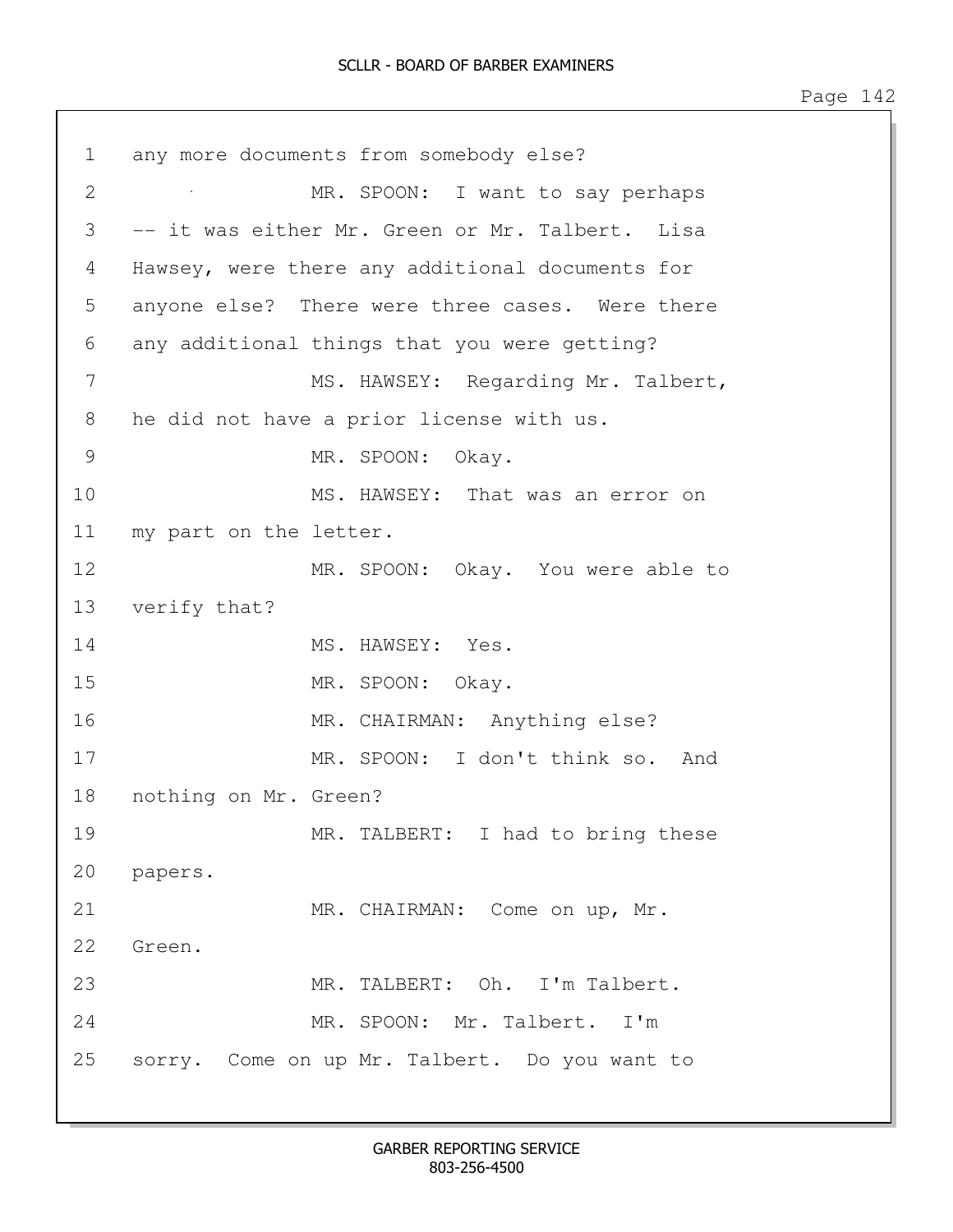| $\lnot$ |  |  |
|---------|--|--|
|---------|--|--|

| 1             | any more documents from somebody else?          |
|---------------|-------------------------------------------------|
| 2             | MR. SPOON: I want to say perhaps                |
| 3             | -- it was either Mr. Green or Mr. Talbert. Lisa |
| 4             | Hawsey, were there any additional documents for |
| 5             | anyone else? There were three cases. Were there |
| 6             | any additional things that you were getting?    |
| 7             | MS. HAWSEY: Regarding Mr. Talbert,              |
| 8             | he did not have a prior license with us.        |
| $\mathcal{G}$ | MR. SPOON: Okay.                                |
| 10            | MS. HAWSEY: That was an error on                |
| 11            | my part on the letter.                          |
| 12            | MR. SPOON: Okay. You were able to               |
| 13            | verify that?                                    |
| 14            | MS. HAWSEY: Yes.                                |
| 15            | MR. SPOON: Okay.                                |
| 16            | MR. CHAIRMAN: Anything else?                    |
| 17            | MR. SPOON: I don't think so. And                |
| 18            | nothing on Mr. Green?                           |
| 19            | MR. TALBERT: I had to bring these               |
|               | 20 papers.                                      |
| 21            | MR. CHAIRMAN: Come on up, Mr.                   |
| 22            | Green.                                          |
| 23            | MR. TALBERT: Oh. I'm Talbert.                   |
| 24            | MR. SPOON: Mr. Talbert. I'm                     |
| 25            | sorry. Come on up Mr. Talbert. Do you want to   |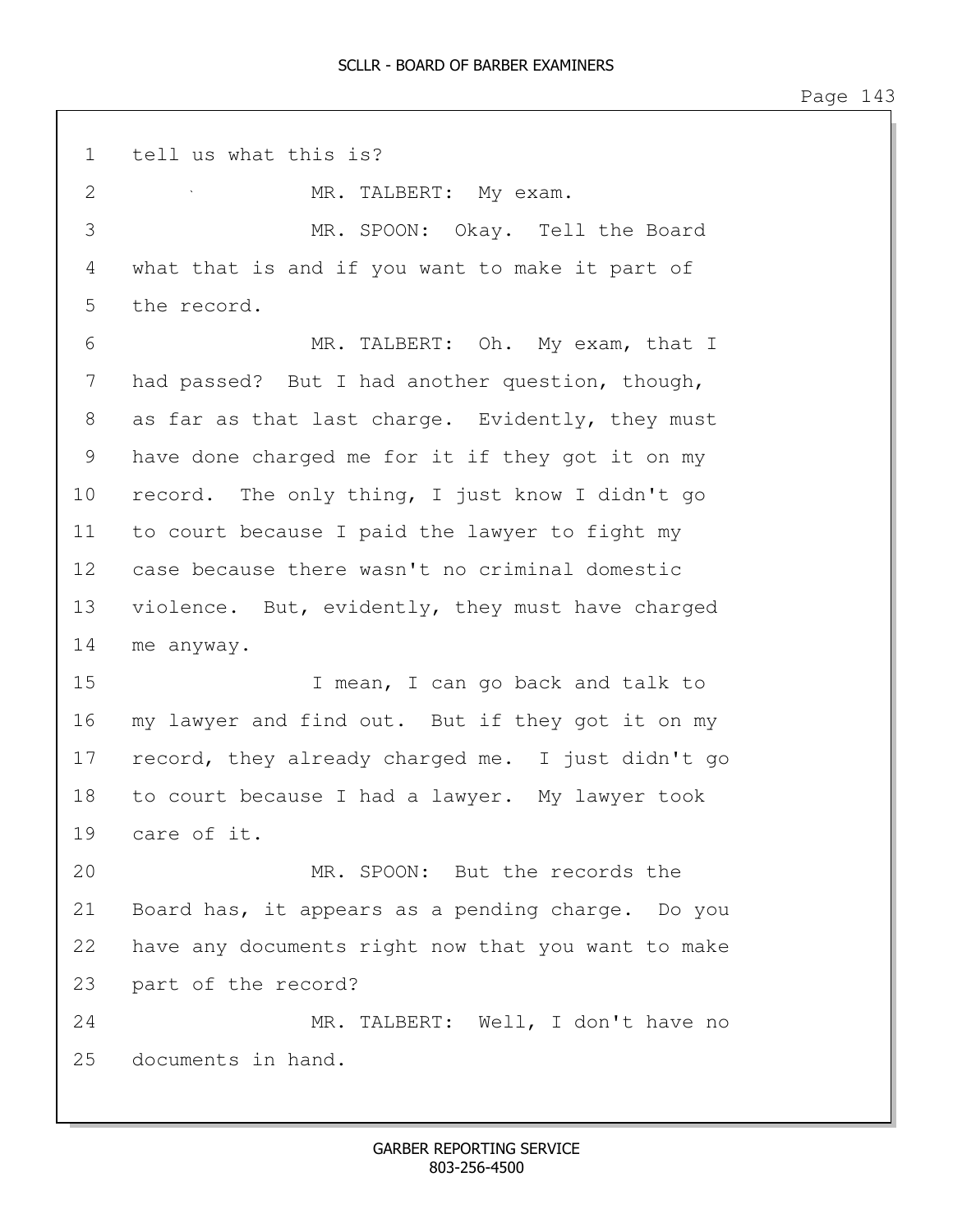1 tell us what this is? 2 MR. TALBERT: My exam. 3 MR. SPOON: Okay. Tell the Board 4 what that is and if you want to make it part of 5 the record. 6 MR. TALBERT: Oh. My exam, that I 7 had passed? But I had another question, though, 8 as far as that last charge. Evidently, they must 9 have done charged me for it if they got it on my 10 record. The only thing, I just know I didn't go 11 to court because I paid the lawyer to fight my 12 case because there wasn't no criminal domestic 13 violence. But, evidently, they must have charged 14 me anyway. 15 I mean, I can go back and talk to 16 my lawyer and find out. But if they got it on my 17 record, they already charged me. I just didn't go 18 to court because I had a lawyer. My lawyer took 19 care of it. 20 MR. SPOON: But the records the 21 Board has, it appears as a pending charge. Do you 22 have any documents right now that you want to make 23 part of the record? 24 MR. TALBERT: Well, I don't have no 25 documents in hand.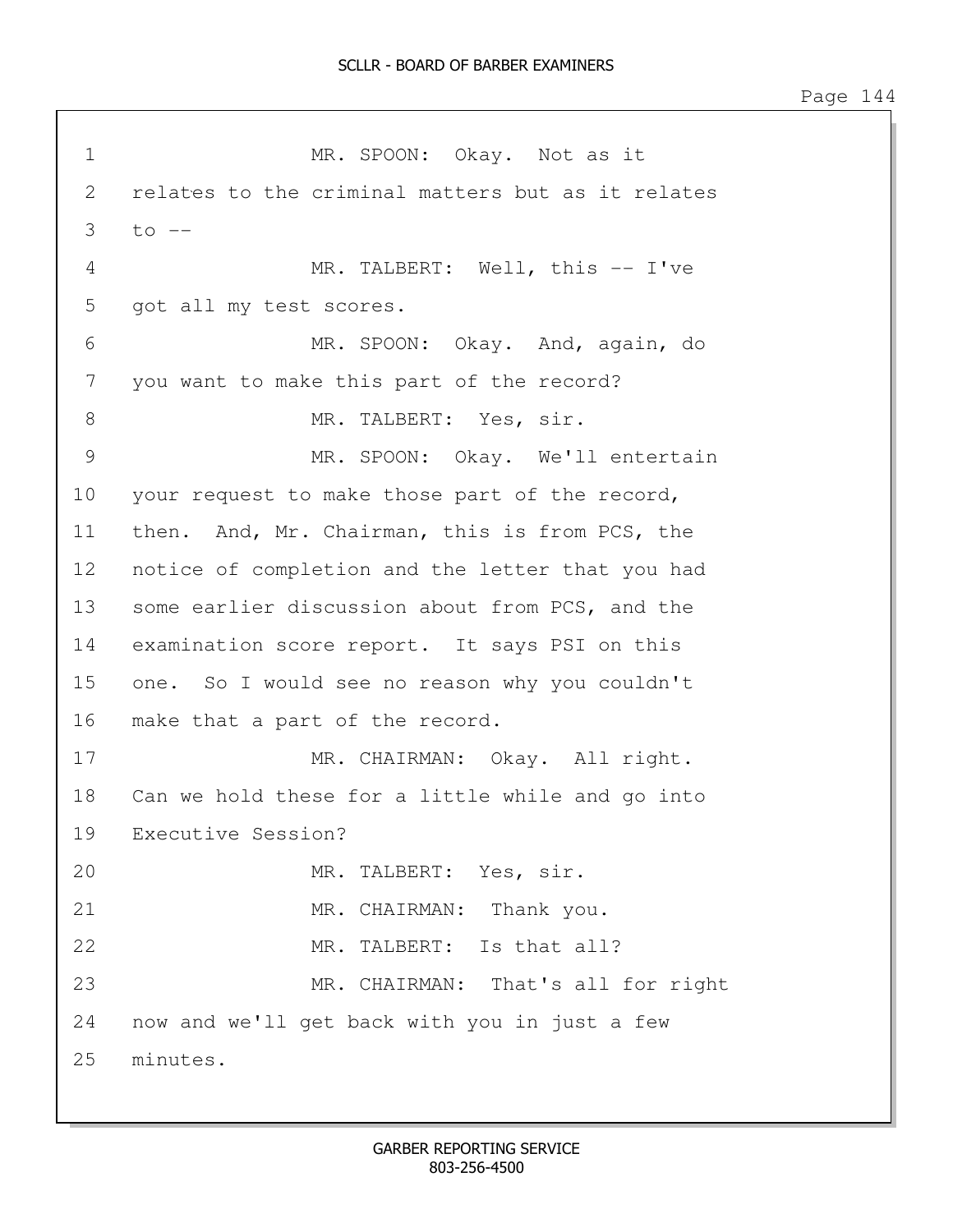1 MR. SPOON: Okay. Not as it 2 relates to the criminal matters but as it relates  $3$  to  $-$ 4 MR. TALBERT: Well, this -- I've 5 got all my test scores. 6 MR. SPOON: Okay. And, again, do 7 you want to make this part of the record? 8 MR. TALBERT: Yes, sir. 9 MR. SPOON: Okay. We'll entertain 10 your request to make those part of the record, 11 then. And, Mr. Chairman, this is from PCS, the 12 notice of completion and the letter that you had 13 some earlier discussion about from PCS, and the 14 examination score report. It says PSI on this 15 one. So I would see no reason why you couldn't 16 make that a part of the record. 17 MR. CHAIRMAN: Okay. All right. 18 Can we hold these for a little while and go into 19 Executive Session? 20 MR. TALBERT: Yes, sir. 21 MR. CHAIRMAN: Thank you. 22 MR. TALBERT: Is that all? 23 MR. CHAIRMAN: That's all for right 24 now and we'll get back with you in just a few 25 minutes.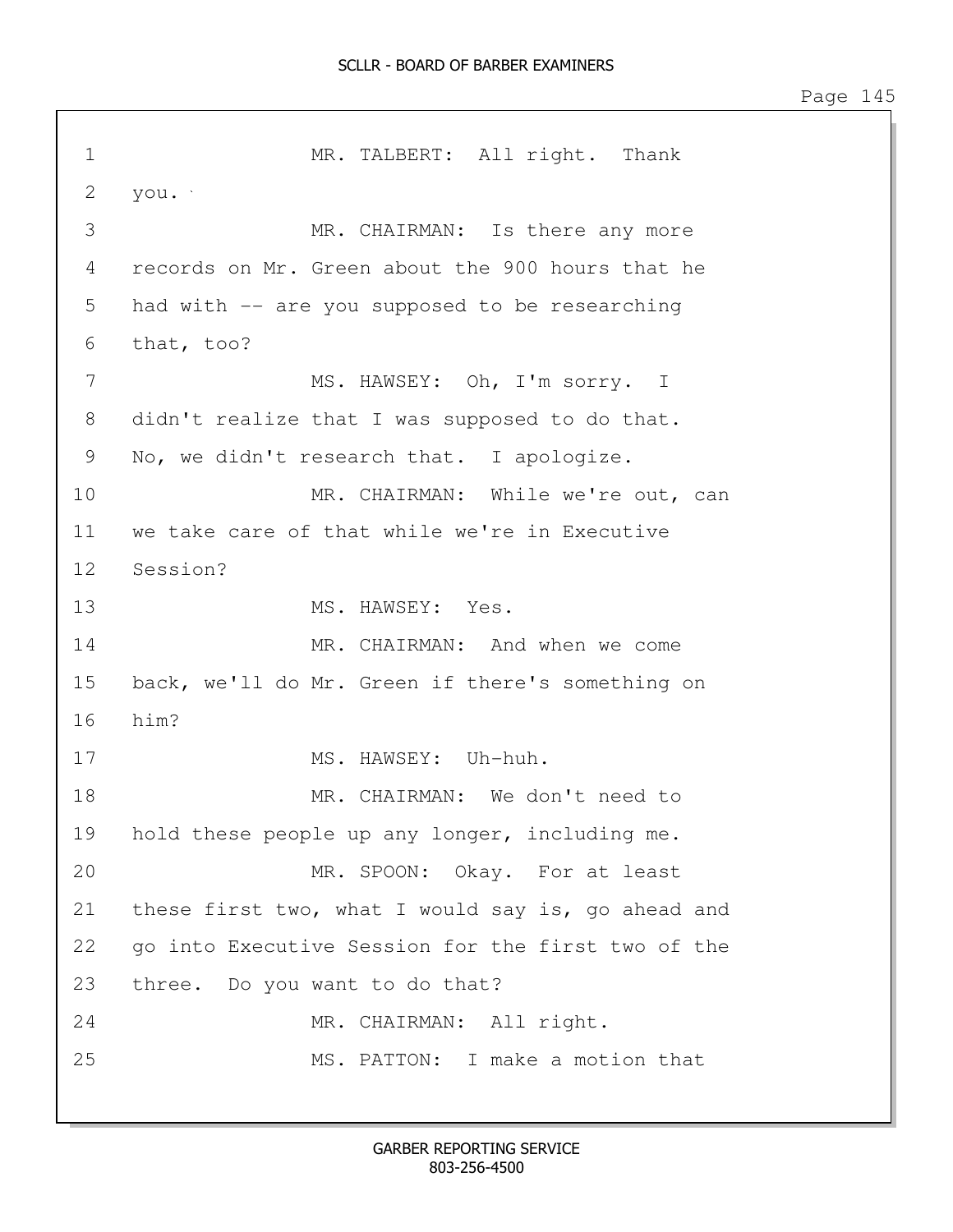1 MR. TALBERT: All right. Thank 2 you. 3 MR. CHAIRMAN: Is there any more 4 records on Mr. Green about the 900 hours that he 5 had with -- are you supposed to be researching 6 that, too? 7 MS. HAWSEY: Oh, I'm sorry. I 8 didn't realize that I was supposed to do that. 9 No, we didn't research that. I apologize. 10 MR. CHAIRMAN: While we're out, can 11 we take care of that while we're in Executive 12 Session? 13 MS. HAWSEY: Yes. 14 MR. CHAIRMAN: And when we come 15 back, we'll do Mr. Green if there's something on 16 him? 17 MS. HAWSEY: Uh-huh. 18 MR. CHAIRMAN: We don't need to 19 hold these people up any longer, including me. 20 MR. SPOON: Okay. For at least 21 these first two, what I would say is, go ahead and 22 go into Executive Session for the first two of the 23 three. Do you want to do that? 24 MR. CHAIRMAN: All right. 25 MS. PATTON: I make a motion that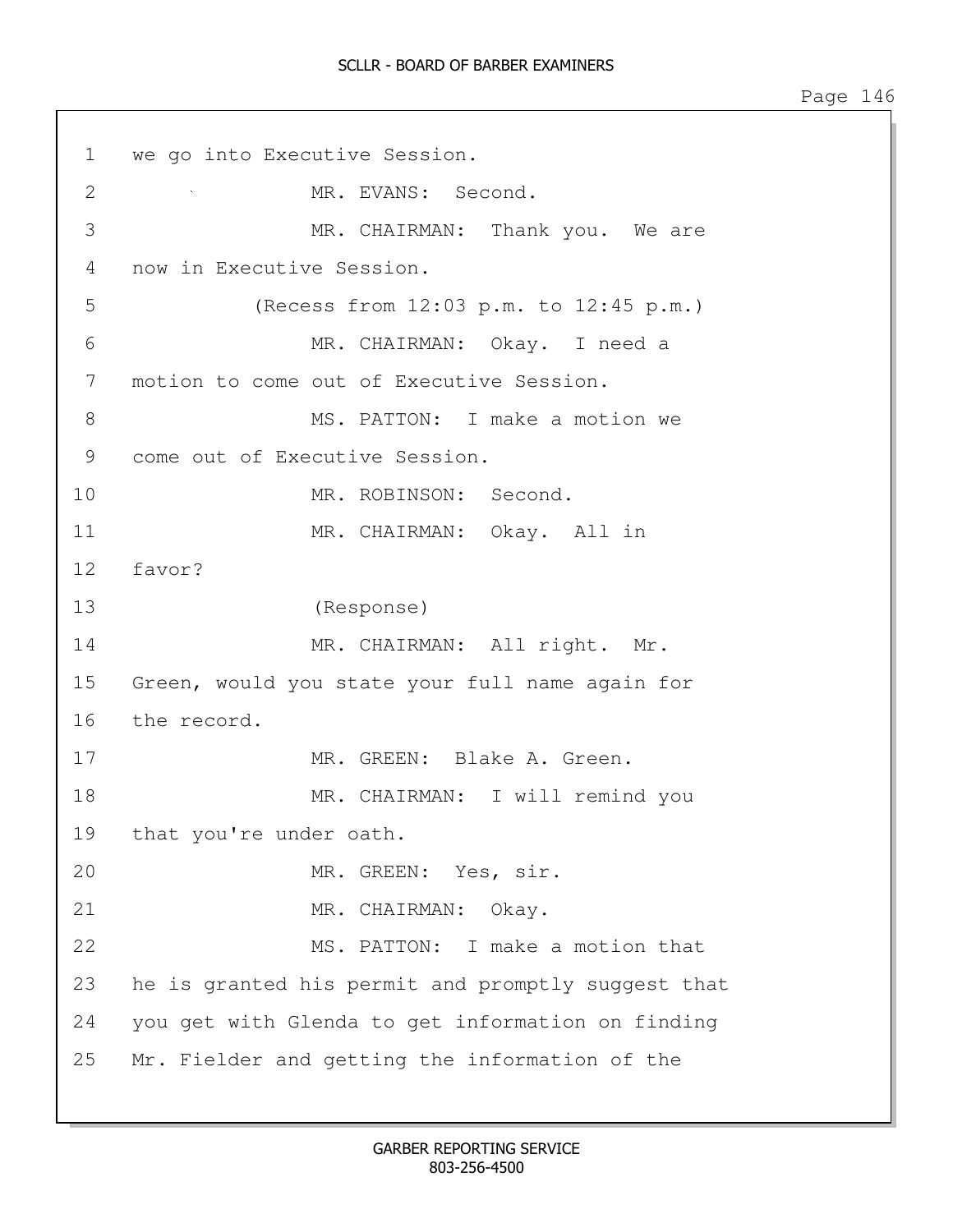1 we go into Executive Session. 2 MR. EVANS: Second. 3 MR. CHAIRMAN: Thank you. We are 4 now in Executive Session. 5 (Recess from 12:03 p.m. to 12:45 p.m.) 6 MR. CHAIRMAN: Okay. I need a 7 motion to come out of Executive Session. 8 MS. PATTON: I make a motion we 9 come out of Executive Session. 10 MR. ROBINSON: Second. 11 MR. CHAIRMAN: Okay. All in 12 favor? 13 (Response) 14 MR. CHAIRMAN: All right. Mr. 15 Green, would you state your full name again for 16 the record. 17 MR. GREEN: Blake A. Green. 18 MR. CHAIRMAN: I will remind you 19 that you're under oath. 20 MR. GREEN: Yes, sir. 21 MR. CHAIRMAN: Okay. 22 MS. PATTON: I make a motion that 23 he is granted his permit and promptly suggest that 24 you get with Glenda to get information on finding 25 Mr. Fielder and getting the information of the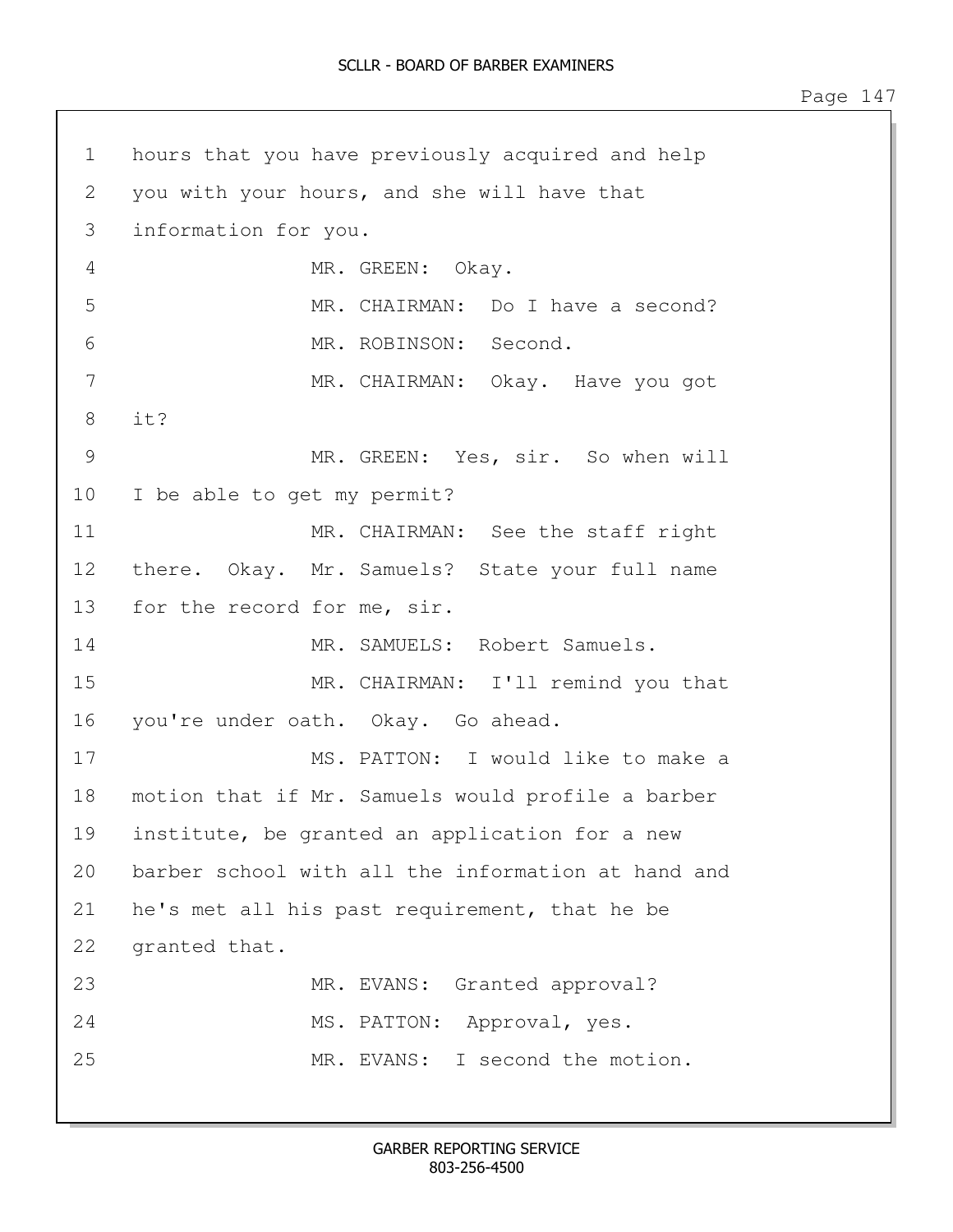1 hours that you have previously acquired and help 2 you with your hours, and she will have that 3 information for you. 4 MR. GREEN: Okay. 5 MR. CHAIRMAN: Do I have a second? 6 MR. ROBINSON: Second. 7 MR. CHAIRMAN: Okay. Have you got 8 it? 9 MR. GREEN: Yes, sir. So when will 10 I be able to get my permit? 11 MR. CHAIRMAN: See the staff right 12 there. Okay. Mr. Samuels? State your full name 13 for the record for me, sir. 14 MR. SAMUELS: Robert Samuels. 15 MR. CHAIRMAN: I'll remind you that 16 you're under oath. Okay. Go ahead. 17 MS. PATTON: I would like to make a 18 motion that if Mr. Samuels would profile a barber 19 institute, be granted an application for a new 20 barber school with all the information at hand and 21 he's met all his past requirement, that he be 22 granted that. 23 MR. EVANS: Granted approval? 24 MS. PATTON: Approval, yes. 25 MR. EVANS: I second the motion.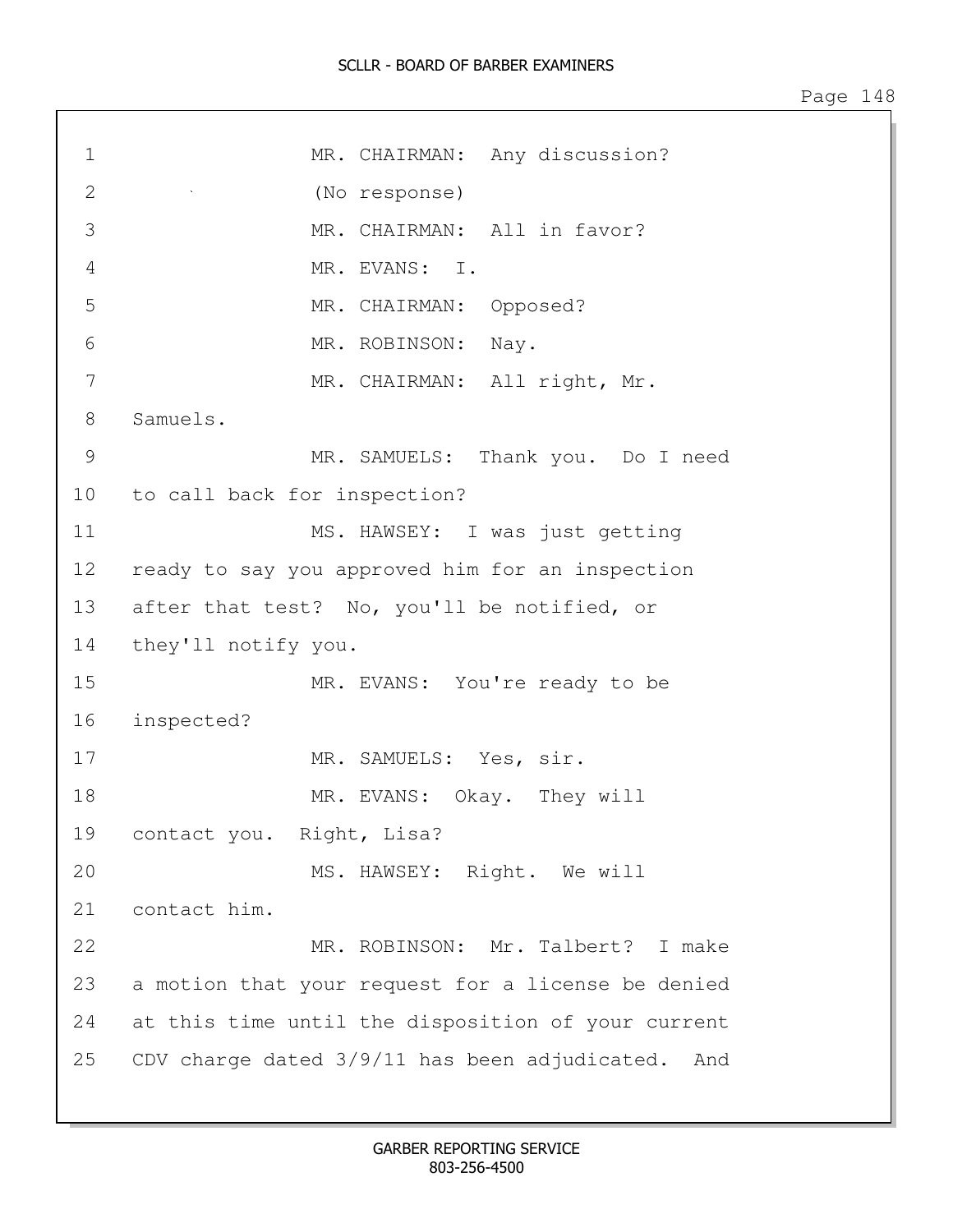## SCLLR - BOARD OF BARBER EXAMINERS

| $\mathbf 1$   | MR. CHAIRMAN: Any discussion?                      |  |  |
|---------------|----------------------------------------------------|--|--|
| 2             | (No response)                                      |  |  |
| 3             | MR. CHAIRMAN: All in favor?                        |  |  |
| 4             | MR. EVANS: I.                                      |  |  |
| 5             | MR. CHAIRMAN: Opposed?                             |  |  |
| 6             | MR. ROBINSON: Nay.                                 |  |  |
| 7             | MR. CHAIRMAN: All right, Mr.                       |  |  |
| $8\,$         | Samuels.                                           |  |  |
| $\mathcal{G}$ | MR. SAMUELS: Thank you. Do I need                  |  |  |
| 10            | to call back for inspection?                       |  |  |
| 11            | MS. HAWSEY: I was just getting                     |  |  |
| 12            | ready to say you approved him for an inspection    |  |  |
| 13            | after that test? No, you'll be notified, or        |  |  |
| 14            | they'll notify you.                                |  |  |
| 15            | MR. EVANS: You're ready to be                      |  |  |
| 16            | inspected?                                         |  |  |
| 17            | MR. SAMUELS: Yes, sir.                             |  |  |
| 18            | MR. EVANS: Okay. They will                         |  |  |
| 19            | contact you. Right, Lisa?                          |  |  |
| 20            | MS. HAWSEY: Right. We will                         |  |  |
| 21            | contact him.                                       |  |  |
| 22            | MR. ROBINSON: Mr. Talbert? I make                  |  |  |
| 23            | a motion that your request for a license be denied |  |  |
| 24            | at this time until the disposition of your current |  |  |
| 25            | CDV charge dated 3/9/11 has been adjudicated. And  |  |  |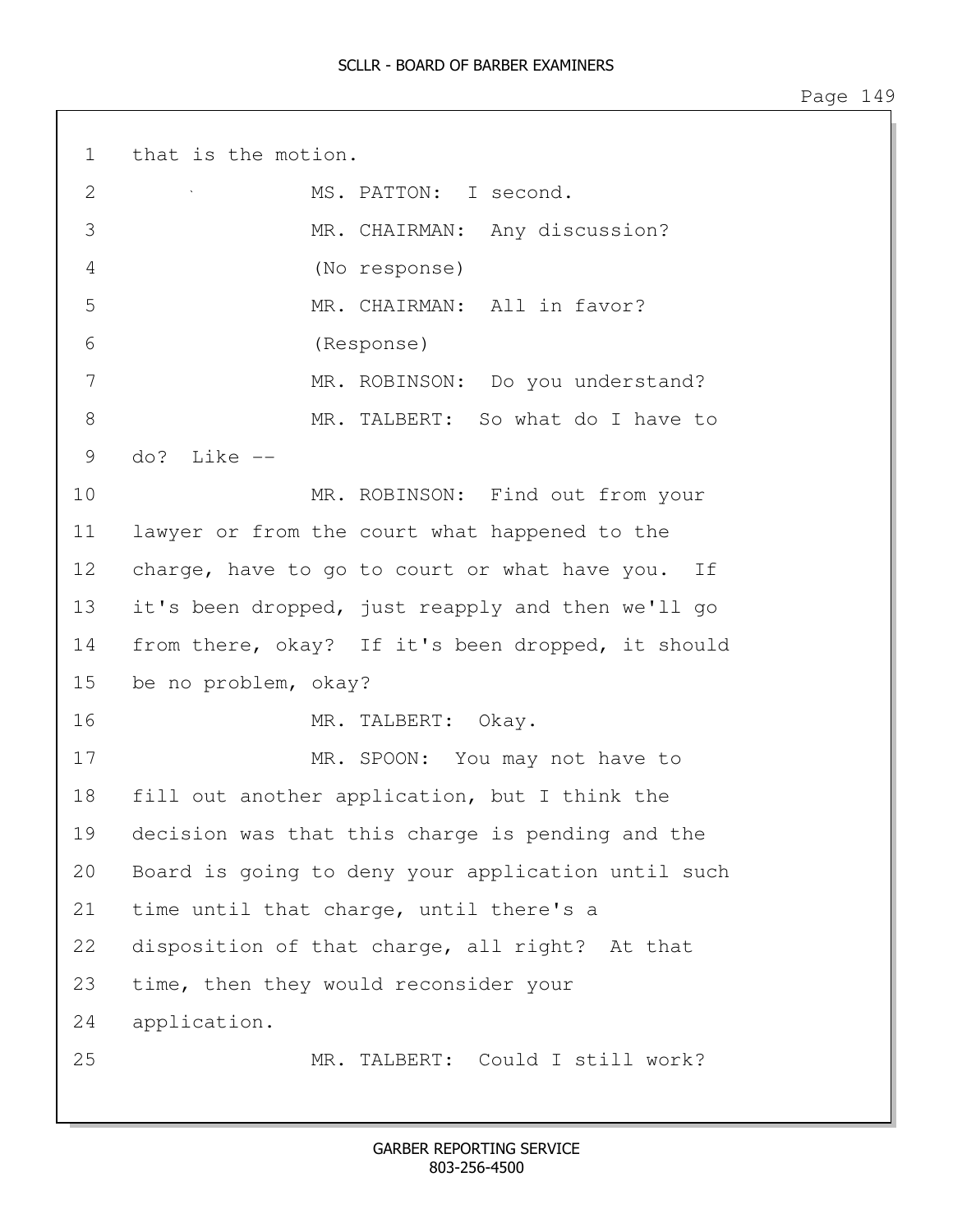1 that is the motion. 2 MS. PATTON: I second. 3 MR. CHAIRMAN: Any discussion? 4 (No response) 5 MR. CHAIRMAN: All in favor? 6 (Response) 7 MR. ROBINSON: Do you understand? 8 MR. TALBERT: So what do I have to 9 do? Like -- 10 MR. ROBINSON: Find out from your 11 lawyer or from the court what happened to the 12 charge, have to go to court or what have you. If 13 it's been dropped, just reapply and then we'll go 14 from there, okay? If it's been dropped, it should 15 be no problem, okay? 16 MR. TALBERT: Okay. 17 MR. SPOON: You may not have to 18 fill out another application, but I think the 19 decision was that this charge is pending and the 20 Board is going to deny your application until such 21 time until that charge, until there's a 22 disposition of that charge, all right? At that 23 time, then they would reconsider your 24 application. 25 MR. TALBERT: Could I still work?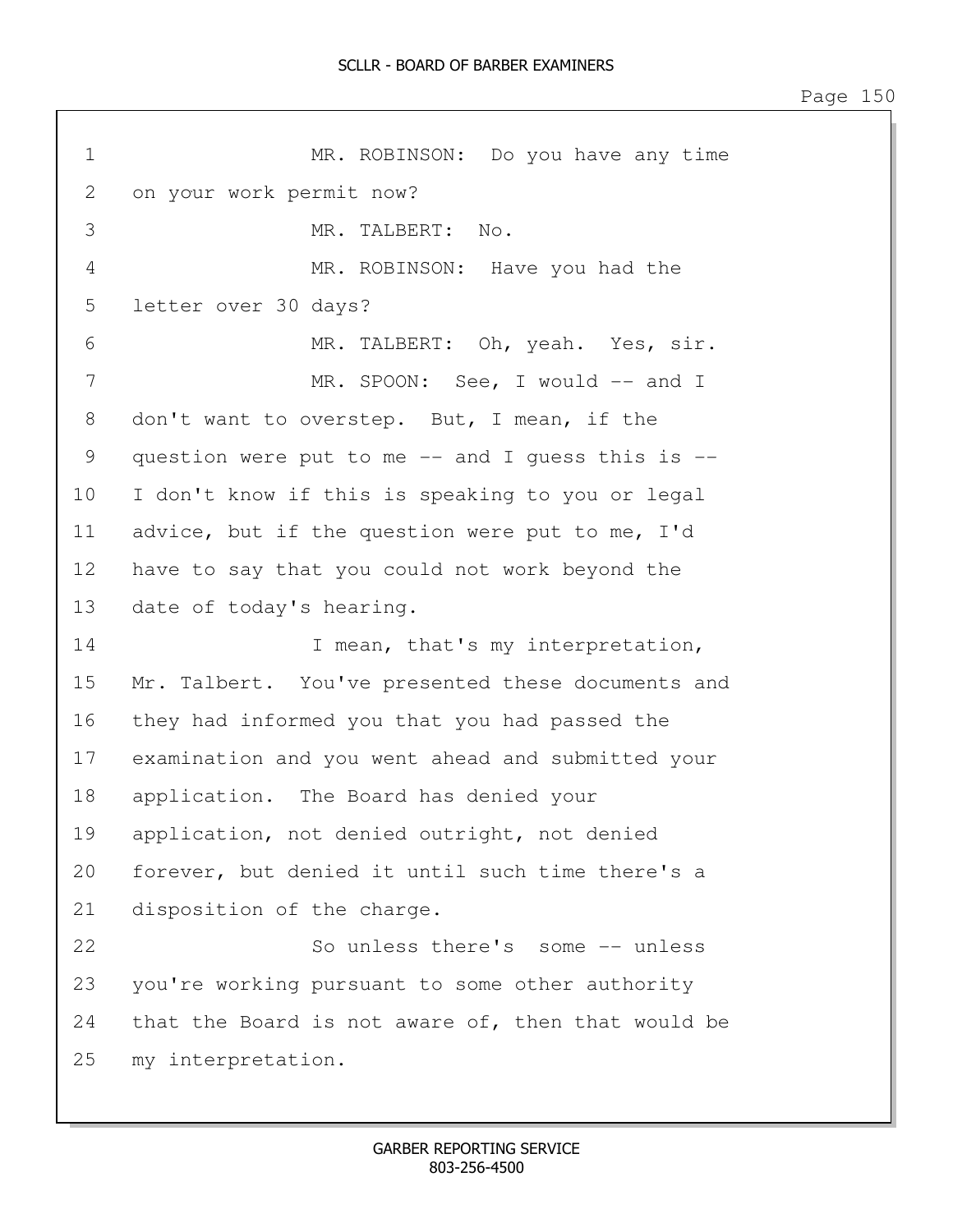Page 150

| $\mathbf 1$  | MR. ROBINSON: Do you have any time                    |  |  |
|--------------|-------------------------------------------------------|--|--|
| $\mathbf{2}$ | on your work permit now?                              |  |  |
| 3            | MR. TALBERT:<br>No.                                   |  |  |
| 4            | MR. ROBINSON: Have you had the                        |  |  |
| 5            | letter over 30 days?                                  |  |  |
| 6            | MR. TALBERT: Oh, yeah. Yes, sir.                      |  |  |
| 7            | MR. SPOON: See, I would -- and I                      |  |  |
| 8            | don't want to overstep. But, I mean, if the           |  |  |
| 9            | question were put to me $--$ and I guess this is $--$ |  |  |
| 10           | I don't know if this is speaking to you or legal      |  |  |
| 11           | advice, but if the question were put to me, I'd       |  |  |
| 12           | have to say that you could not work beyond the        |  |  |
| 13           | date of today's hearing.                              |  |  |
| 14           | I mean, that's my interpretation,                     |  |  |
| 15           | Mr. Talbert. You've presented these documents and     |  |  |
| 16           | they had informed you that you had passed the         |  |  |
| 17           | examination and you went ahead and submitted your     |  |  |
| 18           | application. The Board has denied your                |  |  |
| 19           | application, not denied outright, not denied          |  |  |
| 20           | forever, but denied it until such time there's a      |  |  |
| 21           | disposition of the charge.                            |  |  |
| 22           | So unless there's some -- unless                      |  |  |
| 23           | you're working pursuant to some other authority       |  |  |
| 24           | that the Board is not aware of, then that would be    |  |  |
| 25           | my interpretation.                                    |  |  |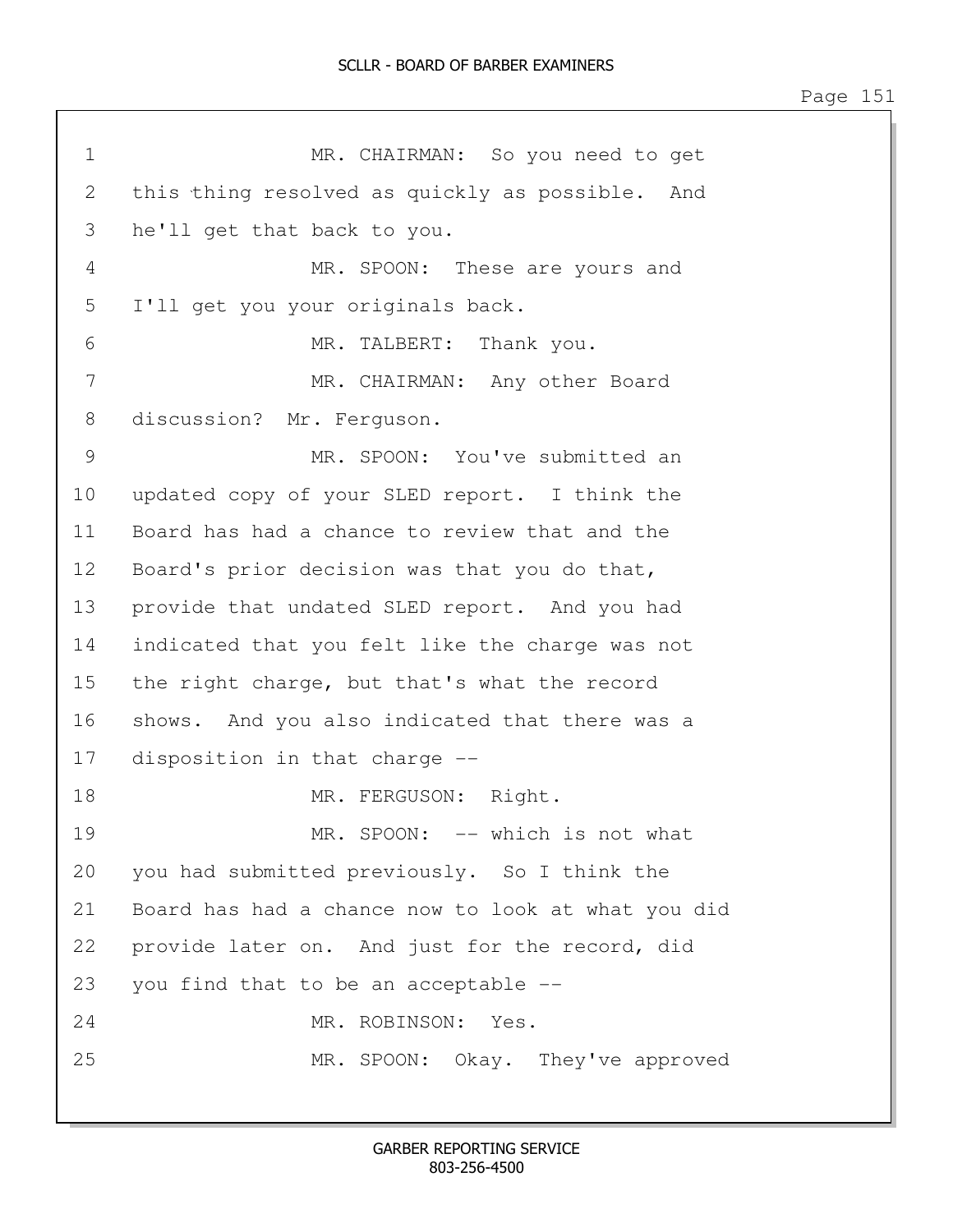1 MR. CHAIRMAN: So you need to get 2 this thing resolved as quickly as possible. And 3 he'll get that back to you. 4 MR. SPOON: These are yours and 5 I'll get you your originals back. 6 MR. TALBERT: Thank you. 7 MR. CHAIRMAN: Any other Board 8 discussion? Mr. Ferguson. 9 MR. SPOON: You've submitted an 10 updated copy of your SLED report. I think the 11 Board has had a chance to review that and the 12 Board's prior decision was that you do that, 13 provide that undated SLED report. And you had 14 indicated that you felt like the charge was not 15 the right charge, but that's what the record 16 shows. And you also indicated that there was a 17 disposition in that charge -- 18 MR. FERGUSON: Right. 19 MR. SPOON: -- which is not what 20 you had submitted previously. So I think the 21 Board has had a chance now to look at what you did 22 provide later on. And just for the record, did 23 you find that to be an acceptable -- 24 MR. ROBINSON: Yes. 25 MR. SPOON: Okay. They've approved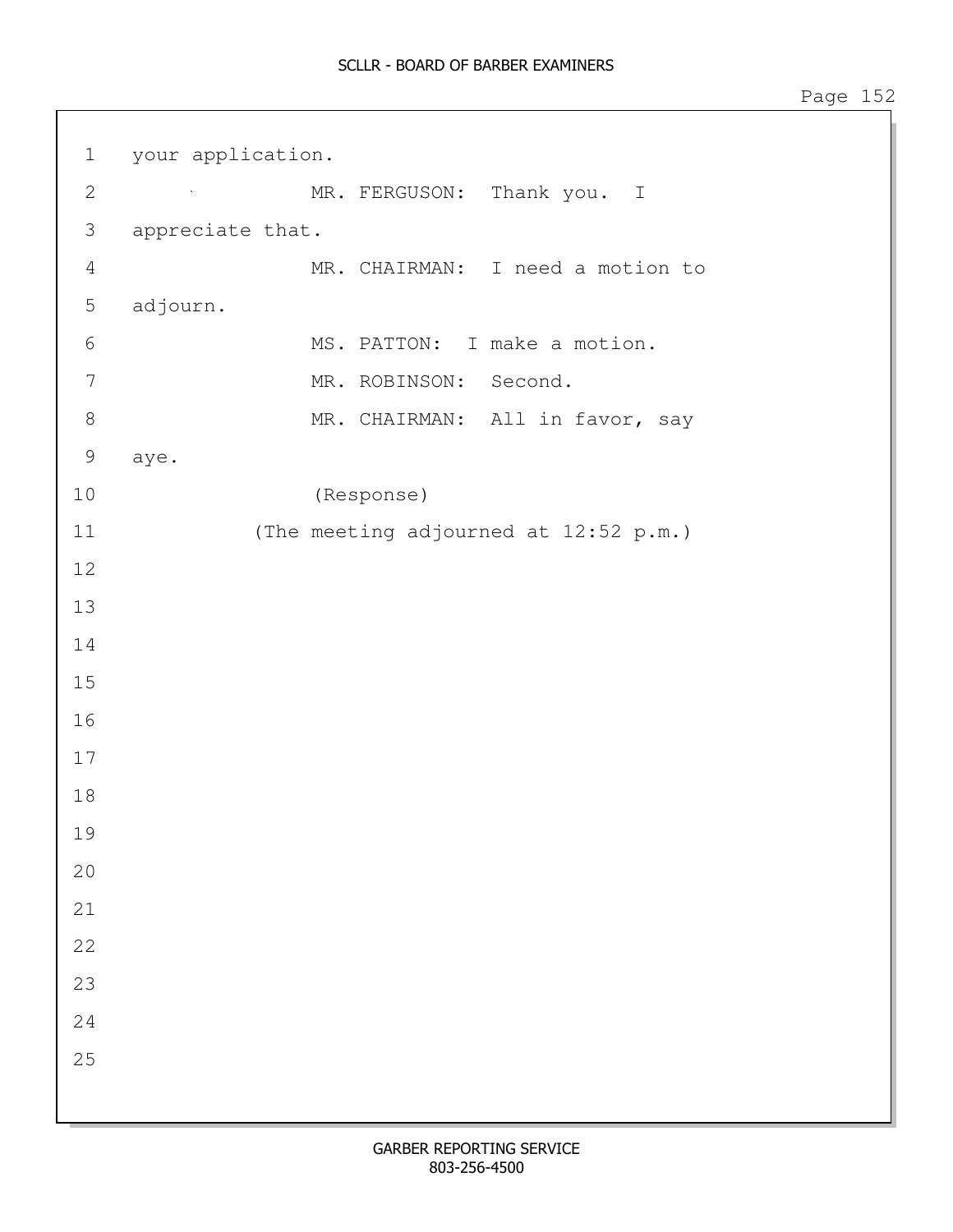| $\mathbf 1$    | your application. |                                       |  |
|----------------|-------------------|---------------------------------------|--|
| $\mathbf{2}$   |                   | MR. FERGUSON: Thank you. I            |  |
| $\mathfrak{Z}$ | appreciate that.  |                                       |  |
| $\overline{4}$ |                   | MR. CHAIRMAN: I need a motion to      |  |
| $\mathsf S$    | adjourn.          |                                       |  |
| 6              |                   | MS. PATTON: I make a motion.          |  |
| $\overline{7}$ |                   | MR. ROBINSON: Second.                 |  |
| $\,8\,$        |                   | MR. CHAIRMAN: All in favor, say       |  |
| $\mathcal{G}$  | aye.              |                                       |  |
| 10             |                   | (Response)                            |  |
| 11             |                   | (The meeting adjourned at 12:52 p.m.) |  |
| 12             |                   |                                       |  |
| 13             |                   |                                       |  |
| 14             |                   |                                       |  |
| 15             |                   |                                       |  |
| 16             |                   |                                       |  |
| 17             |                   |                                       |  |
| 18             |                   |                                       |  |
| 19             |                   |                                       |  |
| 20             |                   |                                       |  |
| 21             |                   |                                       |  |
| 22             |                   |                                       |  |
| 23             |                   |                                       |  |
| 24             |                   |                                       |  |
| 25             |                   |                                       |  |
|                |                   |                                       |  |